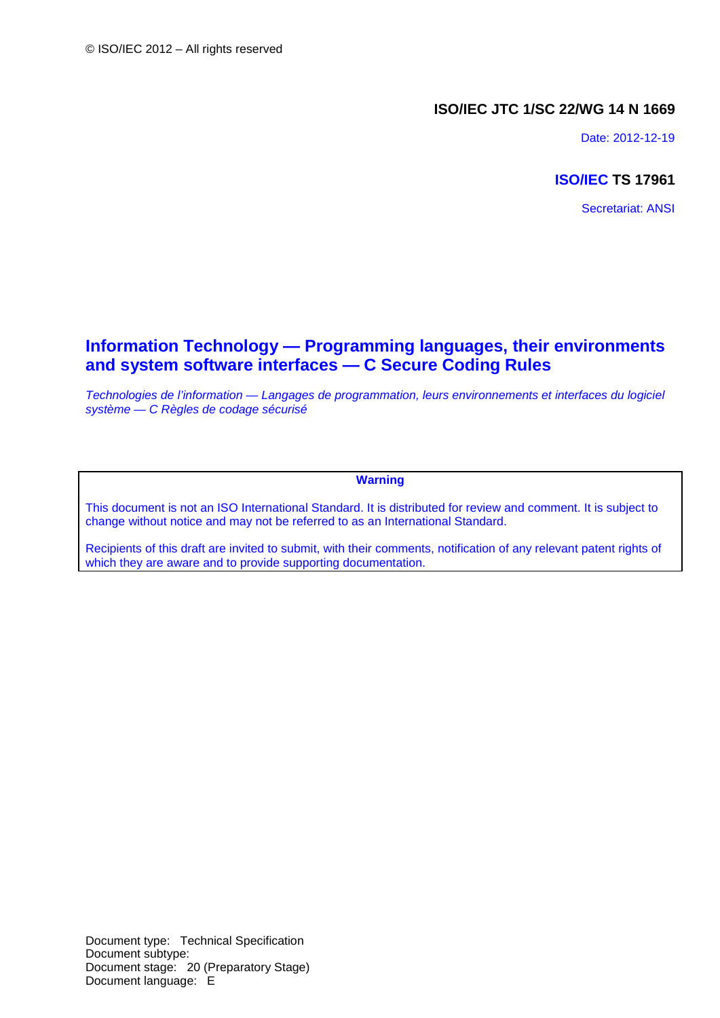## **ISO/IEC JTC 1/SC 22/WG 14 N 1669**

Date: 2012-12-19

## **ISO/IEC TS 17961**

Secretariat: ANSI

## **Information Technology — Programming languages, their environments and system software interfaces — C Secure Coding Rules**

*Technologies de l'information — Langages de programmation, leurs environnements et interfaces du logiciel système — C Règles de codage sécurisé*

#### **Warning**

This document is not an ISO International Standard. It is distributed for review and comment. It is subject to change without notice and may not be referred to as an International Standard.

Recipients of this draft are invited to submit, with their comments, notification of any relevant patent rights of which they are aware and to provide supporting documentation.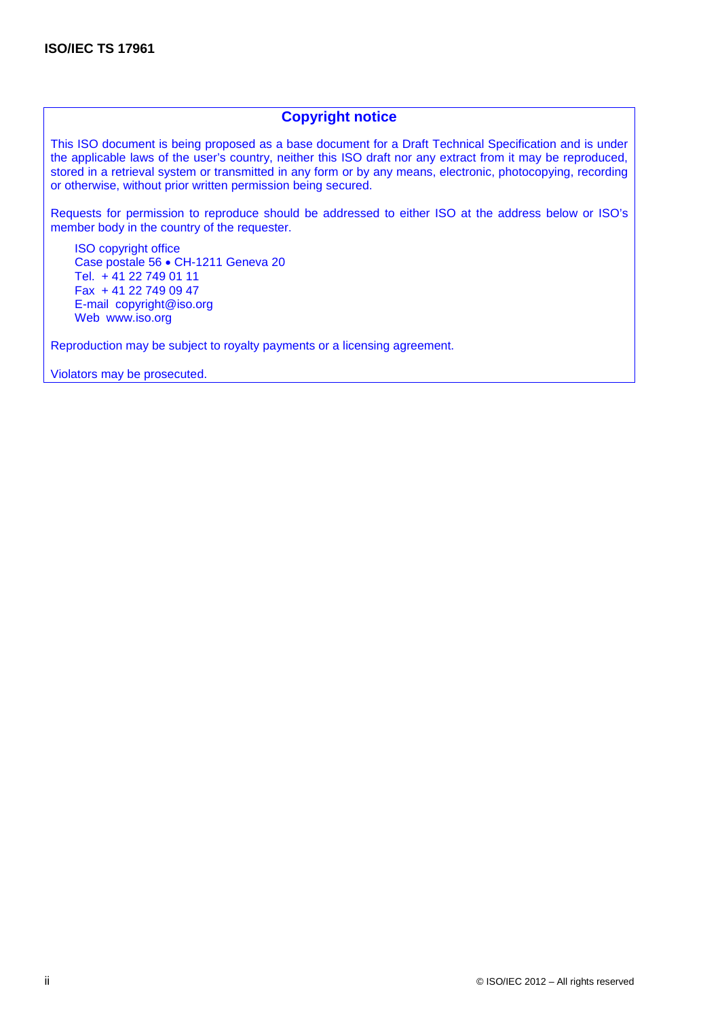## **Copyright notice**

This ISO document is being proposed as a base document for a Draft Technical Specification and is under the applicable laws of the user's country, neither this ISO draft nor any extract from it may be reproduced, stored in a retrieval system or transmitted in any form or by any means, electronic, photocopying, recording or otherwise, without prior written permission being secured.

Requests for permission to reproduce should be addressed to either ISO at the address below or ISO's member body in the country of the requester.

ISO copyright office Case postale 56 • CH-1211 Geneva 20 Tel. + 41 22 749 01 11 Fax + 41 22 749 09 47 E-mail copyright@iso.org Web www.iso.org

Reproduction may be subject to royalty payments or a licensing agreement.

Violators may be prosecuted.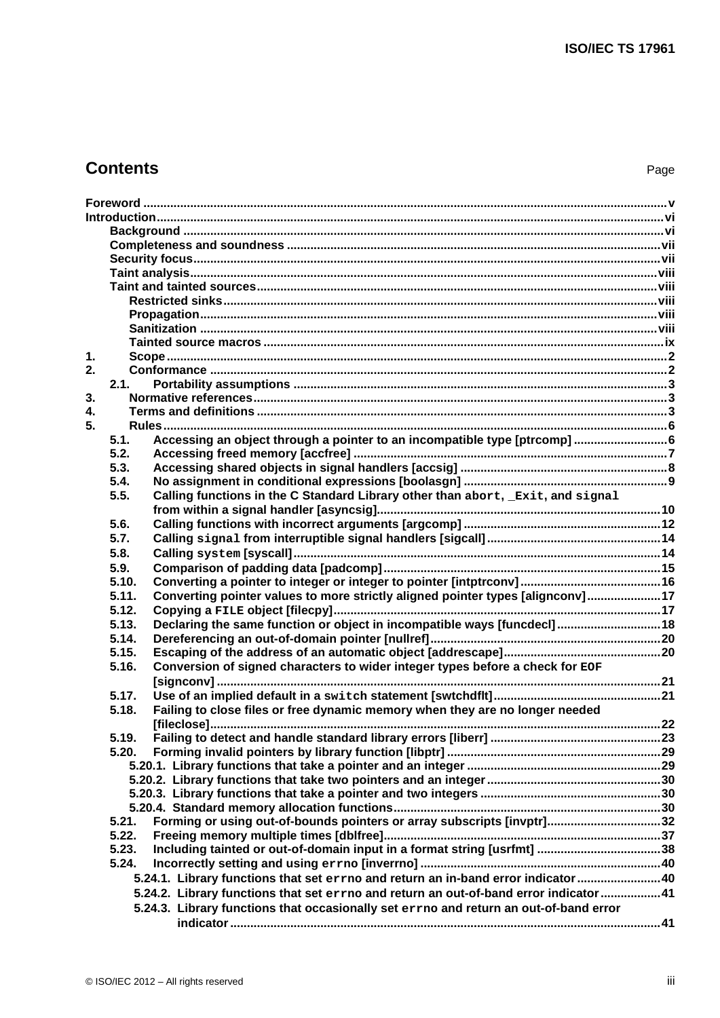## **Contents** Page

| 1. |       |                                                                                        |  |
|----|-------|----------------------------------------------------------------------------------------|--|
| 2. |       |                                                                                        |  |
|    | 2.1.  |                                                                                        |  |
| 3. |       |                                                                                        |  |
| 4. |       |                                                                                        |  |
| 5. |       |                                                                                        |  |
|    | 5.1.  | Accessing an object through a pointer to an incompatible type [ptrcomp]  6             |  |
|    | 5.2.  |                                                                                        |  |
|    | 5.3.  |                                                                                        |  |
|    | 5.4.  |                                                                                        |  |
|    | 5.5.  | Calling functions in the C Standard Library other than abort, Exit, and signal         |  |
|    |       |                                                                                        |  |
|    | 5.6.  |                                                                                        |  |
|    | 5.7.  |                                                                                        |  |
|    | 5.8.  |                                                                                        |  |
|    | 5.9.  |                                                                                        |  |
|    | 5.10. |                                                                                        |  |
|    | 5.11. | Converting pointer values to more strictly aligned pointer types [alignconv]17         |  |
|    | 5.12. |                                                                                        |  |
|    | 5.13. | Declaring the same function or object in incompatible ways [funcdecl]  18              |  |
|    | 5.14. |                                                                                        |  |
|    | 5.15. |                                                                                        |  |
|    | 5.16. | Conversion of signed characters to wider integer types before a check for EOF          |  |
|    |       |                                                                                        |  |
|    | 5.17. |                                                                                        |  |
|    | 5.18. | Failing to close files or free dynamic memory when they are no longer needed           |  |
|    |       |                                                                                        |  |
|    | 5.19. |                                                                                        |  |
|    | 5.20. |                                                                                        |  |
|    |       |                                                                                        |  |
|    |       |                                                                                        |  |
|    |       |                                                                                        |  |
|    |       |                                                                                        |  |
|    | 5.21. | Forming or using out-of-bounds pointers or array subscripts [invptr]32                 |  |
|    | 5.22. |                                                                                        |  |
|    | 5.23. |                                                                                        |  |
|    | 5.24. |                                                                                        |  |
|    |       | 5.24.1. Library functions that set errno and return an in-band error indicator40       |  |
|    |       | 5.24.2. Library functions that set errno and return an out-of-band error indicator  41 |  |
|    |       | 5.24.3. Library functions that occasionally set errno and return an out-of-band error  |  |
|    |       |                                                                                        |  |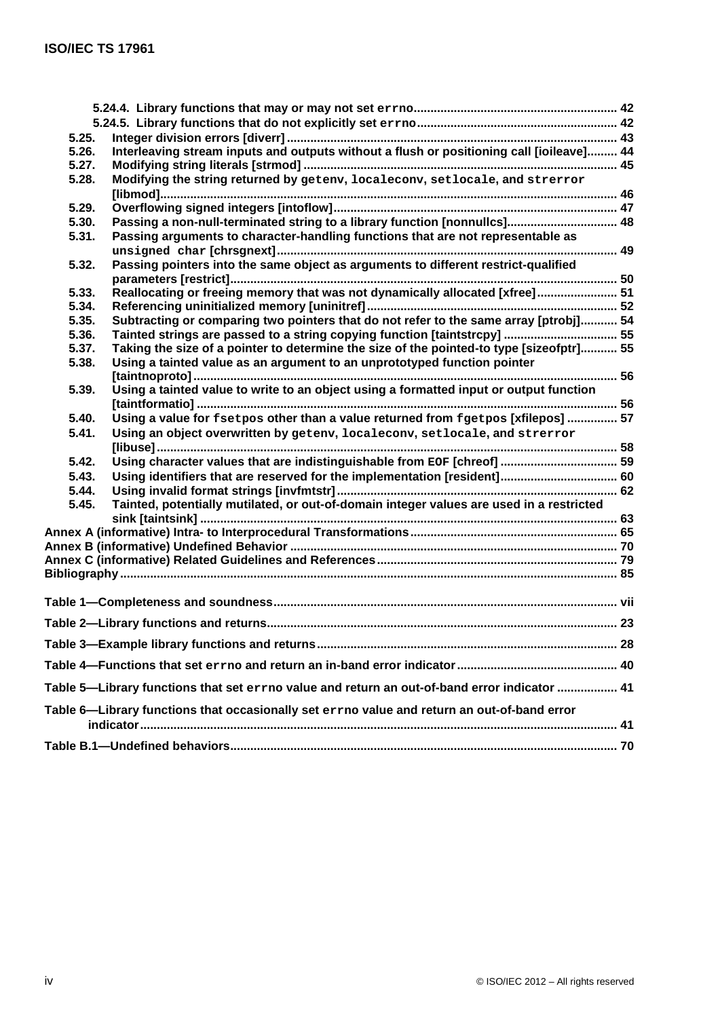| 5.25.                                                                                       |                                                                                              |  |  |
|---------------------------------------------------------------------------------------------|----------------------------------------------------------------------------------------------|--|--|
| 5.26.                                                                                       | Interleaving stream inputs and outputs without a flush or positioning call [ioileave] 44     |  |  |
| 5.27.                                                                                       |                                                                                              |  |  |
| 5.28.                                                                                       | Modifying the string returned by getenv, localeconv, setlocale, and strerror                 |  |  |
|                                                                                             |                                                                                              |  |  |
| 5.29.                                                                                       |                                                                                              |  |  |
| 5.30.<br>5.31.                                                                              | Passing arguments to character-handling functions that are not representable as              |  |  |
|                                                                                             |                                                                                              |  |  |
| 5.32.                                                                                       | Passing pointers into the same object as arguments to different restrict-qualified           |  |  |
|                                                                                             |                                                                                              |  |  |
| 5.33.                                                                                       | Reallocating or freeing memory that was not dynamically allocated [xfree] 51                 |  |  |
| 5.34.                                                                                       |                                                                                              |  |  |
| 5.35.                                                                                       | Subtracting or comparing two pointers that do not refer to the same array [ptrobj] 54        |  |  |
| 5.36.                                                                                       | Tainted strings are passed to a string copying function [taintstrcpy]  55                    |  |  |
| 5.37.                                                                                       | Taking the size of a pointer to determine the size of the pointed-to type [sizeofptr] 55     |  |  |
| 5.38.                                                                                       | Using a tainted value as an argument to an unprototyped function pointer                     |  |  |
|                                                                                             |                                                                                              |  |  |
| 5.39.                                                                                       | Using a tainted value to write to an object using a formatted input or output function       |  |  |
| 5.40.                                                                                       | Using a value for fsetpos other than a value returned from fgetpos [xfilepos]  57            |  |  |
| 5.41.                                                                                       | Using an object overwritten by getenv, localeconv, setlocale, and strerror                   |  |  |
|                                                                                             |                                                                                              |  |  |
| 5.42.                                                                                       |                                                                                              |  |  |
| 5.43.                                                                                       |                                                                                              |  |  |
| 5.44.                                                                                       |                                                                                              |  |  |
| 5.45.                                                                                       | Tainted, potentially mutilated, or out-of-domain integer values are used in a restricted     |  |  |
|                                                                                             |                                                                                              |  |  |
|                                                                                             |                                                                                              |  |  |
|                                                                                             |                                                                                              |  |  |
|                                                                                             |                                                                                              |  |  |
|                                                                                             |                                                                                              |  |  |
|                                                                                             |                                                                                              |  |  |
|                                                                                             |                                                                                              |  |  |
|                                                                                             |                                                                                              |  |  |
|                                                                                             |                                                                                              |  |  |
|                                                                                             | Table 5-Library functions that set errno value and return an out-of-band error indicator  41 |  |  |
| Table 6—Library functions that occasionally set errno value and return an out-of-band error |                                                                                              |  |  |
|                                                                                             |                                                                                              |  |  |
|                                                                                             |                                                                                              |  |  |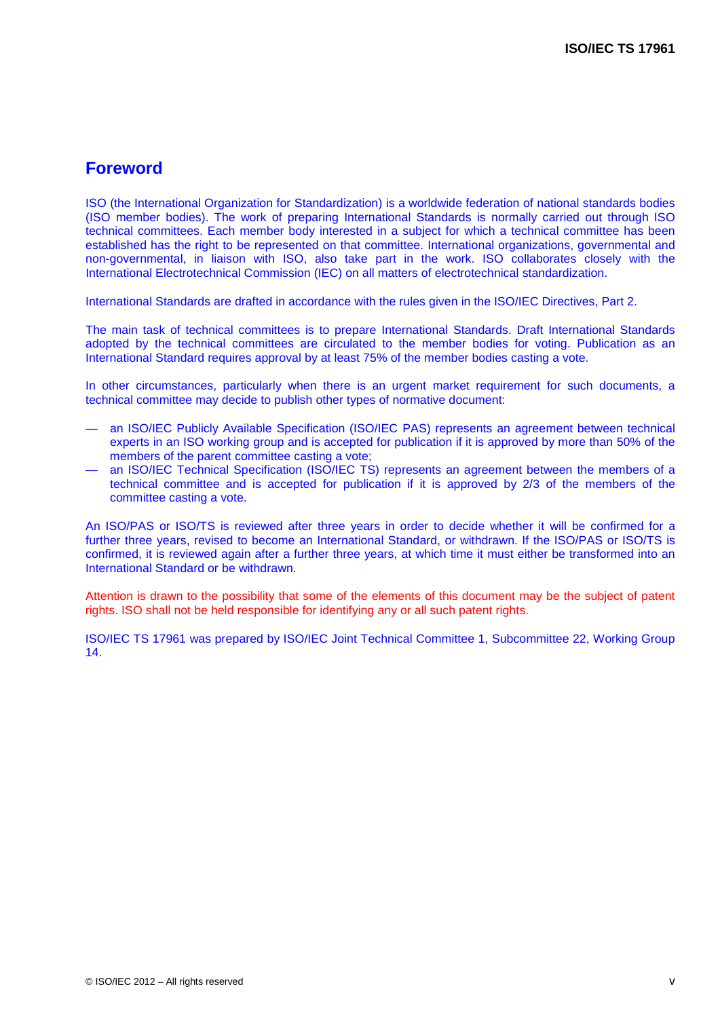## <span id="page-4-0"></span>**Foreword**

ISO (the International Organization for Standardization) is a worldwide federation of national standards bodies (ISO member bodies). The work of preparing International Standards is normally carried out through ISO technical committees. Each member body interested in a subject for which a technical committee has been established has the right to be represented on that committee. International organizations, governmental and non-governmental, in liaison with ISO, also take part in the work. ISO collaborates closely with the International Electrotechnical Commission (IEC) on all matters of electrotechnical standardization.

International Standards are drafted in accordance with the rules given in the ISO/IEC Directives, Part 2.

The main task of technical committees is to prepare International Standards. Draft International Standards adopted by the technical committees are circulated to the member bodies for voting. Publication as an International Standard requires approval by at least 75% of the member bodies casting a vote.

In other circumstances, particularly when there is an urgent market requirement for such documents, a technical committee may decide to publish other types of normative document:

- an ISO/IEC Publicly Available Specification (ISO/IEC PAS) represents an agreement between technical experts in an ISO working group and is accepted for publication if it is approved by more than 50% of the members of the parent committee casting a vote;
- an ISO/IEC Technical Specification (ISO/IEC TS) represents an agreement between the members of a technical committee and is accepted for publication if it is approved by 2/3 of the members of the committee casting a vote.

An ISO/PAS or ISO/TS is reviewed after three years in order to decide whether it will be confirmed for a further three years, revised to become an International Standard, or withdrawn. If the ISO/PAS or ISO/TS is confirmed, it is reviewed again after a further three years, at which time it must either be transformed into an International Standard or be withdrawn.

Attention is drawn to the possibility that some of the elements of this document may be the subject of patent rights. ISO shall not be held responsible for identifying any or all such patent rights.

ISO/IEC TS 17961 was prepared by ISO/IEC Joint Technical Committee 1, Subcommittee 22, Working Group 14.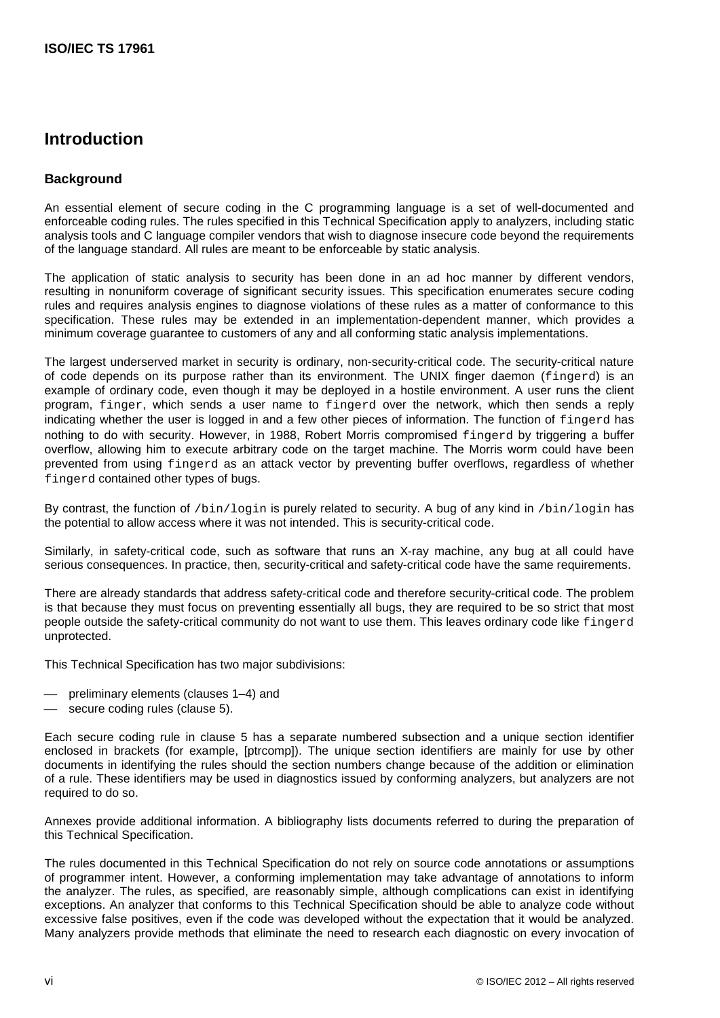## <span id="page-5-0"></span>**Introduction**

## <span id="page-5-1"></span>**Background**

An essential element of secure coding in the C programming language is a set of well-documented and enforceable coding rules. The rules specified in this Technical Specification apply to analyzers, including static analysis tools and C language compiler vendors that wish to diagnose insecure code beyond the requirements of the language standard. All rules are meant to be enforceable by static analysis.

The application of static analysis to security has been done in an ad hoc manner by different vendors, resulting in nonuniform coverage of significant security issues. This specification enumerates secure coding rules and requires analysis engines to diagnose violations of these rules as a matter of conformance to this specification. These rules may be extended in an implementation-dependent manner, which provides a minimum coverage guarantee to customers of any and all conforming static analysis implementations.

The largest underserved market in security is ordinary, non-security-critical code. The security-critical nature of code depends on its purpose rather than its environment. The UNIX finger daemon (fingerd) is an example of ordinary code, even though it may be deployed in a hostile environment. A user runs the client program, finger, which sends a user name to fingerd over the network, which then sends a reply indicating whether the user is logged in and a few other pieces of information. The function of fingerd has nothing to do with security. However, in 1988, Robert Morris compromised fingerd by triggering a buffer overflow, allowing him to execute arbitrary code on the target machine. The Morris worm could have been prevented from using fingerd as an attack vector by preventing buffer overflows, regardless of whether fingerd contained other types of bugs.

By contrast, the function of /bin/login is purely related to security. A bug of any kind in /bin/login has the potential to allow access where it was not intended. This is security-critical code.

Similarly, in safety-critical code, such as software that runs an X-ray machine, any bug at all could have serious consequences. In practice, then, security-critical and safety-critical code have the same requirements.

There are already standards that address safety-critical code and therefore security-critical code. The problem is that because they must focus on preventing essentially all bugs, they are required to be so strict that most people outside the safety-critical community do not want to use them. This leaves ordinary code like fingerd unprotected.

This Technical Specification has two major subdivisions:

- preliminary elements (clauses 1–4) and
- secure coding rules (clause 5).

Each secure coding rule in clause 5 has a separate numbered subsection and a unique section identifier enclosed in brackets (for example, [ptrcomp]). The unique section identifiers are mainly for use by other documents in identifying the rules should the section numbers change because of the addition or elimination of a rule. These identifiers may be used in diagnostics issued by conforming analyzers, but analyzers are not required to do so.

Annexes provide additional information. A bibliography lists documents referred to during the preparation of this Technical Specification.

The rules documented in this Technical Specification do not rely on source code annotations or assumptions of programmer intent. However, a conforming implementation may take advantage of annotations to inform the analyzer. The rules, as specified, are reasonably simple, although complications can exist in identifying exceptions. An analyzer that conforms to this Technical Specification should be able to analyze code without excessive false positives, even if the code was developed without the expectation that it would be analyzed. Many analyzers provide methods that eliminate the need to research each diagnostic on every invocation of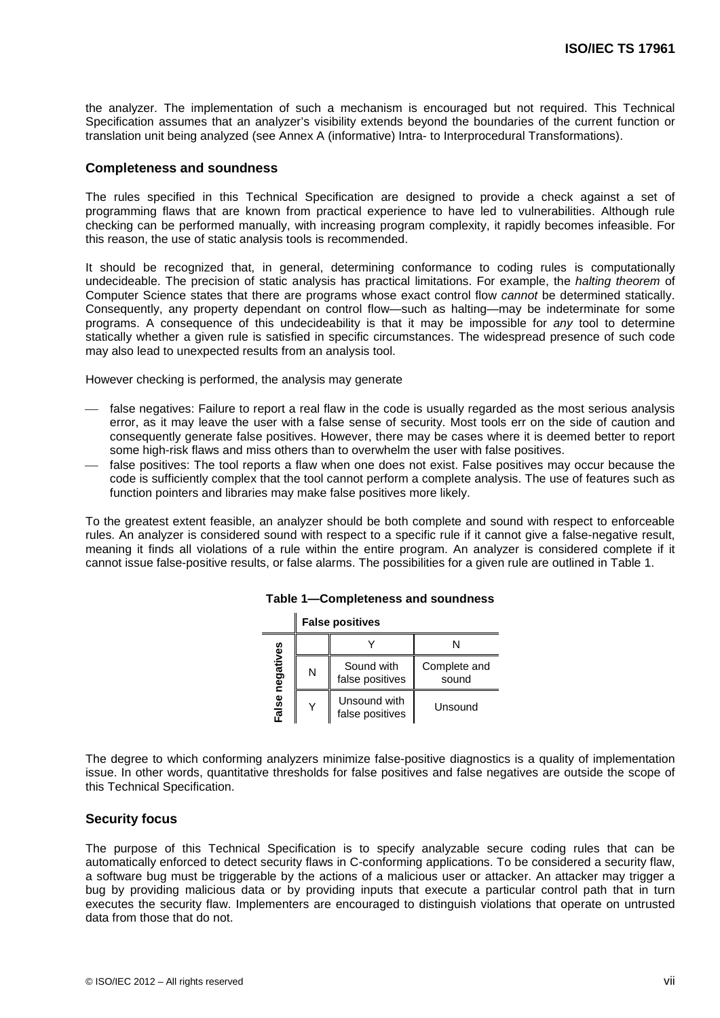the analyzer. The implementation of such a mechanism is encouraged but not required. This Technical Specification assumes that an analyzer's visibility extends beyond the boundaries of the current function or translation unit being analyzed (see Annex A (informative) Intra- to Interprocedural Transformations).

#### <span id="page-6-0"></span>**Completeness and soundness**

The rules specified in this Technical Specification are designed to provide a check against a set of programming flaws that are known from practical experience to have led to vulnerabilities. Although rule checking can be performed manually, with increasing program complexity, it rapidly becomes infeasible. For this reason, the use of static analysis tools is recommended.

It should be recognized that, in general, determining conformance to coding rules is computationally undecideable. The precision of static analysis has practical limitations. For example, the *halting theorem* of Computer Science states that there are programs whose exact control flow *cannot* be determined statically. Consequently, any property dependant on control flow—such as halting—may be indeterminate for some programs. A consequence of this undecideability is that it may be impossible for *any* tool to determine statically whether a given rule is satisfied in specific circumstances. The widespread presence of such code may also lead to unexpected results from an analysis tool.

However checking is performed, the analysis may generate

- false negatives: Failure to report a real flaw in the code is usually regarded as the most serious analysis error, as it may leave the user with a false sense of security. Most tools err on the side of caution and consequently generate false positives. However, there may be cases where it is deemed better to report some high-risk flaws and miss others than to overwhelm the user with false positives.
- false positives: The tool reports a flaw when one does not exist. False positives may occur because the code is sufficiently complex that the tool cannot perform a complete analysis. The use of features such as function pointers and libraries may make false positives more likely.

<span id="page-6-2"></span>To the greatest extent feasible, an analyzer should be both complete and sound with respect to enforceable rules. An analyzer is considered sound with respect to a specific rule if it cannot give a false-negative result, meaning it finds all violations of a rule within the entire program. An analyzer is considered complete if it cannot issue false-positive results, or false alarms. The possibilities for a given rule are outlined in Table 1.

|           | <b>False positives</b> |                                 |                       |
|-----------|------------------------|---------------------------------|-----------------------|
|           |                        |                                 |                       |
| negatives | N                      | Sound with<br>false positives   | Complete and<br>sound |
| False     | Y                      | Unsound with<br>false positives | Unsound               |

#### **Table 1—Completeness and soundness**

 $\mathbf{r}$ 

The degree to which conforming analyzers minimize false-positive diagnostics is a quality of implementation issue. In other words, quantitative thresholds for false positives and false negatives are outside the scope of this Technical Specification.

#### <span id="page-6-1"></span>**Security focus**

The purpose of this Technical Specification is to specify analyzable secure coding rules that can be automatically enforced to detect security flaws in C-conforming applications. To be considered a security flaw, a software bug must be triggerable by the actions of a malicious user or attacker. An attacker may trigger a bug by providing malicious data or by providing inputs that execute a particular control path that in turn executes the security flaw. Implementers are encouraged to distinguish violations that operate on untrusted data from those that do not.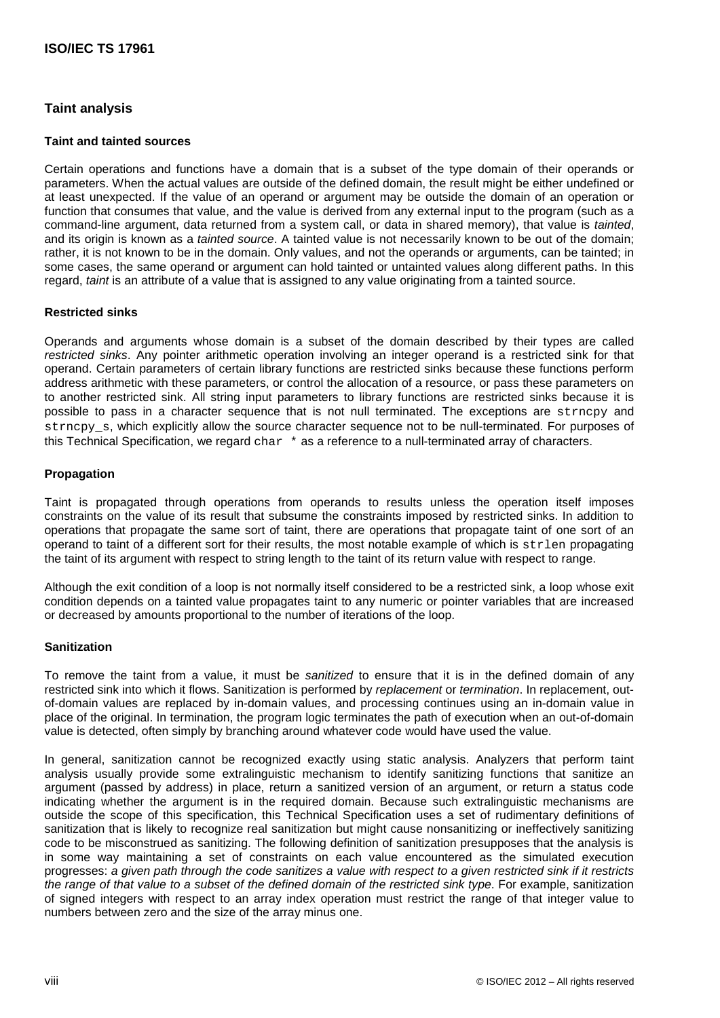## <span id="page-7-0"></span>**Taint analysis**

#### <span id="page-7-1"></span>**Taint and tainted sources**

Certain operations and functions have a domain that is a subset of the type domain of their operands or parameters. When the actual values are outside of the defined domain, the result might be either undefined or at least unexpected. If the value of an operand or argument may be outside the domain of an operation or function that consumes that value, and the value is derived from any external input to the program (such as a command-line argument, data returned from a system call, or data in shared memory), that value is *tainted*, and its origin is known as a *tainted source*. A tainted value is not necessarily known to be out of the domain; rather, it is not known to be in the domain. Only values, and not the operands or arguments, can be tainted; in some cases, the same operand or argument can hold tainted or untainted values along different paths. In this regard, *taint* is an attribute of a value that is assigned to any value originating from a tainted source.

#### <span id="page-7-2"></span>**Restricted sinks**

Operands and arguments whose domain is a subset of the domain described by their types are called *restricted sinks*. Any pointer arithmetic operation involving an integer operand is a restricted sink for that operand. Certain parameters of certain library functions are restricted sinks because these functions perform address arithmetic with these parameters, or control the allocation of a resource, or pass these parameters on to another restricted sink. All string input parameters to library functions are restricted sinks because it is possible to pass in a character sequence that is not null terminated. The exceptions are strncpy and strncpy\_s, which explicitly allow the source character sequence not to be null-terminated. For purposes of this Technical Specification, we regard char  $*$  as a reference to a null-terminated array of characters.

#### <span id="page-7-3"></span>**Propagation**

Taint is propagated through operations from operands to results unless the operation itself imposes constraints on the value of its result that subsume the constraints imposed by restricted sinks. In addition to operations that propagate the same sort of taint, there are operations that propagate taint of one sort of an operand to taint of a different sort for their results, the most notable example of which is  $strlen$  propagating the taint of its argument with respect to string length to the taint of its return value with respect to range.

Although the exit condition of a loop is not normally itself considered to be a restricted sink, a loop whose exit condition depends on a tainted value propagates taint to any numeric or pointer variables that are increased or decreased by amounts proportional to the number of iterations of the loop.

#### <span id="page-7-4"></span>**Sanitization**

To remove the taint from a value, it must be *sanitized* to ensure that it is in the defined domain of any restricted sink into which it flows. Sanitization is performed by *replacement* or *termination*. In replacement, outof-domain values are replaced by in-domain values, and processing continues using an in-domain value in place of the original. In termination, the program logic terminates the path of execution when an out-of-domain value is detected, often simply by branching around whatever code would have used the value.

In general, sanitization cannot be recognized exactly using static analysis. Analyzers that perform taint analysis usually provide some extralinguistic mechanism to identify sanitizing functions that sanitize an argument (passed by address) in place, return a sanitized version of an argument, or return a status code indicating whether the argument is in the required domain. Because such extralinguistic mechanisms are outside the scope of this specification, this Technical Specification uses a set of rudimentary definitions of sanitization that is likely to recognize real sanitization but might cause nonsanitizing or ineffectively sanitizing code to be misconstrued as sanitizing. The following definition of sanitization presupposes that the analysis is in some way maintaining a set of constraints on each value encountered as the simulated execution progresses: *a given path through the code sanitizes a value with respect to a given restricted sink if it restricts the range of that value to a subset of the defined domain of the restricted sink type*. For example, sanitization of signed integers with respect to an array index operation must restrict the range of that integer value to numbers between zero and the size of the array minus one.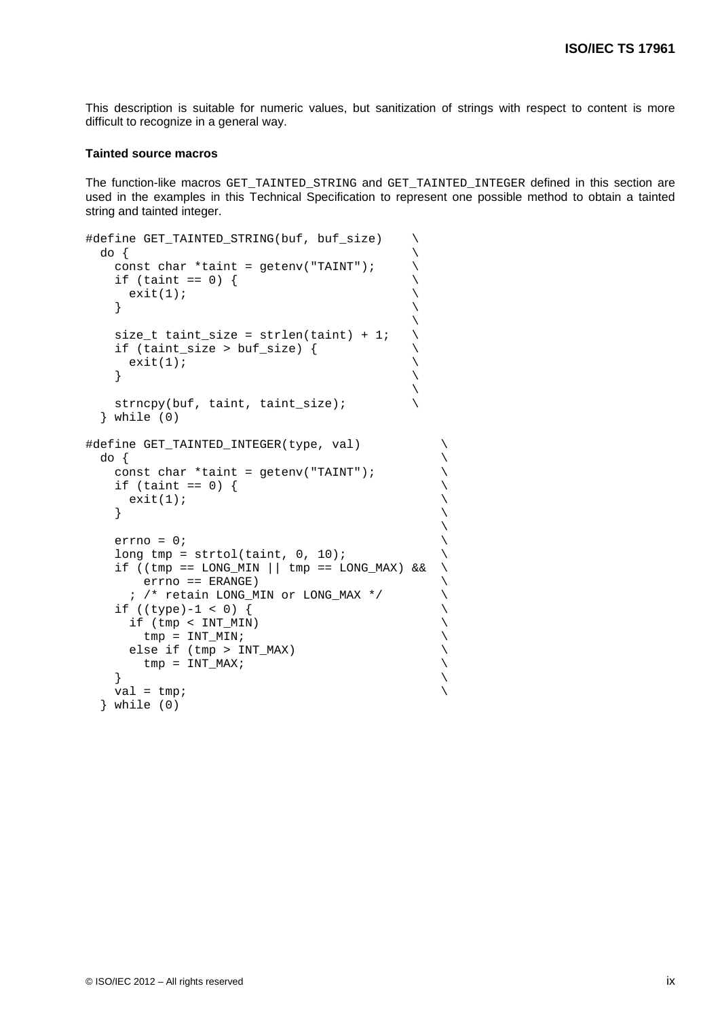This description is suitable for numeric values, but sanitization of strings with respect to content is more difficult to recognize in a general way.

#### <span id="page-8-0"></span>**Tainted source macros**

The function-like macros GET\_TAINTED\_STRING and GET\_TAINTED\_INTEGER defined in this section are used in the examples in this Technical Specification to represent one possible method to obtain a tainted string and tainted integer.

```
#define GET_TAINTED_STRING(buf, buf_size) \
do { \setminusconst char *taint = getenv("TAINT");
       if (taint == 0) { \qquad \qquad \times i(t) ;
       \left\{\n \begin{array}{c}\n \text{exit}(1); \quad \text{ } \quad \text{ } \quad \text{ } \quad \text{ } \quad \text{ } \quad \text{ } \quad \text{ } \quad \text{ } \quad \text{ } \quad \text{ } \quad \text{ } \quad \text{ } \quad \text{ } \quad \text{ } \quad \text{ } \quad \text{ } \quad \text{ } \quad \text{ } \quad \text{ } \quad \text{ } \quad \text{ } \quad \text{ } \quad \text{ } \quad \text{ } \quad \text{ } \quad \text{ } \quad \text{ } \quad \text{ } \quad \text{ } \quad \text{ } \quad \text{ } \quad \text{ } \quad \text{ } \quad\left\{\right.\overline{\phantom{a}}size_t taint_size = strlen(taint) + 1;<br>if (taint_size > buf_size) {
        if (taint_size > buf_size) { \
       \{ exit(1); \qquad \qquad \setminus\left\{\right.\mathcal{L} and \mathcal{L} and \mathcal{L} and \mathcal{L} and \mathcal{L} and \mathcal{L} and \mathcal{L} and \mathcal{L} and \mathcal{L} and \mathcal{L} and \mathcal{L} and \mathcal{L} and \mathcal{L} and \mathcal{L} and \mathcal{L} and \mathcal{L} and \mathcal{L} and 
strncpy(buf, taint, taint_size); \setminus } while (0)
#define GET_TAINTED_INTEGER(type, val)<br>do {
do { \setminusconst char *taint = getenv("TAINT"); \hspace{1.6cm} \backslashif (taint == 0) { \setminus exit(1);
       \{ exit(1); \setminus\left\{\begin{array}{ccc} \end{array}\right\}\sqrt{ }errno = 0;<br>
long tmp = strtol(taint, 0, 10);
        long tmp = strtol(taint, 0, 10); \
       \begin{array}{rcl} \texttt{if} & (\texttt{tmp} == \texttt{Long\_MIN} \mid \mid \texttt{tmp} == \texttt{Long\_MAX}) & \&\& & \\\texttt{errno} == \texttt{ERANGE} \end{array}errno == ERANGE)<br>
/* retain LONG_MIN or LONG_MAX */
           ; /* retain LONG_MIN or LONG_MAX */ \
       if ((type)-1 < 0) {<br>if (tmp < INT_MIN) \
          if (tmp < INT_MIN) \uparrow \downarrow \downarrow \downarrow \downarrow \downarrow \downarrow \downarrow \downarrow \downarrow \downarrow \downarrow \downarrow \downarrow \downarrow \downarrow \downarrow \downarrow \downarrow \downarrow \downarrow \downarrow \downarrow \downarrow \downarrow \downarrow \downarrow \downarrow \downarrow \downarrow \downarrow \downarrow \downarrow \downarrow tmp = INT_MIN; \
          else if (tmp > INT_MAX) \uparrow \uparrow \uparrow \uparrow \uparrow \uparrow \uparrow \uparrow \uparrow \uparrow \uparrow \uparrow \uparrow \uparrow \uparrow \uparrow \uparrow \uparrow \uparrow \uparrow \uparrow \uparrow \uparrow \uparrow \uparrow \uparrow \uparrow \uparrow \uparrow \uparrow \uparrow \uparrow \uparrowtmp = INT_MAX;\left\{\begin{array}{ccc} \end{array}\right\}val = tmp; } while (0)
```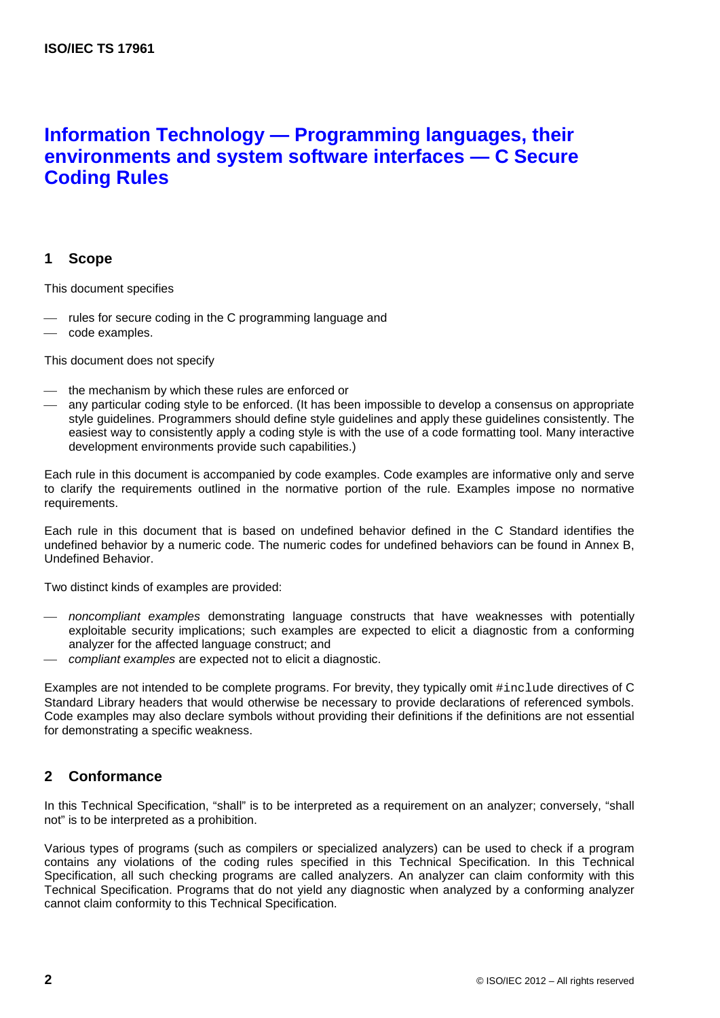# **Information Technology — Programming languages, their environments and system software interfaces — C Secure Coding Rules**

## <span id="page-9-0"></span>**1 Scope**

This document specifies

- rules for secure coding in the C programming language and
- code examples.

This document does not specify

- the mechanism by which these rules are enforced or
- any particular coding style to be enforced. (It has been impossible to develop a consensus on appropriate style guidelines. Programmers should define style guidelines and apply these guidelines consistently. The easiest way to consistently apply a coding style is with the use of a code formatting tool. Many interactive development environments provide such capabilities.)

Each rule in this document is accompanied by code examples. Code examples are informative only and serve to clarify the requirements outlined in the normative portion of the rule. Examples impose no normative requirements.

Each rule in this document that is based on undefined behavior defined in the C Standard identifies the undefined behavior by a numeric code. The numeric codes for undefined behaviors can be found in Annex B, Undefined Behavior.

Two distinct kinds of examples are provided:

- *noncompliant examples* demonstrating language constructs that have weaknesses with potentially exploitable security implications; such examples are expected to elicit a diagnostic from a conforming analyzer for the affected language construct; and
- *compliant examples* are expected not to elicit a diagnostic.

Examples are not intended to be complete programs. For brevity, they typically omit #include directives of C Standard Library headers that would otherwise be necessary to provide declarations of referenced symbols. Code examples may also declare symbols without providing their definitions if the definitions are not essential for demonstrating a specific weakness.

## <span id="page-9-1"></span>**2 Conformance**

In this Technical Specification, "shall" is to be interpreted as a requirement on an analyzer; conversely, "shall not" is to be interpreted as a prohibition.

Various types of programs (such as compilers or specialized analyzers) can be used to check if a program contains any violations of the coding rules specified in this Technical Specification. In this Technical Specification, all such checking programs are called analyzers. An analyzer can claim conformity with this Technical Specification. Programs that do not yield any diagnostic when analyzed by a conforming analyzer cannot claim conformity to this Technical Specification.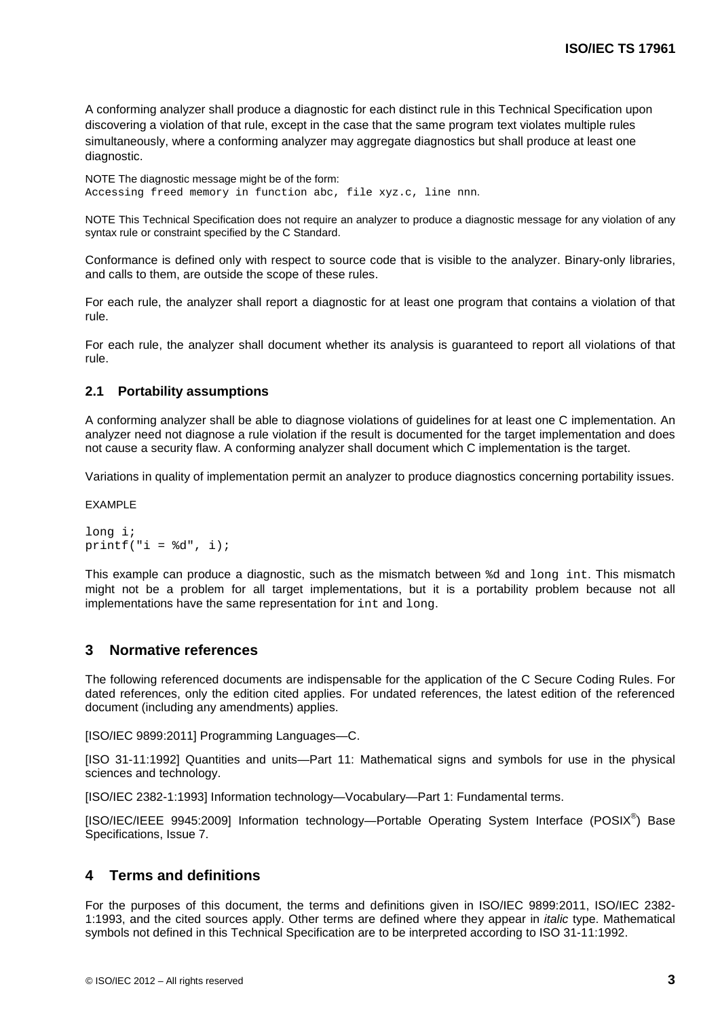A conforming analyzer shall produce a diagnostic for each distinct rule in this Technical Specification upon discovering a violation of that rule, except in the case that the same program text violates multiple rules simultaneously, where a conforming analyzer may aggregate diagnostics but shall produce at least one diagnostic.

NOTE The diagnostic message might be of the form: Accessing freed memory in function abc, file xyz.c, line nnn.

NOTE This Technical Specification does not require an analyzer to produce a diagnostic message for any violation of any syntax rule or constraint specified by the C Standard.

Conformance is defined only with respect to source code that is visible to the analyzer. Binary-only libraries, and calls to them, are outside the scope of these rules.

For each rule, the analyzer shall report a diagnostic for at least one program that contains a violation of that rule.

For each rule, the analyzer shall document whether its analysis is guaranteed to report all violations of that rule.

### <span id="page-10-0"></span>**2.1 Portability assumptions**

A conforming analyzer shall be able to diagnose violations of guidelines for at least one C implementation. An analyzer need not diagnose a rule violation if the result is documented for the target implementation and does not cause a security flaw. A conforming analyzer shall document which C implementation is the target.

Variations in quality of implementation permit an analyzer to produce diagnostics concerning portability issues.

EXAMPLE

```
long i;
printf("i = %d", i);
```
This example can produce a diagnostic, such as the mismatch between %d and long int. This mismatch might not be a problem for all target implementations, but it is a portability problem because not all implementations have the same representation for int and long.

### <span id="page-10-1"></span>**3 Normative references**

The following referenced documents are indispensable for the application of the C Secure Coding Rules. For dated references, only the edition cited applies. For undated references, the latest edition of the referenced document (including any amendments) applies.

[ISO/IEC 9899:2011] Programming Languages—C.

[ISO 31-11:1992] Quantities and units—Part 11: Mathematical signs and symbols for use in the physical sciences and technology.

[ISO/IEC 2382-1:1993] Information technology—Vocabulary—Part 1: Fundamental terms.

[ISO/IEC/IEEE 9945:2009] Information technology—Portable Operating System Interface (POSIX<sup>®</sup>) Base Specifications, Issue 7.

## <span id="page-10-2"></span>**4 Terms and definitions**

For the purposes of this document, the terms and definitions given in ISO/IEC 9899:2011, ISO/IEC 2382- 1:1993, and the cited sources apply. Other terms are defined where they appear in *italic* type. Mathematical symbols not defined in this Technical Specification are to be interpreted according to ISO 31-11:1992.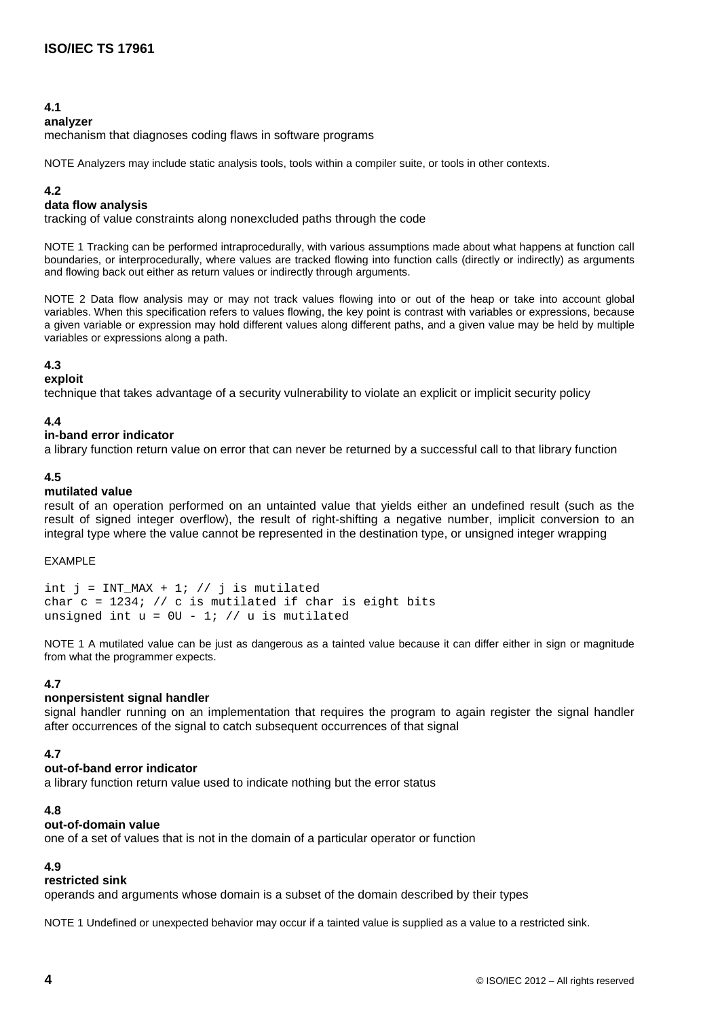## **4.1**

#### **analyzer**

mechanism that diagnoses coding flaws in software programs

NOTE Analyzers may include static analysis tools, tools within a compiler suite, or tools in other contexts.

#### **4.2**

#### **data flow analysis**

tracking of value constraints along nonexcluded paths through the code

NOTE 1 Tracking can be performed intraprocedurally, with various assumptions made about what happens at function call boundaries, or interprocedurally, where values are tracked flowing into function calls (directly or indirectly) as arguments and flowing back out either as return values or indirectly through arguments.

NOTE 2 Data flow analysis may or may not track values flowing into or out of the heap or take into account global variables. When this specification refers to values flowing, the key point is contrast with variables or expressions, because a given variable or expression may hold different values along different paths, and a given value may be held by multiple variables or expressions along a path.

#### **4.3**

#### **exploit**

technique that takes advantage of a security vulnerability to violate an explicit or implicit security policy

#### **4.4**

#### **in-band error indicator**

a library function return value on error that can never be returned by a successful call to that library function

#### **4.5**

#### **mutilated value**

result of an operation performed on an untainted value that yields either an undefined result (such as the result of signed integer overflow), the result of right-shifting a negative number, implicit conversion to an integral type where the value cannot be represented in the destination type, or unsigned integer wrapping

#### EXAMPLE

int  $j = INT\_MAX + 1$ ; //  $j$  is mutilated char  $c = 1234$ ; // c is mutilated if char is eight bits unsigned int  $u = 0U - 1$ ; //  $u$  is mutilated

NOTE 1 A mutilated value can be just as dangerous as a tainted value because it can differ either in sign or magnitude from what the programmer expects.

#### **4.7**

#### **nonpersistent signal handler**

signal handler running on an implementation that requires the program to again register the signal handler after occurrences of the signal to catch subsequent occurrences of that signal

#### **4.7**

#### **out-of-band error indicator**

a library function return value used to indicate nothing but the error status

#### **4.8**

#### **out-of-domain value**

one of a set of values that is not in the domain of a particular operator or function

#### **4.9**

#### **restricted sink**

operands and arguments whose domain is a subset of the domain described by their types

NOTE 1 Undefined or unexpected behavior may occur if a tainted value is supplied as a value to a restricted sink.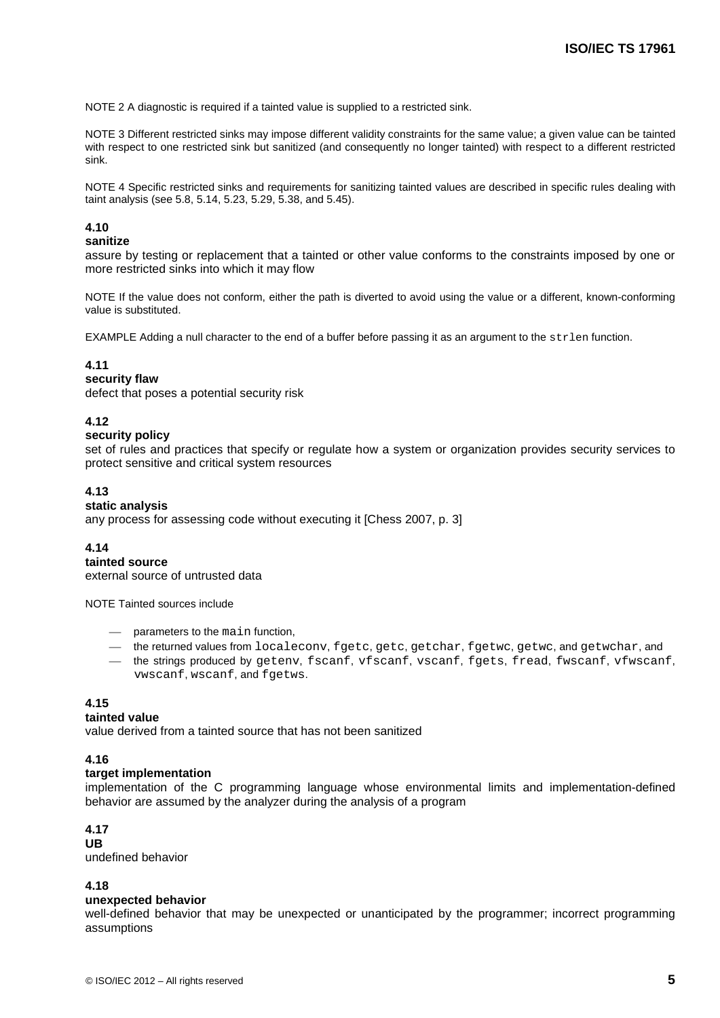NOTE 2 A diagnostic is required if a tainted value is supplied to a restricted sink.

NOTE 3 Different restricted sinks may impose different validity constraints for the same value; a given value can be tainted with respect to one restricted sink but sanitized (and consequently no longer tainted) with respect to a different restricted sink.

NOTE 4 Specific restricted sinks and requirements for sanitizing tainted values are described in specific rules dealing with taint analysis (see 5.8, 5.14, 5.23, 5.29, 5.38, and 5.45).

#### **4.10**

#### **sanitize**

assure by testing or replacement that a tainted or other value conforms to the constraints imposed by one or more restricted sinks into which it may flow

NOTE If the value does not conform, either the path is diverted to avoid using the value or a different, known-conforming value is substituted.

EXAMPLE Adding a null character to the end of a buffer before passing it as an argument to the  $strlen$  function.

#### **4.11**

#### **security flaw**

defect that poses a potential security risk

#### **4.12**

#### **security policy**

set of rules and practices that specify or regulate how a system or organization provides security services to protect sensitive and critical system resources

#### **4.13**

#### **static analysis**

any process for assessing code without executing it [\[Chess 2007,](#page-92-1) p. 3]

#### **4.14**

#### **tainted source**

external source of untrusted data

NOTE Tainted sources include

- parameters to the main function,
- the returned values from localeconv, fgetc, getc, getchar, fgetwc, getwc, and getwchar, and
- the strings produced by getenv, fscanf, vfscanf, vscanf, fgets, fread, fwscanf, vfwscanf, vwscanf, wscanf, and fgetws.

#### **4.15**

#### **tainted value**

value derived from a tainted source that has not been sanitized

#### **4.16**

#### **target implementation**

implementation of the C programming language whose environmental limits and implementation-defined behavior are assumed by the analyzer during the analysis of a program

### **4.17**

#### **UB**

undefined behavior

#### **4.18**

#### **unexpected behavior**

well-defined behavior that may be unexpected or unanticipated by the programmer; incorrect programming assumptions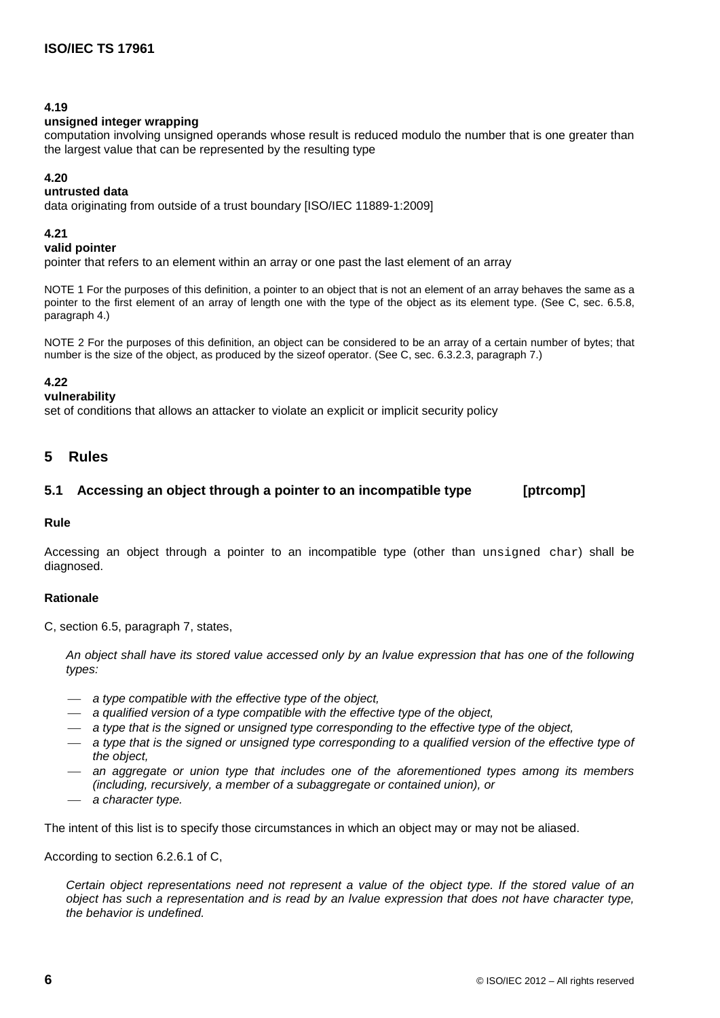### **4.19**

#### **unsigned integer wrapping**

computation involving unsigned operands whose result is reduced modulo the number that is one greater than the largest value that can be represented by the resulting type

### **4.20**

### **untrusted data**

data originating from outside of a trust boundary [ISO/IEC 11889-1:2009]

### **4.21**

#### <span id="page-13-2"></span>**valid pointer**

pointer that refers to an element within an array or one past the last element of an array

NOTE 1 For the purposes of this definition, a pointer to an object that is not an element of an array behaves the same as a pointer to the first element of an array of length one with the type of the object as its element type. (See C, sec. 6.5.8, paragraph 4.)

NOTE 2 For the purposes of this definition, an object can be considered to be an array of a certain number of bytes; that number is the size of the object, as produced by the sizeof operator. (See C, sec. 6.3.2.3, paragraph 7.)

## **4.22**

#### **vulnerability**

set of conditions that allows an attacker to violate an explicit or implicit security policy

## <span id="page-13-0"></span>**5 Rules**

### <span id="page-13-1"></span>**5.1 Accessing an object through a pointer to an incompatible type [ptrcomp]**

### **Rule**

Accessing an object through a pointer to an incompatible type (other than unsigned char) shall be diagnosed.

### **Rationale**

C, section 6.5, paragraph 7, states,

*An object shall have its stored value accessed only by an lvalue expression that has one of the following types:*

- *a type compatible with the effective type of the object,*
- *a qualified version of a type compatible with the effective type of the object,*
- *a type that is the signed or unsigned type corresponding to the effective type of the object,*
- *a type that is the signed or unsigned type corresponding to a qualified version of the effective type of the object,*
- *an aggregate or union type that includes one of the aforementioned types among its members (including, recursively, a member of a subaggregate or contained union), or*
- *a character type.*

The intent of this list is to specify those circumstances in which an object may or may not be aliased.

According to section 6.2.6.1 of C,

*Certain object representations need not represent a value of the object type. If the stored value of an object has such a representation and is read by an lvalue expression that does not have character type, the behavior is undefined.*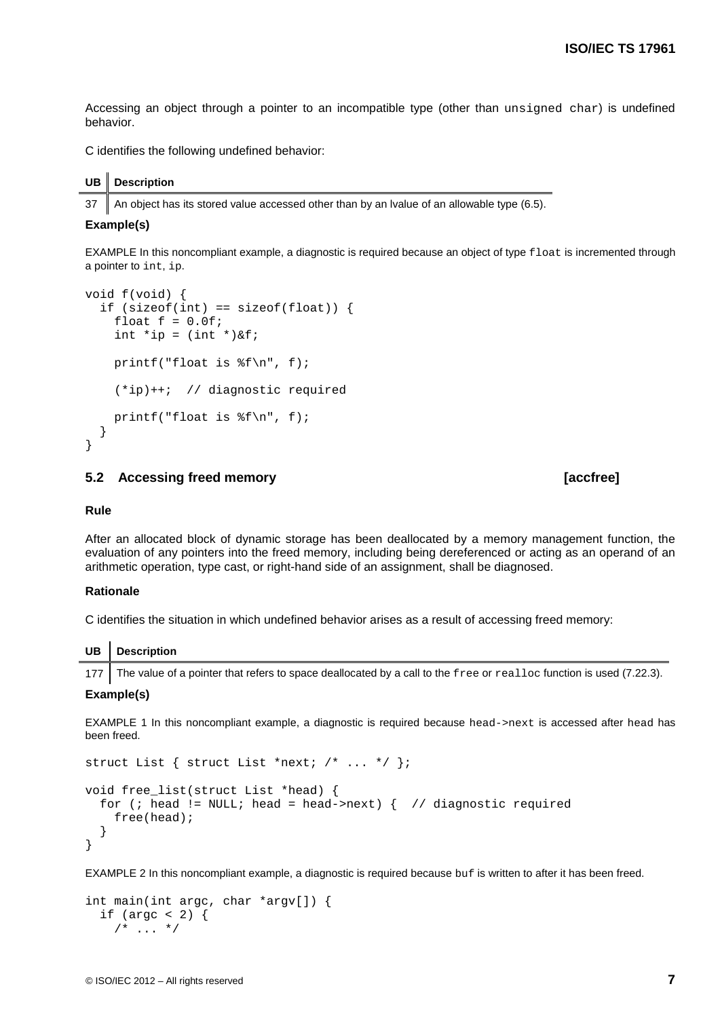Accessing an object through a pointer to an incompatible type (other than unsigned char) is undefined behavior.

C identifies the following undefined behavior:

#### **UB Description**

37 An object has its stored value accessed other than by an lvalue of an allowable type (6.5).

#### **Example(s)**

EXAMPLE In this noncompliant example, a diagnostic is required because an object of type float is incremented through a pointer to int, ip.

```
void f(void) {
  if (sizeof(int) == sizeof(float) {
    float f = 0.0f;
    int *ip = (int *)\&f; printf("float is %f\n", f);
     (*ip)++; // diagnostic required
     printf("float is %f\n", f);
   }
}
```
#### <span id="page-14-0"></span>**5.2 Accessing freed memory [accfree]**

#### **Rule**

After an allocated block of dynamic storage has been deallocated by a memory management function, the evaluation of any pointers into the freed memory, including being dereferenced or acting as an operand of an arithmetic operation, type cast, or right-hand side of an assignment, shall be diagnosed.

#### **Rationale**

C identifies the situation in which undefined behavior arises as a result of accessing freed memory:

| UB   Description                                                                                                        |
|-------------------------------------------------------------------------------------------------------------------------|
| 177 The value of a pointer that refers to space deallocated by a call to the free or realloc function is used (7.22.3). |
|                                                                                                                         |

#### **Example(s)**

EXAMPLE 1 In this noncompliant example, a diagnostic is required because head->next is accessed after head has been freed.

```
struct List { struct List *next; /* ... */ };
void free list(struct List *head) {
  for (; head != NULL; head = head->next) { // diagnostic required
     free(head);
   }
}
```
EXAMPLE 2 In this noncompliant example, a diagnostic is required because buf is written to after it has been freed.

```
int main(int argc, char *argv[]) {
 if (argc < 2) \{/* ... */
```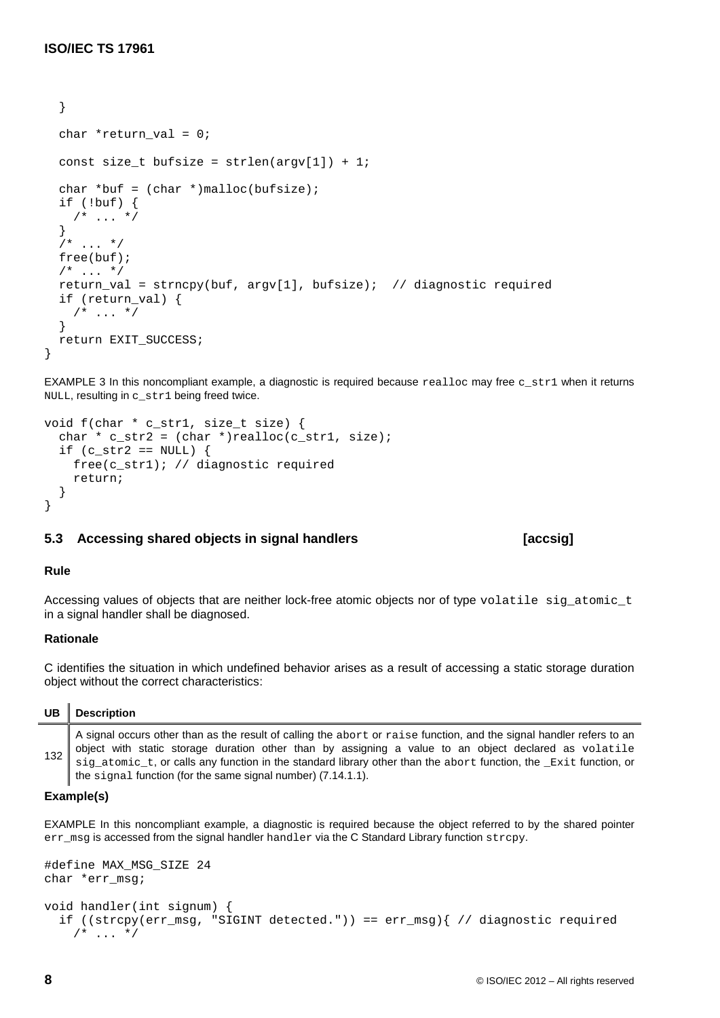```
 }
  char *return_val = 0;
 const size_t bufsize = strlen(argv[1]) + 1;
 char *buf = (char *)malloc(bufsize);
   if (!buf) {
    /* ... */
   }
  /* ... */
  free(buf);
  /* ... */
  return_val = strncpy(buf, argv[1], bufsize); // diagnostic required
  if (return_val) {
   /* ... */
   }
  return EXIT_SUCCESS;
}
```
EXAMPLE 3 In this noncompliant example, a diagnostic is required because  $realloc$  may free  $c$ \_str1 when it returns NULL, resulting in c\_str1 being freed twice.

```
void f(char * c_str1, size_t size) {
  char * c_str2 = (char *)realloc(c_str1, size);
  if (c str2 == NULL) {
     free(c_str1); // diagnostic required
     return;
   }
}
```
## <span id="page-15-0"></span>**5.3 Accessing shared objects in signal handlers [accsig]**

### **Rule**

Accessing values of objects that are neither lock-free atomic objects nor of type volatile sig\_atomic\_t in a signal handler shall be diagnosed.

#### **Rationale**

C identifies the situation in which undefined behavior arises as a result of accessing a static storage duration object without the correct characteristics:

| UB  | <b>Description</b>                                                                                                                                                                                                                                                                                                                                                                                              |
|-----|-----------------------------------------------------------------------------------------------------------------------------------------------------------------------------------------------------------------------------------------------------------------------------------------------------------------------------------------------------------------------------------------------------------------|
| 132 | A signal occurs other than as the result of calling the abort or raise function, and the signal handler refers to an<br>object with static storage duration other than by assigning a value to an object declared as volatile sig_atomic_t, or calls any function in the standard library other than the abort function, the _Exit function, or<br>the signal function (for the same signal number) (7.14.1.1). |

#### **Example(s)**

EXAMPLE In this noncompliant example, a diagnostic is required because the object referred to by the shared pointer err\_msg is accessed from the signal handler handler via the C Standard Library function strcpy.

```
#define MAX_MSG_SIZE 24
char *err_msg;
void handler(int signum) {
   if ((strcpy(err_msg, "SIGINT detected.")) == err_msg){ // diagnostic required
    /* ... */
```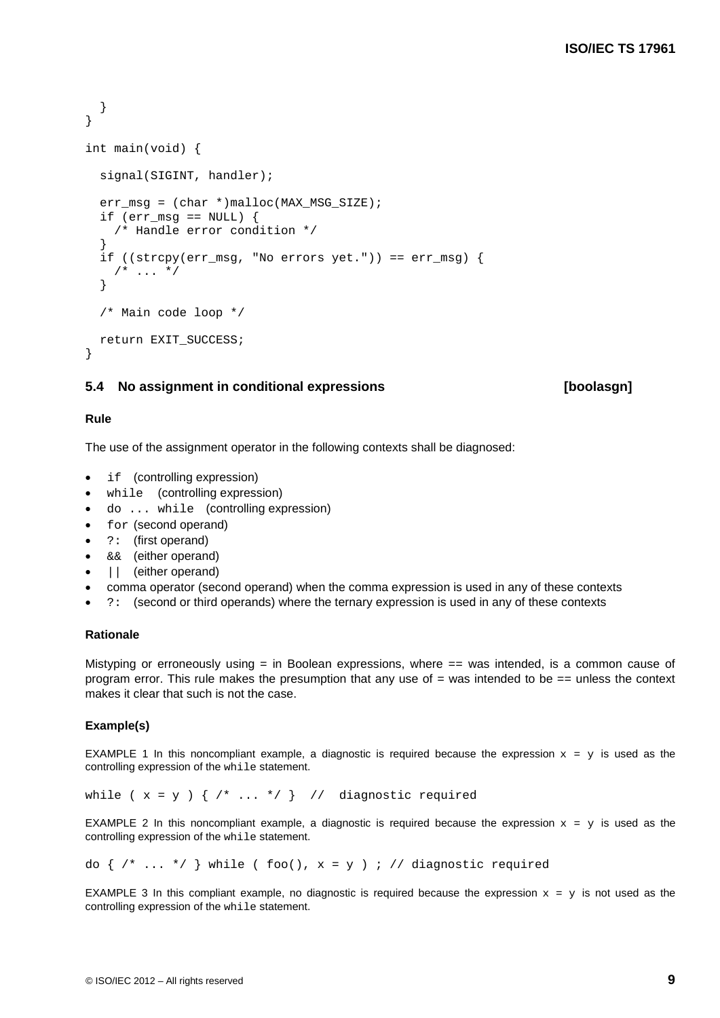```
 }
}
int main(void) {
  signal(SIGINT, handler);
  err msg = (char *)malloc(MAX MSG SIZE);
  if (err msq == NULL) {
     /* Handle error condition */
 }
  if ((strcpy(err_msg, "No errors yet.")) == err_msg) {
    /* ... */
   }
   /* Main code loop */
   return EXIT_SUCCESS;
}
```
### <span id="page-16-0"></span>**5.4 No assignment in conditional expressions [boolasgn]**

#### **Rule**

The use of the assignment operator in the following contexts shall be diagnosed:

- if (controlling expression)
- while (controlling expression)
- do ... while (controlling expression)
- for (second operand)
- ?: (first operand)
- && (either operand)
- | (either operand)
- comma operator (second operand) when the comma expression is used in any of these contexts
- ?: (second or third operands) where the ternary expression is used in any of these contexts

#### **Rationale**

Mistyping or erroneously using = in Boolean expressions, where == was intended, is a common cause of program error. This rule makes the presumption that any use of = was intended to be == unless the context makes it clear that such is not the case.

#### **Example(s)**

EXAMPLE 1 In this noncompliant example, a diagnostic is required because the expression  $x = y$  is used as the controlling expression of the while statement.

while (  $x = y$  ) {  $/* \ldots */$  } // diagnostic required

EXAMPLE 2 In this noncompliant example, a diagnostic is required because the expression  $x = y$  is used as the controlling expression of the while statement.

do  $\{$  /\* ... \*/  $\}$  while ( foo(), x = y ) ; // diagnostic required

EXAMPLE 3 In this compliant example, no diagnostic is required because the expression  $x = y$  is not used as the controlling expression of the while statement.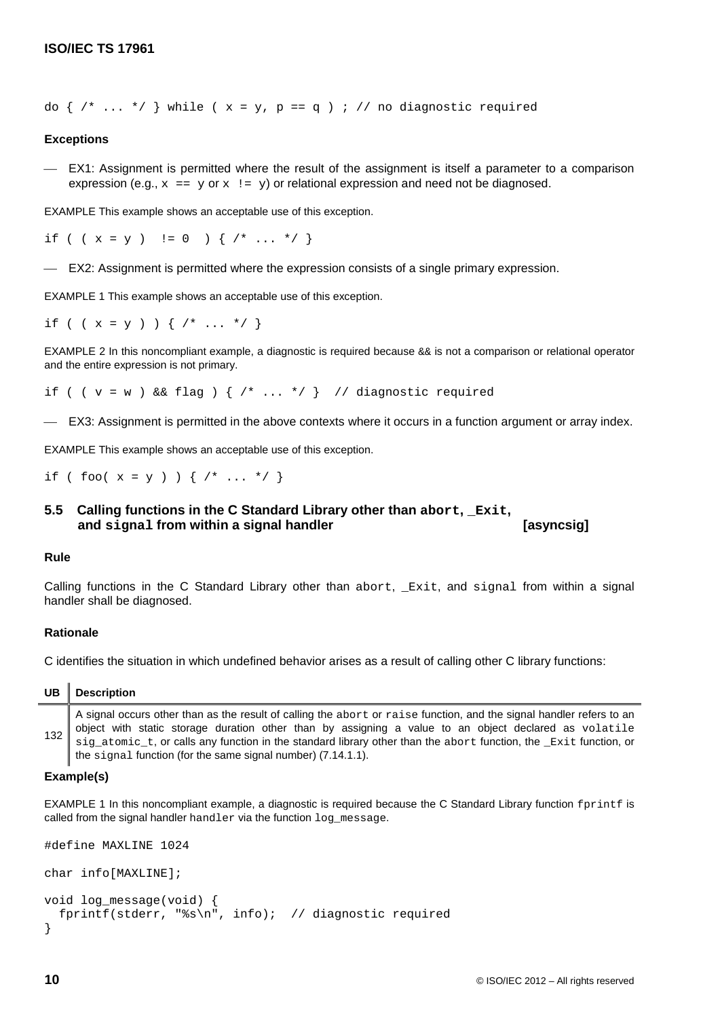do  $\{$  /\* ... \*/  $\}$  while ( x = y, p == q ) ; // no diagnostic required

#### **Exceptions**

 EX1: Assignment is permitted where the result of the assignment is itself a parameter to a comparison expression (e.g.,  $x = y$  or  $x := y$ ) or relational expression and need not be diagnosed.

EXAMPLE This example shows an acceptable use of this exception.

if ( (  $x = y$  )  $:= 0$  ) {  $/* ... * /$ }

EX2: Assignment is permitted where the expression consists of a single primary expression.

EXAMPLE 1 This example shows an acceptable use of this exception.

if (  $(x = y )$  )  $\{ / * ... * / \}$ 

EXAMPLE 2 In this noncompliant example, a diagnostic is required because  $\&&\&&$  is not a comparison or relational operator and the entire expression is not primary.

if (  $(v = w)$  & flag )  $\{ / * ... * / \}$  // diagnostic required

EX3: Assignment is permitted in the above contexts where it occurs in a function argument or array index.

EXAMPLE This example shows an acceptable use of this exception.

if ( foo(  $x = y$  ) ) {  $/*$  ...  $*/$  }

<span id="page-17-0"></span>**5.5 Calling functions in the C Standard Library other than abort, \_Exit, and signal from within a signal handler [asyncsig]**

#### **Rule**

Calling functions in the C Standard Library other than abort, \_Exit, and signal from within a signal handler shall be diagnosed.

#### **Rationale**

C identifies the situation in which undefined behavior arises as a result of calling other C library functions:

#### **UB Description**

132 A signal occurs other than as the result of calling the abort or raise function, and the signal handler refers to an object with static storage duration other than by assigning a value to an object declared as volatile sig\_atomic\_t, or calls any function in the standard library other than the abort function, the \_Exit function, or the signal function (for the same signal number) (7.14.1.1).

#### **Example(s)**

EXAMPLE 1 In this noncompliant example, a diagnostic is required because the C Standard Library function fprintf is called from the signal handler handler via the function log message.

```
#define MAXLINE 1024
char info[MAXLINE];
void log_message(void) {
  fprintf(stderr, "%s\n", info); // diagnostic required
}
```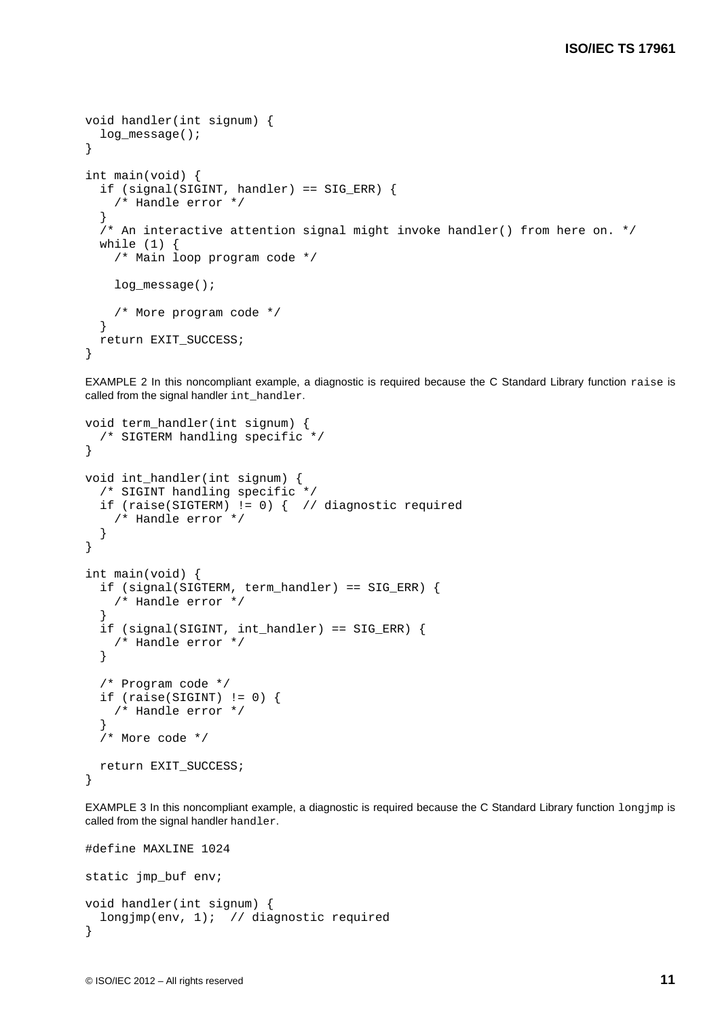```
void handler(int signum) {
   log_message();
}
int main(void) {
   if (signal(SIGINT, handler) == SIG_ERR) {
     /* Handle error */
   }
   /* An interactive attention signal might invoke handler() from here on. */
  while (1) {
     /* Main loop program code */
    log message();
     /* More program code */
   }
   return EXIT_SUCCESS;
}
```
EXAMPLE 2 In this noncompliant example, a diagnostic is required because the C Standard Library function raise is called from the signal handler int\_handler.

```
void term_handler(int signum) {
   /* SIGTERM handling specific */
}
void int_handler(int signum) {
  /* SIGINT handling specific */
   if (raise(SIGTERM) != 0) { // diagnostic required
     /* Handle error */
   }
}
int main(void) {
   if (signal(SIGTERM, term_handler) == SIG_ERR) {
     /* Handle error */
   }
   if (signal(SIGINT, int_handler) == SIG_ERR) {
     /* Handle error */
   }
   /* Program code */
  if (\text{raise}(\text{SIGHT}) := 0) {
     /* Handle error */
   }
   /* More code */
   return EXIT_SUCCESS;
}
```
EXAMPLE 3 In this noncompliant example, a diagnostic is required because the C Standard Library function longjmp is called from the signal handler handler.

```
#define MAXLINE 1024
static jmp_buf env;
void handler(int signum) {
  longjmp(env, 1); // diagnostic required
}
```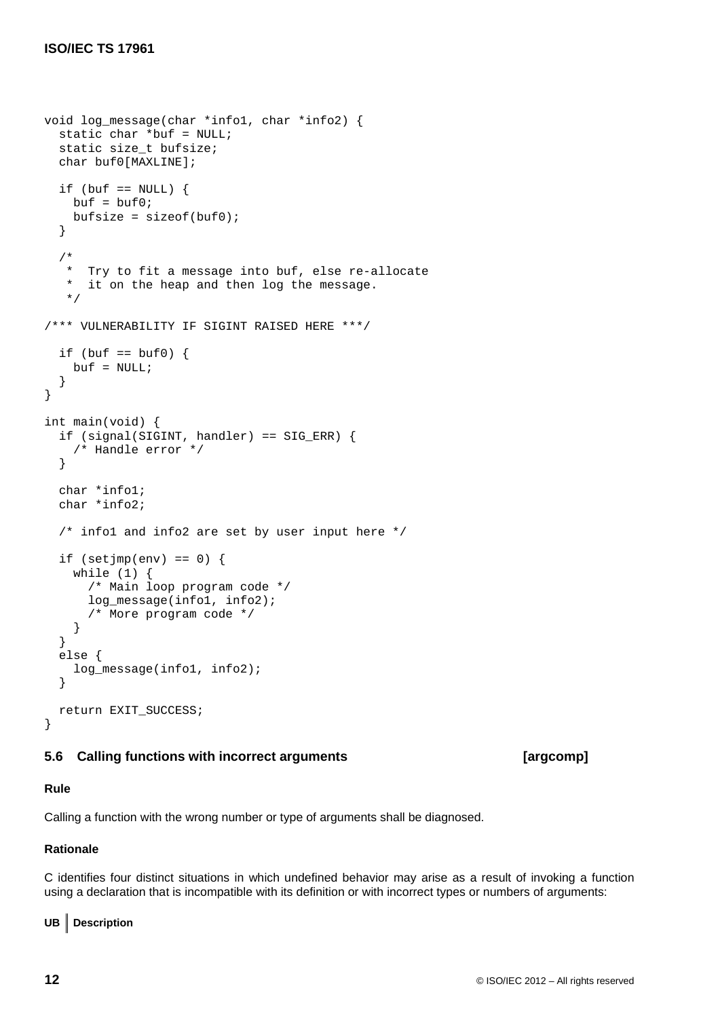```
void log_message(char *info1, char *info2) {
  static char *buf = NULL;
   static size_t bufsize;
   char buf0[MAXLINE];
  if (buf == NULL) {
    buf = buf0;bufsize = sizeof(buf0); }
  \frac{1}{\ast} * Try to fit a message into buf, else re-allocate
     it on the heap and then log the message.
    */
/*** VULNERABILITY IF SIGINT RAISED HERE ***/
  if (buf == buf0) {
    but = NULL; }
}
int main(void) {
   if (signal(SIGINT, handler) == SIG_ERR) {
     /* Handle error */
   }
   char *info1;
   char *info2;
   /* info1 and info2 are set by user input here */
  if (setjmp(env) == 0) {
    while (1) {
       /* Main loop program code */
       log_message(info1, info2);
       /* More program code */
     }
   }
   else {
    log_message(info1, info2);
   }
   return EXIT_SUCCESS;
}
```
## <span id="page-19-0"></span>**5.6 Calling functions with incorrect arguments [argcomp]**

## **Rule**

Calling a function with the wrong number or type of arguments shall be diagnosed.

### **Rationale**

C identifies four distinct situations in which undefined behavior may arise as a result of invoking a function using a declaration that is incompatible with its definition or with incorrect types or numbers of arguments: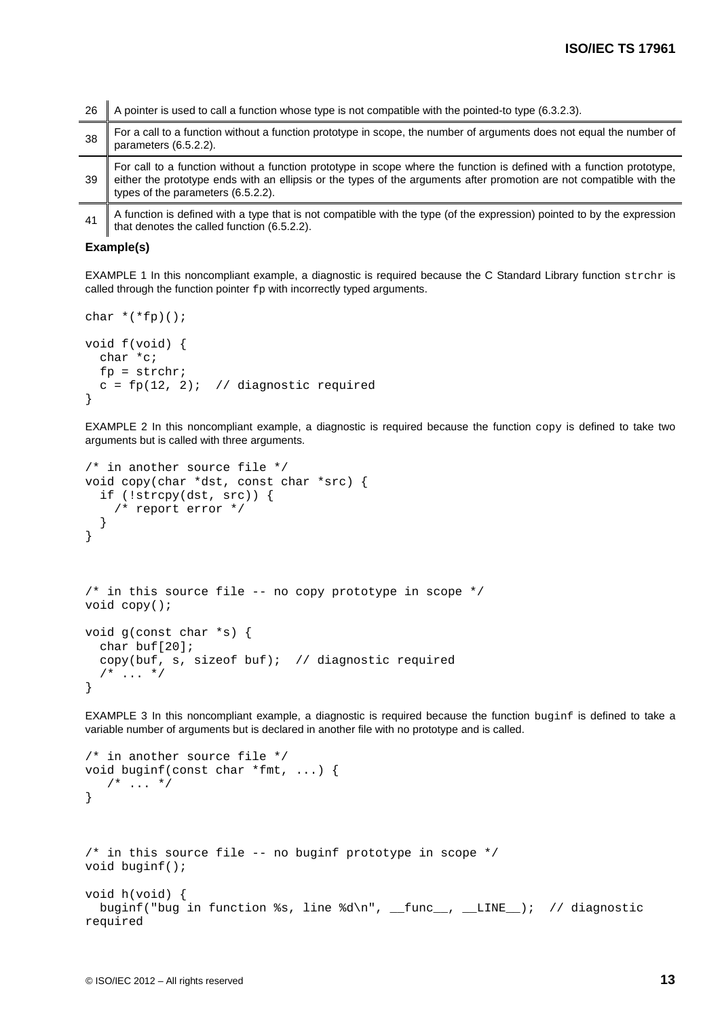| 26 | A pointer is used to call a function whose type is not compatible with the pointed-to type (6.3.2.3).                                                                                                                                                                               |
|----|-------------------------------------------------------------------------------------------------------------------------------------------------------------------------------------------------------------------------------------------------------------------------------------|
| 38 | For a call to a function without a function prototype in scope, the number of arguments does not equal the number of<br>parameters $(6.5.2.2)$ .                                                                                                                                    |
| 39 | For call to a function without a function prototype in scope where the function is defined with a function prototype,<br>either the prototype ends with an ellipsis or the types of the arguments after promotion are not compatible with the<br>types of the parameters (6.5.2.2). |
|    | A function is defined with a type that is not compatible with the type (of the expression) pointed to by the expression                                                                                                                                                             |

41 A function is defined with a type that is not compatible with the type (of the expression) pointed to by the expression that denotes the called function (6.5.2.2).

#### **Example(s)**

EXAMPLE 1 In this noncompliant example, a diagnostic is required because the C Standard Library function strchr is called through the function pointer  $fp$  with incorrectly typed arguments.

```
char *(*fp)();
void f(void) {
  char *c;
   fp = strchr;
  c = fp(12, 2); // diagnostic required
}
```
EXAMPLE 2 In this noncompliant example, a diagnostic is required because the function copy is defined to take two arguments but is called with three arguments.

```
/* in another source file */
void copy(char *dst, const char *src) {
   if (!strcpy(dst, src)) {
     /* report error */
 }
}
/* in this source file -- no copy prototype in scope */void copy();
void g(const char *s) {
   char buf[20];
   copy(buf, s, sizeof buf); // diagnostic required
  /* ... */
}
```
EXAMPLE 3 In this noncompliant example, a diagnostic is required because the function buginf is defined to take a variable number of arguments but is declared in another file with no prototype and is called.

```
/* in another source file */
void buginf(const char *fmt, ...) {
   /* ... */
}
/* in this source file -- no buginf prototype in scope */void buginf();
void h(void) {
  buginf("bug in function %s, line d\n\pi", __func__, __LINE__); // diagnostic
required
```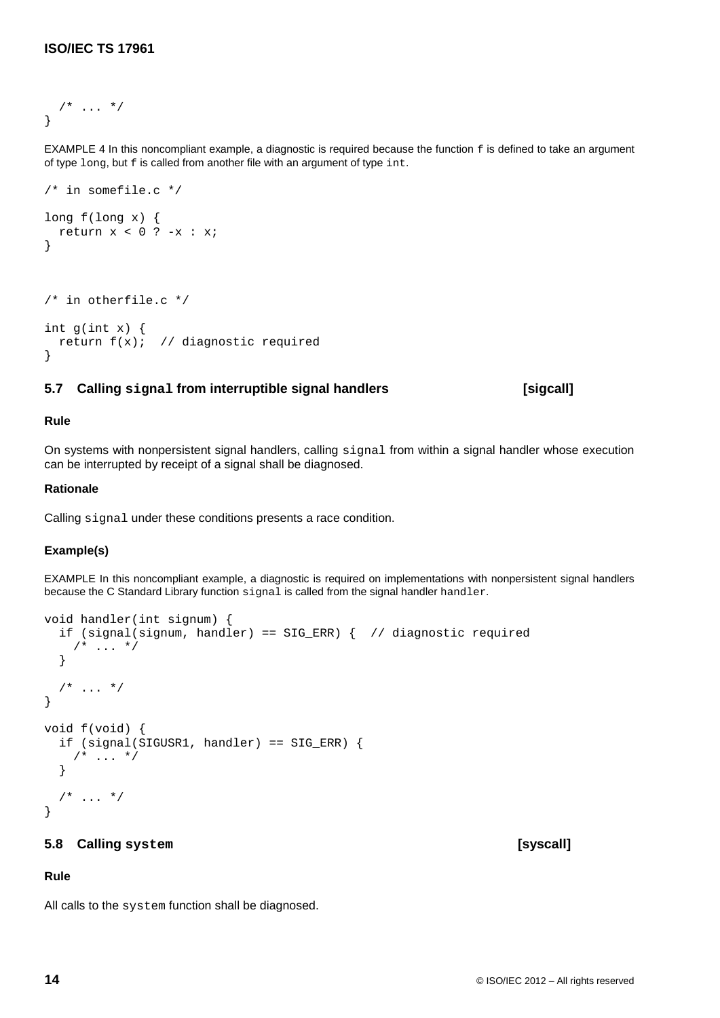```
/* ... */
}
```
EXAMPLE 4 In this noncompliant example, a diagnostic is required because the function  $f$  is defined to take an argument of type long, but f is called from another file with an argument of type int.

```
/* in somefile.c */
long f(long x) {
  return x < 0 ? -x : x;
}
/* in otherfile.c */
int g(int x) {
  return f(x); // diagnostic required
}
```
## <span id="page-21-0"></span>**5.7 Calling signal from interruptible signal handlers [sigcall]**

#### **Rule**

On systems with nonpersistent signal handlers, calling signal from within a signal handler whose execution can be interrupted by receipt of a signal shall be diagnosed.

#### **Rationale**

Calling signal under these conditions presents a race condition.

### **Example(s)**

EXAMPLE In this noncompliant example, a diagnostic is required on implementations with nonpersistent signal handlers because the C Standard Library function signal is called from the signal handler handler.

```
void handler(int signum) {
   if (signal(signum, handler) == SIG_ERR) { // diagnostic required
    /* ... */
   }
  /* ... */
}
void f(void) {
   if (signal(SIGUSR1, handler) == SIG_ERR) {
    /* ... */
   }
  /* \dots */
}
```
### <span id="page-21-1"></span>**5.8 Calling system [syscall]**

## **Rule**

All calls to the system function shall be diagnosed.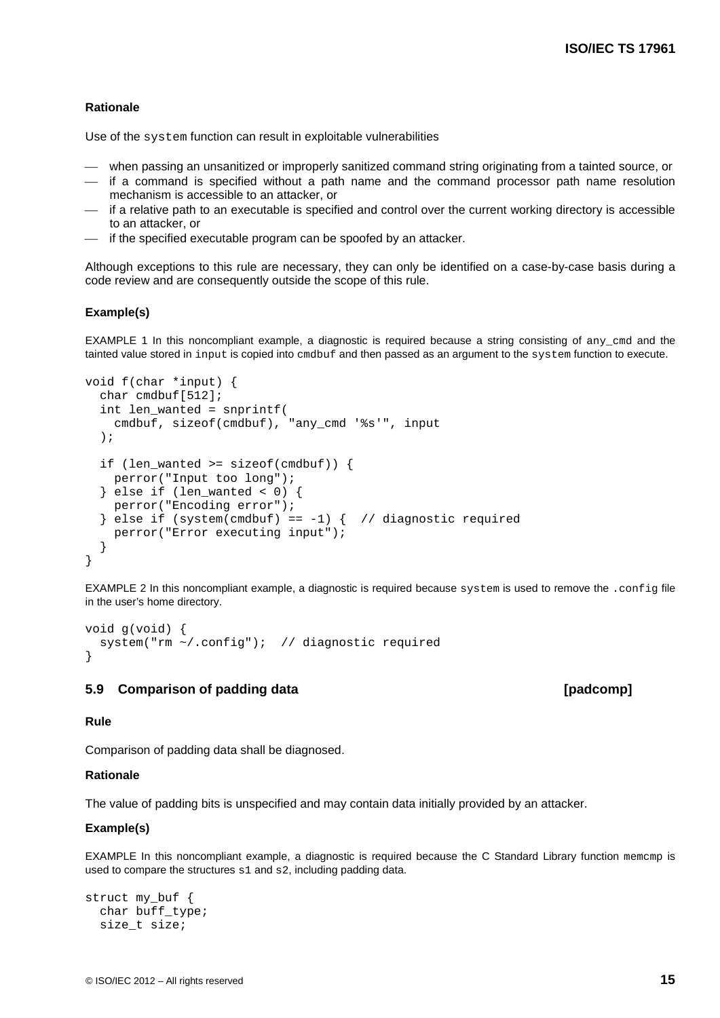#### **Rationale**

Use of the system function can result in exploitable vulnerabilities

- when passing an unsanitized or improperly sanitized command string originating from a tainted source, or
- $-$  if a command is specified without a path name and the command processor path name resolution mechanism is accessible to an attacker, or
- $-$  if a relative path to an executable is specified and control over the current working directory is accessible to an attacker, or
- $-$  if the specified executable program can be spoofed by an attacker.

Although exceptions to this rule are necessary, they can only be identified on a case-by-case basis during a code review and are consequently outside the scope of this rule.

#### **Example(s)**

EXAMPLE 1 In this noncompliant example, a diagnostic is required because a string consisting of any\_cmd and the tainted value stored in input is copied into cmdbuf and then passed as an argument to the system function to execute.

```
void f(char *input) {
   char cmdbuf[512];
   int len_wanted = snprintf(
     cmdbuf, sizeof(cmdbuf), "any_cmd '%s'", input
   );
  if (len_wanted >= sizeof(cmdbuf)) {
     perror("Input too long");
  } else if (len wanted < 0) {
     perror("Encoding error");
  \} else if (system(cmdbuf) == -1) { // diagnostic required
     perror("Error executing input");
   }
}
```
EXAMPLE 2 In this noncompliant example, a diagnostic is required because system is used to remove the .config file in the user's home directory.

```
void g(void) {
   system("rm ~/.config"); // diagnostic required
}
```
## <span id="page-22-0"></span>**5.9 Comparison of padding data [padcomp]**

#### **Rule**

Comparison of padding data shall be diagnosed.

#### **Rationale**

The value of padding bits is unspecified and may contain data initially provided by an attacker.

#### **Example(s)**

EXAMPLE In this noncompliant example, a diagnostic is required because the C Standard Library function memcmp is used to compare the structures s1 and s2, including padding data.

```
struct my_buf {
  char buff_type;
  size_t size;
```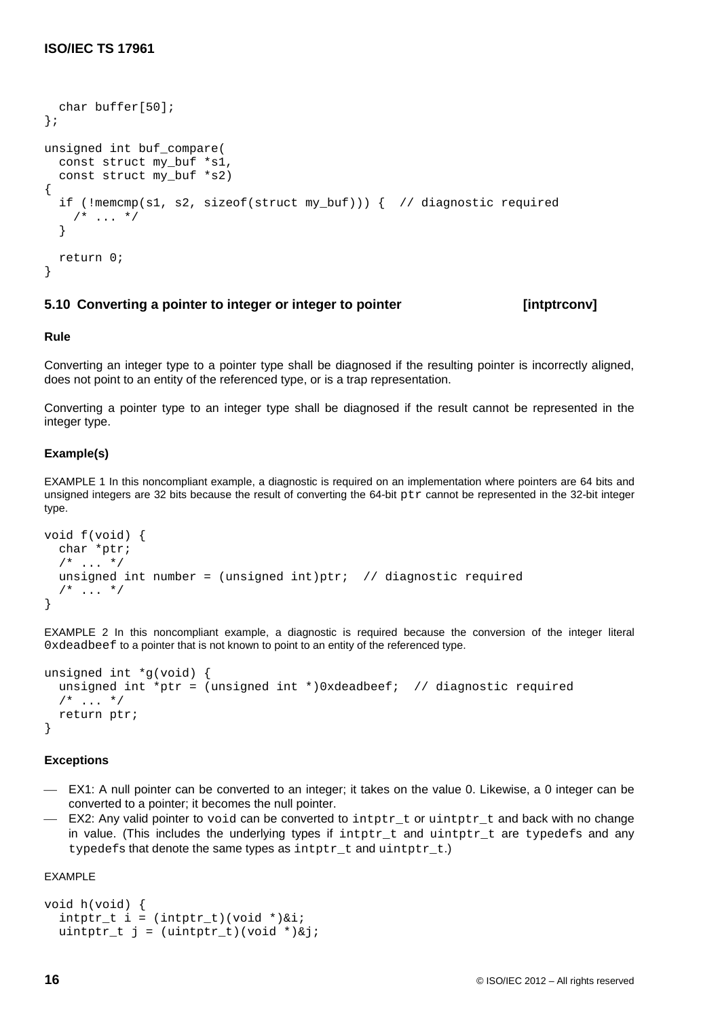```
 char buffer[50];
};
unsigned int buf_compare(
   const struct my_buf *s1,
   const struct my_buf *s2)
{
   if (!memcmp(s1, s2, sizeof(struct my_buf))) { // diagnostic required
    /* ... */
   }
   return 0;
}
```
### <span id="page-23-0"></span>**5.10 Converting a pointer to integer or integer to pointer [intptrconv]**

#### **Rule**

Converting an integer type to a pointer type shall be diagnosed if the resulting pointer is incorrectly aligned, does not point to an entity of the referenced type, or is a trap representation.

Converting a pointer type to an integer type shall be diagnosed if the result cannot be represented in the integer type.

#### **Example(s)**

EXAMPLE 1 In this noncompliant example, a diagnostic is required on an implementation where pointers are 64 bits and unsigned integers are 32 bits because the result of converting the 64-bit ptr cannot be represented in the 32-bit integer type.

```
void f(void) {
   char *ptr;
  /* ... */
  unsigned int number = (unsigned int)ptr; // diagnostic required
  /* ... */
}
```
EXAMPLE 2 In this noncompliant example, a diagnostic is required because the conversion of the integer literal 0xdeadbeef to a pointer that is not known to point to an entity of the referenced type.

```
unsigned int *g(void) {
  unsigned int *ptr = (unsigned int *)0xdeadbeef; // diagnostic required
  /* ... */
   return ptr;
}
```
#### **Exceptions**

- EX1: A null pointer can be converted to an integer; it takes on the value 0. Likewise, a 0 integer can be converted to a pointer; it becomes the null pointer.
- EX2: Any [valid pointer](#page-13-2) to void can be converted to intptr\_t or uintptr\_t and back with no change in value. (This includes the underlying types if intptr\_t and uintptr\_t are typedefs and any typedefs that denote the same types as intptr\_t and uintptr\_t.)

#### EXAMPLE

```
void h(void) {
  intptr_t i = (intptr_t)(void *)*i;uintptr_t j = (uintptr_t)(void *)\&ji
```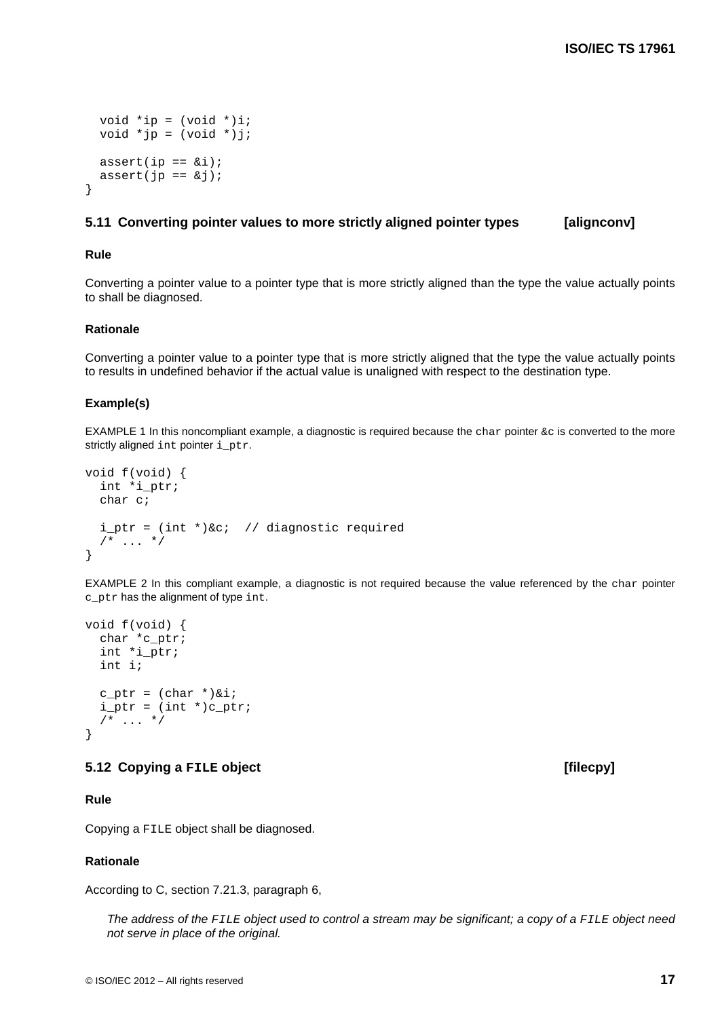```
void *ip = (void *)i;void *jp = (void *)j;assert(ip == &i);assert(jp == \&j);
```
### <span id="page-24-0"></span>**5.11 Converting pointer values to more strictly aligned pointer types [alignconv]**

#### **Rule**

}

Converting a pointer value to a pointer type that is more strictly aligned than the type the value actually points to shall be diagnosed.

#### **Rationale**

Converting a pointer value to a pointer type that is more strictly aligned that the type the value actually points to results in undefined behavior if the actual value is unaligned with respect to the destination type.

#### **Example(s)**

EXAMPLE 1 In this noncompliant example, a diagnostic is required because the char pointer  $\&c$  is converted to the more strictly aligned int pointer i\_ptr.

```
void f(void) {
  int *i_ptr;
   char c;
  i ptr = (int *)&c; // diagnostic required
  /* ... */
}
```
EXAMPLE 2 In this compliant example, a diagnostic is not required because the value referenced by the char pointer c\_ptr has the alignment of type int.

```
void f(void) {
   char *c_ptr;
   int *i_ptr;
   int i;
  c<sub>p</sub>tr = (char *)*i;i_{ptr} = (int * )c_{ptr};/* ... */
}
```
## <span id="page-24-1"></span>**5.12 Copying a FILE object [filecpy]**

### **Rule**

Copying a FILE object shall be diagnosed.

#### **Rationale**

According to C, section 7.21.3, paragraph 6,

*The address of the FILE object used to control a stream may be significant; a copy of a FILE object need not serve in place of the original.*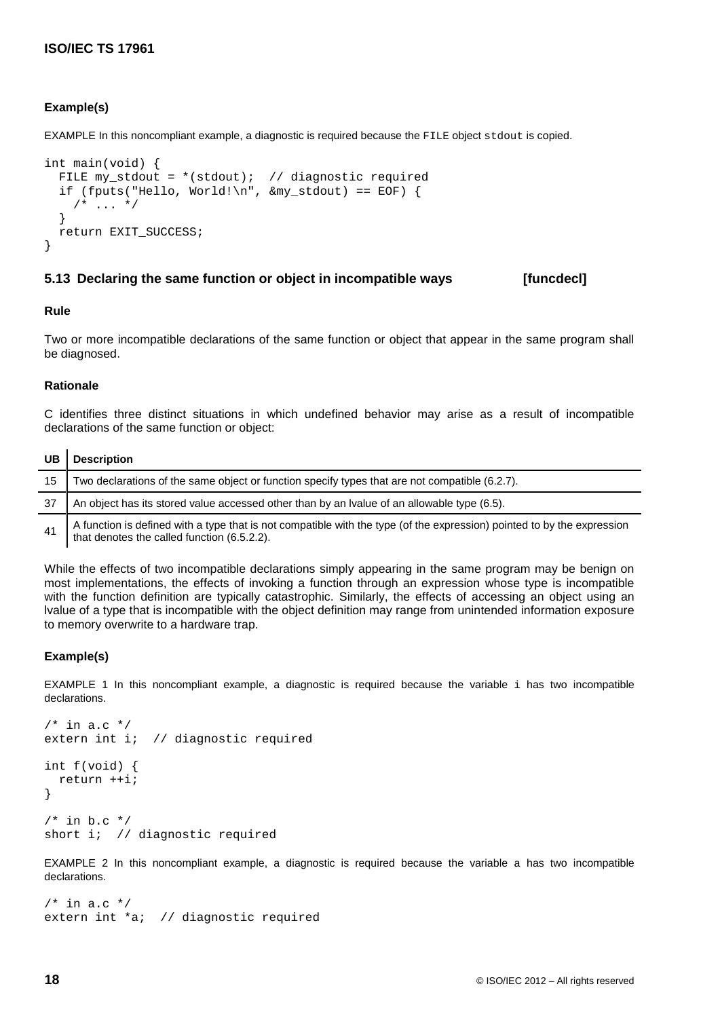## **Example(s)**

EXAMPLE In this noncompliant example, a diagnostic is required because the FILE object stdout is copied.

```
int main(void) {
  FILE my\_stdout = * (stdout); // diagnostic required
  if (fputs("Hello, World!\n", \omegamy_stdout) == EOF) {
    /* ... */
   }
   return EXIT_SUCCESS;
}
```
#### <span id="page-25-0"></span>**5.13 Declaring the same function or object in incompatible ways [funcdecl]**

#### **Rule**

Two or more incompatible declarations of the same function or object that appear in the same program shall be diagnosed.

#### **Rationale**

C identifies three distinct situations in which undefined behavior may arise as a result of incompatible declarations of the same function or object:

| UB | <b>Description</b>                                                                                                                                                     |
|----|------------------------------------------------------------------------------------------------------------------------------------------------------------------------|
| 15 | Two declarations of the same object or function specify types that are not compatible (6.2.7).                                                                         |
| 37 | An object has its stored value accessed other than by an Ivalue of an allowable type (6.5).                                                                            |
| 41 | A function is defined with a type that is not compatible with the type (of the expression) pointed to by the expression<br>that denotes the called function (6.5.2.2). |

While the effects of two incompatible declarations simply appearing in the same program may be benign on most implementations, the effects of invoking a function through an expression whose type is incompatible with the function definition are typically catastrophic. Similarly, the effects of accessing an object using an lvalue of a type that is incompatible with the object definition may range from unintended information exposure to memory overwrite to a hardware trap.

#### **Example(s)**

EXAMPLE 1 In this noncompliant example, a diagnostic is required because the variable i has two incompatible declarations.

```
/* in a.c */extern int i; // diagnostic required
int f(void) {
   return ++i;
}
/* in b.c */short i; // diagnostic required
```
EXAMPLE 2 In this noncompliant example, a diagnostic is required because the variable a has two incompatible declarations.

```
/* in a.c */extern int *a; // diagnostic required
```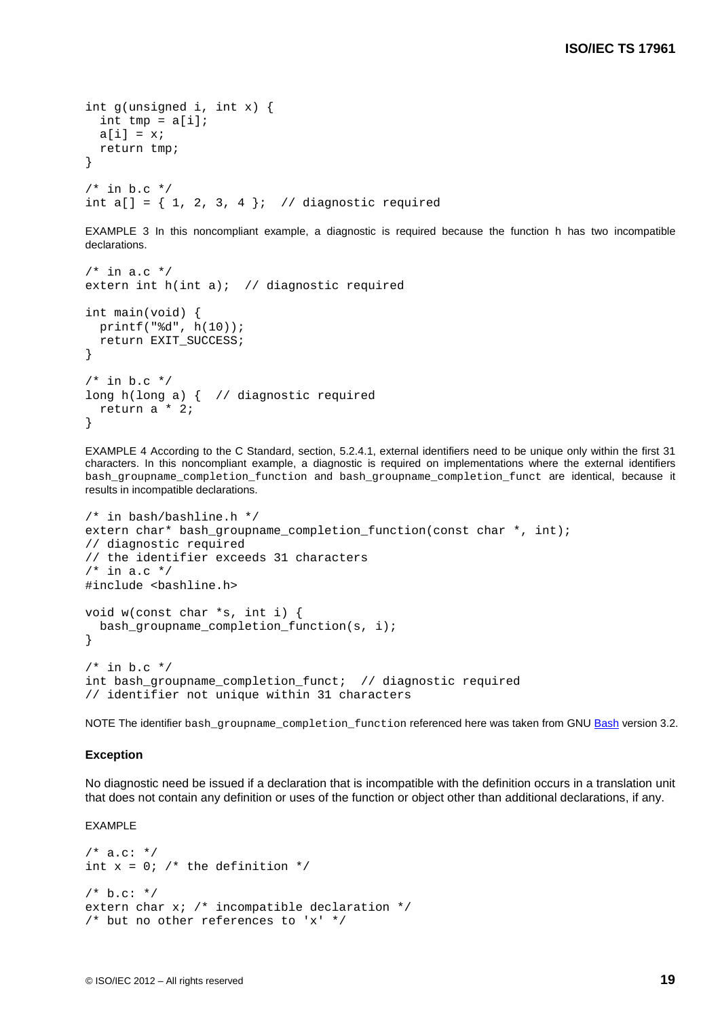```
int g(unsigned i, int x) {
 int tmp = a[i];
 a[i] = xi return tmp;
}
/* in b.c */int a[] = \{ 1, 2, 3, 4 \}; // diagnostic required
```
EXAMPLE 3 In this noncompliant example, a diagnostic is required because the function h has two incompatible declarations.

```
/* in a.c */extern int h(int a); // diagnostic required
int main(void) {
  printf("%d", h(10));
  return EXIT_SUCCESS;
}
/* in b.c */long h(long a) { // diagnostic required
  return a * 2;
}
```
EXAMPLE 4 According to the C Standard, section, 5.2.4.1, external identifiers need to be unique only within the first 31 characters. In this noncompliant example, a diagnostic is required on implementations where the external identifiers bash\_groupname\_completion\_function and bash\_groupname\_completion\_funct are identical, because it results in incompatible declarations.

```
/* in bash/bashline.h */
extern char* bash_groupname_completion_function(const char *, int); 
// diagnostic required
// the identifier exceeds 31 characters
/* in a.c */#include <br/>bashline.h>
void w(const char *s, int i) {
  bash_groupname_completion_function(s, i);
}
/* in b.c */int bash_groupname_completion_funct; // diagnostic required
// identifier not unique within 31 characters
```
NOTE The identifier bash\_groupname\_completion\_function referenced here was taken from GNU [Bash](http://www.gnu.org/software/bash/) version 3.2.

#### **Exception**

No diagnostic need be issued if a declaration that is incompatible with the definition occurs in a translation unit that does not contain any definition or uses of the function or object other than additional declarations, if any.

#### EXAMPLE

```
/* a.c: */int x = 0; /* the definition */
/* b.c: */extern char x; /* incompatible declaration */
/* but no other references to 'x' */
```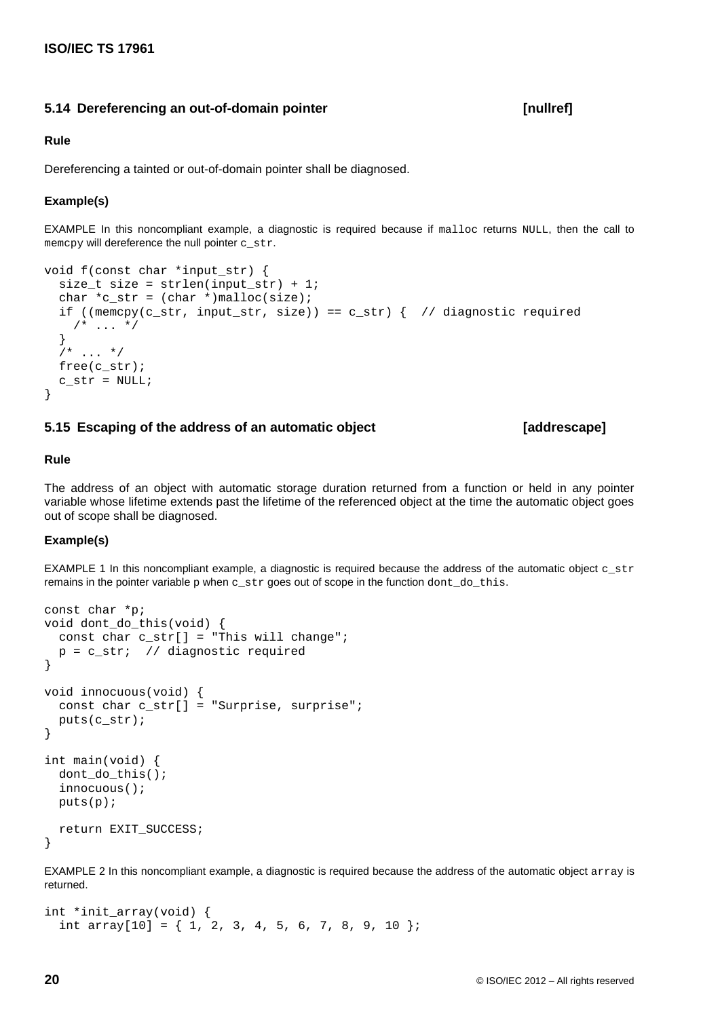## <span id="page-27-0"></span>**5.14 Dereferencing an out-of-domain pointer [nullref]**

#### **Rule**

Dereferencing a tainted or out-of-domain pointer shall be diagnosed.

### **Example(s)**

EXAMPLE In this noncompliant example, a diagnostic is required because if malloc returns NULL, then the call to memcpy will dereference the null pointer c\_str.

```
void f(const char *input_str) {
  size_t size = strlen(input_str) + 1;char *c\_str = (char *)malloc(size);if ((memcpy(c str, input str, size)) == c str) { // diagnostic required
    /* ... */
   }
  /* ... */
   free(c_str);
  c_str = NULL;}
```
## <span id="page-27-1"></span>**5.15 Escaping of the address of an automatic object [addrescape]**

#### **Rule**

The address of an object with automatic storage duration returned from a function or held in any pointer variable whose lifetime extends past the lifetime of the referenced object at the time the automatic object goes out of scope shall be diagnosed.

### **Example(s)**

EXAMPLE 1 In this noncompliant example, a diagnostic is required because the address of the automatic object c\_str remains in the pointer variable  $p$  when  $c$  str goes out of scope in the function dont  $d$  this.

```
const char *p;
void dont do this(void) {
   const char c_str[] = "This will change";
   p = c_str; // diagnostic required
}
void innocuous(void) {
  const char c_str[] = "Surprise, surprise";
   puts(c_str);
}
int main(void) {
 dont do this();
   innocuous();
  puts(p);
   return EXIT_SUCCESS;
}
```
EXAMPLE 2 In this noncompliant example, a diagnostic is required because the address of the automatic object array is returned.

```
int *init_array(void) {
 int array[10] = \{ 1, 2, 3, 4, 5, 6, 7, 8, 9, 10 \};
```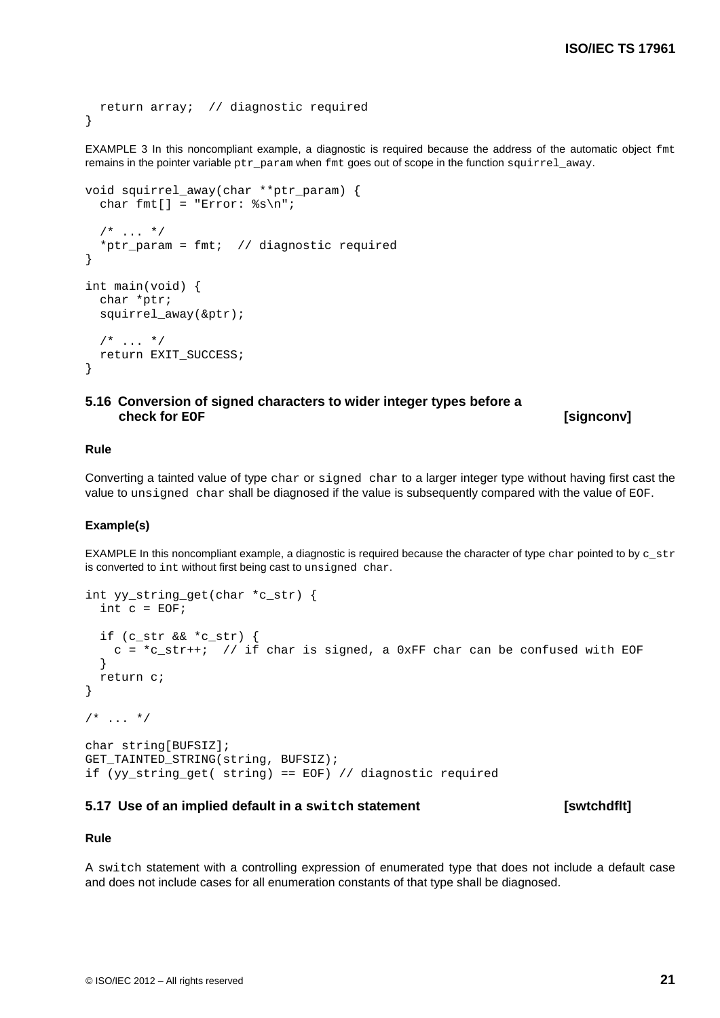```
 return array; // diagnostic required
}
```
EXAMPLE 3 In this noncompliant example, a diagnostic is required because the address of the automatic object fmt remains in the pointer variable ptr\_param when fmt goes out of scope in the function squirrel\_away.

```
void squirrel_away(char **ptr_param) {
  char fmt[] = "Error: <math>\$s\n'</math>;/* ... */
   *ptr_param = fmt; // diagnostic required
}
int main(void) {
   char *ptr;
  squirrel_away(&ptr);
  /* ... */
   return EXIT_SUCCESS;
}
```
#### <span id="page-28-0"></span>**5.16 Conversion of signed characters to wider integer types before a check for EOF [signconv]**

#### **Rule**

Converting a tainted value of type char or signed char to a larger integer type without having first cast the value to unsigned char shall be diagnosed if the value is subsequently compared with the value of EOF.

#### **Example(s)**

EXAMPLE In this noncompliant example, a diagnostic is required because the character of type char pointed to by  $c$ \_str is converted to int without first being cast to unsigned char.

```
int yy_string_get(char *c_str) {
  int c = EOF;
   if (c_str && *c_str) {
   c = *c str++; // if char is signed, a 0xFF char can be confused with EOF
   }
   return c;
}
/* ... */
char string[BUFSIZ];
GET_TAINTED_STRING(string, BUFSIZ);
if (yy_string_get( string) == EOF) // diagnostic required
```
### <span id="page-28-1"></span>**5.17 Use of an implied default in a switch statement [swtchdflt]**

#### **Rule**

A switch statement with a controlling expression of enumerated type that does not include a default case and does not include cases for all enumeration constants of that type shall be diagnosed.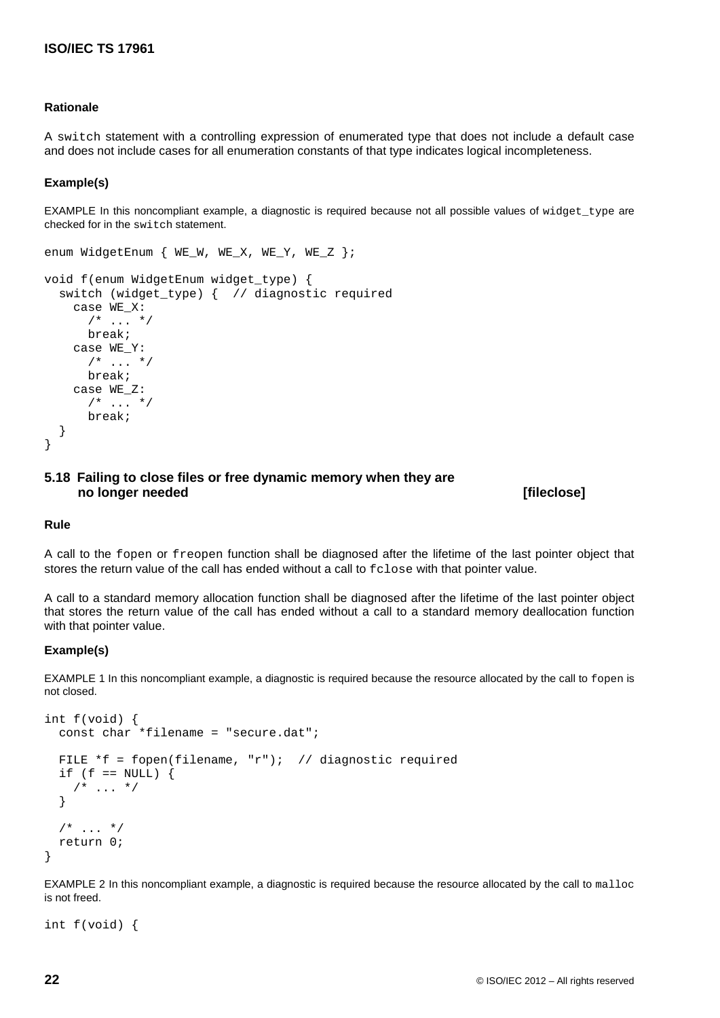#### **Rationale**

A switch statement with a controlling expression of enumerated type that does not include a default case and does not include cases for all enumeration constants of that type indicates logical incompleteness.

#### **Example(s)**

EXAMPLE In this noncompliant example, a diagnostic is required because not all possible values of widget type are checked for in the switch statement.

```
enum WidgetEnum { WE_W, WE_X, WE_Y, WE_Z };
void f(enum WidgetEnum widget_type) {
   switch (widget_type) { // diagnostic required
     case WE_X:
      /* ... */
       break;
     case WE_Y:
      /* ... */
       break;
     case WE_Z:
      /* ... */
       break;
   }
}
```
#### <span id="page-29-0"></span>**5.18 Failing to close files or free dynamic memory when they are no longer needed [fileclose]**

#### **Rule**

A call to the fopen or freopen function shall be diagnosed after the lifetime of the last pointer object that stores the return value of the call has ended without a call to fclose with that pointer value.

A call to a standard memory allocation function shall be diagnosed after the lifetime of the last pointer object that stores the return value of the call has ended without a call to a standard memory deallocation function with that pointer value.

#### **Example(s)**

EXAMPLE 1 In this noncompliant example, a diagnostic is required because the resource allocated by the call to fopen is not closed.

```
int f(void) {
   const char *filename = "secure.dat";
  FILE *f = fopen(filename, "r"); // diagnostic required
  if (f == NULL) {
    /* ... */
   }
  /* * /
  return 0;
}
```
EXAMPLE 2 In this noncompliant example, a diagnostic is required because the resource allocated by the call to malloc is not freed.

int f(void) {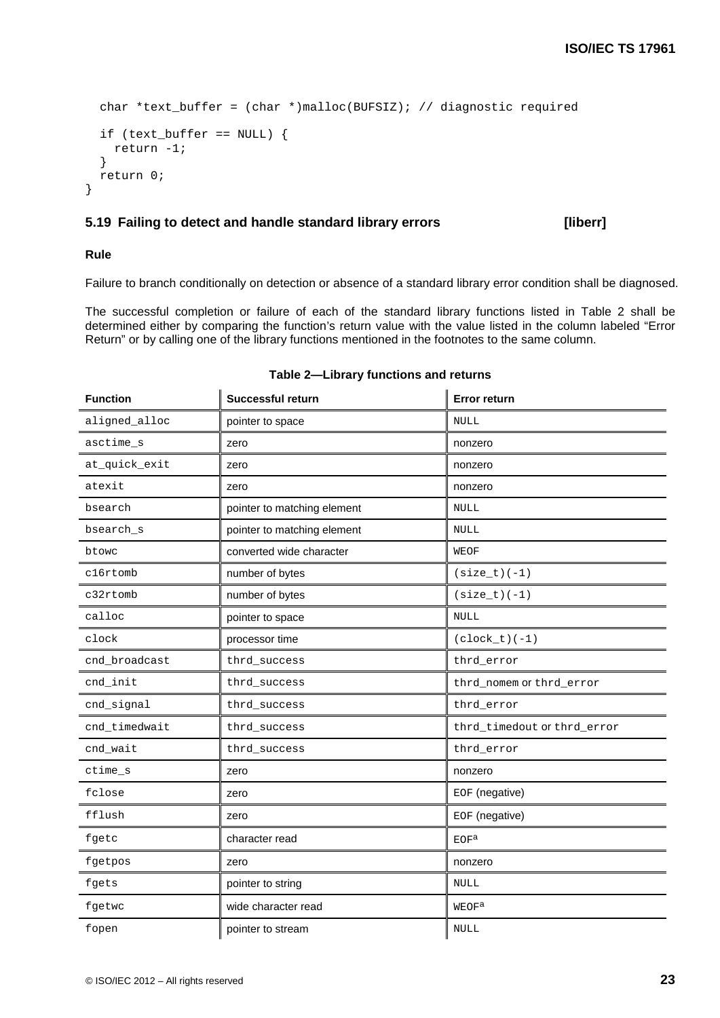```
 char *text_buffer = (char *)malloc(BUFSIZ); // diagnostic required
 if (text_buffer == NULL) {
    return -1;
   }
  return 0;
}
```
## <span id="page-30-0"></span>**5.19 Failing to detect and handle standard library errors [liberr]**

#### **Rule**

Failure to branch conditionally on detection or absence of a standard library error condition shall be diagnosed.

The successful completion or failure of each of the standard library functions listed in Table 2 shall be determined either by comparing the function's return value with the value listed in the column labeled "Error Return" or by calling one of the library functions mentioned in the footnotes to the same column.

<span id="page-30-1"></span>

| <b>Function</b> | Successful return           | <b>Error return</b>         |
|-----------------|-----------------------------|-----------------------------|
| aligned_alloc   | pointer to space            | <b>NULL</b>                 |
| asctime_s       | zero                        | nonzero                     |
| at_quick_exit   | zero                        | nonzero                     |
| atexit          | zero                        | nonzero                     |
| bsearch         | pointer to matching element | <b>NULL</b>                 |
| bsearch_s       | pointer to matching element | <b>NULL</b>                 |
| btowc           | converted wide character    | <b>WEOF</b>                 |
| c16rtomb        | number of bytes             | $(size_t)(-1)$              |
| c32rtomb        | number of bytes             | $(size_t)(-1)$              |
| calloc          | pointer to space            | <b>NULL</b>                 |
| clock           | processor time              | $(clock_t)(-1)$             |
| cnd_broadcast   | thrd_success                | thrd_error                  |
| cnd_init        | thrd_success                | thrd_nomem Of thrd_error    |
| cnd_signal      | thrd_success                | thrd_error                  |
| cnd_timedwait   | thrd_success                | thrd_timedout or thrd_error |
| cnd_wait        | thrd_success                | thrd_error                  |
| ctime_s         | zero                        | nonzero                     |
| fclose          | zero                        | EOF (negative)              |
| fflush          | zero                        | EOF (negative)              |
| fgetc           | character read              | <b>EOF<sup>a</sup></b>      |
| fgetpos         | zero                        | nonzero                     |
| fgets           | pointer to string           | <b>NULL</b>                 |
| fgetwc          | wide character read         | WEOF <sup>a</sup>           |
| fopen           | pointer to stream           | <b>NULL</b>                 |

#### **Table 2—Library functions and returns**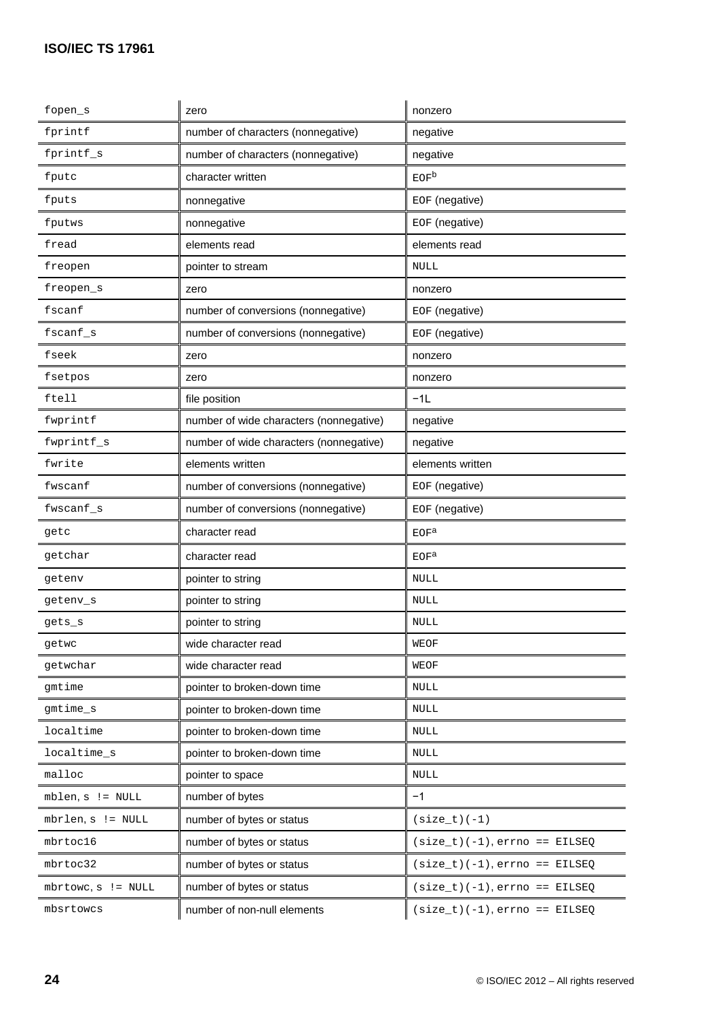| fopen s             | zero                                    | nonzero                         |
|---------------------|-----------------------------------------|---------------------------------|
| fprintf             | number of characters (nonnegative)      | negative                        |
| fprintf_s           | number of characters (nonnegative)      | negative                        |
| fputc               | character written                       | EOF <sup>b</sup>                |
| fputs               | nonnegative                             | EOF (negative)                  |
| fputws              | nonnegative                             | EOF (negative)                  |
| fread               | elements read                           | elements read                   |
| freopen             | pointer to stream                       | <b>NULL</b>                     |
| freopen_s           | zero                                    | nonzero                         |
| fscanf              | number of conversions (nonnegative)     | EOF (negative)                  |
| fscanf_s            | number of conversions (nonnegative)     | EOF (negative)                  |
| fseek               | zero                                    | nonzero                         |
| fsetpos             | zero                                    | nonzero                         |
| ftell               | file position                           | $-1L$                           |
| fwprintf            | number of wide characters (nonnegative) | negative                        |
| fwprintf_s          | number of wide characters (nonnegative) | negative                        |
| fwrite              | elements written                        | elements written                |
| fwscanf             | number of conversions (nonnegative)     | EOF (negative)                  |
| fwscanf_s           | number of conversions (nonnegative)     | EOF (negative)                  |
| getc                | character read                          | EOF <sup>a</sup>                |
| getchar             | character read                          | EOF <sup>a</sup>                |
| getenv              | pointer to string                       | <b>NULL</b>                     |
| getenv_s            | pointer to string                       | NULL                            |
| gets_s              | pointer to string                       | <b>NULL</b>                     |
| getwc               | wide character read                     | WEOF                            |
| qetwchar            | wide character read                     | <b>WEOF</b>                     |
| gmtime              | pointer to broken-down time             | <b>NULL</b>                     |
| gmtime_s            | pointer to broken-down time             | NULL                            |
| localtime           | pointer to broken-down time             | <b>NULL</b>                     |
| localtime_s         | pointer to broken-down time             | NULL                            |
| malloc              | pointer to space                        | <b>NULL</b>                     |
| mblen, s != NULL    | number of bytes                         | $-1$                            |
| $mbrlen, s$ != NULL | number of bytes or status               | $(size_t)(-1)$                  |
| mbrtoc16            | number of bytes or status               | $(size_t)(-1), errno == EILSEQ$ |
| mbrtoc32            | number of bytes or status               | $(size_t)(-1), errno == EILSEQ$ |
| mbrtowc, s != NULL  | number of bytes or status               | $(size_t)(-1), errno == EILSEQ$ |
| mbsrtowcs           | number of non-null elements             | $(size_t)(-1), errno == EILSEQ$ |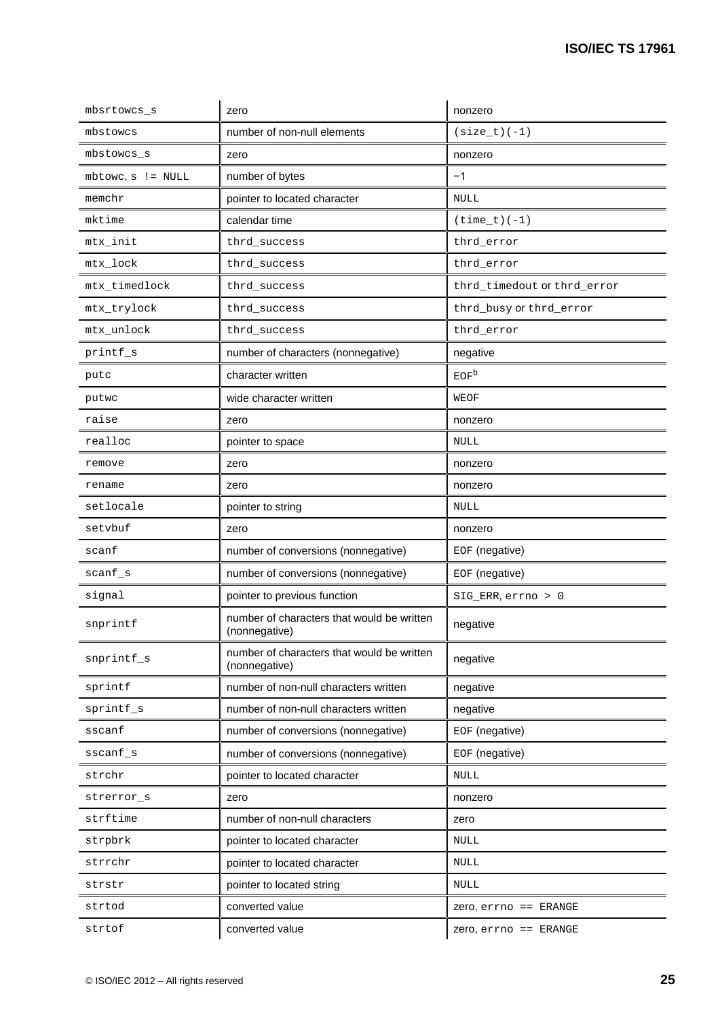| mbsrtowcs s           | zero                                                        | nonzero                     |
|-----------------------|-------------------------------------------------------------|-----------------------------|
| mbstowcs              | number of non-null elements                                 | $(size_t)(-1)$              |
| mbstowcs_s            | zero                                                        | nonzero                     |
| $mbtowc, s$ != $NULL$ | number of bytes                                             | $-1$                        |
| memchr                | pointer to located character                                | <b>NULL</b>                 |
| mktime                | calendar time                                               | $(time_t)$ (-1)             |
| mtx_init              | thrd_success                                                | thrd_error                  |
| mtx_lock              | thrd_success                                                | thrd_error                  |
| mtx_timedlock         | thrd_success                                                | thrd_timedout or thrd_error |
| mtx_trylock           | thrd_success                                                | thrd_busy Of thrd_error     |
| mtx_unlock            | thrd_success                                                | thrd_error                  |
| printf_s              | number of characters (nonnegative)                          | negative                    |
| putc                  | character written                                           | EOF <sub>b</sub>            |
| putwc                 | wide character written                                      | WEOF                        |
| raise                 | zero                                                        | nonzero                     |
| realloc               | pointer to space                                            | <b>NULL</b>                 |
| remove                | zero                                                        | nonzero                     |
| rename                | zero                                                        | nonzero                     |
| setlocale             | pointer to string                                           | NULL                        |
| setvbuf               | zero                                                        | nonzero                     |
| scanf                 | number of conversions (nonnegative)                         | EOF (negative)              |
| scanf_s               | number of conversions (nonnegative)                         | EOF (negative)              |
| signal                | pointer to previous function                                | SIG_ERR, errno > 0          |
| snprintf              | number of characters that would be written<br>(nonnegative) | negative                    |
| snprintf_s            | number of characters that would be written<br>(nonnegative) | negative                    |
| sprintf               | number of non-null characters written                       | negative                    |
| sprintf_s             | number of non-null characters written                       | negative                    |
| sscanf                | number of conversions (nonnegative)                         | EOF (negative)              |
| sscanf_s              | number of conversions (nonnegative)                         | EOF (negative)              |
| strchr                | pointer to located character                                | $\textsc{NULL}$             |
| strerror_s            | zero                                                        | nonzero                     |
| strftime              | number of non-null characters                               | zero                        |
| strpbrk               | pointer to located character                                | NULL                        |
| strrchr               | pointer to located character                                | NULL                        |
| strstr                | pointer to located string                                   | NULL                        |
| strtod                | converted value                                             | $zero, error == ERANGE$     |
| strtof                | converted value                                             | $zero, error == ERANGE$     |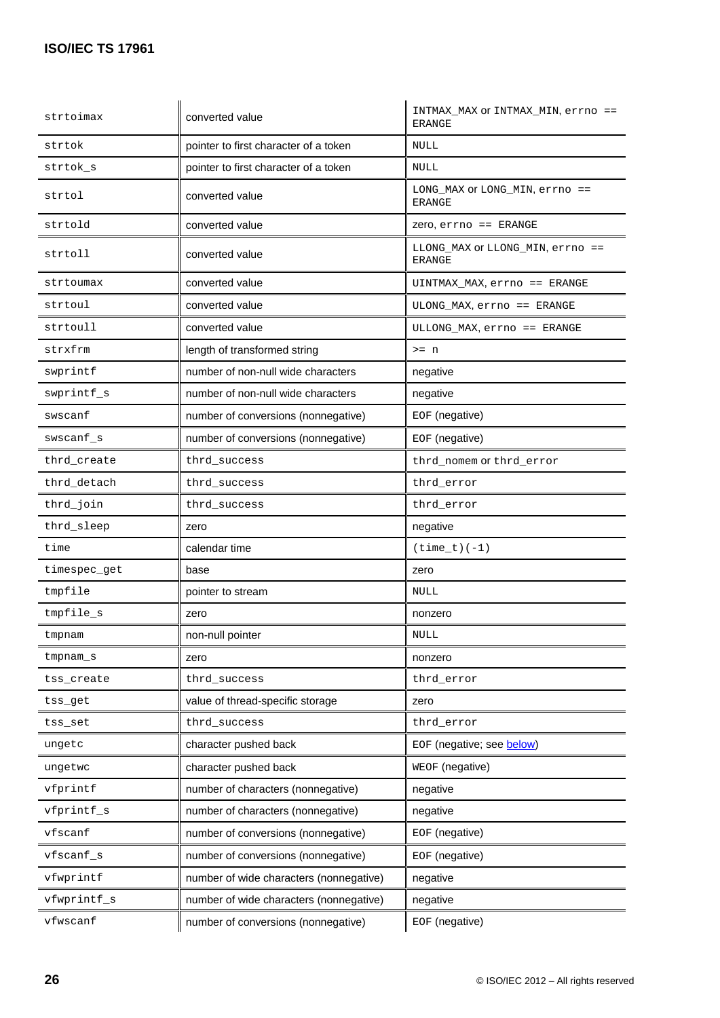## **ISO/IEC TS 17961**

| strtoimax    | converted value                         | INTMAX_MAX OF INTMAX_MIN, errno ==<br><b>ERANGE</b> |
|--------------|-----------------------------------------|-----------------------------------------------------|
| strtok       | pointer to first character of a token   | <b>NULL</b>                                         |
| strtok_s     | pointer to first character of a token   | <b>NULL</b>                                         |
| strtol       | converted value                         | LONG_MAX OF LONG_MIN, errno ==<br><b>ERANGE</b>     |
| strtold      | converted value                         | $Zero, errno == ERANGE$                             |
| strtoll      | converted value                         | LLONG_MAX OF LLONG_MIN, errno ==<br><b>ERANGE</b>   |
| strtoumax    | converted value                         | UINTMAX_MAX, errno == ERANGE                        |
| strtoul      | converted value                         | ULONG_MAX, errno == ERANGE                          |
| strtoull     | converted value                         | ULLONG MAX, errno == ERANGE                         |
| strxfrm      | length of transformed string            | $>= n$                                              |
| swprintf     | number of non-null wide characters      | negative                                            |
| swprintf_s   | number of non-null wide characters      | negative                                            |
| swscanf      | number of conversions (nonnegative)     | EOF (negative)                                      |
| swscanf_s    | number of conversions (nonnegative)     | EOF (negative)                                      |
| thrd_create  | thrd_success                            | thrd_nomem Of thrd_error                            |
| thrd_detach  | thrd_success                            | thrd_error                                          |
| thrd_join    | thrd_success                            | thrd_error                                          |
| thrd_sleep   | zero                                    | negative                                            |
| time         | calendar time                           | $(time_t) (-1)$                                     |
| timespec_get | base                                    | zero                                                |
| tmpfile      | pointer to stream                       | <b>NULL</b>                                         |
| tmpfile_s    | zero                                    | nonzero                                             |
| tmpnam       | non-null pointer                        | <b>NULL</b>                                         |
| tmpnam_s     | zero                                    | nonzero                                             |
| tss_create   | thrd_success                            | thrd_error                                          |
| tss_get      | value of thread-specific storage        | zero                                                |
| tss_set      | thrd_success                            | thrd_error                                          |
| ungetc       | character pushed back                   | EOF (negative; see below)                           |
| ungetwc      | character pushed back                   | WEOF (negative)                                     |
| vfprintf     | number of characters (nonnegative)      | negative                                            |
| vfprintf_s   | number of characters (nonnegative)      | negative                                            |
| vfscanf      | number of conversions (nonnegative)     | EOF (negative)                                      |
| vfscanf_s    | number of conversions (nonnegative)     | EOF (negative)                                      |
| vfwprintf    | number of wide characters (nonnegative) | negative                                            |
| vfwprintf_s  | number of wide characters (nonnegative) | negative                                            |
| vfwscanf     | number of conversions (nonnegative)     | EOF (negative)                                      |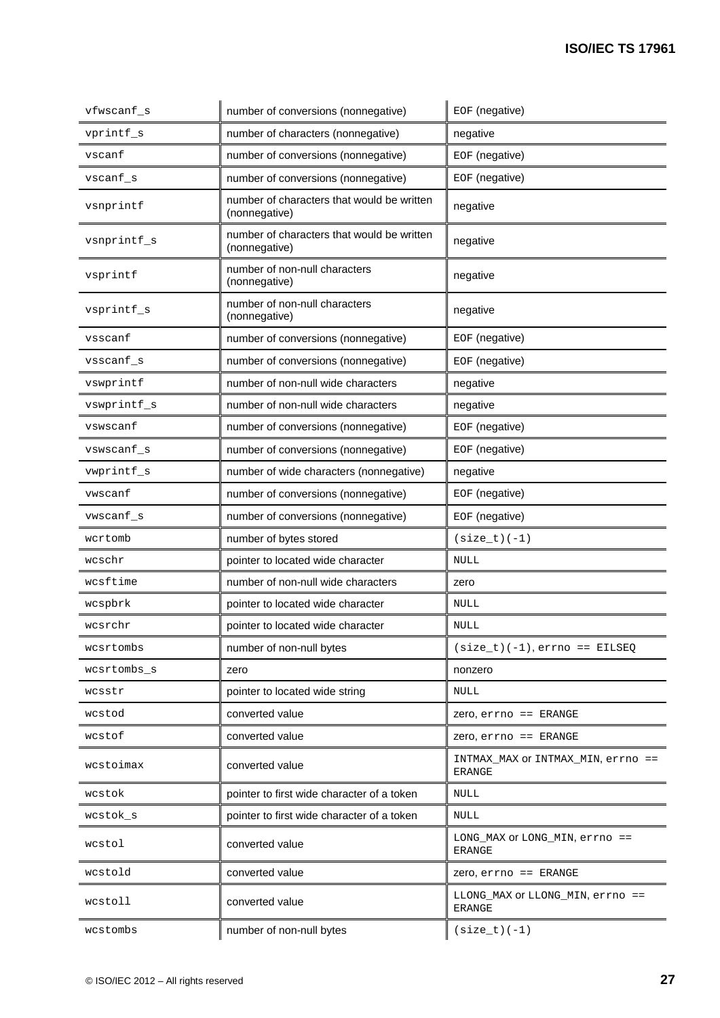| vfwscanf_s   | number of conversions (nonnegative)                         | EOF (negative)                                      |  |
|--------------|-------------------------------------------------------------|-----------------------------------------------------|--|
| vprintf_s    | number of characters (nonnegative)                          | negative                                            |  |
| vscanf       | number of conversions (nonnegative)                         | EOF (negative)                                      |  |
| vscanf s     | number of conversions (nonnegative)                         | EOF (negative)                                      |  |
| vsnprintf    | number of characters that would be written<br>(nonnegative) | negative                                            |  |
| vsnprintf_s  | number of characters that would be written<br>(nonnegative) | negative                                            |  |
| vsprintf     | number of non-null characters<br>(nonnegative)              | negative                                            |  |
| vsprintf_s   | number of non-null characters<br>(nonnegative)              | negative                                            |  |
| vsscanf      | number of conversions (nonnegative)                         | EOF (negative)                                      |  |
| vsscanf_s    | number of conversions (nonnegative)                         | EOF (negative)                                      |  |
| vswprintf    | number of non-null wide characters                          | negative                                            |  |
| vswprintf_s  | number of non-null wide characters                          | negative                                            |  |
| vswscanf     | number of conversions (nonnegative)                         | EOF (negative)                                      |  |
| $vswscanf_s$ | number of conversions (nonnegative)                         | EOF (negative)                                      |  |
| vwprintf_s   | number of wide characters (nonnegative)                     | negative                                            |  |
| vwscanf      | number of conversions (nonnegative)                         | EOF (negative)                                      |  |
| vwscanf_s    | number of conversions (nonnegative)                         | EOF (negative)                                      |  |
| wcrtomb      | number of bytes stored                                      | $(size_t)(-1)$                                      |  |
| wcschr       | pointer to located wide character                           | <b>NULL</b>                                         |  |
| wcsftime     | number of non-null wide characters                          | zero                                                |  |
| wcspbrk      | pointer to located wide character                           | <b>NULL</b>                                         |  |
| wcsrchr      | pointer to located wide character                           | <b>NULL</b>                                         |  |
| wcsrtombs    | number of non-null bytes                                    | $(size_t)(-1), errno == EILSEQ$                     |  |
| wcsrtombs_s  | zero                                                        | nonzero                                             |  |
| wcsstr       | pointer to located wide string                              | NULL                                                |  |
| wcstod       | converted value                                             | Zero, errno == ERANGE                               |  |
| wcstof       | converted value                                             | Zero, errno == ERANGE                               |  |
| wcstoimax    | converted value                                             | INTMAX_MAX OF INTMAX_MIN, errno ==<br><b>ERANGE</b> |  |
| wcstok       | pointer to first wide character of a token                  | NULL                                                |  |
| wcstok_s     | pointer to first wide character of a token                  | NULL                                                |  |
| wcstol       | converted value                                             | LONG_MAX OF LONG_MIN, errno ==<br><b>ERANGE</b>     |  |
| wcstold      | converted value                                             | $Zero,  error ==  ERANGE$                           |  |
| wcstoll      | converted value                                             | LLONG_MAX OF LLONG_MIN, errno ==<br><b>ERANGE</b>   |  |
| wcstombs     | number of non-null bytes                                    | $(size_t)(-1)$                                      |  |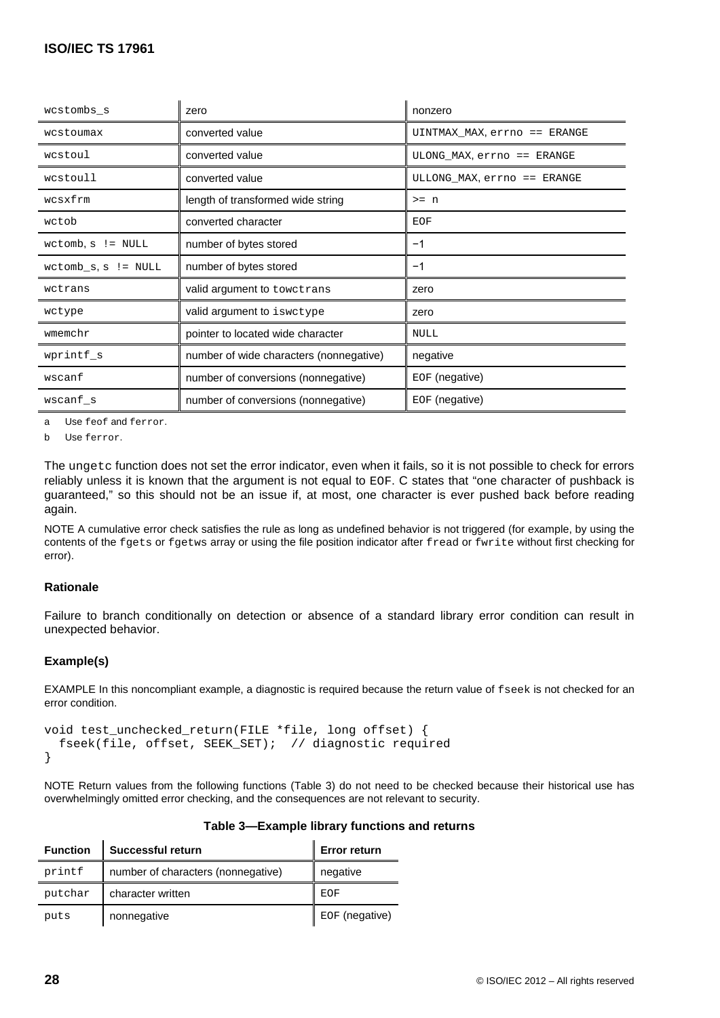| wcstombs_s            | zero                                    | nonzero                      |  |
|-----------------------|-----------------------------------------|------------------------------|--|
| wcstoumax             | converted value                         | UINTMAX MAX, errno == ERANGE |  |
| wcstoul               | converted value                         | ULONG MAX, errno == ERANGE   |  |
| wcstoull              | converted value                         | ULLONG MAX, errno == ERANGE  |  |
| wcsxfrm               | length of transformed wide string       | $>= n$                       |  |
| wctob                 | converted character                     | <b>EOF</b>                   |  |
| $wctomb, s$ ! = NULL  | number of bytes stored                  | -1                           |  |
| $wctomb_s, s$ != NULL | number of bytes stored                  | -1                           |  |
| wctrans               | valid argument to towctrans             | zero                         |  |
| wctype                | valid argument to iswetype              | zero                         |  |
| wmemchr               | pointer to located wide character       | NULL                         |  |
| wprintf_s             | number of wide characters (nonnegative) | negative                     |  |
| wscanf                | number of conversions (nonnegative)     | EOF (negative)               |  |
| wscanf_s              | number of conversions (nonnegative)     | EOF (negative)               |  |

a Use feof and ferror.

b Use ferror.

The ungetc function does not set the error indicator, even when it fails, so it is not possible to check for errors reliably unless it is known that the argument is not equal to EOF. C states that "one character of pushback is guaranteed," so this should not be an issue if, at most, one character is ever pushed back before reading again.

NOTE A cumulative error check satisfies the rule as long as undefined behavior is not triggered (for example, by using the contents of the fgets or fgetws array or using the file position indicator after fread or fwrite without first checking for error).

#### **Rationale**

Failure to branch conditionally on detection or absence of a standard library error condition can result in unexpected behavior.

### **Example(s)**

EXAMPLE In this noncompliant example, a diagnostic is required because the return value of fseek is not checked for an error condition.

```
void test_unchecked_return(FILE *file, long offset) {
   fseek(file, offset, SEEK_SET); // diagnostic required
}
```
NOTE Return values from the following functions (Table 3) do not need to be checked because their historical use has overwhelmingly omitted error checking, and the consequences are not relevant to security.

<span id="page-35-0"></span>

| <b>Function</b> | Successful return                  | <b>Error return</b> |
|-----------------|------------------------------------|---------------------|
| printf          | number of characters (nonnegative) | negative            |
| putchar         | character written                  | EOF                 |
| puts            | nonnegative                        | EOF (negative)      |

### **Table 3—Example library functions and returns**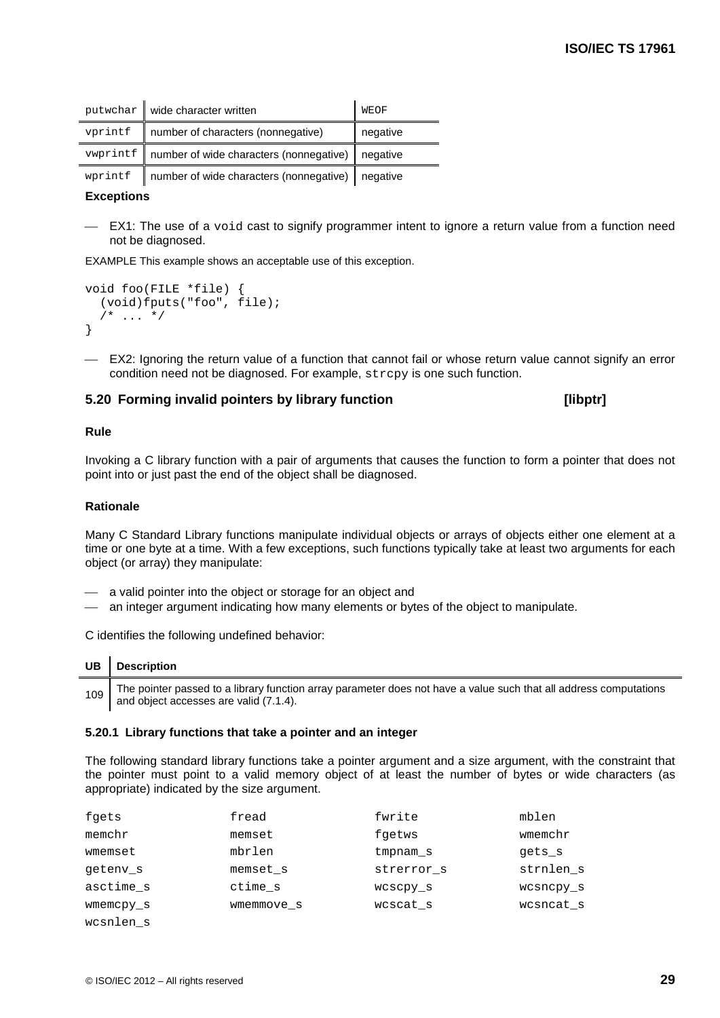|         | putwchar wide character written                               | WEOF     |
|---------|---------------------------------------------------------------|----------|
| vprintf | number of characters (nonnegative)                            | negative |
|         | vwprintf   number of wide characters (nonnegative)   negative |          |
| wprintf | number of wide characters (nonnegative)   negative            |          |

## **Exceptions**

 EX1: The use of a void cast to signify programmer intent to ignore a return value from a function need not be diagnosed.

EXAMPLE This example shows an acceptable use of this exception.

```
void foo(FILE *file) {
   (void)fputs("foo", file);
  /* ... */
}
```
 EX2: Ignoring the return value of a function that cannot fail or whose return value cannot signify an error condition need not be diagnosed. For example, strcpy is one such function.

## **5.20 Forming invalid pointers by library function [libptr]**

## **Rule**

Invoking a C library function with a pair of arguments that causes the function to form a pointer that does not point into or just past the end of the object shall be diagnosed.

## **Rationale**

Many C Standard Library functions manipulate individual objects or arrays of objects either one element at a time or one byte at a time. With a few exceptions, such functions typically take at least two arguments for each object (or array) they manipulate:

- a valid pointer into the object or storage for an object and
- $-$  an integer argument indicating how many elements or bytes of the object to manipulate.

C identifies the following undefined behavior:

| UB | <b>Description</b>                                                                                                                                                           |
|----|------------------------------------------------------------------------------------------------------------------------------------------------------------------------------|
|    | 109 The pointer passed to a library function array parameter does not have a value such that all address computations<br><sup>1</sup> and object accesses are valid (7.1.4). |

### **5.20.1 Library functions that take a pointer and an integer**

The following standard library functions take a pointer argument and a size argument, with the constraint that the pointer must point to a valid memory object of at least the number of bytes or wide characters (as appropriate) indicated by the size argument.

| fgets     | fread      | fwrite     | mblen     |
|-----------|------------|------------|-----------|
| memchr    | memset     | fgetws     | wmemchr   |
| wmemset   | mbrlen     | tmpnam s   | gets s    |
| geteny s  | memset s   | strerror s | strnlen_s |
| asctime s | ctime s    | wcscpy s   | wcsncpy s |
| wmemcpy s | wmemmove s | wcscat s   | wcsncat s |
| wcsnlen s |            |            |           |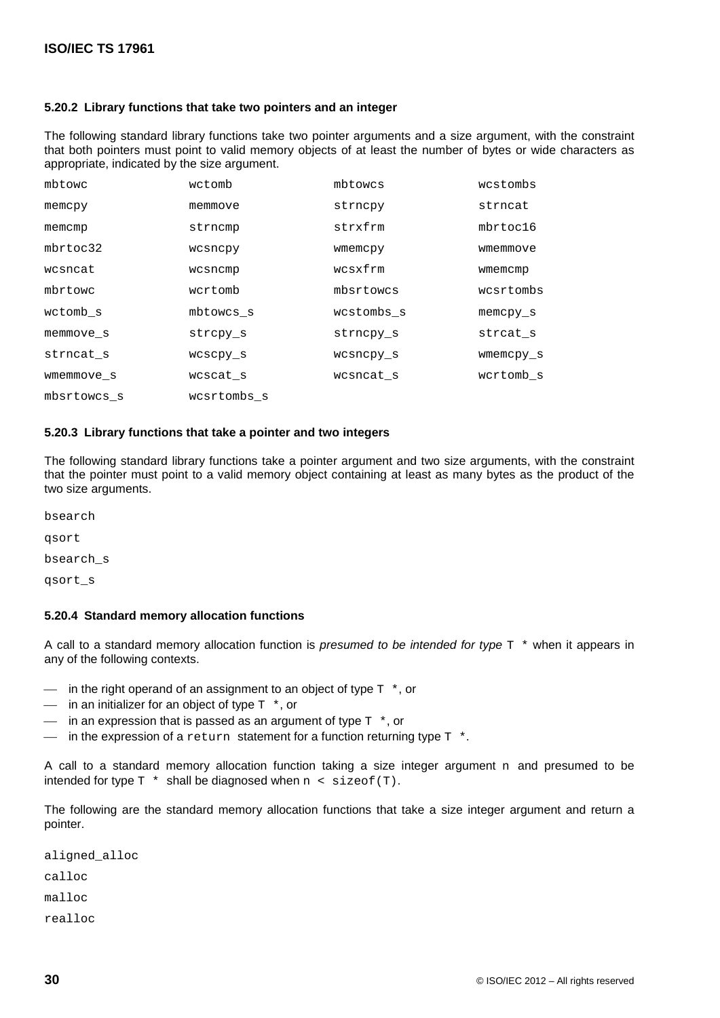## **5.20.2 Library functions that take two pointers and an integer**

The following standard library functions take two pointer arguments and a size argument, with the constraint that both pointers must point to valid memory objects of at least the number of bytes or wide characters as appropriate, indicated by the size argument.

| mbtowc      | wctomb      | mbtowcs    | wcstombs   |
|-------------|-------------|------------|------------|
| memcpy      | memmove     | strncpy    | strncat    |
| memcmp      | strncmp     | strxfrm    | mbrtoc16   |
| mbrtoc32    | wcsncpy     | wmemcpy    | wmemmove   |
| wcsncat     | wcsncmp     | wcsxfrm    | wmemcmp    |
| mbrtowc     | wcrtomb     | mbsrtowcs  | wcsrtombs  |
| wctomb s    | mbtowcs s   | wcstombs s | $memory_s$ |
| memmove s   | strcpy s    | strncpy s  | strcat s   |
| strncat s   | wcscpy s    | wcsncpy s  | wmemcpy s  |
| wmemmove s  | wcscat s    | wcsncat s  | wcrtomb s  |
| mbsrtowcs s | wcsrtombs s |            |            |

## **5.20.3 Library functions that take a pointer and two integers**

The following standard library functions take a pointer argument and two size arguments, with the constraint that the pointer must point to a valid memory object containing at least as many bytes as the product of the two size arguments.

bsearch qsort

bsearch\_s

qsort\_s

# **5.20.4 Standard memory allocation functions**

A call to a standard memory allocation function is *presumed to be intended for type* T \* when it appears in any of the following contexts.

- in the right operand of an assignment to an object of type  $T^*$ , or
- in an initializer for an object of type  $T^*$ , or
- in an expression that is passed as an argument of type  $T^*$ , or
- in the expression of a return statement for a function returning type  $T^*$ .

A call to a standard memory allocation function taking a size integer argument n and presumed to be intended for type  $T *$  shall be diagnosed when  $n <$  sizeof(T).

The following are the standard memory allocation functions that take a size integer argument and return a pointer.

aligned\_alloc calloc malloc realloc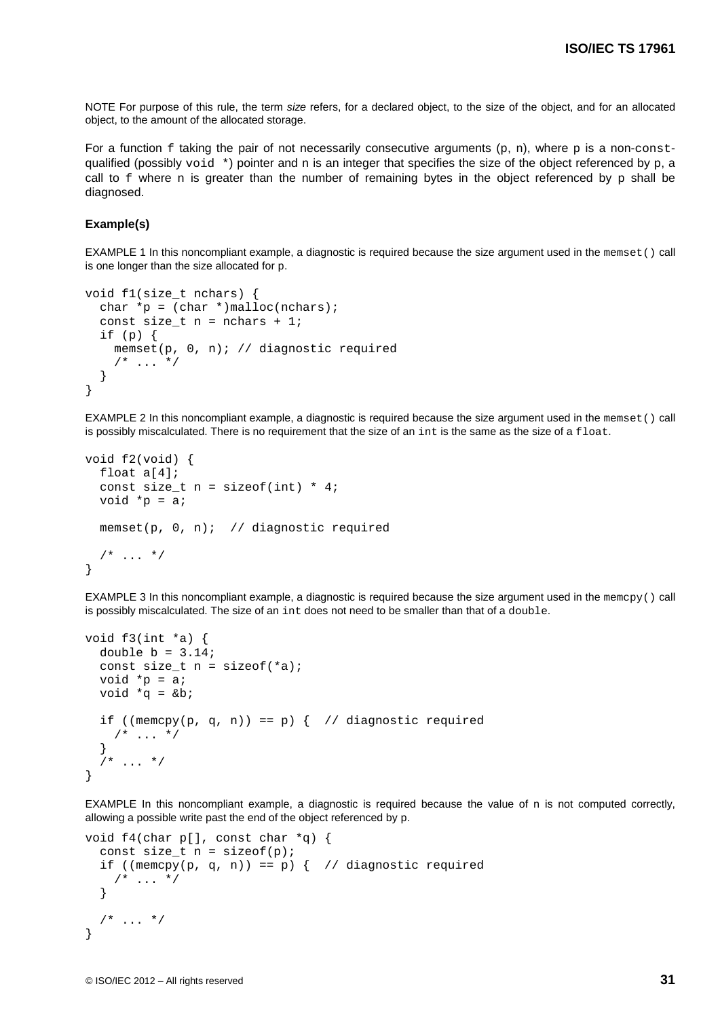NOTE For purpose of this rule, the term *size* refers, for a declared object, to the size of the object, and for an allocated object, to the amount of the allocated storage.

For a function  $f$  taking the pair of not necessarily consecutive arguments (p, n), where p is a non-constqualified (possibly void  $*$ ) pointer and n is an integer that specifies the size of the object referenced by p, a call to f where n is greater than the number of remaining bytes in the object referenced by  $p$  shall be diagnosed.

#### **Example(s)**

EXAMPLE 1 In this noncompliant example, a diagnostic is required because the size argument used in the memset () call is one longer than the size allocated for p.

```
void f1(size_t nchars) {
  char *_{p} = (char *_{math>malloc}(ncharges));const size_t n = nchars + 1;
  if (p) {
     memset(p, 0, n); // diagnostic required
    /* ... */
   }
}
```
EXAMPLE 2 In this noncompliant example, a diagnostic is required because the size argument used in the memset () call is possibly miscalculated. There is no requirement that the size of an int is the same as the size of a float.

```
void f2(void) {
   float a[4];
  const size_t n = sizeof(int) * 4;
  void *_{p} = a;
   memset(p, 0, n); // diagnostic required
  /* ... */
}
```
EXAMPLE 3 In this noncompliant example, a diagnostic is required because the size argument used in the memcpy() call is possibly miscalculated. The size of an int does not need to be smaller than that of a double.

```
void f3(int *a) {
  double b = 3.14;
  const size_t n = sizeof(*a);
   void *p = a;
   void *q = &b;
  if ((memcpy(p, q, n)) == p) { // diagnostic required
    /* ... */
   }
  /* ... */
}
```
EXAMPLE In this noncompliant example, a diagnostic is required because the value of  $n$  is not computed correctly, allowing a possible write past the end of the object referenced by p.

```
void f4(char p[], const char *q) {
  const size_t n = sizeof(p);
  if ((memcpy(p, q, n)) == p) { // diagnostic required
   /* ... */
   }
  /* ... */
}
```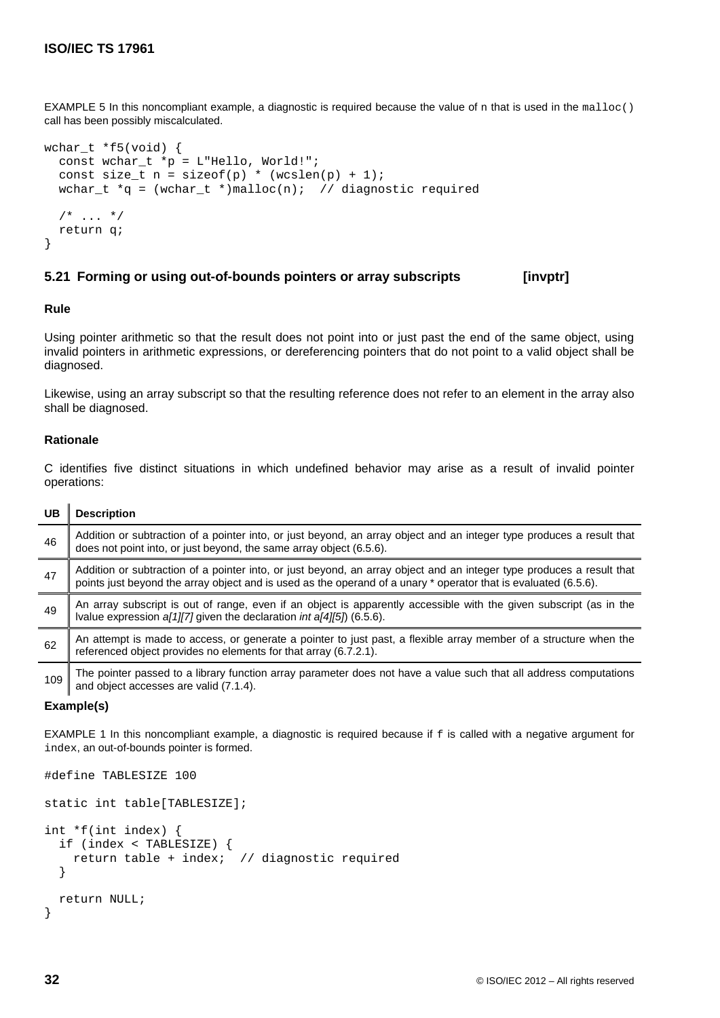EXAMPLE 5 In this noncompliant example, a diagnostic is required because the value of n that is used in the malloc() call has been possibly miscalculated.

```
wchar t *f5(void) {
   const wchar_t *p = L"Hello, World!";
  const size_t n = sizeof(p) * (wcslen(p) + 1);wchar_t *q = (wchar_t *)malloc(n); // diagnostic required
  /* ... */
   return q;
}
```
## **5.21 Forming or using out-of-bounds pointers or array subscripts [invptr]**

#### **Rule**

Using pointer arithmetic so that the result does not point into or just past the end of the same object, using invalid pointers in arithmetic expressions, or dereferencing pointers that do not point to a valid object shall be diagnosed.

Likewise, using an array subscript so that the resulting reference does not refer to an element in the array also shall be diagnosed.

#### **Rationale**

C identifies five distinct situations in which undefined behavior may arise as a result of invalid pointer operations:

| UB  | <b>Description</b>                                                                                                                                                                                                                       |
|-----|------------------------------------------------------------------------------------------------------------------------------------------------------------------------------------------------------------------------------------------|
| 46  | Addition or subtraction of a pointer into, or just beyond, an array object and an integer type produces a result that<br>does not point into, or just beyond, the same array object (6.5.6).                                             |
| 47  | Addition or subtraction of a pointer into, or just beyond, an array object and an integer type produces a result that<br>points just beyond the array object and is used as the operand of a unary * operator that is evaluated (6.5.6). |
| 49  | An array subscript is out of range, even if an object is apparently accessible with the given subscript (as in the<br>Ivalue expression $a[1][7]$ given the declaration int $a[4][5]$ (6.5.6).                                           |
| 62  | An attempt is made to access, or generate a pointer to just past, a flexible array member of a structure when the<br>referenced object provides no elements for that array (6.7.2.1).                                                    |
| 109 | The pointer passed to a library function array parameter does not have a value such that all address computations<br>and object accesses are valid (7.1.4).                                                                              |

### **Example(s)**

EXAMPLE 1 In this noncompliant example, a diagnostic is required because if f is called with a negative argument for index, an out-of-bounds pointer is formed.

```
#define TABLESIZE 100
static int table[TABLESIZE];
int *f(int index) {
   if (index < TABLESIZE) {
     return table + index; // diagnostic required
   }
   return NULL;
}
```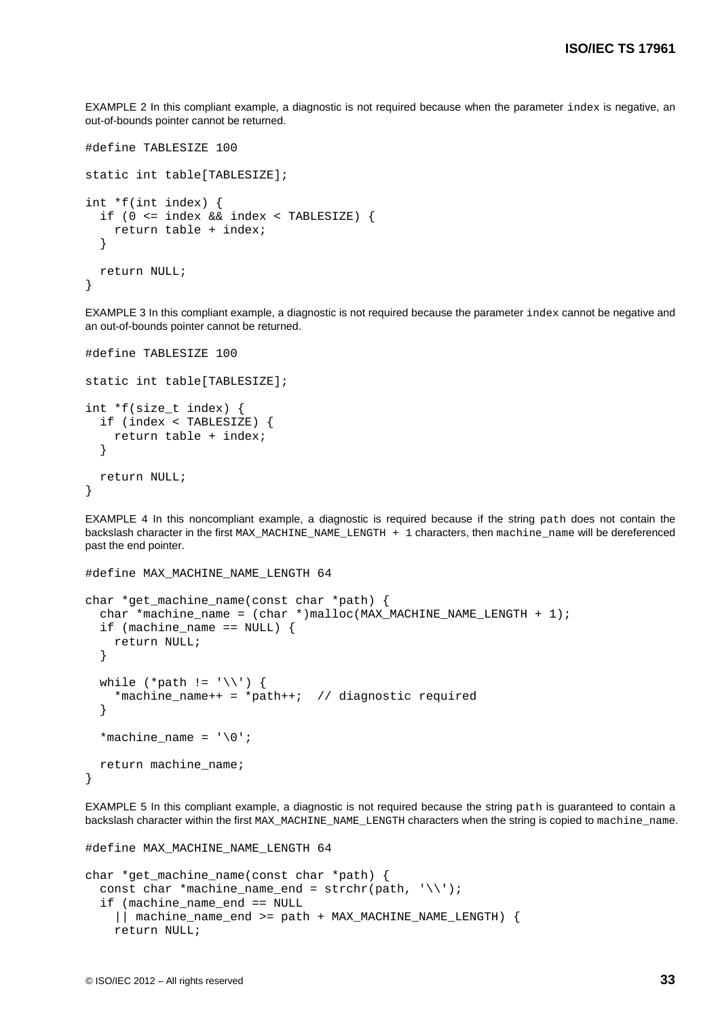EXAMPLE 2 In this compliant example, a diagnostic is not required because when the parameter index is negative, an out-of-bounds pointer cannot be returned.

```
#define TABLESIZE 100
static int table[TABLESIZE];
int *f(int index) {
   if (0 <= index && index < TABLESIZE) {
     return table + index;
   }
   return NULL;
}
```
EXAMPLE 3 In this compliant example, a diagnostic is not required because the parameter index cannot be negative and an out-of-bounds pointer cannot be returned.

```
#define TABLESIZE 100
static int table[TABLESIZE];
int *f(size_t index) {
   if (index < TABLESIZE) {
    return table + index;
   }
   return NULL;
}
```
EXAMPLE 4 In this noncompliant example, a diagnostic is required because if the string path does not contain the backslash character in the first MAX\_MACHINE\_NAME\_LENGTH + 1 characters, then machine\_name will be dereferenced past the end pointer.

```
#define MAX MACHINE NAME LENGTH 64
```

```
char *get_machine_name(const char *path) {
   char *machine_name = (char *)malloc(MAX_MACHINE_NAME_LENGTH + 1);
   if (machine_name == NULL) {
     return NULL;
   }
  while (*path != \sqrt{\ }) {
    *machine name++ = *path++; // diagnostic required
   }
  *machine_name = \sqrt{0};
   return machine_name;
}
```
EXAMPLE 5 In this compliant example, a diagnostic is not required because the string path is guaranteed to contain a backslash character within the first MAX\_MACHINE\_NAME\_LENGTH characters when the string is copied to machine\_name.

```
#define MAX MACHINE NAME LENGTH 64
char *get_machine_name(const char *path) {
  const char *machine_name_end = strchr(path, '\\');
   if (machine_name_end == NULL
    | machine name end >= path + MAX MACHINE NAME LENGTH) {
    return NULL;
```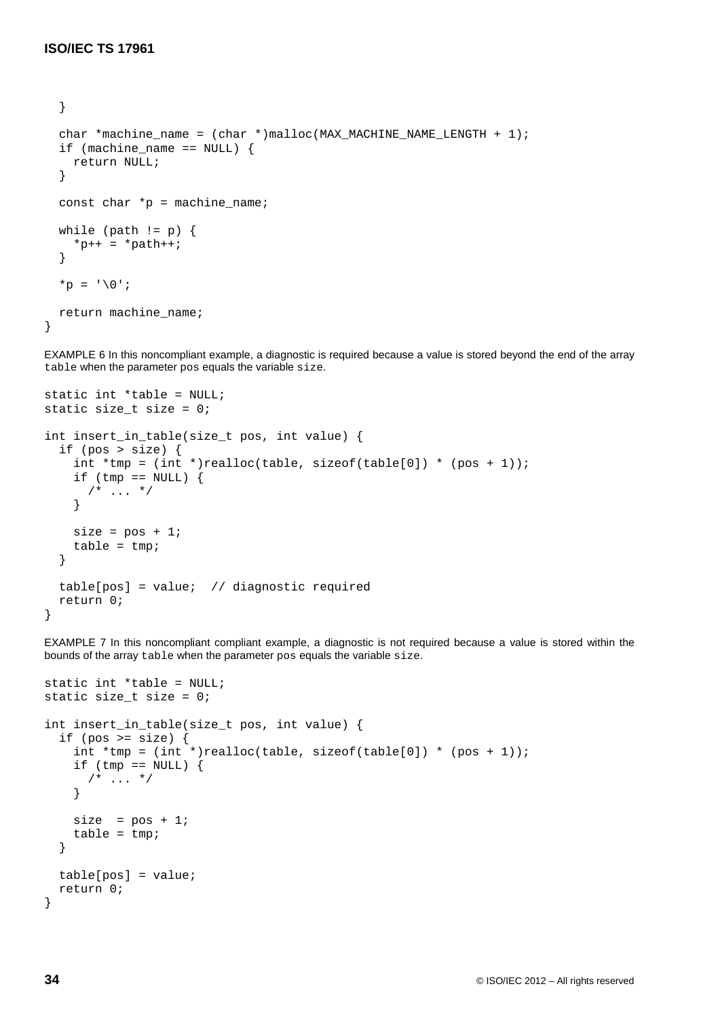}

```
 }
 char *machine_name = (char *)malloc(MAX_MACHINE_NAME_LENGTH + 1);
if (machine_name == NULL) {
   return NULL;
 }
const char *p = machine name;while (path != p) {
  *p++ = *path++; }
*p = '0;
return machine name;
```
EXAMPLE 6 In this noncompliant example, a diagnostic is required because a value is stored beyond the end of the array table when the parameter pos equals the variable size.

```
static int *table = NULL;
static size t size = 0;
int insert_in_table(size_t pos, int value) {
   if (pos > size) {
    int *tmp = (int *)realloc(table, sizeof(table[0]) * (pos + 1));
    if (tmp == NULL) {
      /* ... */
     }
    size = pos + 1;table = tmp; }
   table[pos] = value; // diagnostic required
   return 0;
}
```
EXAMPLE 7 In this noncompliant compliant example, a diagnostic is not required because a value is stored within the bounds of the array table when the parameter pos equals the variable size.

```
static int *table = NULL;
static size_t size = 0;
int insert_in_table(size_t pos, int value) {
  if (pos >= size) {
    int *tmp = (int *)realloc(table, sizeof(table[0]) * (pos + 1));if (tmp == NULL) {
      /* ... */
     }
    size = pos + 1;
    table = tmp; }
   table[pos] = value;
   return 0;
}
```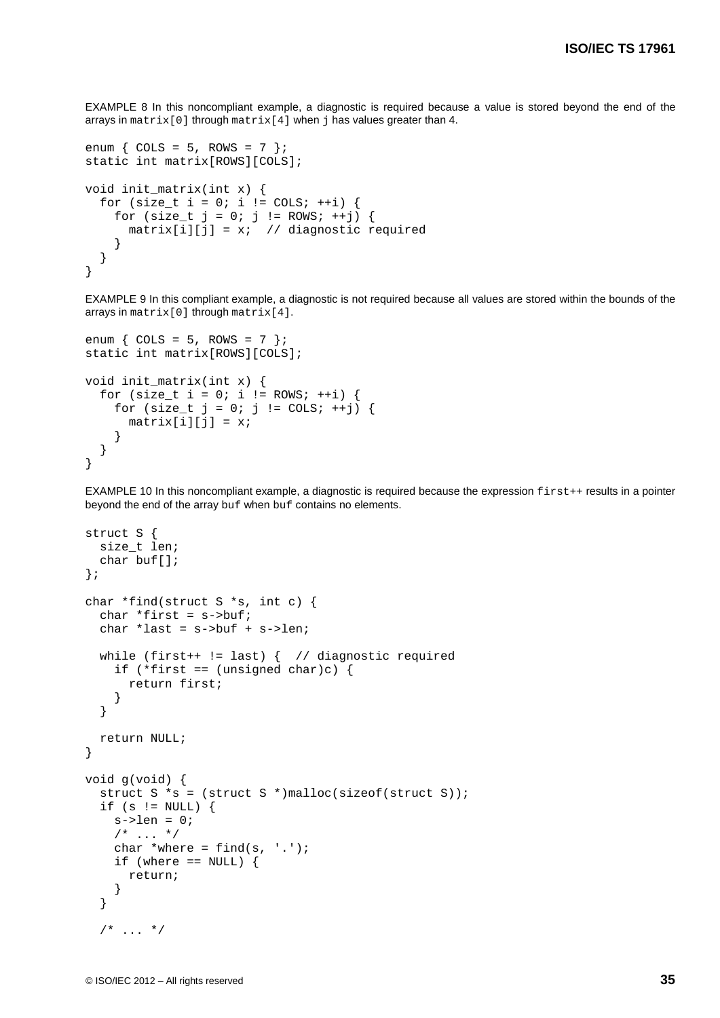EXAMPLE 8 In this noncompliant example, a diagnostic is required because a value is stored beyond the end of the arrays in matrix[0] through matrix[4] when j has values greater than 4.

```
enum \{COLS = 5, ROWS = 7 };
static int matrix[ROWS][COLS];
void init_matrix(int x) {
  for (size_t i = 0; i != COLS; ++i) {
    for (size_t j = 0; j := ROWS; ++j) {
      matrix[i][j] = x; // diagnostic required
     }
   }
}
```
EXAMPLE 9 In this compliant example, a diagnostic is not required because all values are stored within the bounds of the arrays in matrix[0] through matrix[4].

```
enum \{COLS = 5, ROWS = 7 };
static int matrix[ROWS][COLS];
void init_matrix(int x) {
  for (size_t i = 0; i != ROWS; ++i) {
    for (size_t j = 0; j := COLS; ++j) {
      matrix[i][j] = x; }
   }
}
```
EXAMPLE 10 In this noncompliant example, a diagnostic is required because the expression  $first++$  results in a pointer beyond the end of the array buf when buf contains no elements.

```
struct S {
  size t len;
   char buf[];
};
char *find(struct S *s, int c) {
  char *first = s - >but;
   char *last = s->buf + s->len;
  while (first++ != last) \{ // diagnostic required
     if (*first == (unsigned char)c) {
        return first;
     }
   }
   return NULL;
}
void g(void) {
  struct S *s = (struct S *)malloc(sizeof(struct S));
  if (s != NULL) {
     s->len = 0;
    /* ... */
    char *where = find(s, '.'');
     if (where == NULL) {
     return;
\left\{\begin{array}{c}1\\1\end{array}\right\} }
  /* ... */
```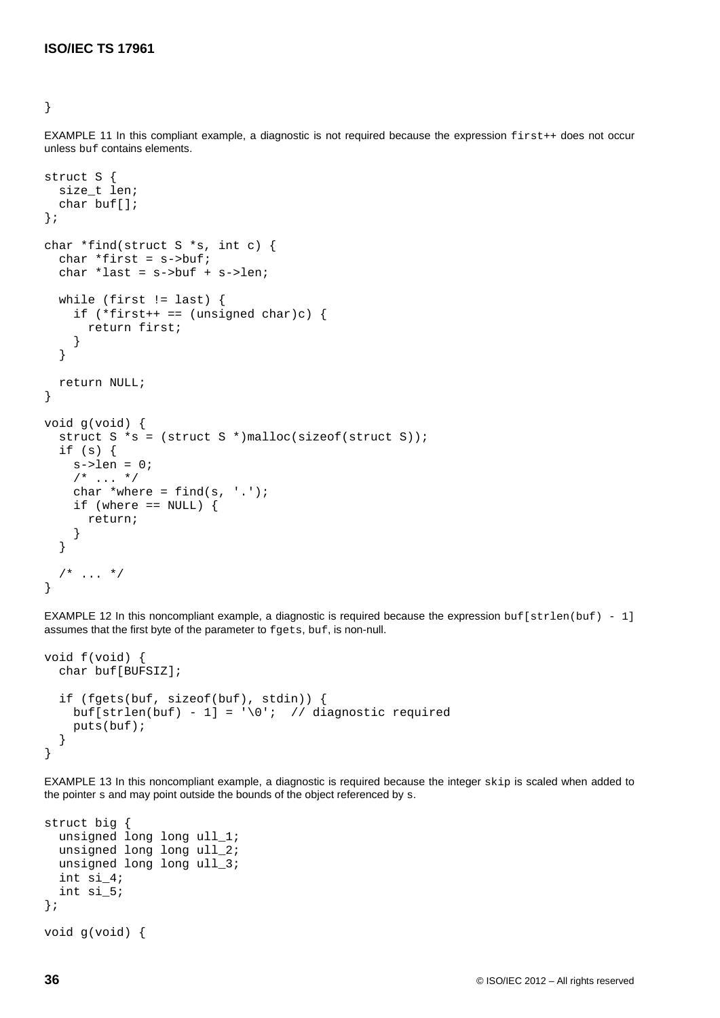}

EXAMPLE 11 In this compliant example, a diagnostic is not required because the expression first++ does not occur unless buf contains elements.

```
struct S {
   size_t len;
   char buf[];
};
char *find(struct S *s, int c) {
  char *first = s - >but;
  char *last = s->buf + s->len;
  while (first != last) {
    if (*first++ == (unsigned char)c) {
       return first;
     }
   }
   return NULL;
}
void g(void) {
  struct S *s = (struct S *)malloc(sizeof(struct S)); if (s) {
    s->len = 0;
    /* ... */
    char *where = find(s, '.'');
    if (where == NULL) {
       return;
     }
   }
  /* ... */
}
```
EXAMPLE 12 In this noncompliant example, a diagnostic is required because the expression buf[strlen(buf) - 1] assumes that the first byte of the parameter to fgets, buf, is non-null.

```
void f(void) {
   char buf[BUFSIZ];
   if (fgets(buf, sizeof(buf), stdin)) {
    buf[strlen(buf) - 1] = \sqrt{0}; // diagnostic required
     puts(buf);
   }
}
```
EXAMPLE 13 In this noncompliant example, a diagnostic is required because the integer skip is scaled when added to the pointer s and may point outside the bounds of the object referenced by s.

```
struct big {
   unsigned long long ull_1;
   unsigned long long ull_2;
   unsigned long long ull_3;
   int si_4;
   int si_5;
};
void g(void) {
```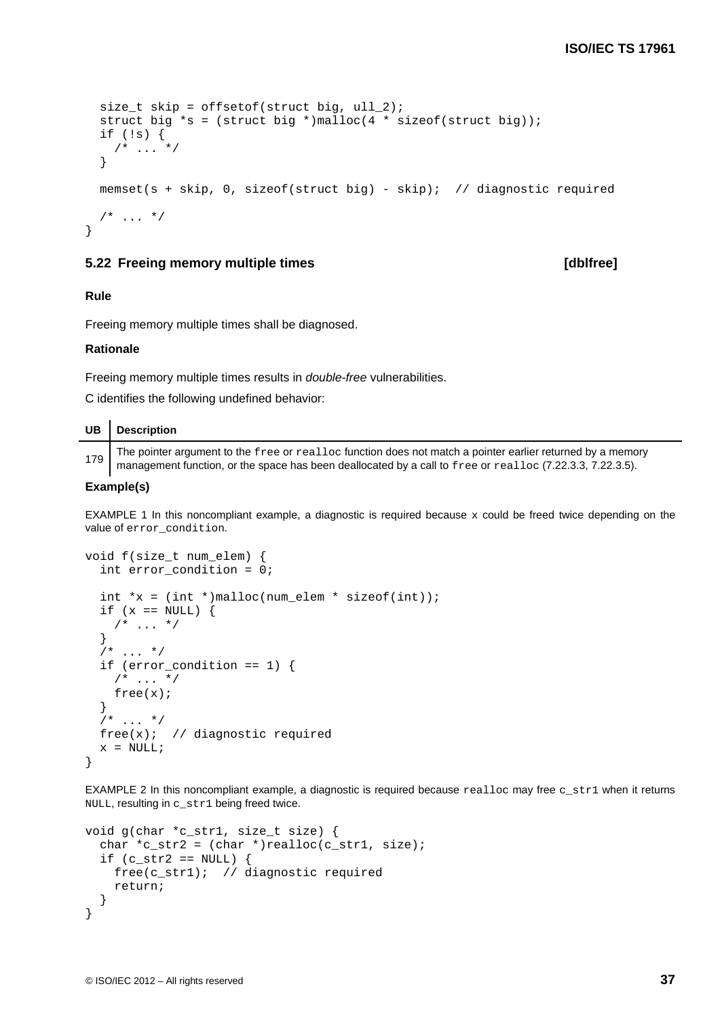```
size t skip = offsetof(struct big, ull 2);
 struct big *s = (struct big *)malloc(4 * sizeof(struct big));
  if (!s) {
   /* ... */
  }
  memset(s + skip, 0, sizeof(struct big) - skip); // diagnostic required
  /* ... */
}
```
## **5.22 Freeing memory multiple times [dblfree]**

## **Rule**

Freeing memory multiple times shall be diagnosed.

### **Rationale**

Freeing memory multiple times results in *double-free* vulnerabilities.

C identifies the following undefined behavior:

#### **UB Description**

179 The pointer argument to the free or realloc function does not match a pointer earlier returned by a memory management function, or the space has been deallocated by a call to free or realloc (7.22.3.3, 7.22.3.5).

#### **Example(s)**

EXAMPLE 1 In this noncompliant example, a diagnostic is required because  $x$  could be freed twice depending on the value of error\_condition.

```
void f(size_t num_elem) {
   int error_condition = 0;
  int x = (int *)malloc(num_elem * sizeof(int));
  if (x == NULL) {
    /* ... */
   }
  /* ... */
   if (error_condition == 1) {
    /* ... */
     free(x);
   }
  7* ... */free(x); // diagnostic required
  x = NULL}
```
EXAMPLE 2 In this noncompliant example, a diagnostic is required because realloc may free  $c$ \_str1 when it returns NULL, resulting in c\_str1 being freed twice.

```
void g(char *c_str1, size t_size) {
  char *c_str2 = (char *)realloc(c_str1, size);
  if (c_{str2} == NULL) {
     free(c_str1); // diagnostic required
     return;
   }
}
```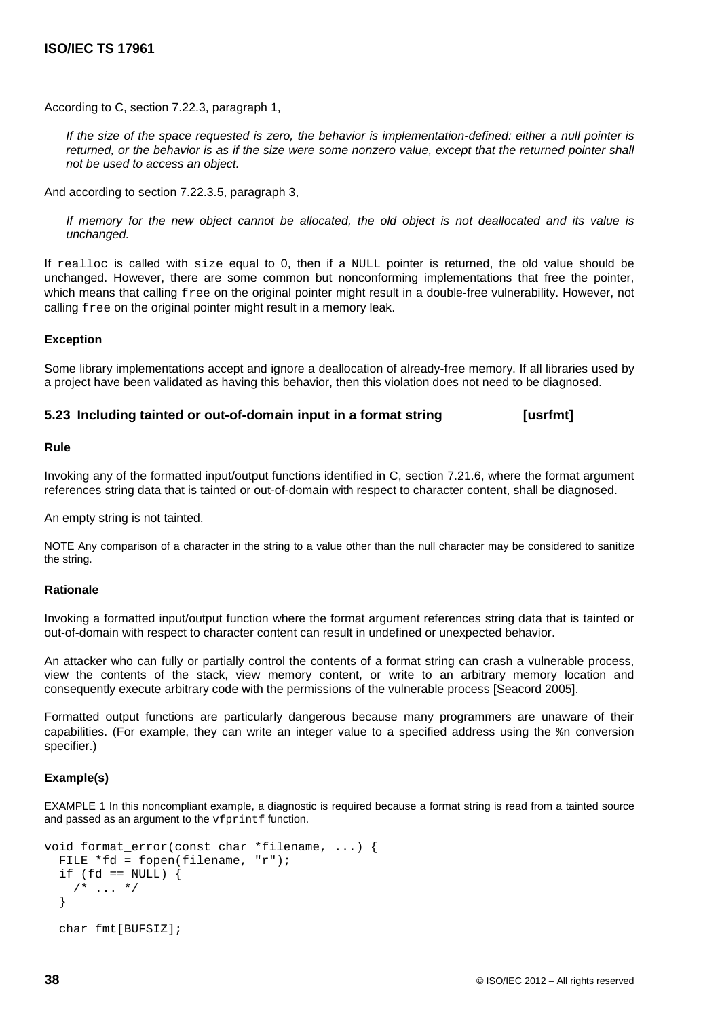According to C, section 7.22.3, paragraph 1,

*If the size of the space requested is zero, the behavior is implementation-defined: either a null pointer is returned, or the behavior is as if the size were some nonzero value, except that the returned pointer shall not be used to access an object.*

And according to section 7.22.3.5, paragraph 3,

*If memory for the new object cannot be allocated, the old object is not deallocated and its value is unchanged.*

If realloc is called with size equal to 0, then if a NULL pointer is returned, the old value should be unchanged. However, there are some common but nonconforming implementations that free the pointer, which means that calling free on the original pointer might result in a double-free vulnerability. However, not calling free on the original pointer might result in a memory leak.

## **Exception**

Some library implementations accept and ignore a deallocation of already-free memory. If all libraries used by a project have been validated as having this behavior, then this violation does not need to be diagnosed.

# **5.23 Including tainted or out-of-domain input in a format string [usrfmt]**

#### **Rule**

Invoking any of the formatted input/output functions identified in C, section 7.21.6, where the format argument references string data that is [tainted](#page-12-0) or out-of-domain with respect to character content, shall be diagnosed.

An empty string is not tainted.

NOTE Any comparison of a character in the string to a value other than the null character may be considered to sanitize the string.

### **Rationale**

Invoking a formatted input/output function where the format argument references string data that is [tainted](#page-12-0) or out-of-domain with respect to character content can result in undefined or unexpected behavior.

An attacker who can fully or partially control the contents of a format string can crash a vulnerable process, view the contents of the stack, view memory content, or write to an arbitrary memory location and consequently execute arbitrary code with the permissions of the vulnerable process [\[Seacord 2005\]](#page-94-0).

Formatted output functions are particularly dangerous because many programmers are unaware of their capabilities. (For example, they can write an integer value to a specified address using the %n conversion specifier.)

### **Example(s)**

EXAMPLE 1 In this noncompliant example, a diagnostic is required because a format string is read from a tainted source and passed as an argument to the *v*fprintf function.

```
void format error(const char *filename, ...) {
   FILE *fd = fopen(filename, "r");
  if (fd == NULL) {
    /* ... */
   }
   char fmt[BUFSIZ];
```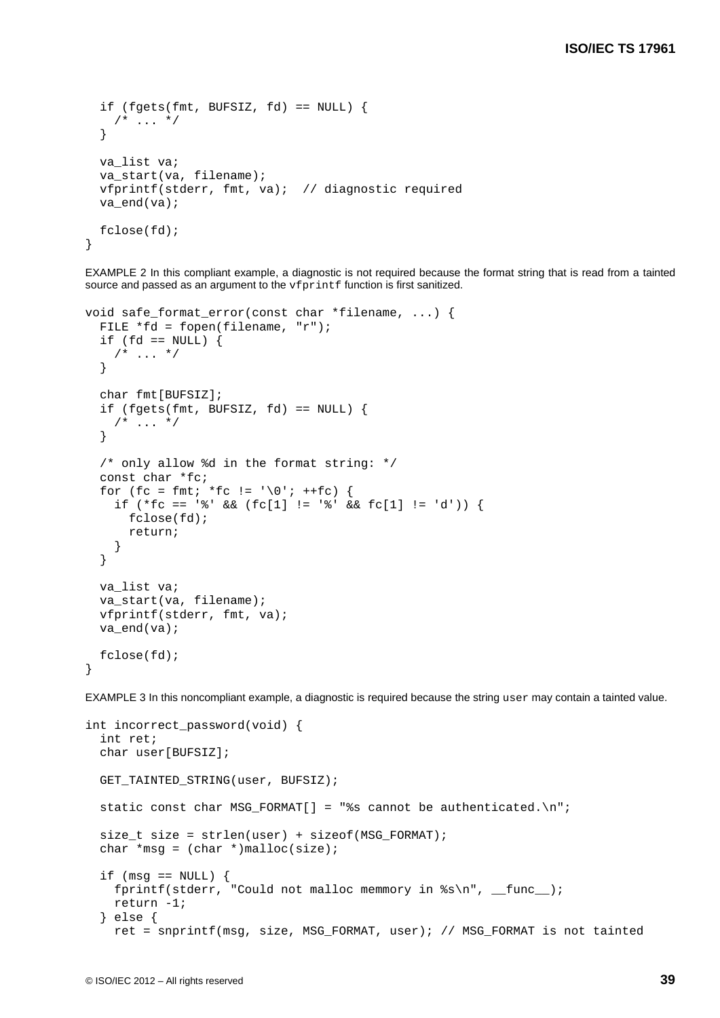```
if (fgets(fmt, BUFSIZ, fd) == NULL) {
   /* ... */
   }
  va_list va;
  va_start(va, filename);
  vfprintf(stderr, fmt, va); // diagnostic required
 va_end(va);
  fclose(fd);
}
```
EXAMPLE 2 In this compliant example, a diagnostic is not required because the format string that is read from a tainted source and passed as an argument to the vfprintf function is first sanitized.

```
void safe_format_error(const char *filename, ...) {
   FILE *fd = fopen(filename, "r");
  if (fd == NULL) {
    /* ... */
   }
   char fmt[BUFSIZ];
  if (fgets(fmt, BUFSIZ, fd) == NULL) {
   /* ... */
   }
   /* only allow %d in the format string: */
   const char *fc;
  for (fc = fmt; *fc != \sqrt{0}; ++fc) {
    if (*fc == ' & fc[1] != ' & fc[1] != ' & fc[1] != 'd') {
       fclose(fd);
       return;
     }
   }
  va list va;
  va start(va, filename);
   vfprintf(stderr, fmt, va);
   va_end(va);
   fclose(fd);
}
```
EXAMPLE 3 In this noncompliant example, a diagnostic is required because the string user may contain a tainted value.

```
int incorrect_password(void) {
   int ret;
  char user[BUFSIZ];
 GET TAINTED STRING(user, BUFSIZ);
 static const char MSG_FORMAT[] = "%s cannot be authenticated.\n\cdot n";
  size t size = strlen(user) + sizeof(MSG_FORMAT);
 char *msq = (char *)malloc(size);
 if (msg == NULL) {
     fprintf(stderr, "Could not malloc memmory in %s\n", __func__);
    return -1;
   } else {
     ret = snprintf(msg, size, MSG_FORMAT, user); // MSG_FORMAT is not tainted
```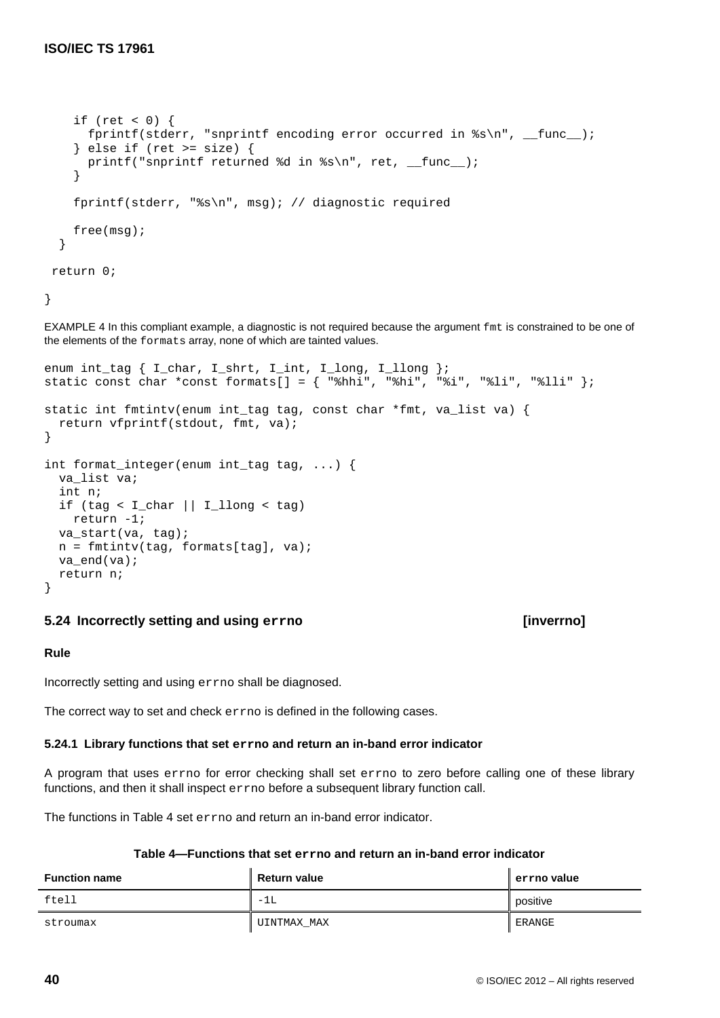```
 if (ret < 0) {
     fprintf(stderr, "snprintf encoding error occurred in s\n", __func__);
    } else if (ret >= size) {
     printf("snprintf returned %d in s\<sup>n</sup>, ret, __func__);
    }
    fprintf(stderr, "%s\n", msg); // diagnostic required
    free(msg);
  }
return 0;
```
}

EXAMPLE 4 In this compliant example, a diagnostic is not required because the argument fmt is constrained to be one of the elements of the formats array, none of which are tainted values.

```
enum int_tag { I_char, I_shrt, I_int, I_long, I_llong };
static const char *const formats[] = \{ "%hhi", "%hi", "%i", "%li", "%lli" };
static int fmtintv(enum int_tag tag, const char *fmt, va_list va) {
   return vfprintf(stdout, fmt, va);
}
int format_integer(enum int_tag tag, ...) {
  va list va;
   int n;
   if (tag < I_char || I_llong < tag)
    return -1;
  va start(va, tag);
   n = fmtintv(tag, formats[tag], va);
  va_end(va);
   return n;
}
```
# **5.24 Incorrectly setting and using errno [inverrno]**

### **Rule**

Incorrectly setting and using errno shall be diagnosed.

The correct way to set and check errno is defined in the following cases.

### **5.24.1 Library functions that set errno and return an in-band error indicator**

A program that uses errno for error checking shall set errno to zero before calling one of these library functions, and then it shall inspect errno before a subsequent library function call.

The functions in Table 4 set errno and return an in-band error indicator.

## **Table 4—Functions that set errno and return an in-band error indicator**

| <b>Function name</b> | <b>Return value</b> | errno value |
|----------------------|---------------------|-------------|
| ftell                | $-1L$               | positive    |
| stroumax             | UINTMAX MAX         | ERANGE      |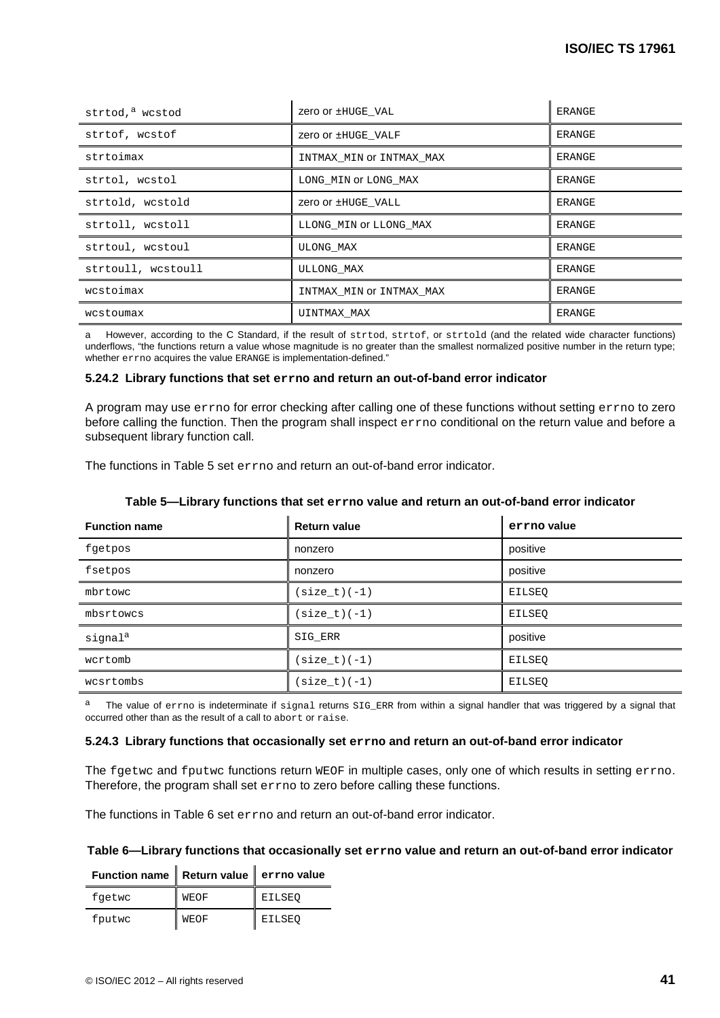| strtod, <sup>a</sup> wcstod | Zero or ±HUGE VAL        | ERANGE |
|-----------------------------|--------------------------|--------|
| strtof, wcstof              | Zero or ±HUGE VALF       | ERANGE |
| strtoimax                   | INTMAX MIN OF INTMAX MAX | ERANGE |
| strtol, wcstol              | LONG MIN OF LONG MAX     | ERANGE |
| strtold, wcstold            | Zero or ±HUGE VALL       | ERANGE |
| strtoll, wcstoll            | LLONG MIN OF LLONG MAX   | ERANGE |
| strtoul, wcstoul            | ULONG MAX                | ERANGE |
| strtoull, wcstoull          | ULLONG MAX               | ERANGE |
| wcstoimax                   | INTMAX MIN OF INTMAX MAX | ERANGE |
| wcstoumax                   | UINTMAX MAX              | ERANGE |

However, according to the C Standard, if the result of strtod, strtof, or strtold (and the related wide character functions) underflows, "the functions return a value whose magnitude is no greater than the smallest normalized positive number in the return type; whether errno acquires the value ERANGE is implementation-defined."

#### **5.24.2 Library functions that set errno and return an out-of-band error indicator**

A program may use errno for error checking after calling one of these functions without setting errno to zero before calling the function. Then the program shall inspect errno conditional on the return value and before a subsequent library function call.

The functions in Table 5 set errno and return an out-of-band error indicator.

| <b>Function name</b> | <b>Return value</b> | errno value   |
|----------------------|---------------------|---------------|
| fgetpos              | nonzero             | positive      |
| fsetpos              | nonzero             | positive      |
| mbrtowc              | $(size_t)(-1)$      | <b>EILSEO</b> |
| mbsrtowcs            | $size_t)(-1)$       | <b>EILSEO</b> |
| signal <sup>a</sup>  | SIG ERR             | positive      |
| wcrtomb              | $(size_t)(-1)$      | <b>EILSEO</b> |
| wcsrtombs            | $(size_t)(-1)$      | <b>EILSEO</b> |

#### **Table 5—Library functions that set errno value and return an out-of-band error indicator**

The value of errno is indeterminate if signal returns SIG\_ERR from within a signal handler that was triggered by a signal that occurred other than as the result of a call to abort or raise.

### **5.24.3 Library functions that occasionally set errno and return an out-of-band error indicator**

The fgetwc and fputwc functions return WEOF in multiple cases, only one of which results in setting errno. Therefore, the program shall set errno to zero before calling these functions.

The functions in Table 6 set errno and return an out-of-band error indicator.

#### **Table 6—Library functions that occasionally set errno value and return an out-of-band error indicator**

| Function name   Return value   errno value |             |               |
|--------------------------------------------|-------------|---------------|
| fgetwc                                     | <b>WEOF</b> | <b>EILSEO</b> |
| fputwc                                     | <b>WEOF</b> | <b>EILSEO</b> |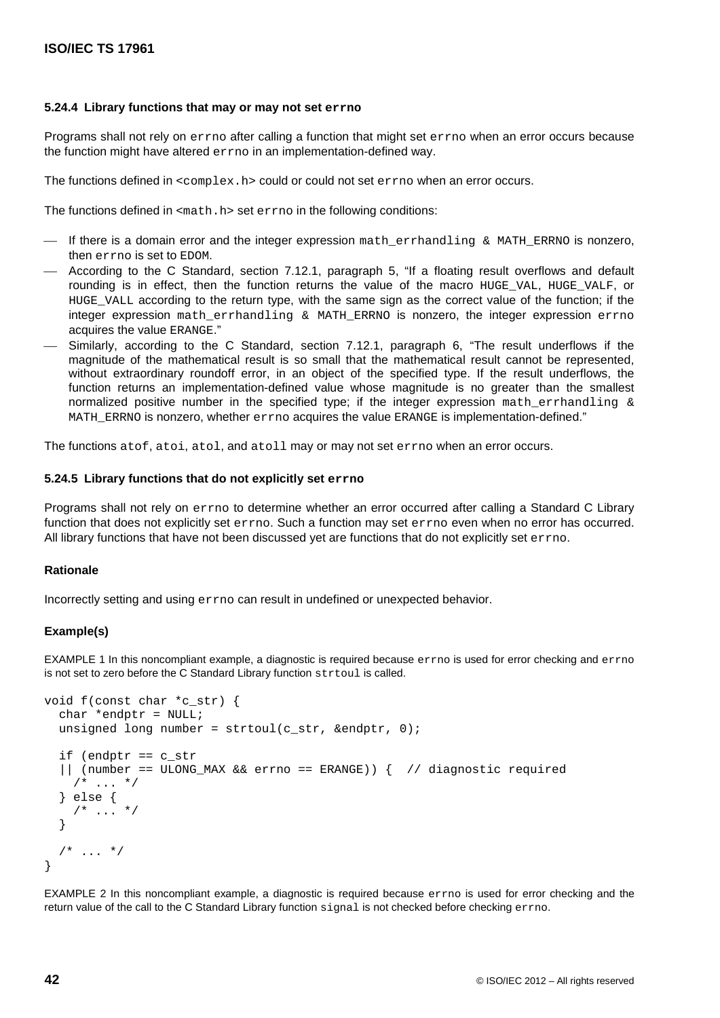## **5.24.4 Library functions that may or may not set errno**

Programs shall not rely on errno after calling a function that might set errno when an error occurs because the function might have altered errno in an implementation-defined way.

The functions defined in <complex.h> could or could not set errno when an error occurs.

The functions defined in  $\epsilon$  math.h> set errno in the following conditions:

- $-$  If there is a domain error and the integer expression math errhandling & MATH\_ERRNO is nonzero, then errno is set to EDOM.
- According to the C Standard, section 7.12.1, paragraph 5, "If a floating result overflows and default rounding is in effect, then the function returns the value of the macro HUGE VAL, HUGE VALF, or HUGE\_VALL according to the return type, with the same sign as the correct value of the function; if the integer expression math errhandling & MATH\_ERRNO is nonzero, the integer expression errno acquires the value ERANGE."
- Similarly, according to the C Standard, section 7.12.1, paragraph 6, "The result underflows if the magnitude of the mathematical result is so small that the mathematical result cannot be represented, without extraordinary roundoff error, in an object of the specified type. If the result underflows, the function returns an implementation-defined value whose magnitude is no greater than the smallest normalized positive number in the specified type; if the integer expression  $\text{math\_err}$  handling  $\&$ MATH\_ERRNO is nonzero, whether errno acquires the value ERANGE is implementation-defined."

The functions atof, atoi, atol, and atoll may or may not set errno when an error occurs.

### **5.24.5 Library functions that do not explicitly set errno**

Programs shall not rely on errno to determine whether an error occurred after calling a Standard C Library function that does not explicitly set errno. Such a function may set errno even when no error has occurred. All library functions that have not been discussed yet are functions that do not explicitly set errno.

### **Rationale**

Incorrectly setting and using errno can result in undefined or unexpected behavior.

### **Example(s)**

EXAMPLE 1 In this noncompliant example, a diagnostic is required because errno is used for error checking and errno is not set to zero before the C Standard Library function strtoul is called.

```
void f(const char *c_str) {
   char *endptr = NULL;
  unsigned long number = strtoul(c_str, &endptr, 0);
   if (endptr == c_str
   || (number == ULONG_MAX && errno == ERANGE)) { // diagnostic required
    /* \dots */ } else {
    /* ... */
 }
  /* ... */
}
```
EXAMPLE 2 In this noncompliant example, a diagnostic is required because errno is used for error checking and the return value of the call to the C Standard Library function signal is not checked before checking errno.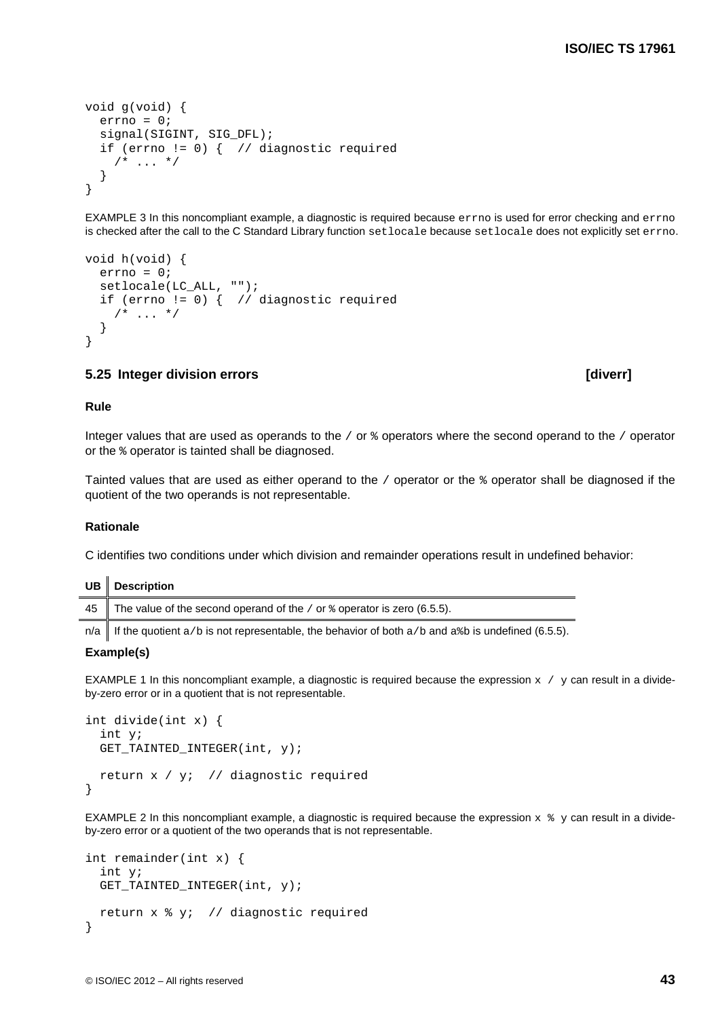```
GET TAINTED INTEGER(int, y);
 return x / y; // diagnostic required
```
int divide(int x) {

EXAMPLE 2 In this noncompliant example, a diagnostic is required because the expression  $x * y$  can result in a divideby-zero error or a quotient of the two operands that is not representable.

```
int remainder(int x) {
  int y;
  GET_TAINTED_INTEGER(int, y);
  return x % y; // diagnostic required
}
```

```
void g(void) {
   errno = 0;
   signal(SIGINT, SIG_DFL);
  if (errno != 0) \{ // diagnostic required
    /* ... */
   }
}
```
EXAMPLE 3 In this noncompliant example, a diagnostic is required because errno is used for error checking and errno is checked after the call to the C Standard Library function setlocale because setlocale does not explicitly set errno.

```
void h(void) {
   errno = 0;
   setlocale(LC_ALL, "");
   if (errno != 0) { // diagnostic required
    /* ... */
   }
}
```
## **5.25 Integer division errors [diverr]**

#### **Rule**

Integer values that are used as operands to the / or % operators where the second operand to the / operator or the % operator is tainted shall be diagnosed.

Tainted values that are used as either operand to the / operator or the % operator shall be diagnosed if the quotient of the two operands is not representable.

### **Rationale**

C identifies two conditions under which division and remainder operations result in undefined behavior:

| UB | <b>Description</b>                                                                                           |
|----|--------------------------------------------------------------------------------------------------------------|
| 45 | The value of the second operand of the $\prime$ or $\frac{1}{2}$ operator is zero (6.5.5).                   |
|    | $n/a$ If the quotient $a/b$ is not representable, the behavior of both $a/b$ and $a*b$ is undefined (6.5.5). |

# **Example(s)**

int y;

}

EXAMPLE 1 In this noncompliant example, a diagnostic is required because the expression  $x / y$  can result in a divideby-zero error or in a quotient that is not representable.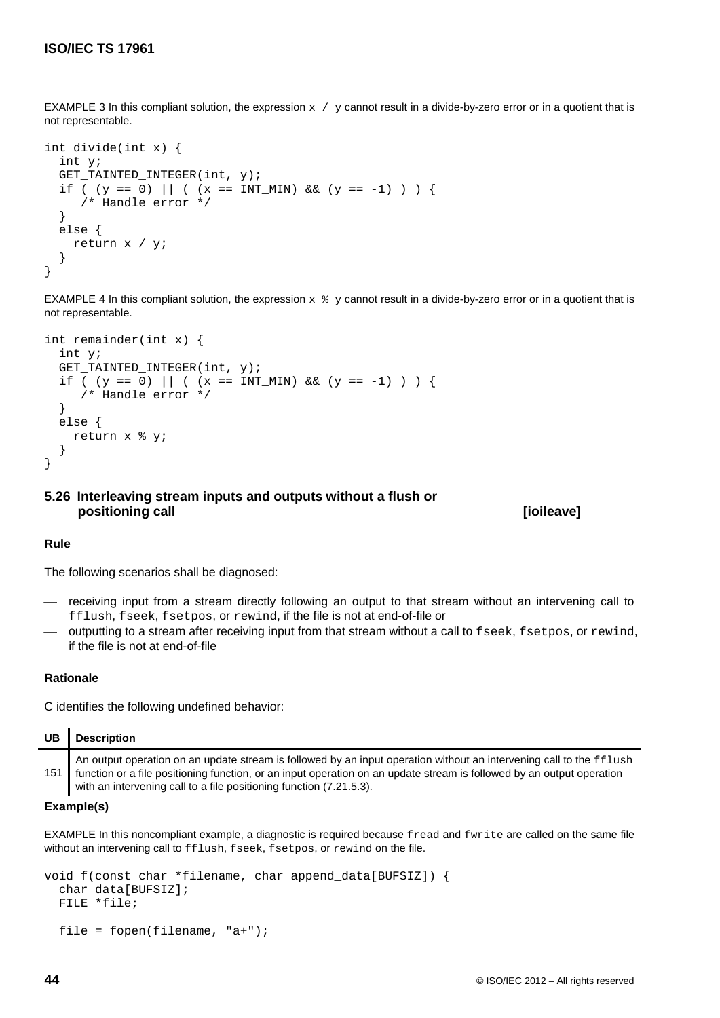EXAMPLE 3 In this compliant solution, the expression  $x / y$  cannot result in a divide-by-zero error or in a quotient that is not representable.

```
int divide(int x) {
   int y;
   GET_TAINTED_INTEGER(int, y);
  if ( (y == 0) || ( (x == INT_MIN) && (y == -1) ) ) {
      /* Handle error */
   }
   else {
     return x / y; 
   }
}
```
EXAMPLE 4 In this compliant solution, the expression  $x * y$  cannot result in a divide-by-zero error or in a quotient that is not representable.

```
int remainder(int x) {
   int y;
   GET_TAINTED_INTEGER(int, y);
  if ( (y == 0) || ( (x == INT_MIN) & (y == -1) ) }
      /* Handle error */
   }
   else {
     return x % y; 
   }
}
```
# **5.26 Interleaving stream inputs and outputs without a flush or positioning call** *ionizationing call ioileave*

# **Rule**

The following scenarios shall be diagnosed:

- receiving input from a stream directly following an output to that stream without an intervening call to fflush, fseek, fsetpos, or rewind, if the file is not at end-of-file or
- outputting to a stream after receiving input from that stream without a call to fseek, fsetpos, or rewind, if the file is not at end-of-file

# **Rationale**

C identifies the following undefined behavior:

| UB  | <b>Description</b>                                                                                                                                                                                                                                                                                                  |
|-----|---------------------------------------------------------------------------------------------------------------------------------------------------------------------------------------------------------------------------------------------------------------------------------------------------------------------|
| 151 | An output operation on an update stream is followed by an input operation without an intervening call to the fflush<br>function or a file positioning function, or an input operation on an update stream is followed by an output operation<br>with an intervening call to a file positioning function (7.21.5.3). |

### **Example(s)**

EXAMPLE In this noncompliant example, a diagnostic is required because fread and fwrite are called on the same file without an intervening call to fflush, fseek, fsetpos, or rewind on the file.

```
void f(const char *filename, char append_data[BUFSIZ]) {
   char data[BUFSIZ];
   FILE *file;
  file = fopen(filename, "a+");
```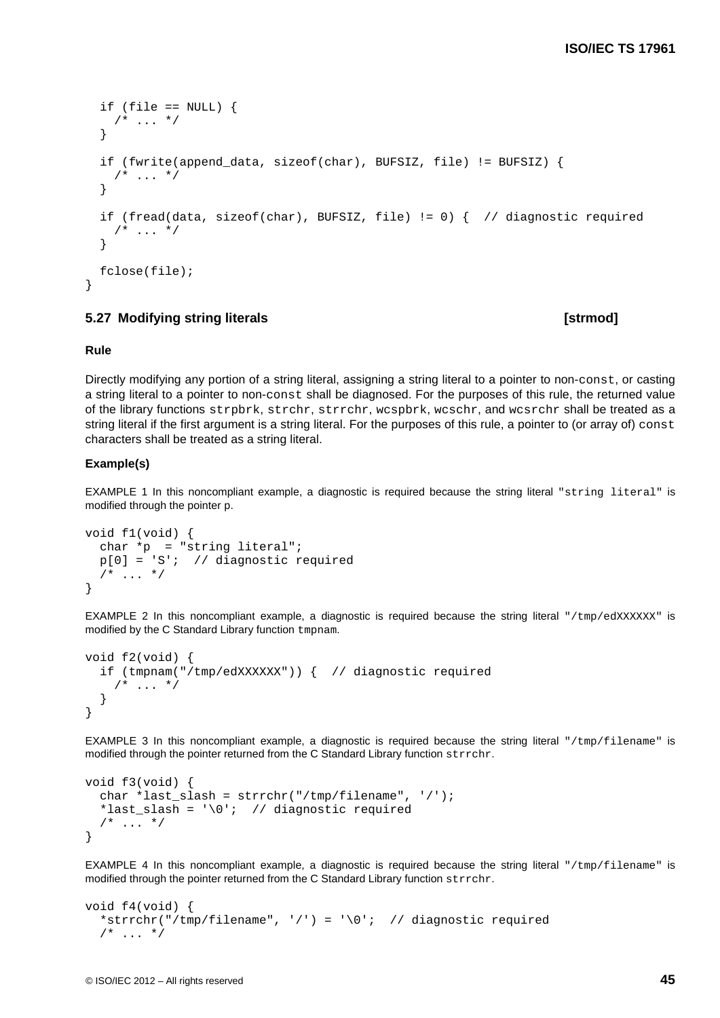```
if (file == NULL) {
   /* ... */
  }
  if (fwrite(append_data, sizeof(char), BUFSIZ, file) != BUFSIZ) {
   /* ... */
  }
 if (fread(data, sizeof(char), BUFSIZ, file) != 0) { // diagnostic required
   /* ... */
  }
  fclose(file);
}
```
## **5.27 Modifying string literals [strmod]**

#### **Rule**

Directly modifying any portion of a string literal, assigning a string literal to a pointer to non-const, or casting a string literal to a pointer to non-const shall be diagnosed. For the purposes of this rule, the returned value of the library functions strpbrk, strchr, strrchr, wcspbrk, wcschr, and wcsrchr shall be treated as a string literal if the first argument is a string literal. For the purposes of this rule, a pointer to (or array of) const characters shall be treated as a string literal.

### **Example(s)**

EXAMPLE 1 In this noncompliant example, a diagnostic is required because the string literal "string literal" is modified through the pointer p.

```
void f1(void) {
   char *p = "string literal";
  p[0] = 'S'; // diagnostic required
  /* \dots */
}
```
EXAMPLE 2 In this noncompliant example, a diagnostic is required because the string literal "/tmp/edXXXXXX" is modified by the C Standard Library function tmpnam.

```
void f2(void) {
   if (tmpnam("/tmp/edXXXXXX")) { // diagnostic required
    /* ... */
 }
}
```
EXAMPLE 3 In this noncompliant example, a diagnostic is required because the string literal "/tmp/filename" is modified through the pointer returned from the C Standard Library function strrchr.

```
void f3(void) {
   char *last_slash = strrchr("/tmp/filename", '/');
  *last slash = '\0'; // diagnostic required
  /* ... */
}
```
EXAMPLE 4 In this noncompliant example, a diagnostic is required because the string literal "/tmp/filename" is modified through the pointer returned from the C Standard Library function strrchr.

```
void f4(void) {
  *strrchr("/tmp/filename", '/') = '\0'; // diagnostic required
  /* ... */
```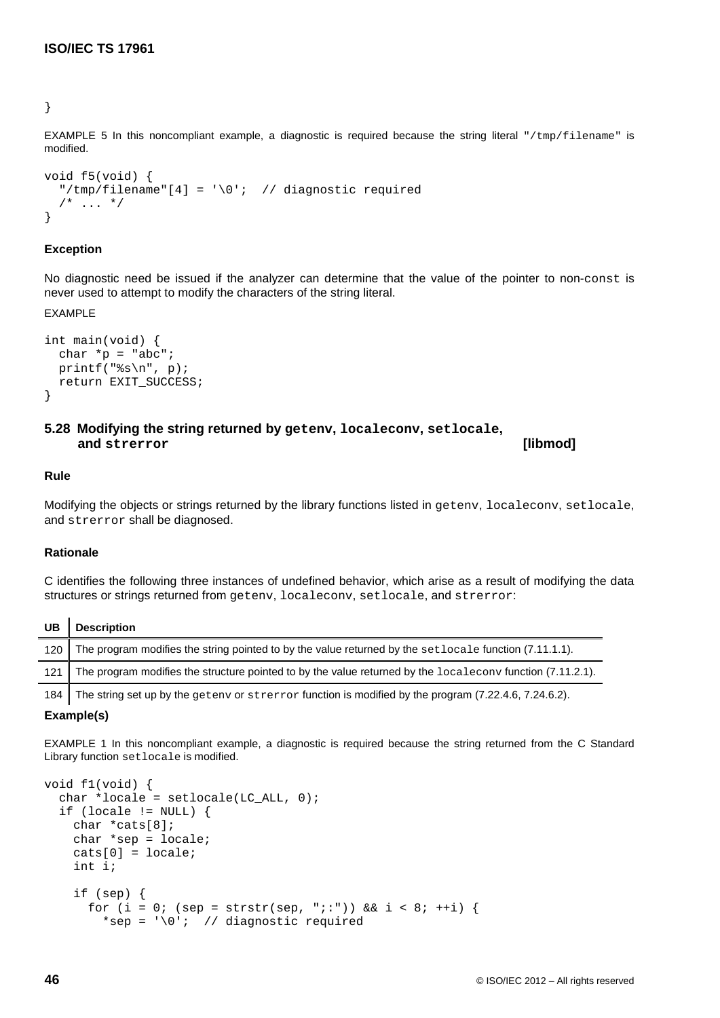}

EXAMPLE 5 In this noncompliant example, a diagnostic is required because the string literal "/tmp/filename" is modified.

```
void f5(void) {
  "/tmp/filename"[4] = \sqrt{0}: // diagnostic required
  /* ... */
}
```
#### **Exception**

No diagnostic need be issued if the analyzer can determine that the value of the pointer to non-const is never used to attempt to modify the characters of the string literal.

EXAMPLE

```
int main(void) {
  char *_{p} = "abc";
   printf("%s\n", p);
   return EXIT_SUCCESS;
}
```
# **5.28 Modifying the string returned by getenv, localeconv, setlocale, and strerror [libmod]**

#### **Rule**

Modifying the objects or strings returned by the library functions listed in getenv, localeconv, setlocale, and strerror shall be diagnosed.

#### **Rationale**

C identifies the following three instances of undefined behavior, which arise as a result of modifying the data structures or strings returned from getenv, localeconv, setlocale, and strerror:

| <b>UB</b> | Description                                                                                                |
|-----------|------------------------------------------------------------------------------------------------------------|
| 120 I     | The program modifies the string pointed to by the value returned by the $setscale$ function $(7.11.1.1)$ . |
| 121       | The program modifies the structure pointed to by the value returned by the localecony function (7.11.2.1). |
| 184       | The string set up by the getenv or strerror function is modified by the program (7.22.4.6, 7.24.6.2).      |

### **Example(s)**

EXAMPLE 1 In this noncompliant example, a diagnostic is required because the string returned from the C Standard Library function setlocale is modified.

```
void f1(void) {
   char *locale = setlocale(LC_ALL, 0);
   if (locale != NULL) {
     char *cats[8];
     char *sep = locale;
     cats[0] = locale;
     int i;
     if (sep) {
      for (i = 0; (sep = strstr(sep, ";:")) && i < 8; ++i) {
        *sep = '\0'; // diagnostic required
```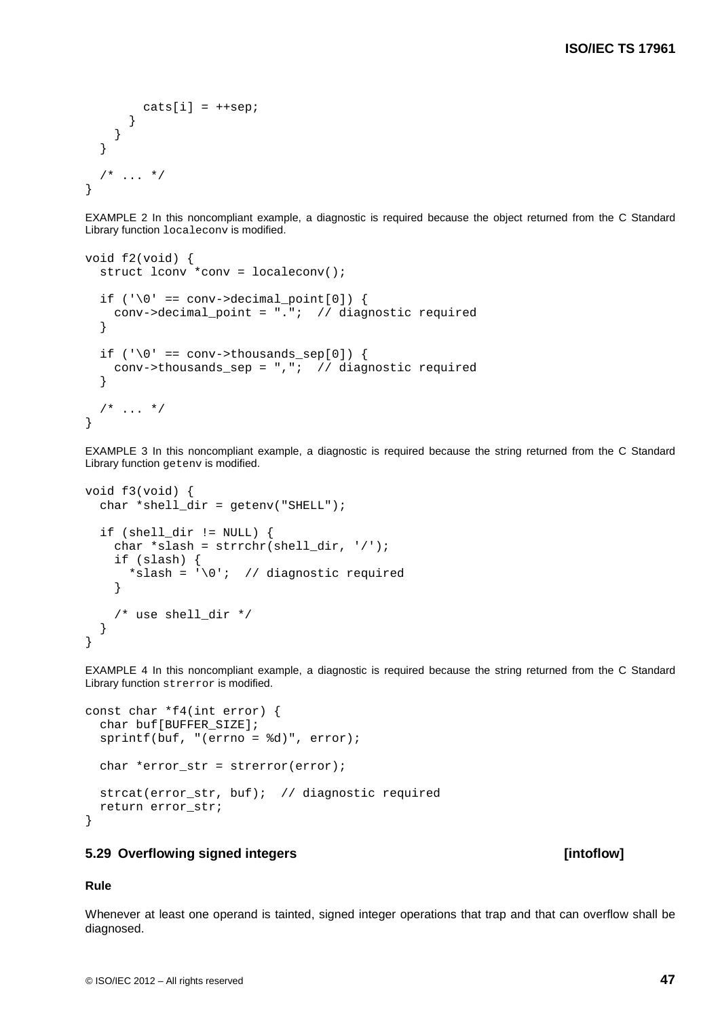```
if ('\0' == conv-\lambda decimal\_point[0]) {
   conv->decimal_point = "."; // diagnostic required
 }
```
void f2(void) {

 } } }

 $/$ \* ... \*/

}

 $\text{cats}[i] = +\text{sep};$ 

Library function localeconv is modified.

struct lconv \*conv = localeconv();

```
if ('\0' == conv->thousands\_sep[0]) {
    conv->thousands_sep = ", "; // diagram is a real part of the set of points. }
  /* ... */
}
```
EXAMPLE 3 In this noncompliant example, a diagnostic is required because the string returned from the C Standard Library function getenv is modified.

EXAMPLE 2 In this noncompliant example, a diagnostic is required because the object returned from the C Standard

```
void f3(void) {
   char *shell_dir = getenv("SHELL");
  if (shell dir != NULL) {
     char *slash = strrchr(shell_dir, '/');
     if (slash) {
      *slash = '\0'; // diagnostic required
     }
     /* use shell_dir */
   }
}
```
EXAMPLE 4 In this noncompliant example, a diagnostic is required because the string returned from the C Standard Library function strerror is modified.

```
const char *f4(int error) {
  char buf[BUFFER_SIZE];
 sprintf(buf, "(errno = d)", error);
  char *error_str = strerror(error);
 strcat(error_str, buf); // diagnostic required
  return error_str;
}
```
# **5.29 Overflowing signed integers [intoflow]**

# **Rule**

Whenever at least one operand is tainted, signed integer operations that trap and that can overflow shall be diagnosed.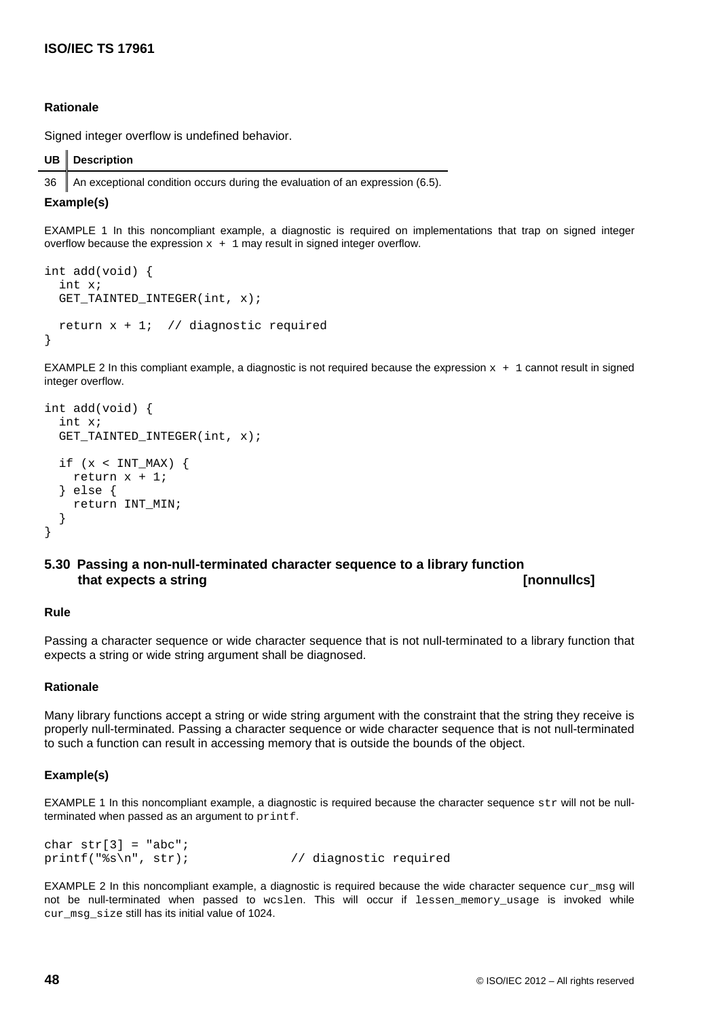## **Rationale**

Signed integer overflow is undefined behavior.

## **UB Description**

36 An exceptional condition occurs during the evaluation of an expression (6.5).

## **Example(s)**

EXAMPLE 1 In this noncompliant example, a diagnostic is required on implementations that trap on signed integer overflow because the expression  $x + 1$  may result in signed integer overflow.

```
int add(void) {
   int x;
  GET_TAINTED_INTEGER(int, x);
 return x + 1; // diagnostic required
}
```
EXAMPLE 2 In this compliant example, a diagnostic is not required because the expression  $x + 1$  cannot result in signed integer overflow.

```
int add(void) {
   int x;
   GET_TAINTED_INTEGER(int, x);
  if (x < INT MAX) {
     return x + 1;
   } else {
     return INT_MIN;
   }
}
```
# **5.30 Passing a non-null-terminated character sequence to a library function that expects a string that expects a string that expects a string that expects a string that expects a string that**  $\mathbf{a}$  **is a string that expects a string that**  $\mathbf{b}$  **is a string that expects a string that**  $\mathbf{b}$  **i**

### **Rule**

Passing a character sequence or wide character sequence that is not null-terminated to a library function that expects a string or wide string argument shall be diagnosed.

### **Rationale**

Many library functions accept a string or wide string argument with the constraint that the string they receive is properly null-terminated. Passing a character sequence or wide character sequence that is not null-terminated to such a function can result in accessing memory that is outside the bounds of the object.

# **Example(s)**

EXAMPLE 1 In this noncompliant example, a diagnostic is required because the character sequence  $str$  will not be nullterminated when passed as an argument to printf.

```
char str[3] = "abc";<br>printf("s \nright", str);
                                                          // diagnostic required
```
EXAMPLE 2 In this noncompliant example, a diagnostic is required because the wide character sequence cur\_msg will not be null-terminated when passed to wcslen. This will occur if lessen\_memory\_usage is invoked while cur\_msg\_size still has its initial value of 1024.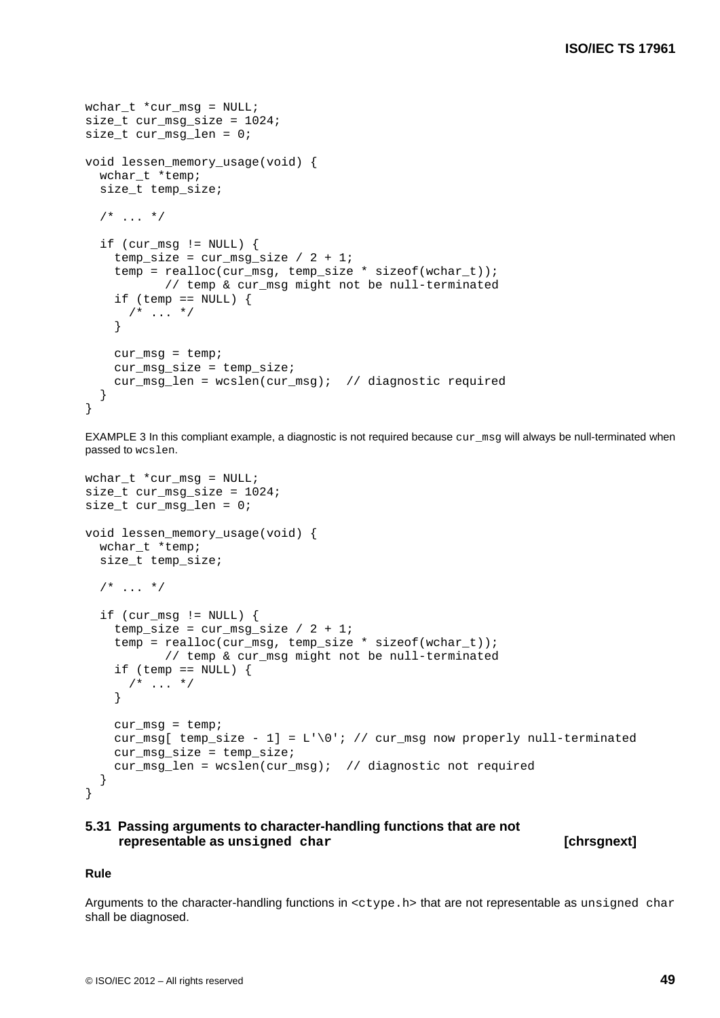```
wchar t *cur msq = NULL;
size_t cur_msg_size = 1024;
size_t cur_msg_len = 0;
void lessen_memory_usage(void) {
   wchar_t *temp;
   size_t temp_size;
  7 * ... *7if (cur_msg := NULL) {
    temp\_size = cur_msg\_size / 2 + 1; temp = realloc(cur_msg, temp_size * sizeof(wchar_t));
            // temp & cur_msg might not be null-terminated
    if (temp == NULL) {
     /* ... */
     }
    cur_m s g = temp i cur_msg_size = temp_size;
    cur_msg\_len = wslen(cur_msg); // diagnostic required
   }
}
```
EXAMPLE 3 In this compliant example, a diagnostic is not required because cur\_msg will always be null-terminated when passed to wcslen.

```
wchar t *cur msq = NULL;
size t cur msg size = 1024;
size_t cur_msg_len = 0;
void lessen_memory_usage(void) {
  wchar t *temp;
   size_t temp_size;
  /* ... */
  if cur_msg := NULL) {
    temp_size = cur_m s g_s i z e / 2 + 1;
    temp = realloc(cur_msg, temp_size * sizeof(wchar_t)); // temp & cur_msg might not be null-terminated
    if (temp == NULL) {
     /* ... */
     }
    cur_m s g = temp;cur_msg[ temp_size - 1] = L' \ 0'; // cur_msg now properly null-terminated
     cur_msg_size = temp_size;
     cur_msg_len = wcslen(cur_msg); // diagnostic not required
   }
}
```
## **5.31 Passing arguments to character-handling functions that are not representable as unsigned char [chrsgnext]**

## **Rule**

Arguments to the character-handling functions in  $\langle$ ctype.h> that are not representable as unsigned char shall be diagnosed.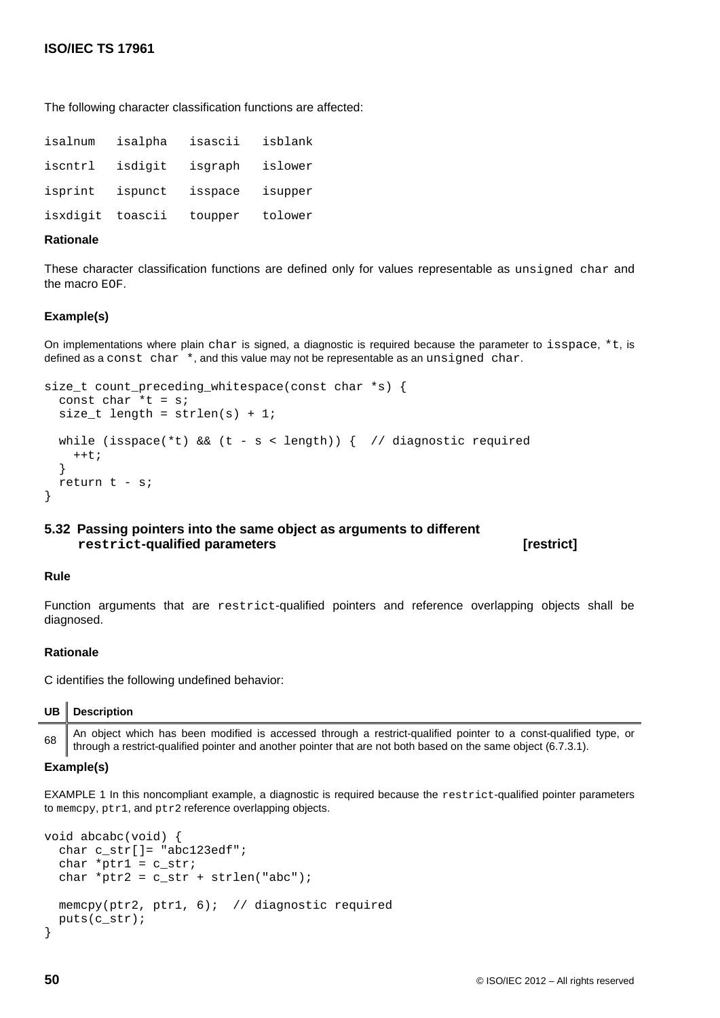The following character classification functions are affected:

| isalnum  | isalpha | isascii | isblank |
|----------|---------|---------|---------|
| iscntrl  | isdigit | isgraph | islower |
| isprint  | ispunct | isspace | isupper |
| isxdigit | toascii | toupper | tolower |

#### **Rationale**

These character classification functions are defined only for values representable as unsigned char and the macro EOF.

## **Example(s)**

On implementations where plain char is signed, a diagnostic is required because the parameter to isspace, \*t, is defined as a const char \*, and this value may not be representable as an unsigned char.

```
size_t count_preceding_whitespace(const char *s) {
  const char *t = sisize_t length = strlen(s) + 1;
  while (isspace(*t) && (t - s < length)) { // diagnostic required
    ++t; }
   return t - s;
}
```
## **5.32 Passing pointers into the same object as arguments to different restrict-qualified parameters [restrict]**

### **Rule**

Function arguments that are restrict-qualified pointers and reference overlapping objects shall be diagnosed.

## **Rationale**

C identifies the following undefined behavior:

### **UB Description**

68 An object which has been modified is accessed through a restrict-qualified pointer to a const-qualified type, or through a restrict-qualified pointer and another pointer that are not both based on the same object (6.7.3.1).

# **Example(s)**

EXAMPLE 1 In this noncompliant example, a diagnostic is required because the restrict-qualified pointer parameters to memcpy, ptr1, and ptr2 reference overlapping objects.

```
void abcabc(void) {
  char c_str[]= "abc123edf";
  char *ptr1 = c_strichar *ptr2 = c_str + strlen("abc");
   memcpy(ptr2, ptr1, 6); // diagnostic required
   puts(c_str);
}
```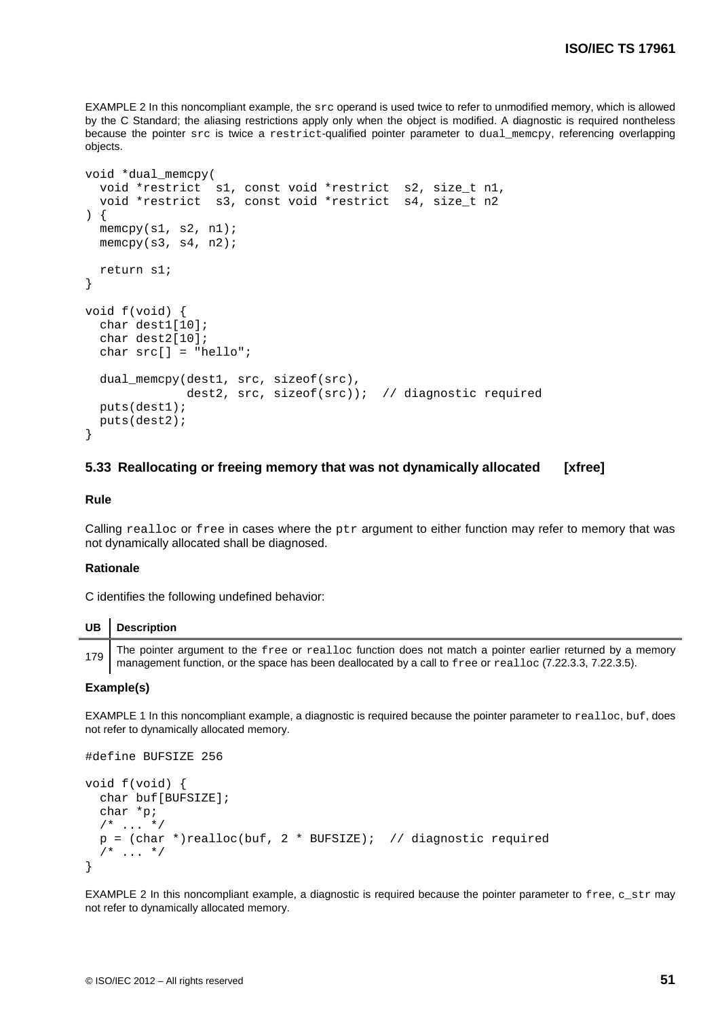EXAMPLE 2 In this noncompliant example, the src operand is used twice to refer to unmodified memory, which is allowed by the C Standard; the aliasing restrictions apply only when the object is modified. A diagnostic is required nontheless because the pointer src is twice a restrict-qualified pointer parameter to dual\_memcpy, referencing overlapping objects.

```
void *dual_memcpy(
   void *restrict s1, const void *restrict s2, size_t n1,
   void *restrict s3, const void *restrict s4, size_t n2
) {
   memcpy(s1, s2, n1);
  memcpy(s3, s4, n2); return s1;
}
void f(void) {
   char dest1[10];
   char dest2[10];
   char src[] = "hello";
   dual_memcpy(dest1, src, sizeof(src),
               dest2, src, sizeof(src)); // diagnostic required
   puts(dest1);
   puts(dest2);
}
```
# **5.33 Reallocating or freeing memory that was not dynamically allocated [xfree]**

## **Rule**

Calling realloc or free in cases where the  $ptr$  argument to either function may refer to memory that was not dynamically allocated shall be diagnosed.

#### **Rationale**

C identifies the following undefined behavior:

| UB | <b>Description</b>                                                                                                                                                                                                      |
|----|-------------------------------------------------------------------------------------------------------------------------------------------------------------------------------------------------------------------------|
|    | The pointer argument to the free or realloc function does not match a pointer earlier returned by a memory management function, or the space has been deallocated by a call to free or realloc $(7.22.3.3, 7.22.3.5)$ . |

#### **Example(s)**

EXAMPLE 1 In this noncompliant example, a diagnostic is required because the pointer parameter to realloc, buf, does not refer to dynamically allocated memory.

```
#define BUFSIZE 256
void f(void) {
  char buf[BUFSIZE];
  char *p;
 /* ... */
 p = (char *)realloc(buf, 2 * BUFSIZE); // diagonal/* ... */
}
```
EXAMPLE 2 In this noncompliant example, a diagnostic is required because the pointer parameter to free, c\_str may not refer to dynamically allocated memory.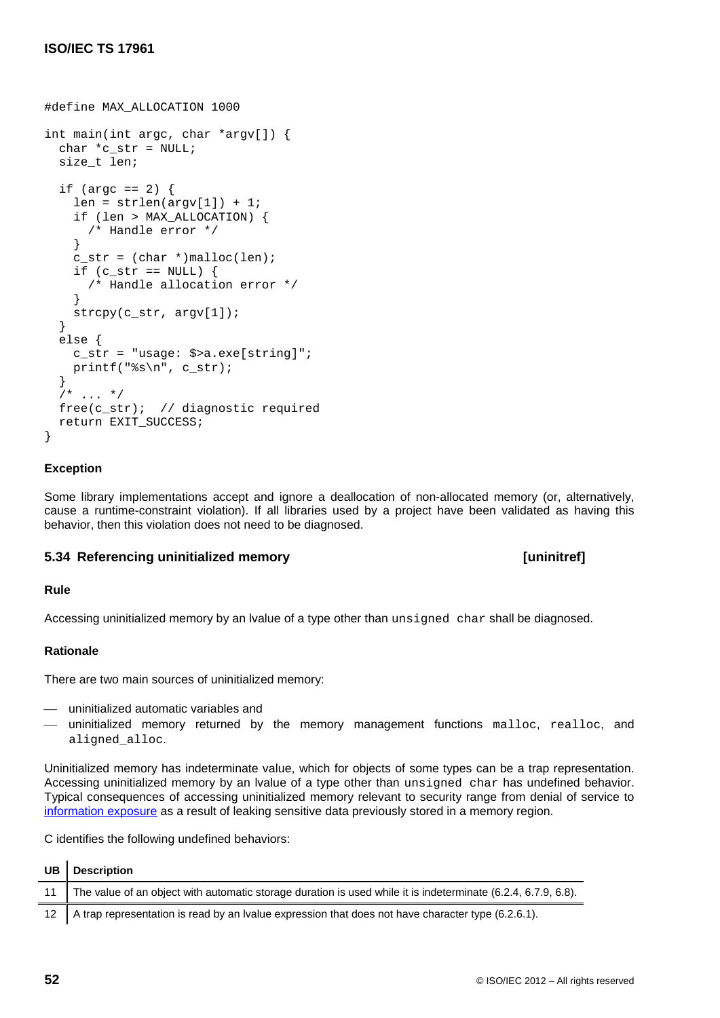```
#define MAX_ALLOCATION 1000
int main(int argc, char *argv[]) {
   char *c_str = NULL;
   size_t len;
  if (argc == 2) \{len = strlen(argv[1]) + 1; if (len > MAX_ALLOCATION) {
       /* Handle error */
     }
    c_ \text{str} = (\text{char }*)malloc(len);
    if (c_str == NULL) {
       /* Handle allocation error */
     }
     strcpy(c_str, argv[1]);
   }
   else {
     c_str = "usage: $>a.exe[string]";
     printf("%s\n", c_str);
   }
  7 * ... * / free(c_str); // diagnostic required
   return EXIT_SUCCESS;
}
```
# **Exception**

Some library implementations accept and ignore a deallocation of non-allocated memory (or, alternatively, cause a runtime-constraint violation). If all libraries used by a project have been validated as having this behavior, then this violation does not need to be diagnosed.

# **5.34 Referencing uninitialized memory [uninitref]**

### **Rule**

Accessing uninitialized memory by an lvalue of a type other than unsigned char shall be diagnosed.

### **Rationale**

There are two main sources of uninitialized memory:

- uninitialized automatic variables and
- uninitialized memory returned by the memory management functions malloc, realloc, and aligned\_alloc.

Uninitialized memory has indeterminate value, which for objects of some types can be a trap representation. Accessing uninitialized memory by an lvalue of a type other than unsigned char has undefined behavior. Typical consequences of accessing uninitialized memory relevant to security range from denial of service to [information exposure](http://cwe.mitre.org/data/definitions/200.html) as a result of leaking sensitive data previously stored in a memory region.

C identifies the following undefined behaviors:

| <b>UB</b>       | <b>Description</b>                                                                                            |
|-----------------|---------------------------------------------------------------------------------------------------------------|
| 11 <sup>1</sup> | The value of an object with automatic storage duration is used while it is indeterminate (6.2.4, 6.7.9, 6.8). |
|                 | 12 A trap representation is read by an Ivalue expression that does not have character type (6.2.6.1).         |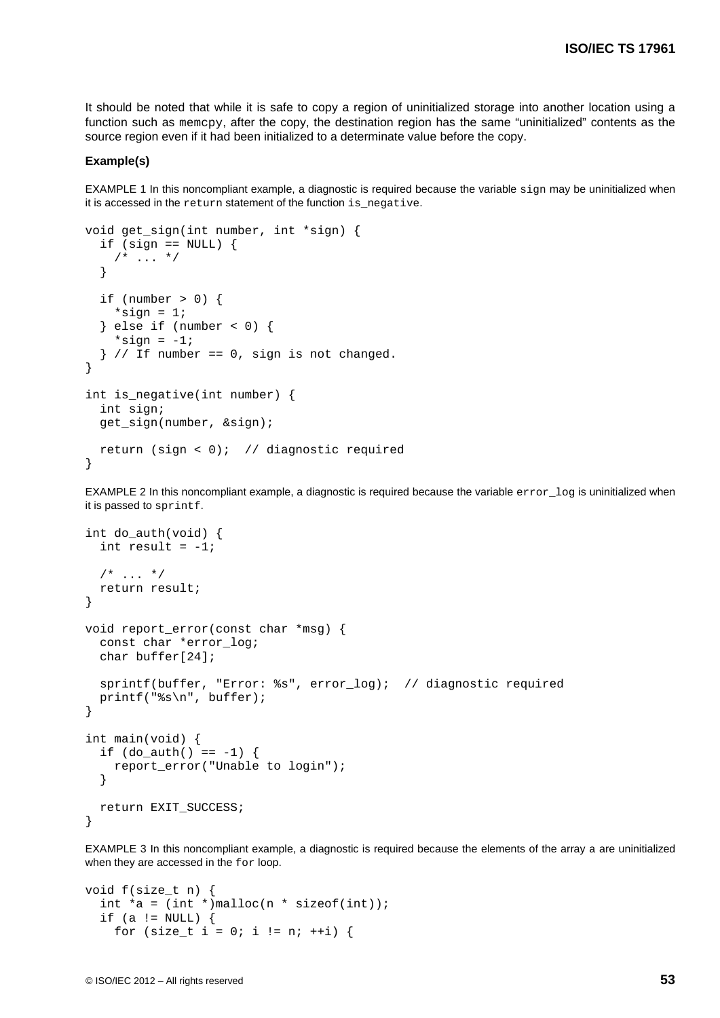It should be noted that while it is safe to copy a region of uninitialized storage into another location using a function such as memcpy, after the copy, the destination region has the same "uninitialized" contents as the source region even if it had been initialized to a determinate value before the copy.

#### **Example(s)**

EXAMPLE 1 In this noncompliant example, a diagnostic is required because the variable sign may be uninitialized when it is accessed in the return statement of the function is\_negative.

```
void get_sign(int number, int *sign) {
  if (sign == NULL) {
    /* ... */
   }
  if (number > 0) {
    *sign = 1; } else if (number < 0) {
    *sign = -1;
  } // If number == 0, sign is not changed.}
int is_negative(int number) {
  int sign;
   get_sign(number, &sign);
   return (sign < 0); // diagnostic required
}
```
EXAMPLE 2 In this noncompliant example, a diagnostic is required because the variable error\_log is uninitialized when it is passed to sprintf.

```
int do_auth(void) {
  int result = -1;
  /* ... */
   return result;
}
void report_error(const char *msg) {
   const char *error_log;
   char buffer[24];
   sprintf(buffer, "Error: %s", error_log); // diagnostic required
   printf("%s\n", buffer);
}
int main(void) {
  if (do_auth() == -1) {
     report_error("Unable to login");
 }
   return EXIT_SUCCESS;
}
```
EXAMPLE 3 In this noncompliant example, a diagnostic is required because the elements of the array a are uninitialized when they are accessed in the for loop.

```
void f(size_t n) {
  int a = (int *)malloc(n * sizeof(int));
  if (a != NULL) {
    for (size_t i = 0; i != n; ++i) {
```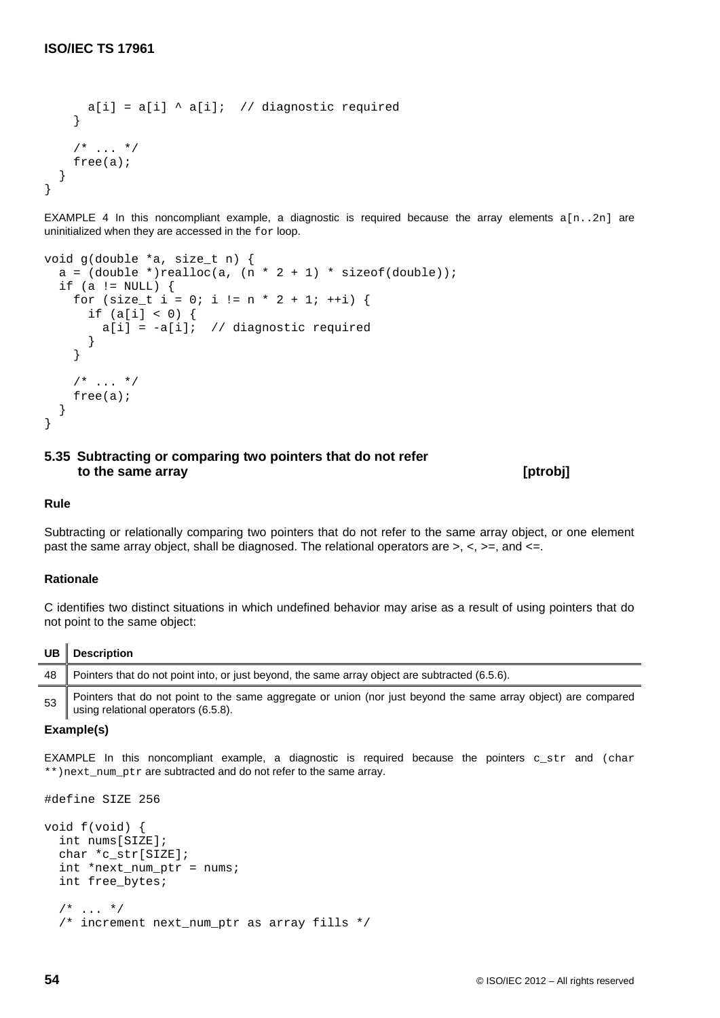```
a[i] = a[i] \land a[i]; // diagnostic required
     }
    /* ... */
     free(a);
   }
}
```
EXAMPLE 4 In this noncompliant example, a diagnostic is required because the array elements  $a[n..2n]$  are uninitialized when they are accessed in the for loop.

```
void g(double *a, size_t n) {
  a = (double *)realloc(a, (n * 2 + 1) * sizeof(double));if (a != NULL) {
    for (size_t i = 0; i != n * 2 + 1; ++i) {
      if (a[i] < 0) {
        a[i] = -a[i]; // diagnostic required
       }
     }
    / * ... * / free(a);
   }
}
```
## **5.35 Subtracting or comparing two pointers that do not refer to the same array [ptrobj]**

## **Rule**

Subtracting or relationally comparing two pointers that do not refer to the same array object, or one element past the same array object, shall be diagnosed. The relational operators are  $>$ ,  $\lt$ ,  $>$ =, and  $\lt$ =.

### **Rationale**

C identifies two distinct situations in which undefined behavior may arise as a result of using pointers that do not point to the same object:

| UB | <b>Description</b>                                                                                             |
|----|----------------------------------------------------------------------------------------------------------------|
| 48 | Pointers that do not point into, or just beyond, the same array object are subtracted (6.5.6).                 |
|    | Pointers that do not point to the same aggregate or union (nor just beyond the same array object) are compared |

<sup>53</sup> Pointers that do not point to the same aggregate or union (nor just beyond the same array object) are compared using relational operators (6.5.8).

### **Example(s)**

EXAMPLE In this noncompliant example, a diagnostic is required because the pointers c\_str and (char \*\*)next\_num\_ptr are subtracted and do not refer to the same array.

```
#define SIZE 256
void f(void) {
   int nums[SIZE];
  char *c_str[SIZE];
   int *next_num_ptr = nums;
  int free bytes;
  /* ... */
  /* increment next num ptr as array fills */
```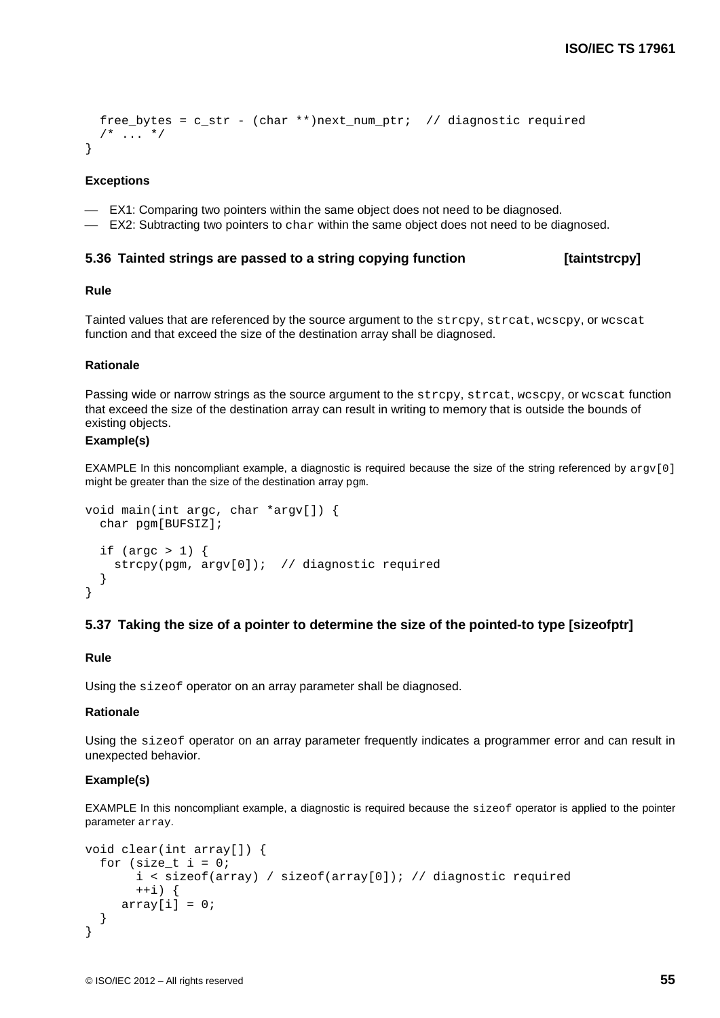```
 free_bytes = c_str - (char **)next_num_ptr; // diagnostic required
 /* ... */
```
## **Exceptions**

}

- EX1: Comparing two pointers within the same object does not need to be diagnosed.
- EX2: Subtracting two pointers to char within the same object does not need to be diagnosed.

## **5.36 Tainted strings are passed to a string copying function [taintstrcpy]**

### **Rule**

Tainted values that are referenced by the source argument to the strcpy, strcat, wcscpy, or wcscat function and that exceed the size of the destination array shall be diagnosed.

#### **Rationale**

Passing wide or narrow strings as the source argument to the strcpy, streat, wcscpy, or wcscat function that exceed the size of the destination array can result in writing to memory that is outside the bounds of existing objects.

#### **Example(s)**

EXAMPLE In this noncompliant example, a diagnostic is required because the size of the string referenced by argv[0] might be greater than the size of the destination array pgm.

```
void main(int argc, char *argv[]) {
   char pgm[BUFSIZ];
  if (argc > 1) {
     strcpy(pgm, argv[0]); // diagnostic required
   }
}
```
### **5.37 Taking the size of a pointer to determine the size of the pointed-to type [sizeofptr]**

#### **Rule**

Using the sizeof operator on an array parameter shall be diagnosed.

#### **Rationale**

Using the sizeof operator on an array parameter frequently indicates a programmer error and can result in unexpected behavior.

### **Example(s)**

EXAMPLE In this noncompliant example, a diagnostic is required because the sizeof operator is applied to the pointer parameter array.

```
void clear(int array[]) {
  for (size_t i = 0; i < sizeof(array) / sizeof(array[0]); // diagnostic required
        ++i) {
     array[i] = 0;}
}
```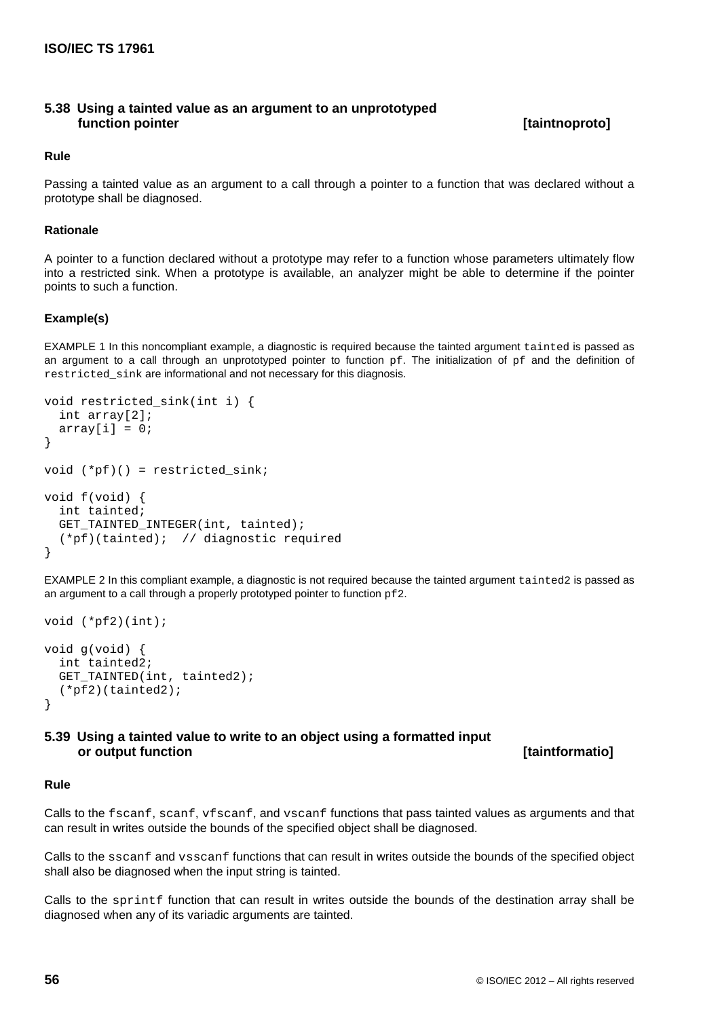# **5.38 Using a tainted value as an argument to an unprototyped function pointer [taintnoproto]**

## **Rule**

Passing a tainted value as an argument to a call through a pointer to a function that was declared without a prototype shall be diagnosed.

## **Rationale**

A pointer to a function declared without a prototype may refer to a function whose parameters ultimately flow into a restricted sink. When a prototype is available, an analyzer might be able to determine if the pointer points to such a function.

# **Example(s)**

EXAMPLE 1 In this noncompliant example, a diagnostic is required because the tainted argument tainted is passed as an argument to a call through an unprototyped pointer to function  $pf$ . The initialization of  $pf$  and the definition of restricted sink are informational and not necessary for this diagnosis.

```
void restricted_sink(int i) {
   int array[2];
  array[i] = 0;}
void (*pf)() = restricted_sink;
void f(void) {
   int tainted;
  GET TAINTED INTEGER(int, tainted);
   (*pf)(tainted); // diagnostic required
}
```
EXAMPLE 2 In this compliant example, a diagnostic is not required because the tainted argument tainted2 is passed as an argument to a call through a properly prototyped pointer to function  $pf2$ .

```
void (*pf2)(int);
void g(void) {
   int tainted2;
   GET_TAINTED(int, tainted2);
   (*pf2)(tainted2);
}
```
# **5.39 Using a tainted value to write to an object using a formatted input or output function [taintformatio]**

### **Rule**

Calls to the fscanf, scanf, vfscanf, and vscanf functions that pass tainted values as arguments and that can result in writes outside the bounds of the specified object shall be diagnosed.

Calls to the sscanf and vsscanf functions that can result in writes outside the bounds of the specified object shall also be diagnosed when the input string is tainted.

Calls to the sprintf function that can result in writes outside the bounds of the destination array shall be diagnosed when any of its variadic arguments are tainted.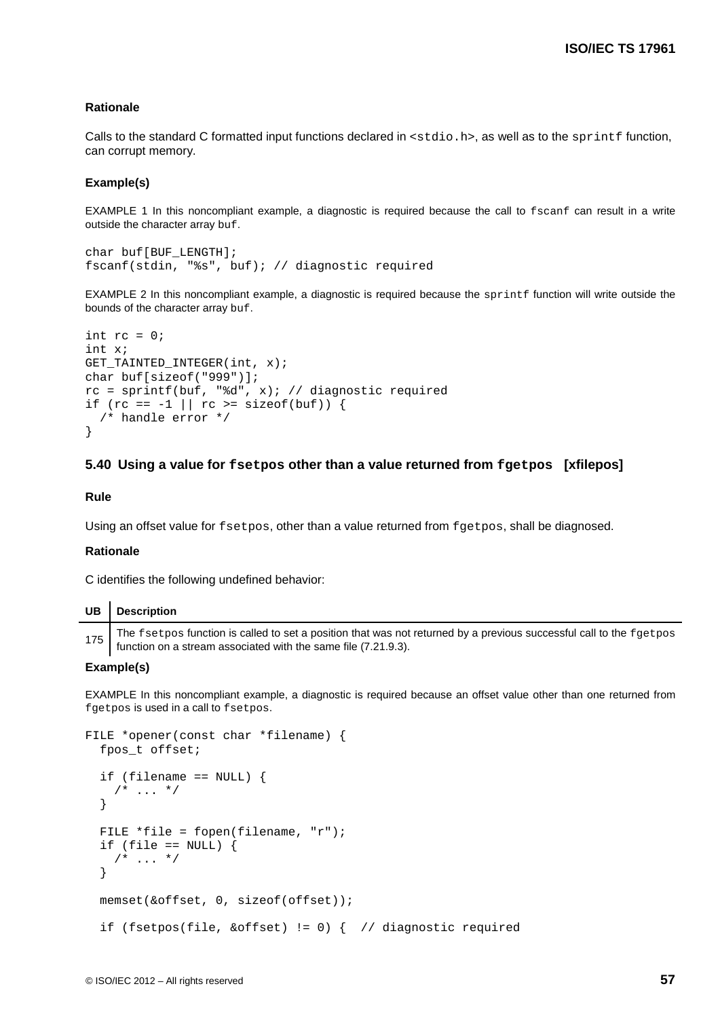#### **Rationale**

Calls to the standard C formatted input functions declared in <stdio.h>, as well as to the sprintf function, can corrupt memory.

#### **Example(s)**

EXAMPLE 1 In this noncompliant example, a diagnostic is required because the call to fscanf can result in a write outside the character array buf.

```
char buf[BUF_LENGTH];
fscanf(stdin, "%s", buf); // diagnostic required
```
EXAMPLE 2 In this noncompliant example, a diagnostic is required because the sprintf function will write outside the bounds of the character array buf.

```
int rc = 0;
int x;
GET_TAINTED_INTEGER(int, x);
char buf[sizeof("999")];
rc = sprintf(buf, "d", x); // diagonalif (rc == -1 || rc >= sizeof(buf)) {
  /* handle error */
}
```
#### **5.40 Using a value for fsetpos other than a value returned from fgetpos [xfilepos]**

## **Rule**

Using an offset value for fsetpos, other than a value returned from fgetpos, shall be diagnosed.

### **Rationale**

C identifies the following undefined behavior:

| $UB$ Description                                                                                                                                                                          |
|-------------------------------------------------------------------------------------------------------------------------------------------------------------------------------------------|
| 175 The fsetpos function is called to set a position that was not returned by a previous successful call to the fgetpos<br>function on a stream associated with the same file (7.21.9.3). |

## **Example(s)**

EXAMPLE In this noncompliant example, a diagnostic is required because an offset value other than one returned from fgetpos is used in a call to fsetpos.

```
FILE *opener(const char *filename) {
  fpos_t offset;
   if (filename == NULL) {
    /* ... */
   }
 FILE *file = fopen(filename, 'r");
 if (file == NULL) {
    /* ... */
   }
  memset(&offset, 0, sizeof(offset));
   if (fsetpos(file, &offset) != 0) { // diagnostic required
```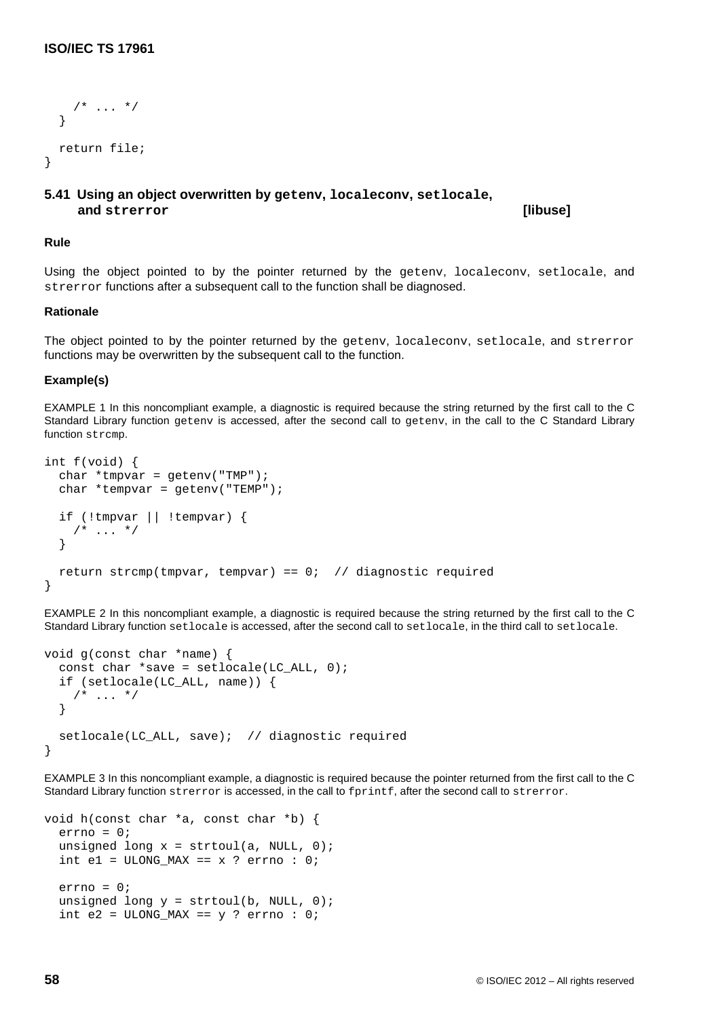```
/* ... */
   }
   return file;
}
```
# **5.41 Using an object overwritten by getenv, localeconv, setlocale, and strerror [libuse]**

#### **Rule**

Using the object pointed to by the pointer returned by the getenv, localeconv, setlocale, and strerror functions after a subsequent call to the function shall be diagnosed.

### **Rationale**

The object pointed to by the pointer returned by the getenv, localeconv, setlocale, and strerror functions may be overwritten by the subsequent call to the function.

#### **Example(s)**

EXAMPLE 1 In this noncompliant example, a diagnostic is required because the string returned by the first call to the C Standard Library function geteny is accessed, after the second call to geteny, in the call to the C Standard Library function strcmp.

```
int f(void) {
  char *tmpvar = getenv("TMP");
  char *tempvar = getenv("TEMP");
   if (!tmpvar || !tempvar) {
   /* ... */
   }
  return strcmp(tmpvar, tempvar) == 0; // diagnostic required
}
```
EXAMPLE 2 In this noncompliant example, a diagnostic is required because the string returned by the first call to the C Standard Library function setlocale is accessed, after the second call to setlocale, in the third call to setlocale.

```
void g(const char *name) {
  const char *save = setlocale(LC_ALL, 0); if (setlocale(LC_ALL, name)) {
    /* ... */
   }
   setlocale(LC_ALL, save); // diagnostic required
}
```
EXAMPLE 3 In this noncompliant example, a diagnostic is required because the pointer returned from the first call to the C Standard Library function strerror is accessed, in the call to fprintf, after the second call to strerror.

```
void h(const char *a, const char *b) {
  errno = 0;unsigned long x = strtoul(a, NULL, 0);
  int e1 = ULONG_MAX == x ? error : 0; errno = 0;
  unsigned long y = \text{strtoul}(b, \text{NULL}, 0);
  int e2 = ULONG_MAX == y ? errno : 0;
```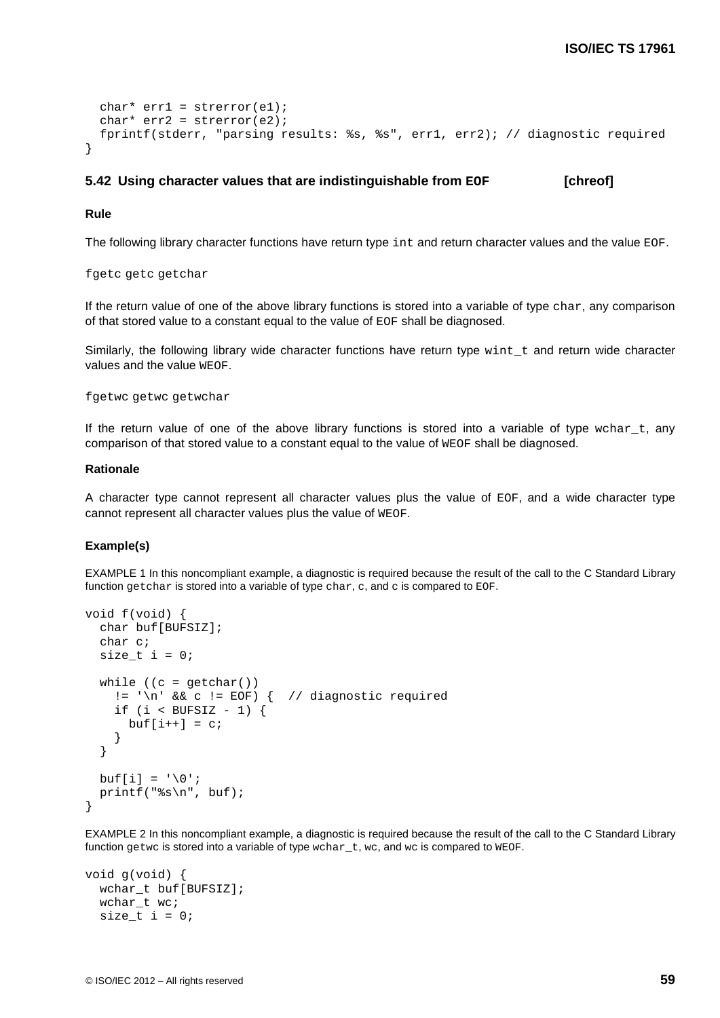```
char* err1 = strerror(e1);
 char* err2 = strerror(e2);
  fprintf(stderr, "parsing results: %s, %s", err1, err2); // diagnostic required
}
```
#### **5.42** Using character values that are indistinguishable from EOF [chreof]

#### **Rule**

The following library character functions have return type int and return character values and the value EOF.

fgetc getc getchar

If the return value of one of the above library functions is stored into a variable of type char, any comparison of that stored value to a constant equal to the value of EOF shall be diagnosed.

Similarly, the following library wide character functions have return type wint  $t$  and return wide character values and the value WEOF.

fgetwc getwc getwchar

If the return value of one of the above library functions is stored into a variable of type  $wchar\_t$ , any comparison of that stored value to a constant equal to the value of WEOF shall be diagnosed.

## **Rationale**

A character type cannot represent all character values plus the value of EOF, and a wide character type cannot represent all character values plus the value of WEOF.

#### **Example(s)**

EXAMPLE 1 In this noncompliant example, a diagnostic is required because the result of the call to the C Standard Library function getchar is stored into a variable of type char,  $c$ , and  $c$  is compared to EOF.

```
void f(void) {
   char buf[BUFSIZ];
   char c;
  size_t i = 0;
  while ((c = \text{getchar}()))!= '\n' && c != EOF) { // diagnostic required
    if (i < BUFSIZ - 1) {
      buf[i++] = ci }
   }
  buf[i] = \sqrt{0'i} printf("%s\n", buf);
}
```
EXAMPLE 2 In this noncompliant example, a diagnostic is required because the result of the call to the C Standard Library function getwc is stored into a variable of type wchar $_t$ , wc, and wc is compared to WEOF.

```
void g(void) {
   wchar_t buf[BUFSIZ];
   wchar_t wc;
  size_t i = 0;
```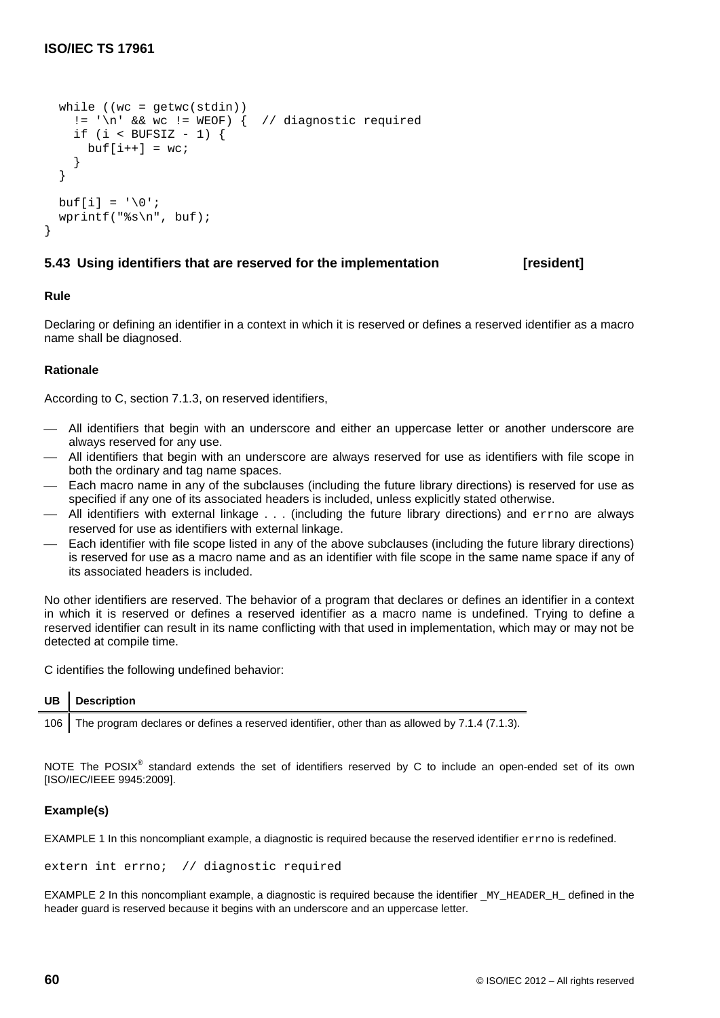```
 while ((wc = getwc(stdin))
  != '\n' && wc != WEOF) \{ // diagnostic required
  if (i < BUFSIZ - 1) \{buf[i++] = wc; }
 }
buf[i] = '\\0'; wprintf("%s\n", buf);
```
# **5.43 Using identifiers that are reserved for the implementation [resident]**

# **Rule**

}

Declaring or defining an identifier in a context in which it is reserved or defines a reserved identifier as a macro name shall be diagnosed.

## **Rationale**

According to C, section 7.1.3, on reserved identifiers,

- All identifiers that begin with an underscore and either an uppercase letter or another underscore are always reserved for any use.
- All identifiers that begin with an underscore are always reserved for use as identifiers with file scope in both the ordinary and tag name spaces.
- Each macro name in any of the subclauses (including the future library directions) is reserved for use as specified if any one of its associated headers is included, unless explicitly stated otherwise.
- All identifiers with external linkage . . . (including the future library directions) and errno are always reserved for use as identifiers with external linkage.
- Each identifier with file scope listed in any of the above subclauses (including the future library directions) is reserved for use as a macro name and as an identifier with file scope in the same name space if any of its associated headers is included.

No other identifiers are reserved. The behavior of a program that declares or defines an identifier in a context in which it is reserved or defines a reserved identifier as a macro name is undefined. Trying to define a reserved identifier can result in its name conflicting with that used in implementation, which may or may not be detected at compile time.

C identifies the following undefined behavior:

| UB | $\parallel$ Description |  |  |  |  |  |
|----|-------------------------|--|--|--|--|--|
|    |                         |  |  |  |  |  |

106 The program declares or defines a reserved identifier, other than as allowed by 7.1.4 (7.1.3).

NOTE The POSIX<sup>®</sup> standard extends the set of identifiers reserved by C to include an open-ended set of its own [ISO/IEC/IEEE 9945:2009].

### **Example(s)**

EXAMPLE 1 In this noncompliant example, a diagnostic is required because the reserved identifier errno is redefined.

extern int errno; // diagnostic required

EXAMPLE 2 In this noncompliant example, a diagnostic is required because the identifier  $_M$  HEADER  $H$  defined in the header guard is reserved because it begins with an underscore and an uppercase letter.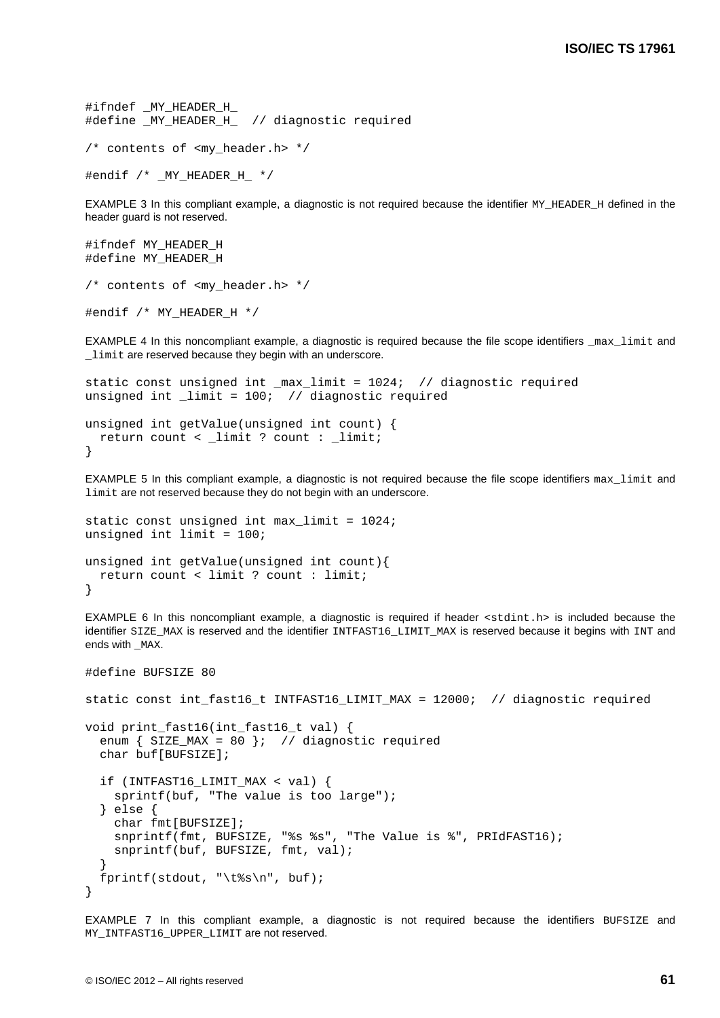```
#ifndef MY HEADER H
#define _MY_HEADER_H_ // diagnostic required
/* contents of <my_header.h> */
```
#endif /\* \_MY\_HEADER\_H\_ \*/

EXAMPLE 3 In this compliant example, a diagnostic is not required because the identifier MY\_HEADER\_H defined in the header guard is not reserved.

```
#ifndef MY_HEADER_H
#define MY_HEADER_H
/* contents of <my_header.h> */
#endif /* MY_HEADER_H */
```
EXAMPLE 4 In this noncompliant example, a diagnostic is required because the file scope identifiers \_max\_limit and \_limit are reserved because they begin with an underscore.

```
static const unsigned int max limit = 1024; // diagnostic required
unsigned int limit = 100; // diagnostic required
unsigned int getValue(unsigned int count) {
  return count < _limit ? count : _limit;
}
```
EXAMPLE 5 In this compliant example, a diagnostic is not required because the file scope identifiers max\_limit and limit are not reserved because they do not begin with an underscore.

```
static const unsigned int max_limit = 1024;
unsigned int limit = 100;
unsigned int getValue(unsigned int count){
   return count < limit ? count : limit;
}
```
EXAMPLE 6 In this noncompliant example, a diagnostic is required if header <stdint.h> is included because the identifier SIZE\_MAX is reserved and the identifier INTFAST16\_LIMIT\_MAX is reserved because it begins with INT and ends with MAX.

```
#define BUFSIZE 80
static const int fast16 t INTFAST16 LIMIT MAX = 12000; // diagnostic required
void print_fast16(int_fast16_t val) {
  enum \{ SIZE_MAX = 80 }; // diagnostic required
   char buf[BUFSIZE];
   if (INTFAST16_LIMIT_MAX < val) {
     sprintf(buf, "The value is too large");
   } else {
     char fmt[BUFSIZE];
     snprintf(fmt, BUFSIZE, "%s %s", "The Value is %", PRIdFAST16);
     snprintf(buf, BUFSIZE, fmt, val);
   }
   fprintf(stdout, "\t%s\n", buf);
}
```
EXAMPLE 7 In this compliant example, a diagnostic is not required because the identifiers BUFSIZE and MY\_INTFAST16\_UPPER\_LIMIT are not reserved.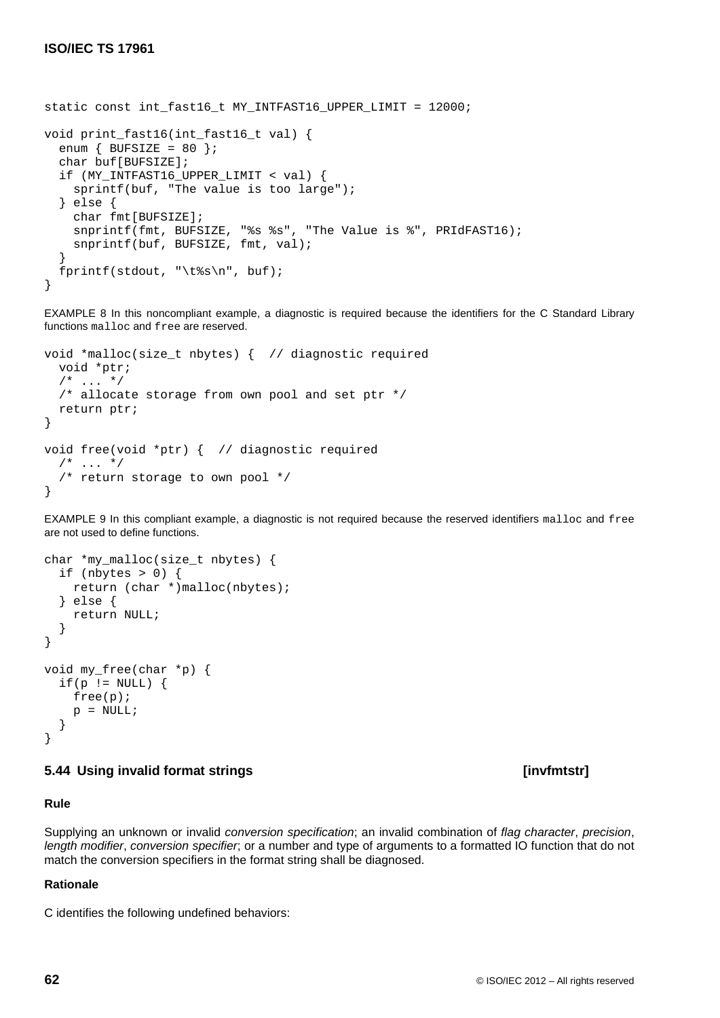```
static const int_fast16_t MY_INTFAST16_UPPER_LIMIT = 12000;
void print_fast16(int_fast16_t val) {
  enum \{ BUFSIZE = 80 \};
   char buf[BUFSIZE];
   if (MY_INTFAST16_UPPER_LIMIT < val) {
     sprintf(buf, "The value is too large");
   } else {
     char fmt[BUFSIZE];
     snprintf(fmt, BUFSIZE, "%s %s", "The Value is %", PRIdFAST16);
     snprintf(buf, BUFSIZE, fmt, val);
   }
   fprintf(stdout, "\t%s\n", buf);
}
```
EXAMPLE 8 In this noncompliant example, a diagnostic is required because the identifiers for the C Standard Library functions malloc and free are reserved.

```
void *malloc(size_t nbytes) { // diagnostic required
   void *ptr;
  /* ... */
   /* allocate storage from own pool and set ptr */
   return ptr;
}
void free(void *ptr) { // diagnostic required
  /* ... */
   /* return storage to own pool */
}
```
EXAMPLE 9 In this compliant example, a diagnostic is not required because the reserved identifiers malloc and free are not used to define functions.

```
char *my_malloc(size_t nbytes) {
  if (nbytes > 0) {
    return (char *)malloc(nbytes);
   } else {
     return NULL;
   }
}
void my_free(char *p) {
  if(p != NULL) free(p);
    p = NULL; }
}
```
# **5.44 Using invalid format strings [invfmtstr]**

### **Rule**

Supplying an unknown or invalid *conversion specification*; an invalid combination of *flag character*, *precision*, *length modifier*, *conversion specifier*; or a number and type of arguments to a formatted IO function that do not match the conversion specifiers in the format string shall be diagnosed.

# **Rationale**

C identifies the following undefined behaviors: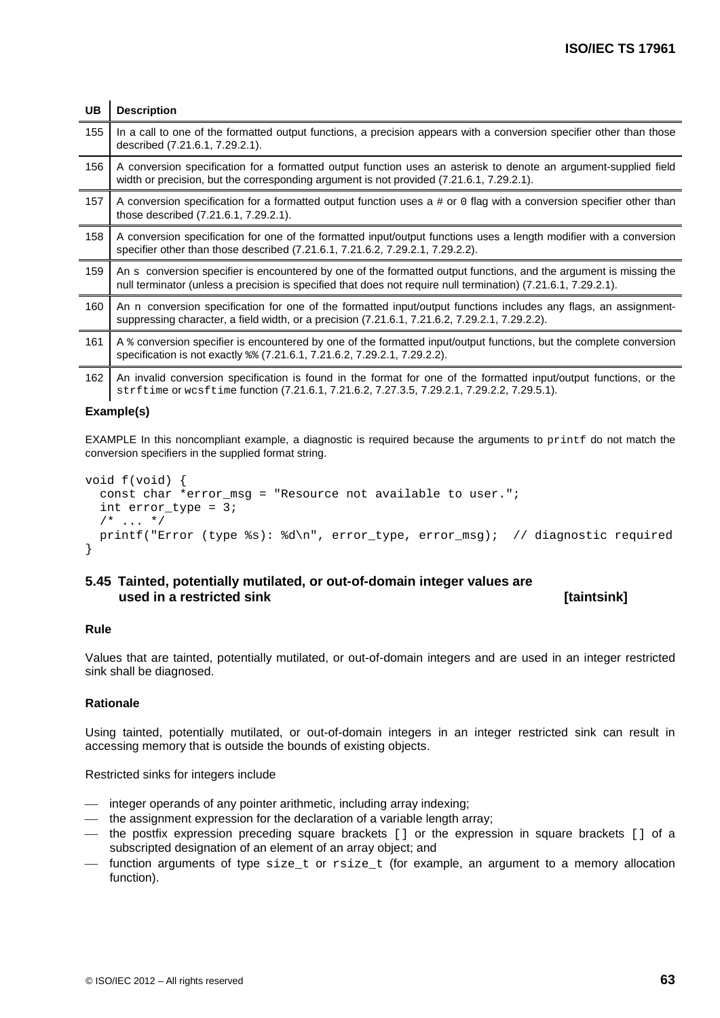| <b>UB</b> | <b>Description</b>                                                                                                                                                                                                                   |
|-----------|--------------------------------------------------------------------------------------------------------------------------------------------------------------------------------------------------------------------------------------|
| 155       | In a call to one of the formatted output functions, a precision appears with a conversion specifier other than those<br>described (7.21.6.1, 7.29.2.1).                                                                              |
| 156       | A conversion specification for a formatted output function uses an asterisk to denote an argument-supplied field<br>width or precision, but the corresponding argument is not provided (7.21.6.1, 7.29.2.1).                         |
| 157       | A conversion specification for a formatted output function uses $a \# or 0$ flag with a conversion specifier other than<br>those described (7.21.6.1, 7.29.2.1).                                                                     |
| 158       | A conversion specification for one of the formatted input/output functions uses a length modifier with a conversion<br>specifier other than those described (7.21.6.1, 7.21.6.2, 7.29.2.1, 7.29.2.2).                                |
| 159       | An s conversion specifier is encountered by one of the formatted output functions, and the argument is missing the<br>null terminator (unless a precision is specified that does not require null termination) (7.21.6.1, 7.29.2.1). |
| 160       | An n conversion specification for one of the formatted input/output functions includes any flags, an assignment-<br>suppressing character, a field width, or a precision (7.21.6.1, 7.21.6.2, 7.29.2.1, 7.29.2.2).                   |
| 161       | A & conversion specifier is encountered by one of the formatted input/output functions, but the complete conversion<br>specification is not exactly $\frac{1}{2}$ (7.21.6.1, 7.21.6.2, 7.29.2.1, 7.29.2.2).                          |
| 162       | An invalid conversion specification is found in the format for one of the formatted input/output functions, or the<br>strftime or wcsftime function (7.21.6.1, 7.21.6.2, 7.27.3.5, 7.29.2.1, 7.29.2.2, 7.29.5.1).                    |

### **Example(s)**

EXAMPLE In this noncompliant example, a diagnostic is required because the arguments to printf do not match the conversion specifiers in the supplied format string.

```
void f(void) {
   const char *error_msg = "Resource not available to user.";
   int error_type = 3;
  /* ... */
   printf("Error (type %s): %d\n", error_type, error_msg); // diagnostic required
}
```
# **5.45 Tainted, potentially mutilated, or out-of-domain integer values are used in a restricted sink** *i* **is a set of the set of the set of taintsinkl <b>is a set of taintsinkl**

## **Rule**

Values that are [tainted,](#page-12-0) potentially mutilated, or out-of-domain integers and are used in an integer restricted sink shall be diagnosed.

### **Rationale**

Using [tainted,](#page-12-0) potentially mutilated, or out-of-domain integers in an integer restricted sink can result in accessing memory that is outside the bounds of existing objects.

Restricted sinks for integers include

- integer operands of any pointer arithmetic, including array indexing;
- the assignment expression for the declaration of a variable length array;
- the postfix expression preceding square brackets [] or the expression in square brackets [] of a subscripted designation of an element of an array object; and
- $-$  function arguments of type  $size_t$  or  $rise_t$  (for example, an argument to a memory allocation function).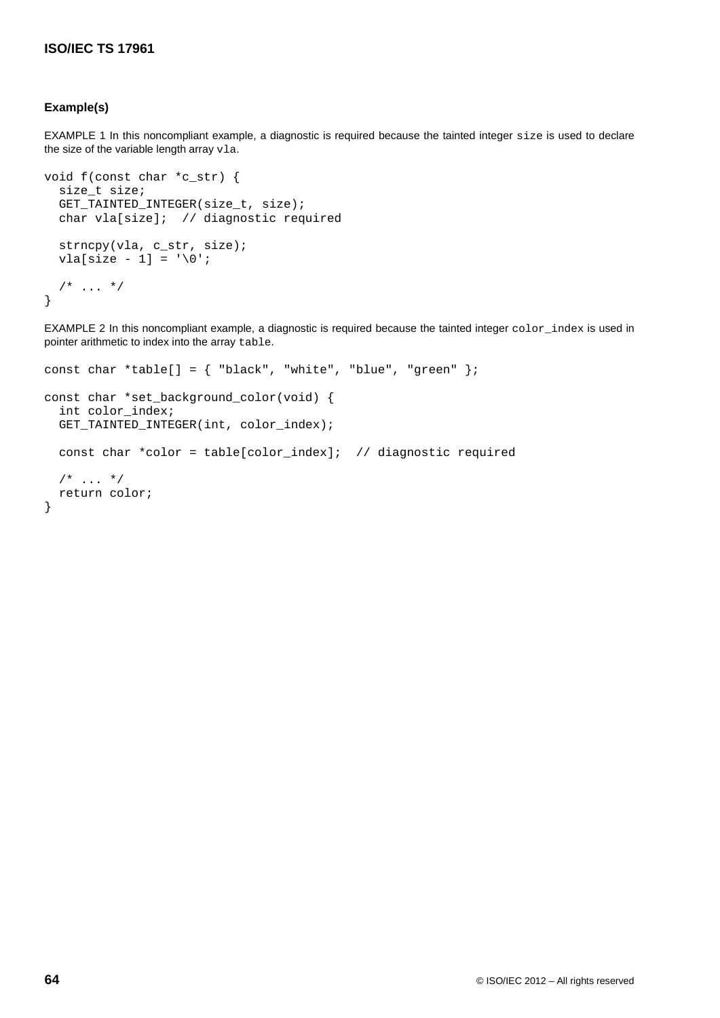# **Example(s)**

EXAMPLE 1 In this noncompliant example, a diagnostic is required because the tainted integer size is used to declare the size of the variable length array vla.

```
void f(const char *c_str) {
   size_t size;
   GET_TAINTED_INTEGER(size_t, size);
   char vla[size]; // diagnostic required
   strncpy(vla, c_str, size);
  vla[size - 1] = \sqrt{0'i}/* ... */
}
```
EXAMPLE 2 In this noncompliant example, a diagnostic is required because the tainted integer color\_index is used in pointer arithmetic to index into the array table.

```
const char *table[] = { "black", "white", "blue", "green" };
const char *set_background_color(void) {
   int color_index;
   GET_TAINTED_INTEGER(int, color_index);
   const char *color = table[color_index]; // diagnostic required
  /* ... */
   return color;
}
```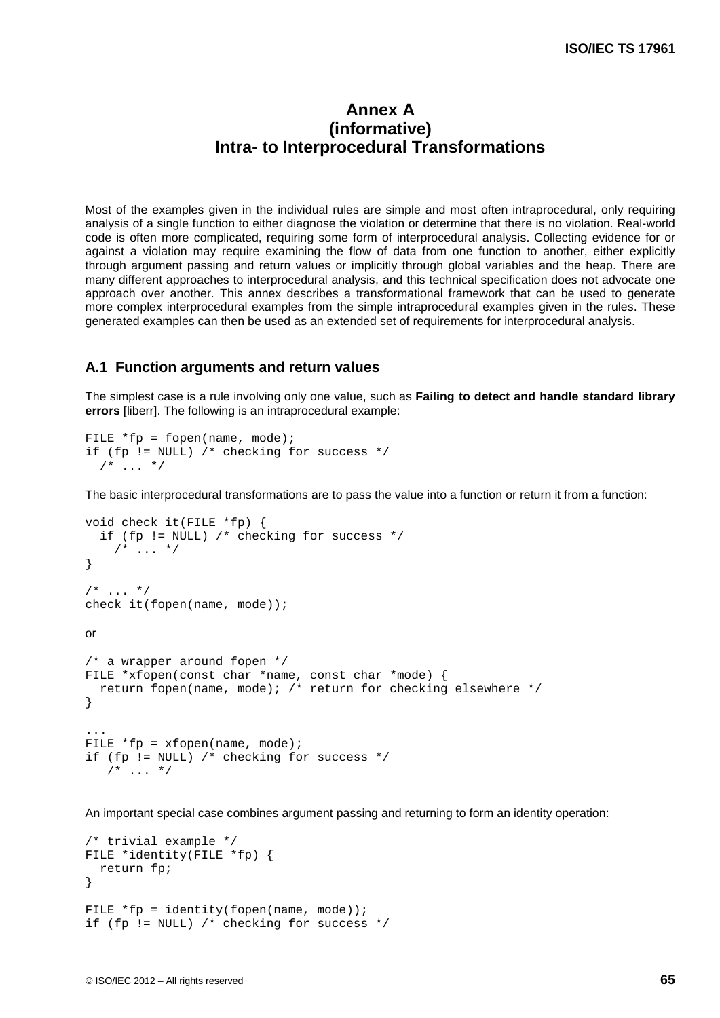## **Annex A (informative) Intra- to Interprocedural Transformations**

Most of the examples given in the individual rules are simple and most often intraprocedural, only requiring analysis of a single function to either diagnose the violation or determine that there is no violation. Real-world code is often more complicated, requiring some form of interprocedural analysis. Collecting evidence for or against a violation may require examining the flow of data from one function to another, either explicitly through argument passing and return values or implicitly through global variables and the heap. There are many different approaches to interprocedural analysis, and this technical specification does not advocate one approach over another. This annex describes a transformational framework that can be used to generate more complex interprocedural examples from the simple intraprocedural examples given in the rules. These generated examples can then be used as an extended set of requirements for interprocedural analysis.

#### **A.1 Function arguments and return values**

The simplest case is a rule involving only one value, such as **Failing to detect and handle standard library errors** [liberr]. The following is an intraprocedural example:

```
FILE *fp = fopen(name, mode);if (fp != NULL) /* checking for success */
  /* ... */
```
The basic interprocedural transformations are to pass the value into a function or return it from a function:

```
void check_it(FILE *fp) {
   if (fp != NULL) /* checking for success */
    /* ... */
}
/* ... */check it(fopen(name, mode));
or
/* a wrapper around fopen */
FILE *xfopen(const char *name, const char *mode) {
   return fopen(name, mode); /* return for checking elsewhere */
}
...
FILE *fp = xfopen(name, mode);if (fp != NULL) /* checking for success */
   /* ... */
```
An important special case combines argument passing and returning to form an identity operation:

```
/* trivial example */
FILE *identity(FILE *fp) {
   return fp;
}
FILE *fp = identity(fopen(name, mode));if (fp != NULL) /* checking for success */
```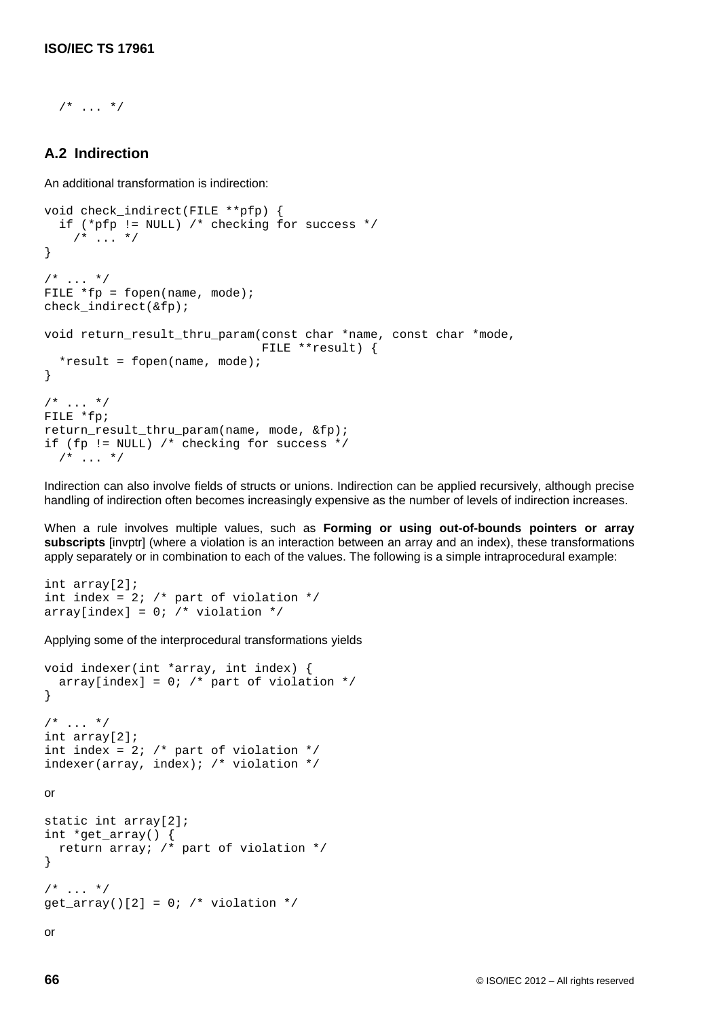$/$ \* ... \*/

#### **A.2 Indirection**

An additional transformation is indirection:

```
void check_indirect(FILE **pfp) {
   if (*pfp != NULL) /* checking for success */
    /* ... */
}
/* ... */
FILE *fp = fopen(name, mode);
check_indirect(&fp);
void return_result_thru_param(const char *name, const char *mode,
                               FILE **result) {
  *result = fopen(name, mode);
}
/* ... */
FILE *fp;
return_result_thru_param(name, mode, &fp);
if (fp != NULL) /* checking for success */
  /* ... */
```
Indirection can also involve fields of structs or unions. Indirection can be applied recursively, although precise handling of indirection often becomes increasingly expensive as the number of levels of indirection increases.

When a rule involves multiple values, such as **Forming or using out-of-bounds pointers or array subscripts** [invptr] (where a violation is an interaction between an array and an index), these transformations apply separately or in combination to each of the values. The following is a simple intraprocedural example:

```
int array[2];
int index = 2; /* part of violation */array[index] = 0; /* violation */
```
Applying some of the interprocedural transformations yields

```
void indexer(int *array, int index) {
  array[index] = 0; /* part of violation */
}
/* ... */
int array[2];
int index = 2; /* part of violation */
indexer(array, index); /* violation */
or
static int array[2];
int *get_array() {
  return array; /* part of violation */
}
/* ... */
get\_array()[2] = 0; /* violation */
or
```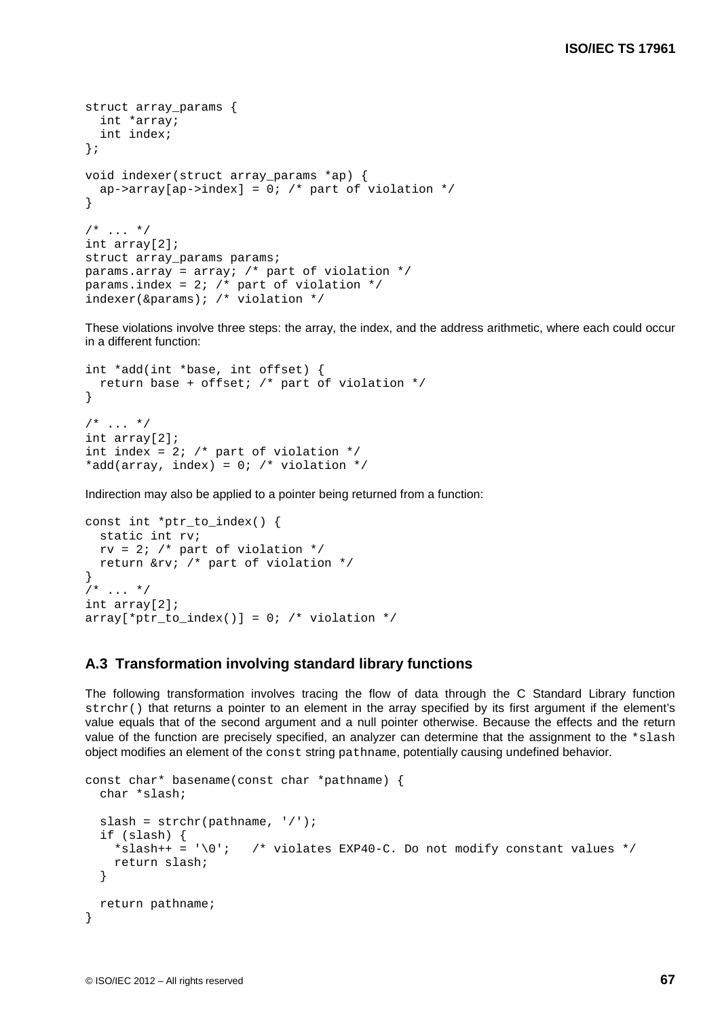```
struct array params {
  int *array;
   int index;
};
void indexer(struct array_params *ap) {
  ap->array[ap->index] = 0; /* part of violation */
}
/* ... */
int array[2];
struct array_params params;
params.array = array; /* part of violation */params.index = 2; /* part of violation */indexer(&params); /* violation */
```
These violations involve three steps: the array, the index, and the address arithmetic, where each could occur in a different function:

```
int *add(int *base, int offset) {
  return base + offset; /* part of violation */
}
/* ... */
int array[2];
int index = 2; /* part of violation */*add(array, index) = 0; /* violation */
```
Indirection may also be applied to a pointer being returned from a function:

```
const int *ptr_to_index() {
  static int rv;
 rv = 2; /* part of violation */ return &rv; /* part of violation */
}
/* ... */
int array[2];
array[*ptr_to_index()] = 0; /* violation */
```
#### **A.3 Transformation involving standard library functions**

The following transformation involves tracing the flow of data through the C Standard Library function strchr() that returns a pointer to an element in the array specified by its first argument if the element's value equals that of the second argument and a null pointer otherwise. Because the effects and the return value of the function are precisely specified, an analyzer can determine that the assignment to the \*slash object modifies an element of the const string pathname, potentially causing undefined behavior.

```
const char* basename(const char *pathname) {
  char *slash;
 slash = strchr(pathname, '/');
   if (slash) {
    *slash++ = '\0'; /* violates EXP40-C. Do not modify constant values */
     return slash;
   }
  return pathname;
}
```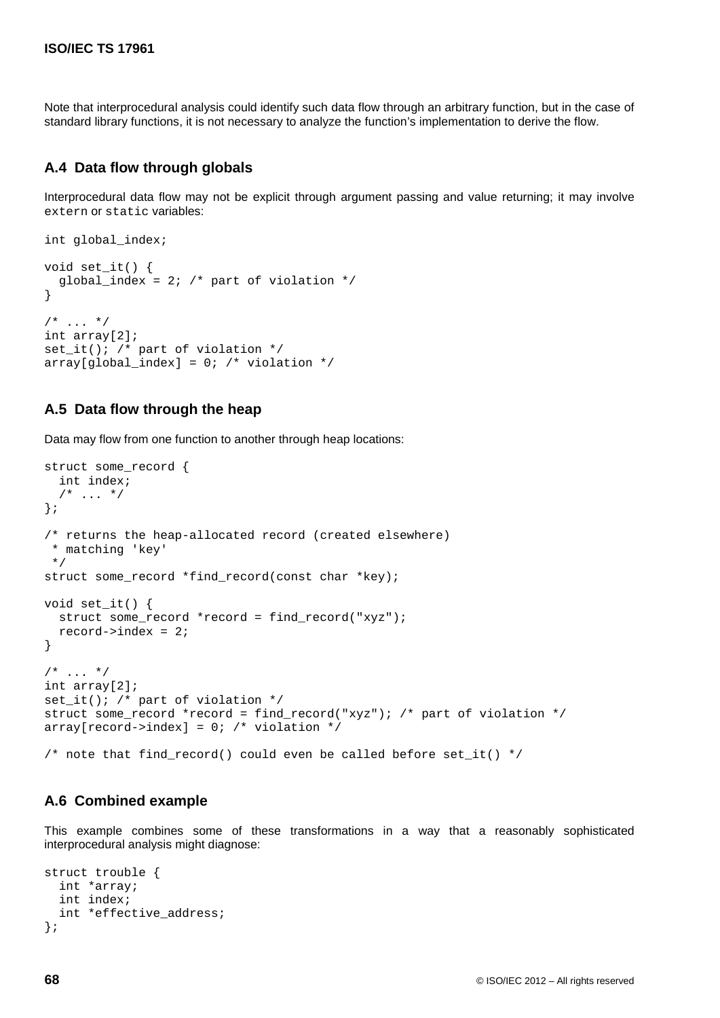Note that interprocedural analysis could identify such data flow through an arbitrary function, but in the case of standard library functions, it is not necessary to analyze the function's implementation to derive the flow.

### **A.4 Data flow through globals**

Interprocedural data flow may not be explicit through argument passing and value returning; it may involve extern or static variables:

```
int global_index;
void set it() {
  qlobal index = 2; /* part of violation */
}
/* ... */
int array[2];
set_it(); /* part of violation */
array[global_index] = 0; /* violation */
```
### **A.5 Data flow through the heap**

Data may flow from one function to another through heap locations:

```
struct some_record {
   int index;
  /* ... */
};
/* returns the heap-allocated record (created elsewhere)
 * matching 'key'
 */
struct some record *find record(const char *key);
void set_it() {
   struct some_record *record = find_record("xyz");
   record->index = 2;
}
/* ... */
int array[2];
set_it(); /* part of violation */
struct some_record *record = find_record("xyz"); /* part of violation */
array[record->index] = 0; /* violation */
/* note that find_record() could even be called before set_it() */
```
### **A.6 Combined example**

This example combines some of these transformations in a way that a reasonably sophisticated interprocedural analysis might diagnose:

```
struct trouble {
   int *array;
   int index;
   int *effective_address;
};
```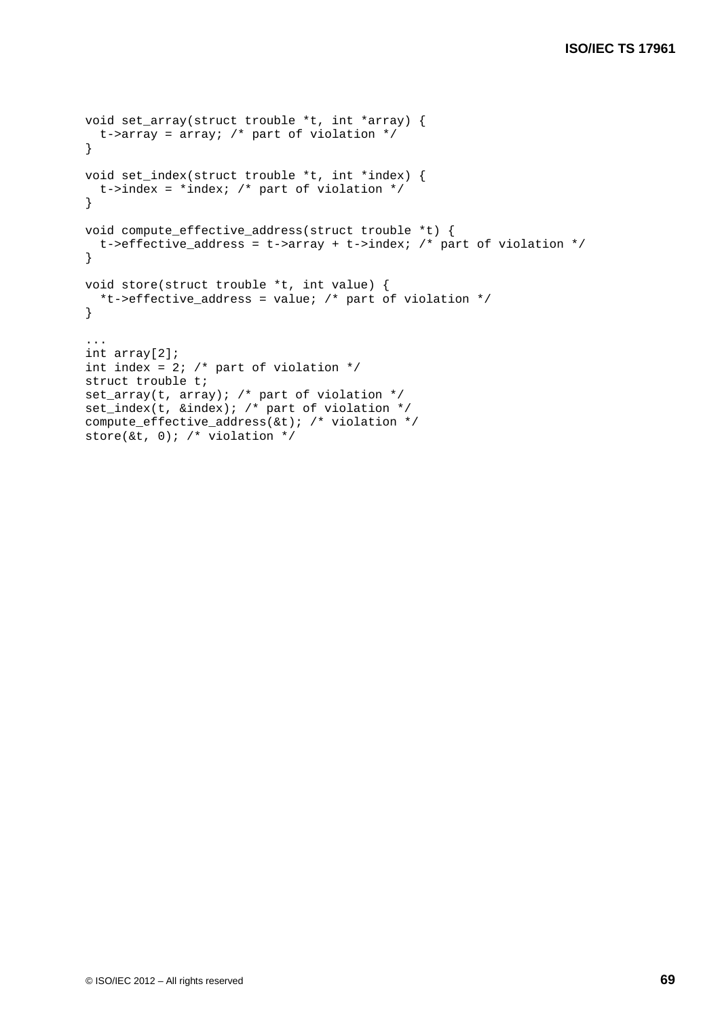```
void set_array(struct trouble *t, int *array) {
  t->array = array; /* part of violation */
}
void set_index(struct trouble *t, int *index) {
  t->index = *index; /* part of violation */
}
void compute_effective_address(struct trouble *t) {
  t->effective_address = t->array + t->index; /* part of violation */
}
void store(struct trouble *t, int value) {
  *t->effective_address = value; /* part of violation */
}
...
int array[2];
int index = 2; /* part of violation */struct trouble t;
set_array(t, array); /* part of violation */
set_index(t, &index); /* part of violation */
compute_effective_address(&t); /* violation */
store(&t, 0); /* violation */
```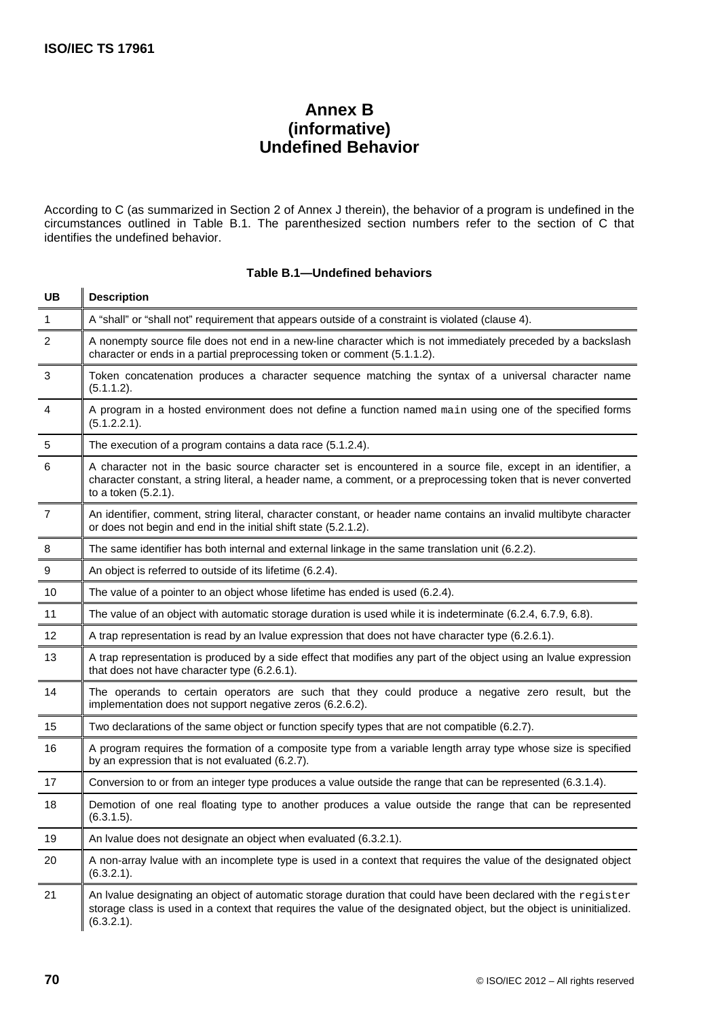# **Annex B (informative) Undefined Behavior**

According to C (as summarized in Section 2 of Annex J therein), the behavior of a program is undefined in the circumstances outlined in Table B.1. The parenthesized section numbers refer to the section of C that identifies the undefined behavior.

| <b>UB</b>      | <b>Description</b>                                                                                                                                                                                                                                       |
|----------------|----------------------------------------------------------------------------------------------------------------------------------------------------------------------------------------------------------------------------------------------------------|
| 1              | A "shall" or "shall not" requirement that appears outside of a constraint is violated (clause 4).                                                                                                                                                        |
| 2              | A nonempty source file does not end in a new-line character which is not immediately preceded by a backslash<br>character or ends in a partial preprocessing token or comment (5.1.1.2).                                                                 |
| 3              | Token concatenation produces a character sequence matching the syntax of a universal character name<br>(5.1.1.2).                                                                                                                                        |
| $\overline{4}$ | A program in a hosted environment does not define a function named main using one of the specified forms<br>(5.1.2.2.1).                                                                                                                                 |
| $\sqrt{5}$     | The execution of a program contains a data race (5.1.2.4).                                                                                                                                                                                               |
| 6              | A character not in the basic source character set is encountered in a source file, except in an identifier, a<br>character constant, a string literal, a header name, a comment, or a preprocessing token that is never converted<br>to a token (5.2.1). |
| $\overline{7}$ | An identifier, comment, string literal, character constant, or header name contains an invalid multibyte character<br>or does not begin and end in the initial shift state (5.2.1.2).                                                                    |
| 8              | The same identifier has both internal and external linkage in the same translation unit (6.2.2).                                                                                                                                                         |
| 9              | An object is referred to outside of its lifetime (6.2.4).                                                                                                                                                                                                |
| 10             | The value of a pointer to an object whose lifetime has ended is used (6.2.4).                                                                                                                                                                            |
| 11             | The value of an object with automatic storage duration is used while it is indeterminate (6.2.4, 6.7.9, 6.8).                                                                                                                                            |
| 12             | A trap representation is read by an Ivalue expression that does not have character type (6.2.6.1).                                                                                                                                                       |
| 13             | A trap representation is produced by a side effect that modifies any part of the object using an Ivalue expression<br>that does not have character type (6.2.6.1).                                                                                       |
| 14             | The operands to certain operators are such that they could produce a negative zero result, but the<br>implementation does not support negative zeros (6.2.6.2).                                                                                          |
| 15             | Two declarations of the same object or function specify types that are not compatible (6.2.7).                                                                                                                                                           |
| 16             | A program requires the formation of a composite type from a variable length array type whose size is specified<br>by an expression that is not evaluated (6.2.7).                                                                                        |
| 17             | Conversion to or from an integer type produces a value outside the range that can be represented (6.3.1.4).                                                                                                                                              |
| 18             | Demotion of one real floating type to another produces a value outside the range that can be represented<br>(6.3.1.5).                                                                                                                                   |
| 19             | An Ivalue does not designate an object when evaluated (6.3.2.1).                                                                                                                                                                                         |
| 20             | A non-array Ivalue with an incomplete type is used in a context that requires the value of the designated object<br>(6.3.2.1).                                                                                                                           |
| 21             | An Ivalue designating an object of automatic storage duration that could have been declared with the register<br>storage class is used in a context that requires the value of the designated object, but the object is uninitialized.<br>(6.3.2.1).     |

#### **Table B.1—Undefined behaviors**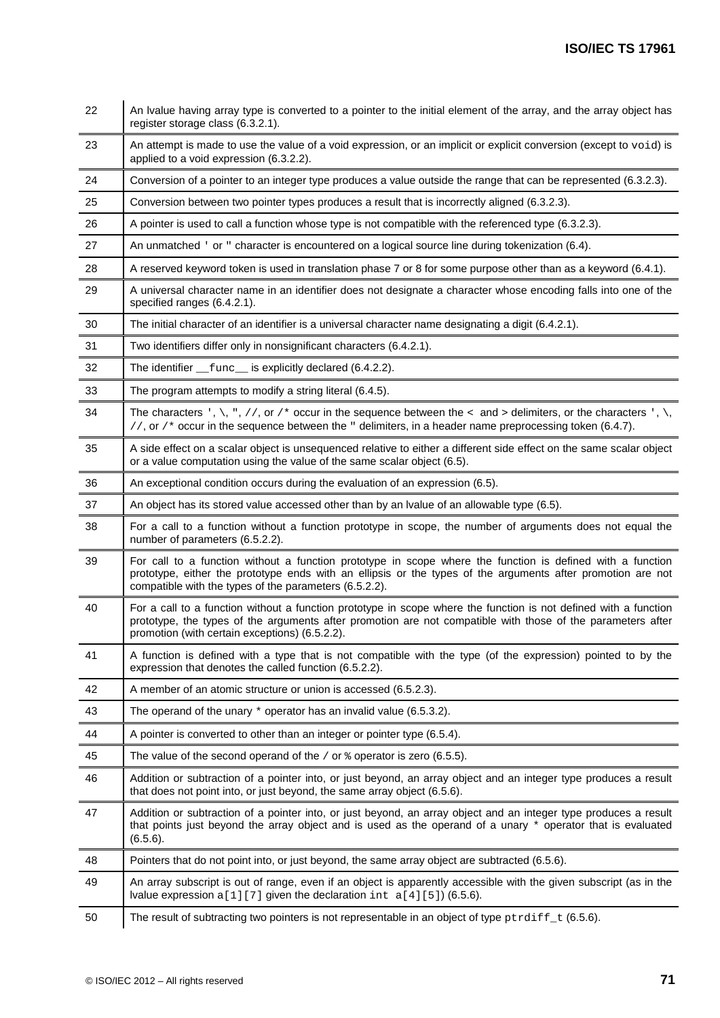| 22 | An Ivalue having array type is converted to a pointer to the initial element of the array, and the array object has<br>register storage class (6.3.2.1).                                                                                                                            |  |  |
|----|-------------------------------------------------------------------------------------------------------------------------------------------------------------------------------------------------------------------------------------------------------------------------------------|--|--|
| 23 | An attempt is made to use the value of a void expression, or an implicit or explicit conversion (except to void) is<br>applied to a void expression (6.3.2.2).                                                                                                                      |  |  |
| 24 | Conversion of a pointer to an integer type produces a value outside the range that can be represented (6.3.2.3).                                                                                                                                                                    |  |  |
| 25 | Conversion between two pointer types produces a result that is incorrectly aligned (6.3.2.3).                                                                                                                                                                                       |  |  |
| 26 | A pointer is used to call a function whose type is not compatible with the referenced type (6.3.2.3).                                                                                                                                                                               |  |  |
| 27 | An unmatched ' or " character is encountered on a logical source line during tokenization (6.4).                                                                                                                                                                                    |  |  |
| 28 | A reserved keyword token is used in translation phase 7 or 8 for some purpose other than as a keyword (6.4.1).                                                                                                                                                                      |  |  |
| 29 | A universal character name in an identifier does not designate a character whose encoding falls into one of the<br>specified ranges (6.4.2.1).                                                                                                                                      |  |  |
| 30 | The initial character of an identifier is a universal character name designating a digit (6.4.2.1).                                                                                                                                                                                 |  |  |
| 31 | Two identifiers differ only in nonsignificant characters (6.4.2.1).                                                                                                                                                                                                                 |  |  |
| 32 | The identifier __func__ is explicitly declared (6.4.2.2).                                                                                                                                                                                                                           |  |  |
| 33 | The program attempts to modify a string literal (6.4.5).                                                                                                                                                                                                                            |  |  |
| 34 | The characters ', \, ", //, or /* occur in the sequence between the < and > delimiters, or the characters ', \,<br>//, or /* occur in the sequence between the $\overline{\phantom{a}}$ delimiters, in a header name preprocessing token (6.4.7).                                   |  |  |
| 35 | A side effect on a scalar object is unsequenced relative to either a different side effect on the same scalar object<br>or a value computation using the value of the same scalar object (6.5).                                                                                     |  |  |
| 36 | An exceptional condition occurs during the evaluation of an expression (6.5).                                                                                                                                                                                                       |  |  |
| 37 | An object has its stored value accessed other than by an Ivalue of an allowable type (6.5).                                                                                                                                                                                         |  |  |
| 38 | For a call to a function without a function prototype in scope, the number of arguments does not equal the<br>number of parameters (6.5.2.2).                                                                                                                                       |  |  |
| 39 | For call to a function without a function prototype in scope where the function is defined with a function<br>prototype, either the prototype ends with an ellipsis or the types of the arguments after promotion are not<br>compatible with the types of the parameters (6.5.2.2). |  |  |
| 40 | For a call to a function without a function prototype in scope where the function is not defined with a function<br>prototype, the types of the arguments after promotion are not compatible with those of the parameters after<br>promotion (with certain exceptions) (6.5.2.2).   |  |  |
| 41 | A function is defined with a type that is not compatible with the type (of the expression) pointed to by the<br>expression that denotes the called function (6.5.2.2).                                                                                                              |  |  |
| 42 | A member of an atomic structure or union is accessed (6.5.2.3).                                                                                                                                                                                                                     |  |  |
| 43 | The operand of the unary $*$ operator has an invalid value (6.5.3.2).                                                                                                                                                                                                               |  |  |
| 44 | A pointer is converted to other than an integer or pointer type (6.5.4).                                                                                                                                                                                                            |  |  |
| 45 | The value of the second operand of the / or $\frac{1}{2}$ operator is zero (6.5.5).                                                                                                                                                                                                 |  |  |
| 46 | Addition or subtraction of a pointer into, or just beyond, an array object and an integer type produces a result<br>that does not point into, or just beyond, the same array object (6.5.6).                                                                                        |  |  |
| 47 | Addition or subtraction of a pointer into, or just beyond, an array object and an integer type produces a result<br>that points just beyond the array object and is used as the operand of a unary * operator that is evaluated<br>$(6.5.6)$ .                                      |  |  |
| 48 | Pointers that do not point into, or just beyond, the same array object are subtracted (6.5.6).                                                                                                                                                                                      |  |  |
| 49 | An array subscript is out of range, even if an object is apparently accessible with the given subscript (as in the<br>Ivalue expression $a[1][7]$ given the declaration int $a[4][5]$ (6.5.6).                                                                                      |  |  |
| 50 | The result of subtracting two pointers is not representable in an object of type $\text{prdiff}_t$ (6.5.6).                                                                                                                                                                         |  |  |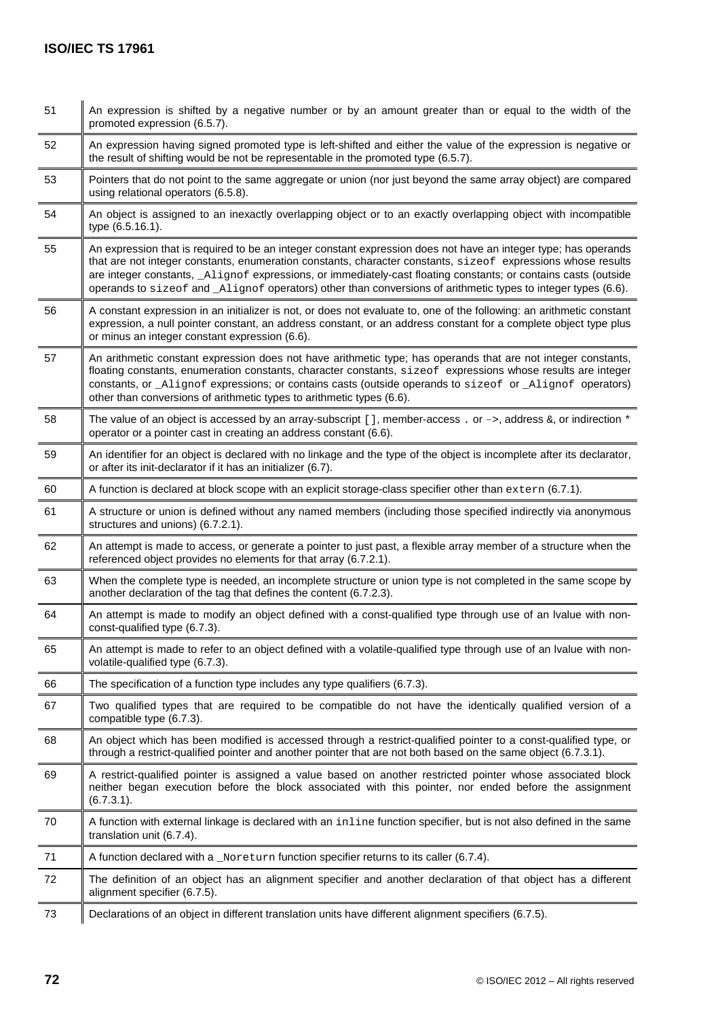| 51 | An expression is shifted by a negative number or by an amount greater than or equal to the width of the<br>promoted expression (6.5.7).                                                                                                                                                                                                                                                                                                                            |
|----|--------------------------------------------------------------------------------------------------------------------------------------------------------------------------------------------------------------------------------------------------------------------------------------------------------------------------------------------------------------------------------------------------------------------------------------------------------------------|
| 52 | An expression having signed promoted type is left-shifted and either the value of the expression is negative or<br>the result of shifting would be not be representable in the promoted type (6.5.7).                                                                                                                                                                                                                                                              |
| 53 | Pointers that do not point to the same aggregate or union (nor just beyond the same array object) are compared<br>using relational operators (6.5.8).                                                                                                                                                                                                                                                                                                              |
| 54 | An object is assigned to an inexactly overlapping object or to an exactly overlapping object with incompatible<br>type (6.5.16.1).                                                                                                                                                                                                                                                                                                                                 |
| 55 | An expression that is required to be an integer constant expression does not have an integer type; has operands<br>that are not integer constants, enumeration constants, character constants, sizeof expressions whose results<br>are integer constants, _Alignof expressions, or immediately-cast floating constants; or contains casts (outside<br>operands to sizeof and Alignof operators) other than conversions of arithmetic types to integer types (6.6). |
| 56 | A constant expression in an initializer is not, or does not evaluate to, one of the following: an arithmetic constant<br>expression, a null pointer constant, an address constant, or an address constant for a complete object type plus<br>or minus an integer constant expression (6.6).                                                                                                                                                                        |
| 57 | An arithmetic constant expression does not have arithmetic type; has operands that are not integer constants,<br>floating constants, enumeration constants, character constants, sizeof expressions whose results are integer<br>constants, or _Alignof expressions; or contains casts (outside operands to sizeof or _Alignof operators)<br>other than conversions of arithmetic types to arithmetic types (6.6).                                                 |
| 58 | The value of an object is accessed by an array-subscript [ ], member-access . or $\rightarrow$ , address $\&$ , or indirection $*$<br>operator or a pointer cast in creating an address constant (6.6).                                                                                                                                                                                                                                                            |
| 59 | An identifier for an object is declared with no linkage and the type of the object is incomplete after its declarator,<br>or after its init-declarator if it has an initializer (6.7).                                                                                                                                                                                                                                                                             |
| 60 | A function is declared at block scope with an explicit storage-class specifier other than extern (6.7.1).                                                                                                                                                                                                                                                                                                                                                          |
| 61 | A structure or union is defined without any named members (including those specified indirectly via anonymous<br>structures and unions) (6.7.2.1).                                                                                                                                                                                                                                                                                                                 |
| 62 | An attempt is made to access, or generate a pointer to just past, a flexible array member of a structure when the<br>referenced object provides no elements for that array (6.7.2.1).                                                                                                                                                                                                                                                                              |
| 63 | When the complete type is needed, an incomplete structure or union type is not completed in the same scope by<br>another declaration of the tag that defines the content (6.7.2.3).                                                                                                                                                                                                                                                                                |
| 64 | An attempt is made to modify an object defined with a const-qualified type through use of an Ivalue with non-<br>const-qualified type (6.7.3).                                                                                                                                                                                                                                                                                                                     |
| 65 | An attempt is made to refer to an object defined with a volatile-qualified type through use of an Ivalue with non-<br>volatile-qualified type (6.7.3).                                                                                                                                                                                                                                                                                                             |
| 66 | The specification of a function type includes any type qualifiers (6.7.3).                                                                                                                                                                                                                                                                                                                                                                                         |
| 67 | Two qualified types that are required to be compatible do not have the identically qualified version of a<br>compatible type (6.7.3).                                                                                                                                                                                                                                                                                                                              |
| 68 | An object which has been modified is accessed through a restrict-qualified pointer to a const-qualified type, or<br>through a restrict-qualified pointer and another pointer that are not both based on the same object (6.7.3.1).                                                                                                                                                                                                                                 |
| 69 | A restrict-qualified pointer is assigned a value based on another restricted pointer whose associated block<br>neither began execution before the block associated with this pointer, nor ended before the assignment<br>$(6.7.3.1)$ .                                                                                                                                                                                                                             |
| 70 | A function with external linkage is declared with an inline function specifier, but is not also defined in the same<br>translation unit (6.7.4).                                                                                                                                                                                                                                                                                                                   |
| 71 | A function declared with a _Noreturn function specifier returns to its caller (6.7.4).                                                                                                                                                                                                                                                                                                                                                                             |
| 72 | The definition of an object has an alignment specifier and another declaration of that object has a different<br>alignment specifier (6.7.5).                                                                                                                                                                                                                                                                                                                      |
| 73 | Declarations of an object in different translation units have different alignment specifiers (6.7.5).                                                                                                                                                                                                                                                                                                                                                              |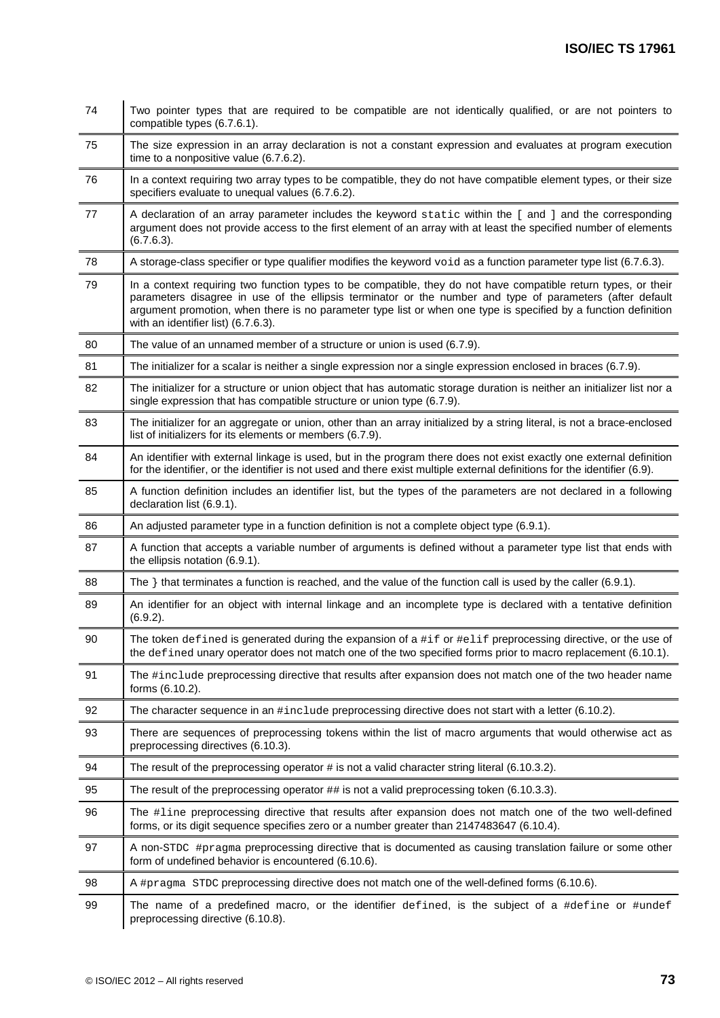| 74 | Two pointer types that are required to be compatible are not identically qualified, or are not pointers to<br>compatible types (6.7.6.1).                                                                                                                                                                                                                                             |
|----|---------------------------------------------------------------------------------------------------------------------------------------------------------------------------------------------------------------------------------------------------------------------------------------------------------------------------------------------------------------------------------------|
| 75 | The size expression in an array declaration is not a constant expression and evaluates at program execution<br>time to a nonpositive value (6.7.6.2).                                                                                                                                                                                                                                 |
| 76 | In a context requiring two array types to be compatible, they do not have compatible element types, or their size<br>specifiers evaluate to unequal values (6.7.6.2).                                                                                                                                                                                                                 |
| 77 | A declaration of an array parameter includes the keyword static within the [ and ] and the corresponding<br>argument does not provide access to the first element of an array with at least the specified number of elements<br>$(6.7.6.3)$ .                                                                                                                                         |
| 78 | A storage-class specifier or type qualifier modifies the keyword void as a function parameter type list (6.7.6.3).                                                                                                                                                                                                                                                                    |
| 79 | In a context requiring two function types to be compatible, they do not have compatible return types, or their<br>parameters disagree in use of the ellipsis terminator or the number and type of parameters (after default<br>argument promotion, when there is no parameter type list or when one type is specified by a function definition<br>with an identifier list) (6.7.6.3). |
| 80 | The value of an unnamed member of a structure or union is used (6.7.9).                                                                                                                                                                                                                                                                                                               |
| 81 | The initializer for a scalar is neither a single expression nor a single expression enclosed in braces (6.7.9).                                                                                                                                                                                                                                                                       |
| 82 | The initializer for a structure or union object that has automatic storage duration is neither an initializer list nor a<br>single expression that has compatible structure or union type (6.7.9).                                                                                                                                                                                    |
| 83 | The initializer for an aggregate or union, other than an array initialized by a string literal, is not a brace-enclosed<br>list of initializers for its elements or members (6.7.9).                                                                                                                                                                                                  |
| 84 | An identifier with external linkage is used, but in the program there does not exist exactly one external definition<br>for the identifier, or the identifier is not used and there exist multiple external definitions for the identifier (6.9).                                                                                                                                     |
| 85 | A function definition includes an identifier list, but the types of the parameters are not declared in a following<br>declaration list (6.9.1).                                                                                                                                                                                                                                       |
| 86 | An adjusted parameter type in a function definition is not a complete object type (6.9.1).                                                                                                                                                                                                                                                                                            |
| 87 | A function that accepts a variable number of arguments is defined without a parameter type list that ends with<br>the ellipsis notation (6.9.1).                                                                                                                                                                                                                                      |
| 88 | The $\}$ that terminates a function is reached, and the value of the function call is used by the caller (6.9.1).                                                                                                                                                                                                                                                                     |
| 89 | An identifier for an object with internal linkage and an incomplete type is declared with a tentative definition<br>$(6.9.2)$ .                                                                                                                                                                                                                                                       |
| 90 | The token <code>defined</code> is generated during the expansion of a <code>#if</code> or <code>#elif</code> preprocessing directive, or the use of<br>the defined unary operator does not match one of the two specified forms prior to macro replacement (6.10.1).                                                                                                                  |
| 91 | The #include preprocessing directive that results after expansion does not match one of the two header name<br>forms (6.10.2).                                                                                                                                                                                                                                                        |
| 92 | The character sequence in an #include preprocessing directive does not start with a letter (6.10.2).                                                                                                                                                                                                                                                                                  |
| 93 | There are sequences of preprocessing tokens within the list of macro arguments that would otherwise act as<br>preprocessing directives (6.10.3).                                                                                                                                                                                                                                      |
| 94 | The result of the preprocessing operator $\#$ is not a valid character string literal (6.10.3.2).                                                                                                                                                                                                                                                                                     |
| 95 | The result of the preprocessing operator ## is not a valid preprocessing token (6.10.3.3).                                                                                                                                                                                                                                                                                            |
| 96 | The #1ine preprocessing directive that results after expansion does not match one of the two well-defined<br>forms, or its digit sequence specifies zero or a number greater than 2147483647 (6.10.4).                                                                                                                                                                                |
| 97 | A non-STDC #pragma preprocessing directive that is documented as causing translation failure or some other<br>form of undefined behavior is encountered (6.10.6).                                                                                                                                                                                                                     |
| 98 | A #pragma STDC preprocessing directive does not match one of the well-defined forms (6.10.6).                                                                                                                                                                                                                                                                                         |
| 99 | The name of a predefined macro, or the identifier defined, is the subject of a #define or #undef<br>preprocessing directive (6.10.8).                                                                                                                                                                                                                                                 |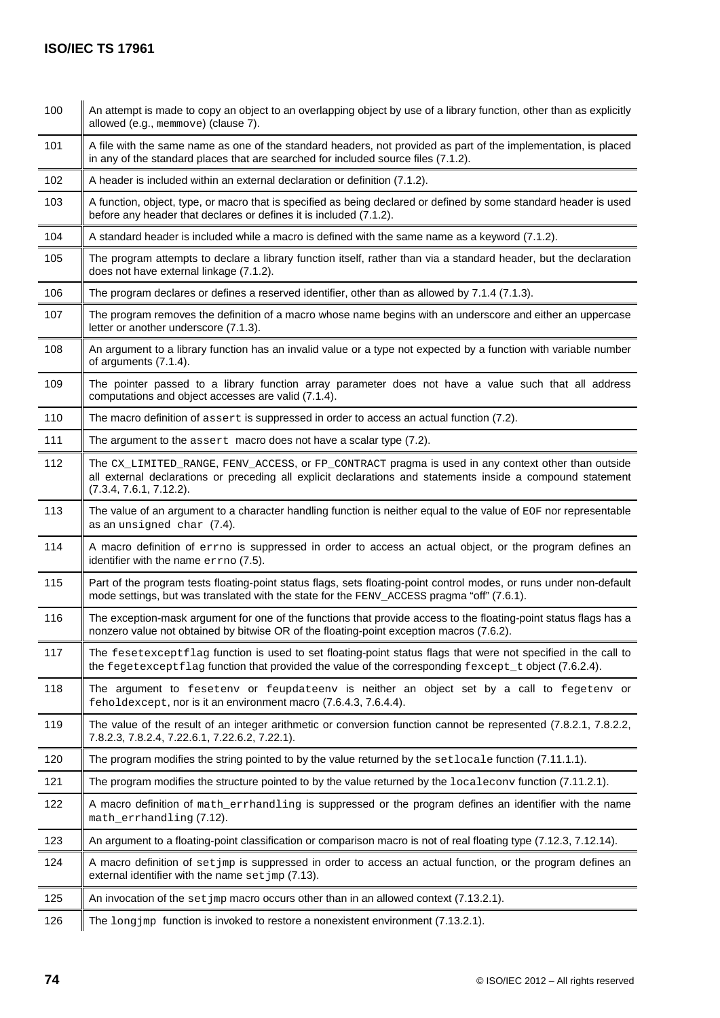| 100 | An attempt is made to copy an object to an overlapping object by use of a library function, other than as explicitly<br>allowed (e.g., memmove) (clause 7).                                                                                  |  |  |
|-----|----------------------------------------------------------------------------------------------------------------------------------------------------------------------------------------------------------------------------------------------|--|--|
| 101 | A file with the same name as one of the standard headers, not provided as part of the implementation, is placed<br>in any of the standard places that are searched for included source files (7.1.2).                                        |  |  |
| 102 | A header is included within an external declaration or definition (7.1.2).                                                                                                                                                                   |  |  |
| 103 | A function, object, type, or macro that is specified as being declared or defined by some standard header is used<br>before any header that declares or defines it is included (7.1.2).                                                      |  |  |
| 104 | A standard header is included while a macro is defined with the same name as a keyword (7.1.2).                                                                                                                                              |  |  |
| 105 | The program attempts to declare a library function itself, rather than via a standard header, but the declaration<br>does not have external linkage (7.1.2).                                                                                 |  |  |
| 106 | The program declares or defines a reserved identifier, other than as allowed by 7.1.4 (7.1.3).                                                                                                                                               |  |  |
| 107 | The program removes the definition of a macro whose name begins with an underscore and either an uppercase<br>letter or another underscore (7.1.3).                                                                                          |  |  |
| 108 | An argument to a library function has an invalid value or a type not expected by a function with variable number<br>of arguments (7.1.4).                                                                                                    |  |  |
| 109 | The pointer passed to a library function array parameter does not have a value such that all address<br>computations and object accesses are valid (7.1.4).                                                                                  |  |  |
| 110 | The macro definition of assert is suppressed in order to access an actual function (7.2).                                                                                                                                                    |  |  |
| 111 | The argument to the $assert$ macro does not have a scalar type $(7.2)$ .                                                                                                                                                                     |  |  |
| 112 | The CX_LIMITED_RANGE, FENV_ACCESS, or FP_CONTRACT pragma is used in any context other than outside<br>all external declarations or preceding all explicit declarations and statements inside a compound statement<br>(7.3.4, 7.6.1, 7.12.2). |  |  |
| 113 | The value of an argument to a character handling function is neither equal to the value of EOF nor representable<br>as an unsigned char (7.4).                                                                                               |  |  |
| 114 | A macro definition of errno is suppressed in order to access an actual object, or the program defines an<br>identifier with the name errno (7.5).                                                                                            |  |  |
| 115 | Part of the program tests floating-point status flags, sets floating-point control modes, or runs under non-default<br>mode settings, but was translated with the state for the FENV_ACCESS pragma "off" (7.6.1).                            |  |  |
| 116 | The exception-mask argument for one of the functions that provide access to the floating-point status flags has a<br>nonzero value not obtained by bitwise OR of the floating-point exception macros (7.6.2).                                |  |  |
| 117 | The fesetexceptflag function is used to set floating-point status flags that were not specified in the call to<br>the fegetexceptflag function that provided the value of the corresponding fexcept_t object (7.6.2.4).                      |  |  |
| 118 | The argument to fesetenv or feupdateenv is neither an object set by a call to fegetenv or<br>feholdexcept, nor is it an environment macro (7.6.4.3, 7.6.4.4).                                                                                |  |  |
| 119 | The value of the result of an integer arithmetic or conversion function cannot be represented (7.8.2.1, 7.8.2.2,<br>7.8.2.3, 7.8.2.4, 7.22.6.1, 7.22.6.2, 7.22.1).                                                                           |  |  |
| 120 | The program modifies the string pointed to by the value returned by the $setlocale$ function $(7.11.1.1)$ .                                                                                                                                  |  |  |
| 121 | The program modifies the structure pointed to by the value returned by the $1$ ocaleconv function $(7.11.2.1)$ .                                                                                                                             |  |  |
| 122 | A macro definition of math_errhandling is suppressed or the program defines an identifier with the name<br>math_errhandling (7.12).                                                                                                          |  |  |
| 123 | An argument to a floating-point classification or comparison macro is not of real floating type (7.12.3, 7.12.14).                                                                                                                           |  |  |
| 124 | A macro definition of set jmp is suppressed in order to access an actual function, or the program defines an<br>external identifier with the name set jmp (7.13).                                                                            |  |  |
| 125 | An invocation of the $set$ $\mu_{\rm{pp}}$ macro occurs other than in an allowed context (7.13.2.1).                                                                                                                                         |  |  |
| 126 | The long $jmp$ function is invoked to restore a nonexistent environment $(7.13.2.1)$ .                                                                                                                                                       |  |  |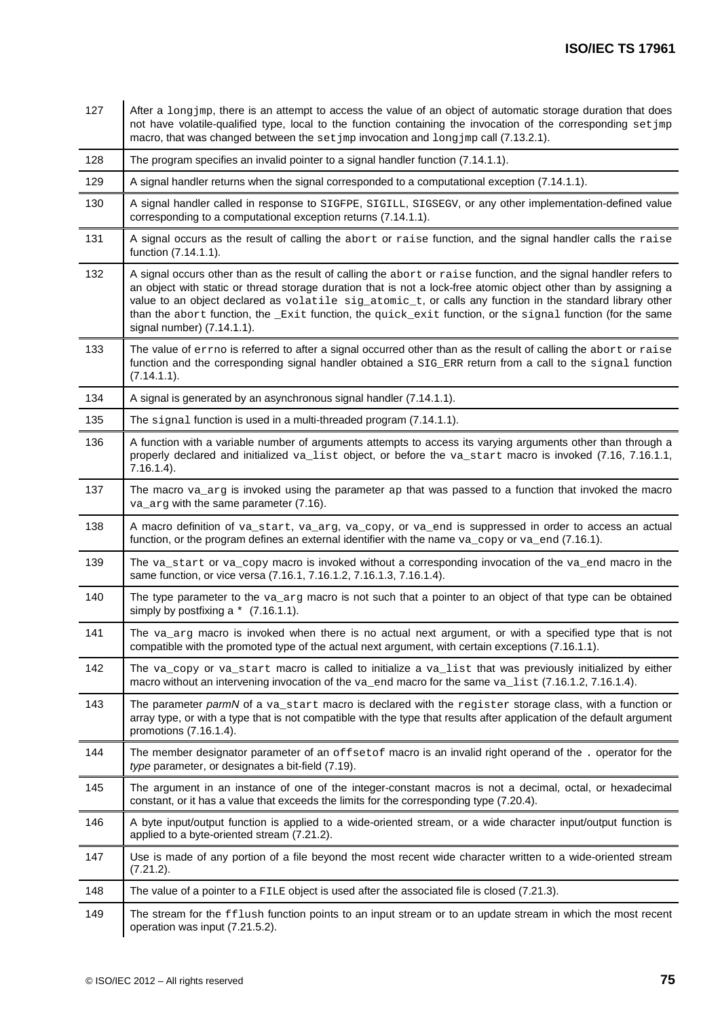| 127 | After a long jmp, there is an attempt to access the value of an object of automatic storage duration that does<br>not have volatile-qualified type, local to the function containing the invocation of the corresponding set jmp<br>macro, that was changed between the set jmp invocation and long jmp call (7.13.2.1).                                                                                                                                                                       |  |  |
|-----|------------------------------------------------------------------------------------------------------------------------------------------------------------------------------------------------------------------------------------------------------------------------------------------------------------------------------------------------------------------------------------------------------------------------------------------------------------------------------------------------|--|--|
| 128 | The program specifies an invalid pointer to a signal handler function (7.14.1.1).                                                                                                                                                                                                                                                                                                                                                                                                              |  |  |
| 129 | A signal handler returns when the signal corresponded to a computational exception (7.14.1.1).                                                                                                                                                                                                                                                                                                                                                                                                 |  |  |
| 130 | A signal handler called in response to SIGFPE, SIGILL, SIGSEGV, or any other implementation-defined value<br>corresponding to a computational exception returns (7.14.1.1).                                                                                                                                                                                                                                                                                                                    |  |  |
| 131 | A signal occurs as the result of calling the abort or raise function, and the signal handler calls the raise<br>function (7.14.1.1).                                                                                                                                                                                                                                                                                                                                                           |  |  |
| 132 | A signal occurs other than as the result of calling the abort or raise function, and the signal handler refers to<br>an object with static or thread storage duration that is not a lock-free atomic object other than by assigning a<br>value to an object declared as volatile sig_atomic_t, or calls any function in the standard library other<br>than the abort function, the _Exit function, the quick_exit function, or the signal function (for the same<br>signal number) (7.14.1.1). |  |  |
| 133 | The value of errno is referred to after a signal occurred other than as the result of calling the abort or raise<br>function and the corresponding signal handler obtained a SIG_ERR return from a call to the signal function<br>(7.14.1.1).                                                                                                                                                                                                                                                  |  |  |
| 134 | A signal is generated by an asynchronous signal handler (7.14.1.1).                                                                                                                                                                                                                                                                                                                                                                                                                            |  |  |
| 135 | The signal function is used in a multi-threaded program (7.14.1.1).                                                                                                                                                                                                                                                                                                                                                                                                                            |  |  |
| 136 | A function with a variable number of arguments attempts to access its varying arguments other than through a<br>properly declared and initialized va_list object, or before the va_start macro is invoked (7.16, 7.16.1.1,<br>$7.16.1.4$ ).                                                                                                                                                                                                                                                    |  |  |
| 137 | The macro va_arg is invoked using the parameter ap that was passed to a function that invoked the macro<br>va_arg with the same parameter (7.16).                                                                                                                                                                                                                                                                                                                                              |  |  |
| 138 | A macro definition of va_start, va_arg, va_copy, or va_end is suppressed in order to access an actual<br>function, or the program defines an external identifier with the name $va_{\text{copy}}$ or $va_{\text{c}}$ and (7.16.1).                                                                                                                                                                                                                                                             |  |  |
| 139 | The va_start or va_copy macro is invoked without a corresponding invocation of the va_end macro in the<br>same function, or vice versa (7.16.1, 7.16.1.2, 7.16.1.3, 7.16.1.4).                                                                                                                                                                                                                                                                                                                 |  |  |
| 140 | The type parameter to the $va_{\text{avg}}$ macro is not such that a pointer to an object of that type can be obtained<br>simply by postfixing a $*$ (7.16.1.1).                                                                                                                                                                                                                                                                                                                               |  |  |
| 141 | The va_arg macro is invoked when there is no actual next argument, or with a specified type that is not<br>compatible with the promoted type of the actual next argument, with certain exceptions (7.16.1.1).                                                                                                                                                                                                                                                                                  |  |  |
| 142 | The $va_{copy}$ or $va_{stat}$ macro is called to initialize a $va_{dist}$ that was previously initialized by either<br>macro without an intervening invocation of the $va$ -end macro for the same $va$ -list (7.16.1.2, 7.16.1.4).                                                                                                                                                                                                                                                           |  |  |
| 143 | The parameter parmN of a va_start macro is declared with the register storage class, with a function or<br>array type, or with a type that is not compatible with the type that results after application of the default argument<br>promotions (7.16.1.4).                                                                                                                                                                                                                                    |  |  |
| 144 | The member designator parameter of an offsetof macro is an invalid right operand of the. operator for the<br>type parameter, or designates a bit-field (7.19).                                                                                                                                                                                                                                                                                                                                 |  |  |
| 145 | The argument in an instance of one of the integer-constant macros is not a decimal, octal, or hexadecimal<br>constant, or it has a value that exceeds the limits for the corresponding type (7.20.4).                                                                                                                                                                                                                                                                                          |  |  |
| 146 | A byte input/output function is applied to a wide-oriented stream, or a wide character input/output function is<br>applied to a byte-oriented stream (7.21.2).                                                                                                                                                                                                                                                                                                                                 |  |  |
| 147 | Use is made of any portion of a file beyond the most recent wide character written to a wide-oriented stream<br>(7.21.2).                                                                                                                                                                                                                                                                                                                                                                      |  |  |
| 148 | The value of a pointer to a FILE object is used after the associated file is closed (7.21.3).                                                                                                                                                                                                                                                                                                                                                                                                  |  |  |
| 149 | The stream for the <i>fflush</i> function points to an input stream or to an update stream in which the most recent<br>operation was input (7.21.5.2).                                                                                                                                                                                                                                                                                                                                         |  |  |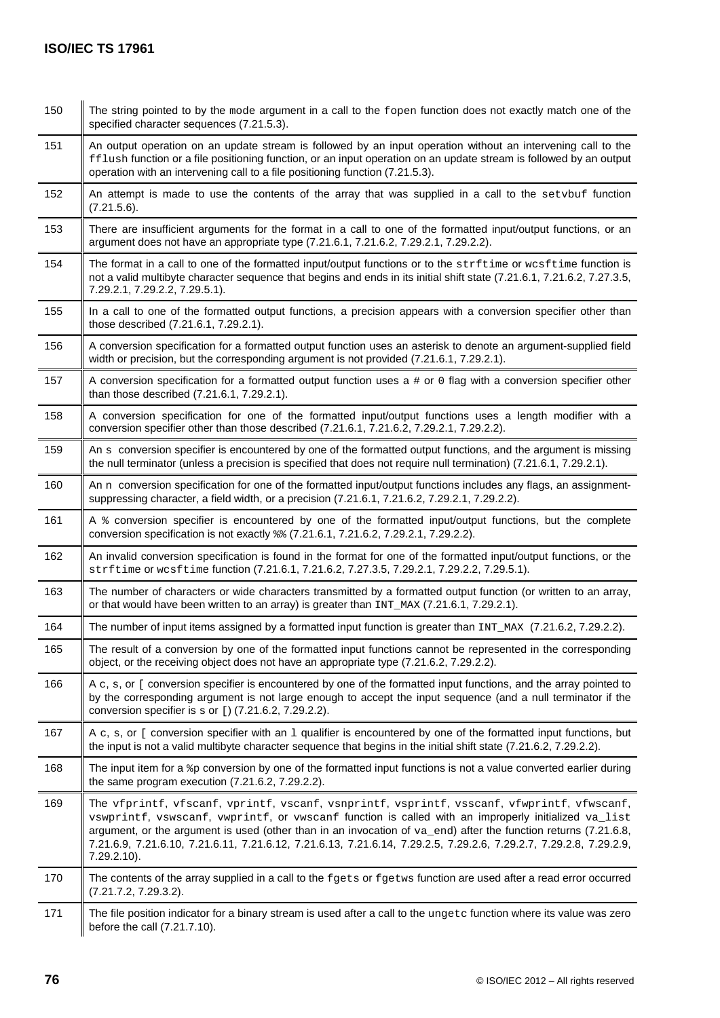| 150 | The string pointed to by the mode argument in a call to the fopen function does not exactly match one of the<br>specified character sequences (7.21.5.3).                                                                                                                                                                                                                                                                                                    |
|-----|--------------------------------------------------------------------------------------------------------------------------------------------------------------------------------------------------------------------------------------------------------------------------------------------------------------------------------------------------------------------------------------------------------------------------------------------------------------|
| 151 | An output operation on an update stream is followed by an input operation without an intervening call to the<br>fflush function or a file positioning function, or an input operation on an update stream is followed by an output<br>operation with an intervening call to a file positioning function (7.21.5.3).                                                                                                                                          |
| 152 | An attempt is made to use the contents of the array that was supplied in a call to the setvbuf function<br>(7.21.5.6).                                                                                                                                                                                                                                                                                                                                       |
| 153 | There are insufficient arguments for the format in a call to one of the formatted input/output functions, or an<br>argument does not have an appropriate type (7.21.6.1, 7.21.6.2, 7.29.2.1, 7.29.2.2).                                                                                                                                                                                                                                                      |
| 154 | The format in a call to one of the formatted input/output functions or to the strftime or wesftime function is<br>not a valid multibyte character sequence that begins and ends in its initial shift state (7.21.6.1, 7.21.6.2, 7.27.3.5,<br>7.29.2.1, 7.29.2.2, 7.29.5.1).                                                                                                                                                                                  |
| 155 | In a call to one of the formatted output functions, a precision appears with a conversion specifier other than<br>those described (7.21.6.1, 7.29.2.1).                                                                                                                                                                                                                                                                                                      |
| 156 | A conversion specification for a formatted output function uses an asterisk to denote an argument-supplied field<br>width or precision, but the corresponding argument is not provided (7.21.6.1, 7.29.2.1).                                                                                                                                                                                                                                                 |
| 157 | A conversion specification for a formatted output function uses a # or 0 flag with a conversion specifier other<br>than those described (7.21.6.1, 7.29.2.1).                                                                                                                                                                                                                                                                                                |
| 158 | A conversion specification for one of the formatted input/output functions uses a length modifier with a<br>conversion specifier other than those described (7.21.6.1, 7.21.6.2, 7.29.2.1, 7.29.2.2).                                                                                                                                                                                                                                                        |
| 159 | An s conversion specifier is encountered by one of the formatted output functions, and the argument is missing<br>the null terminator (unless a precision is specified that does not require null termination) (7.21.6.1, 7.29.2.1).                                                                                                                                                                                                                         |
| 160 | An n conversion specification for one of the formatted input/output functions includes any flags, an assignment-<br>suppressing character, a field width, or a precision (7.21.6.1, 7.21.6.2, 7.29.2.1, 7.29.2.2).                                                                                                                                                                                                                                           |
| 161 | A % conversion specifier is encountered by one of the formatted input/output functions, but the complete<br>conversion specification is not exactly $\frac{1}{6}$ (7.21.6.1, 7.21.6.2, 7.29.2.1, 7.29.2.2).                                                                                                                                                                                                                                                  |
| 162 | An invalid conversion specification is found in the format for one of the formatted input/output functions, or the<br>strftime or wcsftime function (7.21.6.1, 7.21.6.2, 7.27.3.5, 7.29.2.1, 7.29.2.2, 7.29.5.1).                                                                                                                                                                                                                                            |
| 163 | The number of characters or wide characters transmitted by a formatted output function (or written to an array,<br>or that would have been written to an array) is greater than INT_MAX (7.21.6.1, 7.29.2.1).                                                                                                                                                                                                                                                |
| 164 | The number of input items assigned by a formatted input function is greater than INT_MAX (7.21.6.2, 7.29.2.2).                                                                                                                                                                                                                                                                                                                                               |
| 165 | The result of a conversion by one of the formatted input functions cannot be represented in the corresponding<br>object, or the receiving object does not have an appropriate type (7.21.6.2, 7.29.2.2).                                                                                                                                                                                                                                                     |
| 166 | A c, s, or [ conversion specifier is encountered by one of the formatted input functions, and the array pointed to<br>by the corresponding argument is not large enough to accept the input sequence (and a null terminator if the<br>conversion specifier is s or [) (7.21.6.2, 7.29.2.2).                                                                                                                                                                  |
| 167 | A c, s, or [ conversion specifier with an $1$ qualifier is encountered by one of the formatted input functions, but<br>the input is not a valid multibyte character sequence that begins in the initial shift state (7.21.6.2, 7.29.2.2).                                                                                                                                                                                                                    |
| 168 | The input item for a $\epsilon_{\rm p}$ conversion by one of the formatted input functions is not a value converted earlier during<br>the same program execution (7.21.6.2, 7.29.2.2).                                                                                                                                                                                                                                                                       |
| 169 | The vfprintf, vfscanf, vprintf, vscanf, vsnprintf, vsprintf, vsscanf, vfwprintf, vfwscanf,<br>vswprintf, vswscanf, vwprintf, or vwscanf function is called with an improperly initialized va_list<br>argument, or the argument is used (other than in an invocation of va_end) after the function returns (7.21.6.8,<br>7.21.6.9, 7.21.6.10, 7.21.6.11, 7.21.6.12, 7.21.6.13, 7.21.6.14, 7.29.2.5, 7.29.2.6, 7.29.2.7, 7.29.2.8, 7.29.2.9,<br>$7.29.2.10$ ). |
| 170 | The contents of the array supplied in a call to the fgets or fgetws function are used after a read error occurred<br>(7.21.7.2, 7.29.3.2).                                                                                                                                                                                                                                                                                                                   |
| 171 | The file position indicator for a binary stream is used after a call to the ungetc function where its value was zero<br>before the call (7.21.7.10).                                                                                                                                                                                                                                                                                                         |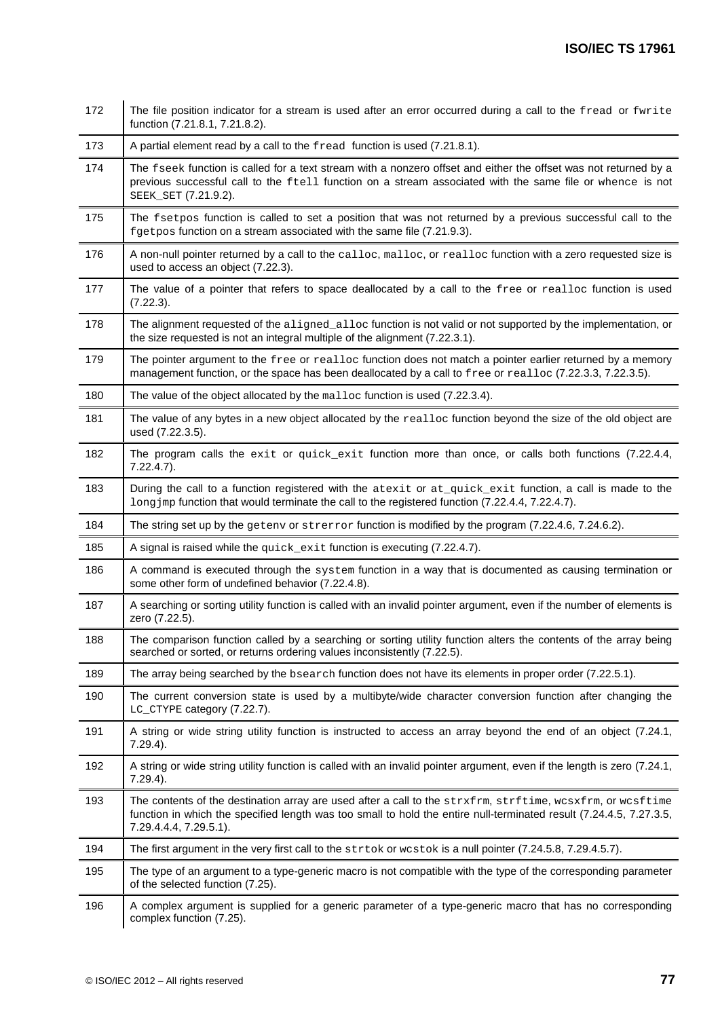| 172 | The file position indicator for a stream is used after an error occurred during a call to the fread or fwrite<br>function (7.21.8.1, 7.21.8.2).                                                                                                             |
|-----|-------------------------------------------------------------------------------------------------------------------------------------------------------------------------------------------------------------------------------------------------------------|
| 173 | A partial element read by a call to the fread function is used (7.21.8.1).                                                                                                                                                                                  |
| 174 | The fseek function is called for a text stream with a nonzero offset and either the offset was not returned by a<br>previous successful call to the ftell function on a stream associated with the same file or whence is not<br>SEEK_SET (7.21.9.2).       |
| 175 | The fsetpos function is called to set a position that was not returned by a previous successful call to the<br>fgetpos function on a stream associated with the same file (7.21.9.3).                                                                       |
| 176 | A non-null pointer returned by a call to the calloc, malloc, or realloc function with a zero requested size is<br>used to access an object (7.22.3).                                                                                                        |
| 177 | The value of a pointer that refers to space deallocated by a call to the free or realloc function is used<br>(7.22.3).                                                                                                                                      |
| 178 | The alignment requested of the aligned_alloc function is not valid or not supported by the implementation, or<br>the size requested is not an integral multiple of the alignment (7.22.3.1).                                                                |
| 179 | The pointer argument to the free or realloc function does not match a pointer earlier returned by a memory<br>management function, or the space has been deallocated by a call to free or realloc (7.22.3.3, 7.22.3.5).                                     |
| 180 | The value of the object allocated by the $m$ alloc function is used (7.22.3.4).                                                                                                                                                                             |
| 181 | The value of any bytes in a new object allocated by the realloc function beyond the size of the old object are<br>used (7.22.3.5).                                                                                                                          |
| 182 | The program calls the exit or quick_exit function more than once, or calls both functions (7.22.4.4,<br>$7.22.4.7$ ).                                                                                                                                       |
| 183 | During the call to a function registered with the atexit or at_quick_exit function, a call is made to the<br>long jmp function that would terminate the call to the registered function (7.22.4.4, 7.22.4.7).                                               |
|     |                                                                                                                                                                                                                                                             |
| 184 | The string set up by the getenv or strerror function is modified by the program (7.22.4.6, 7.24.6.2).                                                                                                                                                       |
| 185 | A signal is raised while the quick_exit function is executing (7.22.4.7).                                                                                                                                                                                   |
| 186 | A command is executed through the system function in a way that is documented as causing termination or<br>some other form of undefined behavior (7.22.4.8).                                                                                                |
| 187 | A searching or sorting utility function is called with an invalid pointer argument, even if the number of elements is<br>zero (7.22.5).                                                                                                                     |
| 188 | The comparison function called by a searching or sorting utility function alters the contents of the array being<br>searched or sorted, or returns ordering values inconsistently (7.22.5).                                                                 |
| 189 | The array being searched by the bsearch function does not have its elements in proper order (7.22.5.1).                                                                                                                                                     |
| 190 | The current conversion state is used by a multibyte/wide character conversion function after changing the<br>LC_CTYPE category (7.22.7).                                                                                                                    |
| 191 | A string or wide string utility function is instructed to access an array beyond the end of an object (7.24.1,<br>$7.29.4$ ).                                                                                                                               |
| 192 | A string or wide string utility function is called with an invalid pointer argument, even if the length is zero (7.24.1,<br>$7.29.4$ ).                                                                                                                     |
| 193 | The contents of the destination array are used after a call to the strxfrm, strftime, wcsxfrm, or wcsftime<br>function in which the specified length was too small to hold the entire null-terminated result (7.24.4.5, 7.27.3.5,<br>7.29.4.4.4, 7.29.5.1). |
| 194 | The first argument in the very first call to the strtok or westok is a null pointer (7.24.5.8, 7.29.4.5.7).                                                                                                                                                 |
| 195 | The type of an argument to a type-generic macro is not compatible with the type of the corresponding parameter<br>of the selected function (7.25).                                                                                                          |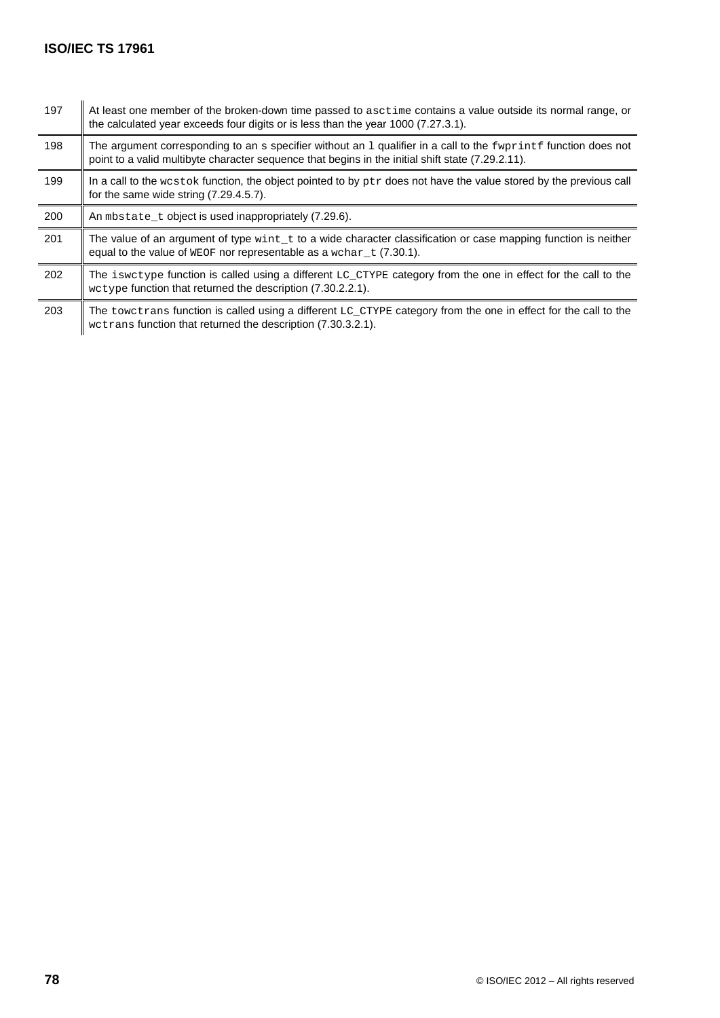| 197 | At least one member of the broken-down time passed to asctime contains a value outside its normal range, or<br>the calculated year exceeds four digits or is less than the year 1000 (7.27.3.1).                                   |
|-----|------------------------------------------------------------------------------------------------------------------------------------------------------------------------------------------------------------------------------------|
| 198 | The argument corresponding to an $s$ specifier without an 1 qualifier in a call to the $f_{\text{wprint}}f$ function does not<br>point to a valid multibyte character sequence that begins in the initial shift state (7.29.2.11). |
| 199 | In a call to the wastok function, the object pointed to by ptr does not have the value stored by the previous call<br>for the same wide string (7.29.4.5.7).                                                                       |
| 200 | An mbstate_t object is used inappropriately (7.29.6).                                                                                                                                                                              |
| 201 | The value of an argument of type $\text{wint}_t$ to a wide character classification or case mapping function is neither<br>equal to the value of $WEDF$ nor representable as a $WChar_{t}$ (7.30.1).                               |
| 202 | The iswetype function is called using a different LC CTYPE category from the one in effect for the call to the<br>wetype function that returned the description (7.30.2.2.1).                                                      |
| 203 | The towetrans function is called using a different LC_CTYPE category from the one in effect for the call to the<br>wetrans function that returned the description (7.30.3.2.1).                                                    |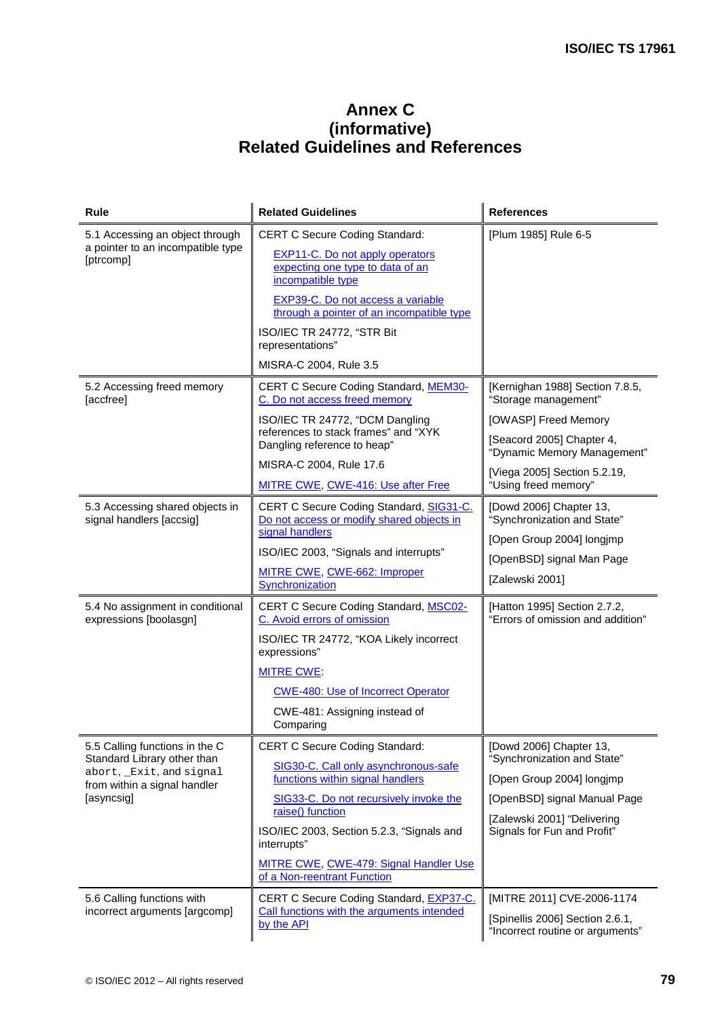# **Annex C (informative) Related Guidelines and References**

| Rule                                                                                                                                    | <b>Related Guidelines</b>                                                                                                                                                                                                                                                                                                                                    | <b>References</b>                                                                                                                                                                                        |
|-----------------------------------------------------------------------------------------------------------------------------------------|--------------------------------------------------------------------------------------------------------------------------------------------------------------------------------------------------------------------------------------------------------------------------------------------------------------------------------------------------------------|----------------------------------------------------------------------------------------------------------------------------------------------------------------------------------------------------------|
| 5.1 Accessing an object through<br>a pointer to an incompatible type<br>[ptrcomp]                                                       | <b>CERT C Secure Coding Standard:</b><br><b>EXP11-C.</b> Do not apply operators<br>expecting one type to data of an<br>incompatible type<br>EXP39-C. Do not access a variable<br>through a pointer of an incompatible type<br>ISO/IEC TR 24772, "STR Bit<br>representations"<br>MISRA-C 2004, Rule 3.5                                                       | [Plum 1985] Rule 6-5                                                                                                                                                                                     |
| 5.2 Accessing freed memory<br>[accfree]                                                                                                 | CERT C Secure Coding Standard, MEM30-<br>C. Do not access freed memory<br>ISO/IEC TR 24772, "DCM Dangling<br>references to stack frames" and "XYK<br>Dangling reference to heap"                                                                                                                                                                             | [Kernighan 1988] Section 7.8.5,<br>"Storage management"<br>[OWASP] Freed Memory<br>[Seacord 2005] Chapter 4,<br>"Dynamic Memory Management"                                                              |
|                                                                                                                                         | MISRA-C 2004, Rule 17.6<br>MITRE CWE, CWE-416: Use after Free                                                                                                                                                                                                                                                                                                | [Viega 2005] Section 5.2.19,<br>"Using freed memory"                                                                                                                                                     |
| 5.3 Accessing shared objects in<br>signal handlers [accsig]<br>5.4 No assignment in conditional<br>expressions [boolasgn]               | CERT C Secure Coding Standard, SIG31-C.<br>Do not access or modify shared objects in<br>signal handlers<br>ISO/IEC 2003, "Signals and interrupts"<br>MITRE CWE, CWE-662: Improper<br>Synchronization<br>CERT C Secure Coding Standard, MSC02-<br>C. Avoid errors of omission<br>ISO/IEC TR 24772, "KOA Likely incorrect<br>expressions"<br><b>MITRE CWE.</b> | [Dowd 2006] Chapter 13,<br>"Synchronization and State"<br>[Open Group 2004] longjmp<br>[OpenBSD] signal Man Page<br>[Zalewski 2001]<br>[Hatton 1995] Section 2.7.2,<br>"Errors of omission and addition" |
|                                                                                                                                         | <b>CWE-480: Use of Incorrect Operator</b><br>CWE-481: Assigning instead of<br>Comparing                                                                                                                                                                                                                                                                      |                                                                                                                                                                                                          |
| 5.5 Calling functions in the C<br>Standard Library other than<br>abort, _Exit, and signal<br>from within a signal handler<br>[asyncsig] | <b>CERT C Secure Coding Standard:</b><br>SIG30-C. Call only asynchronous-safe<br>functions within signal handlers<br>SIG33-C. Do not recursively invoke the<br>raise() function<br>ISO/IEC 2003, Section 5.2.3, "Signals and<br>interrupts"<br>MITRE CWE, CWE-479: Signal Handler Use<br>of a Non-reentrant Function                                         | [Dowd 2006] Chapter 13,<br>"Synchronization and State"<br>[Open Group 2004] longimp<br>[OpenBSD] signal Manual Page<br>[Zalewski 2001] "Delivering<br>Signals for Fun and Profit"                        |
| 5.6 Calling functions with<br>incorrect arguments [argcomp]                                                                             | CERT C Secure Coding Standard, EXP37-C.<br>Call functions with the arguments intended<br>by the API                                                                                                                                                                                                                                                          | [MITRE 2011] CVE-2006-1174<br>[Spinellis 2006] Section 2.6.1,<br>"Incorrect routine or arguments"                                                                                                        |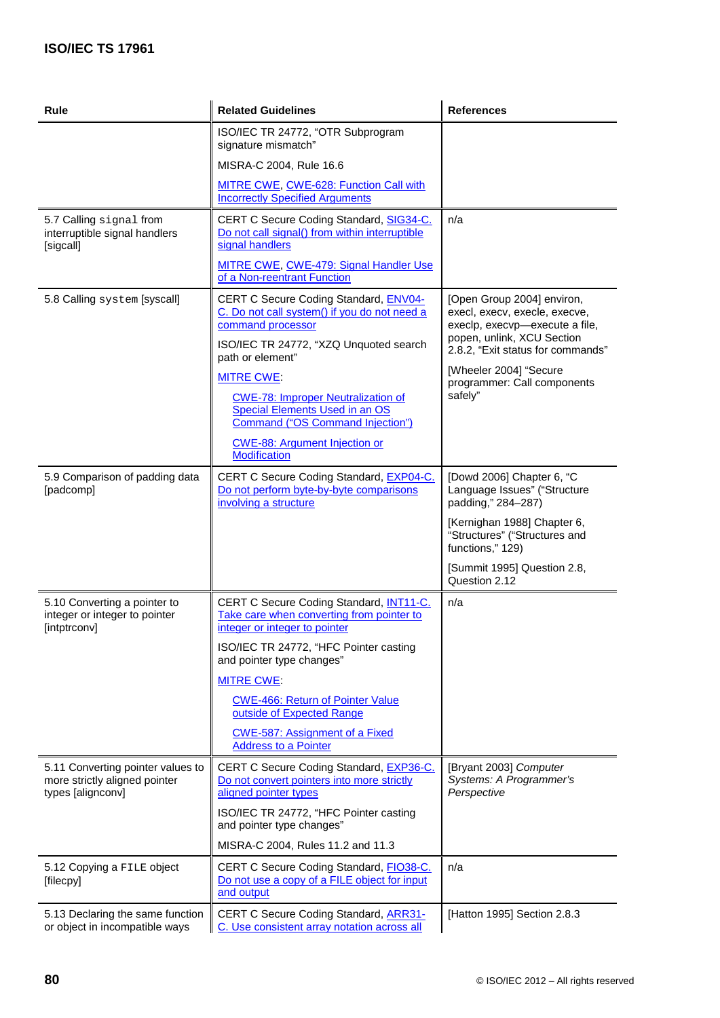| Rule                                                                                    | <b>Related Guidelines</b>                                                                                              | <b>References</b>                                                                             |
|-----------------------------------------------------------------------------------------|------------------------------------------------------------------------------------------------------------------------|-----------------------------------------------------------------------------------------------|
|                                                                                         | ISO/IEC TR 24772, "OTR Subprogram<br>signature mismatch"                                                               |                                                                                               |
|                                                                                         | MISRA-C 2004, Rule 16.6                                                                                                |                                                                                               |
|                                                                                         | MITRE CWE, CWE-628: Function Call with<br><b>Incorrectly Specified Arguments</b>                                       |                                                                                               |
| 5.7 Calling signal from<br>interruptible signal handlers<br>[sigcall]                   | CERT C Secure Coding Standard, SIG34-C.<br>Do not call signal() from within interruptible<br>signal handlers           | n/a                                                                                           |
|                                                                                         | MITRE CWE, CWE-479: Signal Handler Use<br>of a Non-reentrant Function                                                  |                                                                                               |
| 5.8 Calling system [syscall]                                                            | CERT C Secure Coding Standard, ENV04-<br>C. Do not call system() if you do not need a<br>command processor             | [Open Group 2004] environ,<br>execl, execv, execle, execve,<br>execlp, execvp-execute a file, |
|                                                                                         | ISO/IEC TR 24772, "XZQ Unquoted search<br>path or element"                                                             | popen, unlink, XCU Section<br>2.8.2, "Exit status for commands"                               |
|                                                                                         | <b>MITRE CWE:</b>                                                                                                      | [Wheeler 2004] "Secure<br>programmer: Call components                                         |
|                                                                                         | <b>CWE-78: Improper Neutralization of</b><br>Special Elements Used in an OS<br><b>Command ("OS Command Injection")</b> | safely"                                                                                       |
|                                                                                         | <b>CWE-88: Argument Injection or</b><br><b>Modification</b>                                                            |                                                                                               |
| 5.9 Comparison of padding data<br>[padcomp]                                             | CERT C Secure Coding Standard, EXP04-C.<br>Do not perform byte-by-byte comparisons<br>involving a structure            | [Dowd 2006] Chapter 6, "C<br>Language Issues" ("Structure<br>padding," 284-287)               |
|                                                                                         |                                                                                                                        | [Kernighan 1988] Chapter 6,<br>"Structures" ("Structures and<br>functions," 129)              |
|                                                                                         |                                                                                                                        | [Summit 1995] Question 2.8,<br>Question 2.12                                                  |
| 5.10 Converting a pointer to<br>integer or integer to pointer<br>[intptrconv]           | CERT C Secure Coding Standard, INT11-C.<br>Take care when converting from pointer to<br>integer or integer to pointer  | n/a                                                                                           |
|                                                                                         | ISO/IEC TR 24772, "HFC Pointer casting<br>and pointer type changes"                                                    |                                                                                               |
|                                                                                         | <b>MITRE CWE:</b>                                                                                                      |                                                                                               |
|                                                                                         | <b>CWE-466: Return of Pointer Value</b><br>outside of Expected Range                                                   |                                                                                               |
|                                                                                         | <b>CWE-587: Assignment of a Fixed</b><br><b>Address to a Pointer</b>                                                   |                                                                                               |
| 5.11 Converting pointer values to<br>more strictly aligned pointer<br>types [alignconv] | CERT C Secure Coding Standard, EXP36-C.<br>Do not convert pointers into more strictly<br>aligned pointer types         | [Bryant 2003] Computer<br>Systems: A Programmer's<br>Perspective                              |
|                                                                                         | ISO/IEC TR 24772, "HFC Pointer casting<br>and pointer type changes"                                                    |                                                                                               |
|                                                                                         | MISRA-C 2004, Rules 11.2 and 11.3                                                                                      |                                                                                               |
| 5.12 Copying a FILE object<br>[filecpy]                                                 | CERT C Secure Coding Standard, FIO38-C.<br>Do not use a copy of a FILE object for input<br>and output                  | n/a                                                                                           |
| 5.13 Declaring the same function<br>or object in incompatible ways                      | CERT C Secure Coding Standard, ARR31-<br>C. Use consistent array notation across all                                   | [Hatton 1995] Section 2.8.3                                                                   |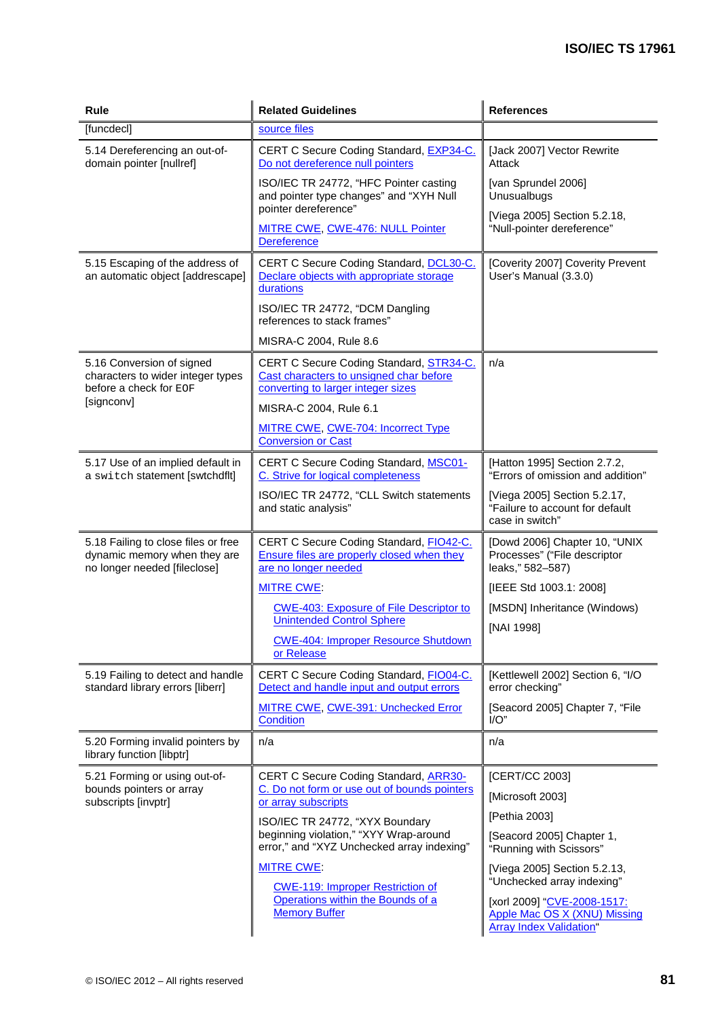| Rule                                                                                                | <b>Related Guidelines</b>                                                                                                | <b>References</b>                                                                              |
|-----------------------------------------------------------------------------------------------------|--------------------------------------------------------------------------------------------------------------------------|------------------------------------------------------------------------------------------------|
| [funcdecl]                                                                                          | source files                                                                                                             |                                                                                                |
| 5.14 Dereferencing an out-of-<br>domain pointer [nullref]                                           | CERT C Secure Coding Standard, EXP34-C.<br>Do not dereference null pointers                                              | [Jack 2007] Vector Rewrite<br>Attack                                                           |
|                                                                                                     | ISO/IEC TR 24772, "HFC Pointer casting<br>and pointer type changes" and "XYH Null<br>pointer dereference"                | [van Sprundel 2006]<br>Unusualbugs                                                             |
|                                                                                                     | MITRE CWE, CWE-476: NULL Pointer<br><b>Dereference</b>                                                                   | [Viega 2005] Section 5.2.18,<br>"Null-pointer dereference"                                     |
| 5.15 Escaping of the address of<br>an automatic object [addrescape]                                 | CERT C Secure Coding Standard, DCL30-C.<br>Declare objects with appropriate storage<br>durations                         | [Coverity 2007] Coverity Prevent<br>User's Manual (3.3.0)                                      |
|                                                                                                     | ISO/IEC TR 24772, "DCM Dangling<br>references to stack frames"                                                           |                                                                                                |
|                                                                                                     | MISRA-C 2004, Rule 8.6                                                                                                   |                                                                                                |
| 5.16 Conversion of signed<br>characters to wider integer types<br>before a check for EOF            | CERT C Secure Coding Standard, STR34-C.<br>Cast characters to unsigned char before<br>converting to larger integer sizes | n/a                                                                                            |
| [signconv]                                                                                          | MISRA-C 2004, Rule 6.1                                                                                                   |                                                                                                |
|                                                                                                     | MITRE CWE, CWE-704: Incorrect Type<br><b>Conversion or Cast</b>                                                          |                                                                                                |
| 5.17 Use of an implied default in<br>a switch statement [swtchdflt]                                 | CERT C Secure Coding Standard, MSC01-<br>C. Strive for logical completeness                                              | [Hatton 1995] Section 2.7.2,<br>"Errors of omission and addition"                              |
|                                                                                                     | ISO/IEC TR 24772, "CLL Switch statements<br>and static analysis"                                                         | [Viega 2005] Section 5.2.17,<br>"Failure to account for default<br>case in switch"             |
| 5.18 Failing to close files or free<br>dynamic memory when they are<br>no longer needed [fileclose] | CERT C Secure Coding Standard, FIO42-C.<br>Ensure files are properly closed when they<br>are no longer needed            | [Dowd 2006] Chapter 10, "UNIX<br>Processes" ("File descriptor<br>leaks," 582-587)              |
|                                                                                                     | <b>MITRE CWE:</b>                                                                                                        | [IEEE Std 1003.1: 2008]                                                                        |
|                                                                                                     | <b>CWE-403: Exposure of File Descriptor to</b><br><b>Unintended Control Sphere</b>                                       | [MSDN] Inheritance (Windows)                                                                   |
|                                                                                                     | <b>CWE-404: Improper Resource Shutdown</b>                                                                               | [NAI 1998]                                                                                     |
|                                                                                                     | or Release                                                                                                               |                                                                                                |
| 5.19 Failing to detect and handle<br>standard library errors [liberr]                               | CERT C Secure Coding Standard, FIO04-C.<br>Detect and handle input and output errors                                     | [Kettlewell 2002] Section 6, "I/O<br>error checking"                                           |
|                                                                                                     | MITRE CWE, CWE-391: Unchecked Error<br><b>Condition</b>                                                                  | [Seacord 2005] Chapter 7, "File<br>I/O''                                                       |
| 5.20 Forming invalid pointers by<br>library function [libptr]                                       | n/a                                                                                                                      | n/a                                                                                            |
| 5.21 Forming or using out-of-                                                                       | CERT C Secure Coding Standard, ARR30-                                                                                    | [CERT/CC 2003]                                                                                 |
| bounds pointers or array<br>subscripts [invptr]                                                     | C. Do not form or use out of bounds pointers<br>or array subscripts                                                      | [Microsoft 2003]                                                                               |
|                                                                                                     | ISO/IEC TR 24772, "XYX Boundary                                                                                          | [Pethia 2003]                                                                                  |
|                                                                                                     | beginning violation," "XYY Wrap-around<br>error," and "XYZ Unchecked array indexing"                                     | [Seacord 2005] Chapter 1,<br>"Running with Scissors"                                           |
|                                                                                                     | <b>MITRE CWE</b><br><b>CWE-119: Improper Restriction of</b>                                                              | [Viega 2005] Section 5.2.13,<br>"Unchecked array indexing"                                     |
|                                                                                                     | Operations within the Bounds of a<br><b>Memory Buffer</b>                                                                | [xorl 2009] "CVE-2008-1517:<br>Apple Mac OS X (XNU) Missing<br><b>Array Index Validation</b> " |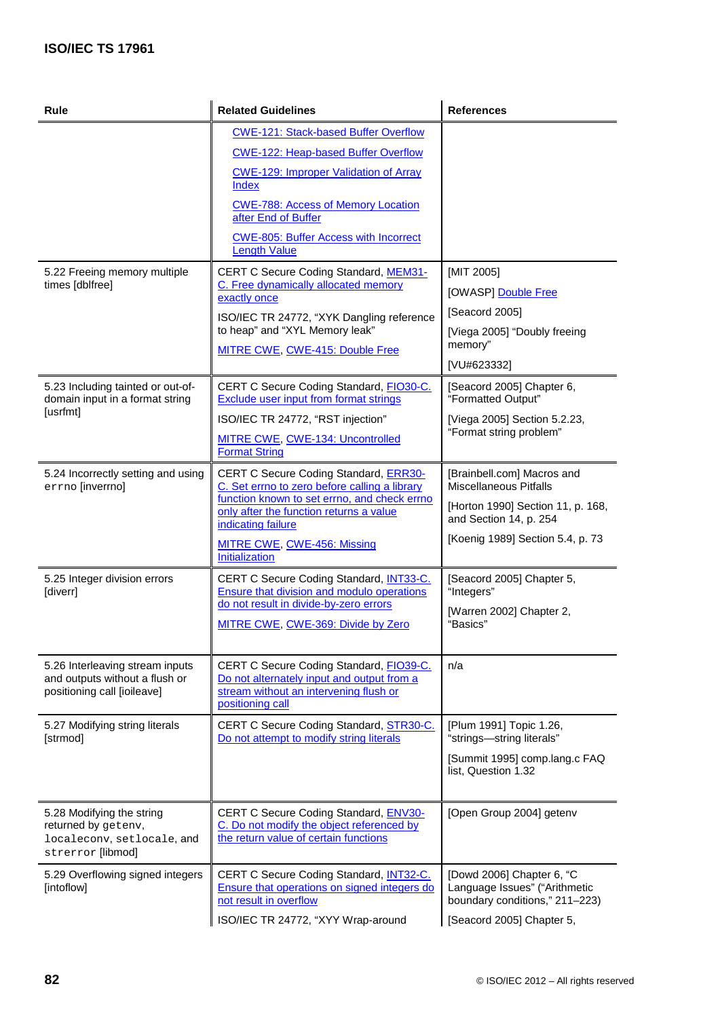| Rule                                                                   | <b>Related Guidelines</b>                                                                     | <b>References</b>                                               |
|------------------------------------------------------------------------|-----------------------------------------------------------------------------------------------|-----------------------------------------------------------------|
|                                                                        | <b>CWE-121: Stack-based Buffer Overflow</b>                                                   |                                                                 |
|                                                                        | <b>CWE-122: Heap-based Buffer Overflow</b>                                                    |                                                                 |
|                                                                        | <b>CWE-129: Improper Validation of Array</b><br><b>Index</b>                                  |                                                                 |
|                                                                        | <b>CWE-788: Access of Memory Location</b><br>after End of Buffer                              |                                                                 |
|                                                                        | <b>CWE-805: Buffer Access with Incorrect</b><br><b>Length Value</b>                           |                                                                 |
| 5.22 Freeing memory multiple                                           | CERT C Secure Coding Standard, MEM31-<br>C. Free dynamically allocated memory<br>exactly once | [MIT 2005]                                                      |
| times [dblfree]                                                        |                                                                                               | [OWASP] Double Free                                             |
|                                                                        | ISO/IEC TR 24772, "XYK Dangling reference                                                     | [Seacord 2005]                                                  |
|                                                                        | to heap" and "XYL Memory leak"                                                                | [Viega 2005] "Doubly freeing<br>memory"                         |
|                                                                        | MITRE CWE, CWE-415: Double Free                                                               | [VU#623332]                                                     |
| 5.23 Including tainted or out-of-                                      | CERT C Secure Coding Standard, FIO30-C.                                                       | [Seacord 2005] Chapter 6,                                       |
| domain input in a format string                                        | Exclude user input from format strings                                                        | "Formatted Output"                                              |
| [usrfmt]                                                               | ISO/IEC TR 24772, "RST injection"                                                             | [Viega 2005] Section 5.2.23,<br>"Format string problem"         |
|                                                                        | MITRE CWE, CWE-134: Uncontrolled<br><b>Format String</b>                                      |                                                                 |
| 5.24 Incorrectly setting and using<br>errno [inverrno]                 | CERT C Secure Coding Standard, ERR30-<br>C. Set errno to zero before calling a library        | [Brainbell.com] Macros and<br><b>Miscellaneous Pitfalls</b>     |
|                                                                        | function known to set errno, and check errno<br>only after the function returns a value       | [Horton 1990] Section 11, p. 168,<br>and Section 14, p. 254     |
|                                                                        | indicating failure                                                                            | [Koenig 1989] Section 5.4, p. 73                                |
|                                                                        | MITRE CWE, CWE-456: Missing<br>Initialization                                                 |                                                                 |
| 5.25 Integer division errors<br>[diverr]                               | CERT C Secure Coding Standard, INT33-C.<br>Ensure that division and modulo operations         | [Seacord 2005] Chapter 5,<br>"Integers"                         |
|                                                                        | do not result in divide-by-zero errors<br>MITRE CWE, CWE-369: Divide by Zero                  | [Warren 2002] Chapter 2,<br>"Basics"                            |
|                                                                        |                                                                                               |                                                                 |
| 5.26 Interleaving stream inputs                                        | CERT C Secure Coding Standard, FIO39-C.                                                       | n/a                                                             |
| and outputs without a flush or<br>positioning call [ioileave]          | Do not alternately input and output from a<br>stream without an intervening flush or          |                                                                 |
|                                                                        | positioning call                                                                              |                                                                 |
| 5.27 Modifying string literals<br>[strmod]                             | CERT C Secure Coding Standard, STR30-C.<br>Do not attempt to modify string literals           | [Plum 1991] Topic 1.26,<br>"strings-string literals"            |
|                                                                        |                                                                                               | [Summit 1995] comp.lang.c FAQ<br>list, Question 1.32            |
| 5.28 Modifying the string                                              | CERT C Secure Coding Standard, ENV30-                                                         | [Open Group 2004] getenv                                        |
| returned by getenv,<br>localeconv, setlocale, and<br>strerror [libmod] | C. Do not modify the object referenced by<br>the return value of certain functions            |                                                                 |
| 5.29 Overflowing signed integers                                       | CERT C Secure Coding Standard, INT32-C.                                                       | [Dowd 2006] Chapter 6, "C                                       |
| [intoflow]                                                             | Ensure that operations on signed integers do<br>not result in overflow                        | Language Issues" ("Arithmetic<br>boundary conditions," 211-223) |
|                                                                        | ISO/IEC TR 24772, "XYY Wrap-around                                                            | [Seacord 2005] Chapter 5,                                       |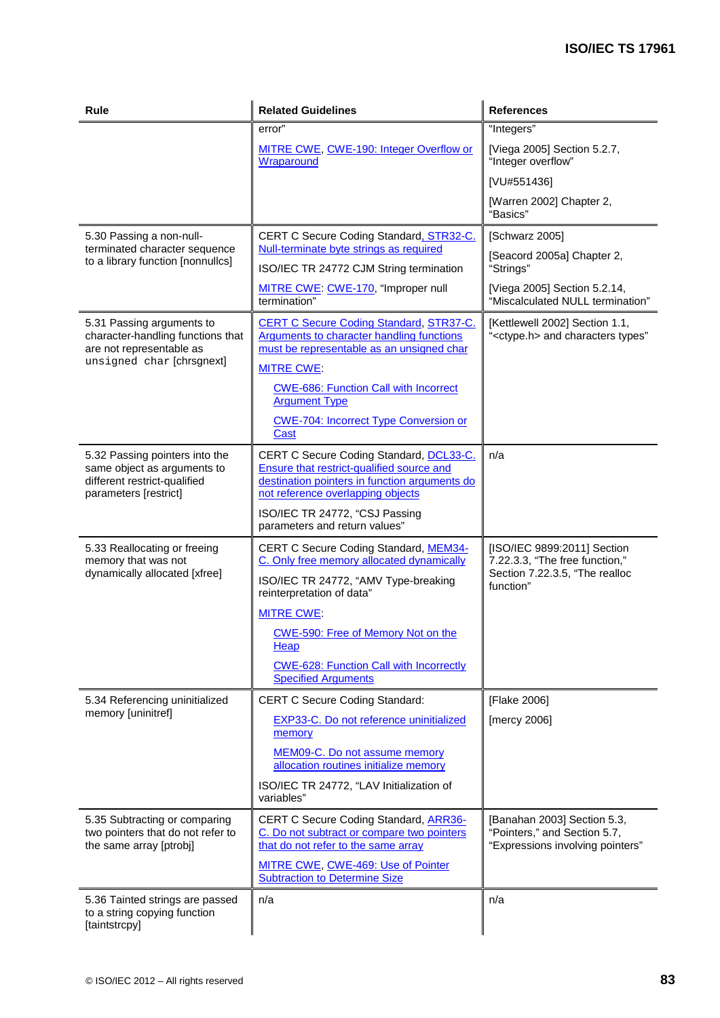| Rule                                                                                                                   | <b>Related Guidelines</b>                                                                                                                                                  | <b>References</b>                                                                                            |
|------------------------------------------------------------------------------------------------------------------------|----------------------------------------------------------------------------------------------------------------------------------------------------------------------------|--------------------------------------------------------------------------------------------------------------|
|                                                                                                                        | error"                                                                                                                                                                     | "Integers"                                                                                                   |
|                                                                                                                        | MITRE CWE, CWE-190: Integer Overflow or<br>Wraparound                                                                                                                      | [Viega 2005] Section 5.2.7,<br>"Integer overflow"                                                            |
|                                                                                                                        |                                                                                                                                                                            | [VU#551436]                                                                                                  |
|                                                                                                                        |                                                                                                                                                                            | [Warren 2002] Chapter 2,<br>"Basics"                                                                         |
| 5.30 Passing a non-null-<br>terminated character sequence<br>to a library function [nonnullcs]                         | CERT C Secure Coding Standard, STR32-C.<br>Null-terminate byte strings as required                                                                                         | [Schwarz 2005]                                                                                               |
|                                                                                                                        | ISO/IEC TR 24772 CJM String termination                                                                                                                                    | [Seacord 2005a] Chapter 2,<br>"Strings"                                                                      |
|                                                                                                                        | MITRE CWE: CWE-170, "Improper null<br>termination"                                                                                                                         | [Viega 2005] Section 5.2.14,<br>"Miscalculated NULL termination"                                             |
| 5.31 Passing arguments to<br>character-handling functions that<br>are not representable as                             | <b>CERT C Secure Coding Standard, STR37-C.</b><br><b>Arguments to character handling functions</b><br>must be representable as an unsigned char                            | [Kettlewell 2002] Section 1.1,<br>" <ctype.h> and characters types"</ctype.h>                                |
| unsigned char [chrsgnext]                                                                                              | <b>MITRE CWE.</b>                                                                                                                                                          |                                                                                                              |
|                                                                                                                        | <b>CWE-686: Function Call with Incorrect</b><br><b>Argument Type</b>                                                                                                       |                                                                                                              |
|                                                                                                                        | <b>CWE-704: Incorrect Type Conversion or</b><br>Cast                                                                                                                       |                                                                                                              |
| 5.32 Passing pointers into the<br>same object as arguments to<br>different restrict-qualified<br>parameters [restrict] | CERT C Secure Coding Standard, DCL33-C.<br>Ensure that restrict-qualified source and<br>destination pointers in function arguments do<br>not reference overlapping objects | n/a                                                                                                          |
|                                                                                                                        | ISO/IEC TR 24772, "CSJ Passing<br>parameters and return values"                                                                                                            |                                                                                                              |
| 5.33 Reallocating or freeing<br>memory that was not<br>dynamically allocated [xfree]                                   | CERT C Secure Coding Standard, MEM34-<br>C. Only free memory allocated dynamically                                                                                         | [ISO/IEC 9899:2011] Section<br>7.22.3.3, "The free function,"<br>Section 7.22.3.5, "The realloc<br>function" |
|                                                                                                                        | ISO/IEC TR 24772, "AMV Type-breaking<br>reinterpretation of data"                                                                                                          |                                                                                                              |
|                                                                                                                        | <b>MITRE CWE:</b>                                                                                                                                                          |                                                                                                              |
|                                                                                                                        | CWE-590: Free of Memory Not on the<br><b>Heap</b>                                                                                                                          |                                                                                                              |
|                                                                                                                        | <b>CWE-628: Function Call with Incorrectly</b><br><b>Specified Arguments</b>                                                                                               |                                                                                                              |
| 5.34 Referencing uninitialized<br>memory [uninitref]                                                                   | <b>CERT C Secure Coding Standard:</b>                                                                                                                                      | [Flake 2006]                                                                                                 |
|                                                                                                                        | EXP33-C. Do not reference uninitialized<br>memory                                                                                                                          | [mercy 2006]                                                                                                 |
|                                                                                                                        | MEM09-C. Do not assume memory<br>allocation routines initialize memory                                                                                                     |                                                                                                              |
|                                                                                                                        | ISO/IEC TR 24772, "LAV Initialization of<br>variables"                                                                                                                     |                                                                                                              |
| 5.35 Subtracting or comparing<br>two pointers that do not refer to<br>the same array [ptrobj]                          | CERT C Secure Coding Standard, ARR36-<br>C. Do not subtract or compare two pointers<br>that do not refer to the same array                                                 | [Banahan 2003] Section 5.3,<br>"Pointers," and Section 5.7,<br>"Expressions involving pointers"              |
|                                                                                                                        | MITRE CWE, CWE-469: Use of Pointer<br><b>Subtraction to Determine Size</b>                                                                                                 |                                                                                                              |
| 5.36 Tainted strings are passed<br>to a string copying function<br>[taintstrcpy]                                       | n/a                                                                                                                                                                        | n/a                                                                                                          |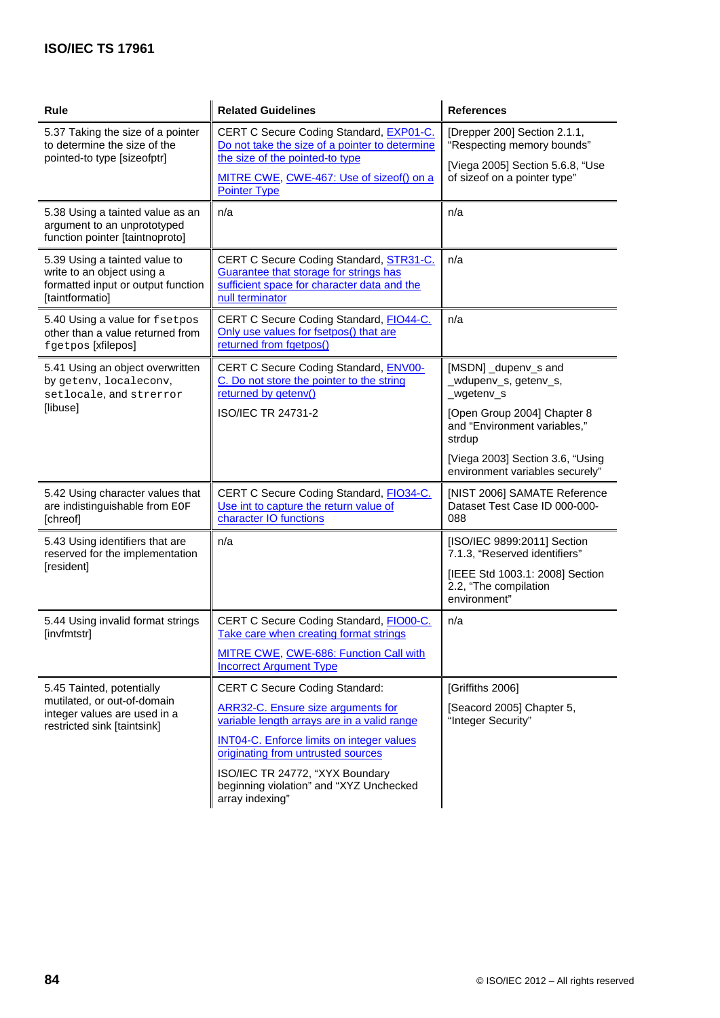| <b>Rule</b>                                                                                                             | <b>Related Guidelines</b>                                                                                                                           | <b>References</b>                                                                                                              |
|-------------------------------------------------------------------------------------------------------------------------|-----------------------------------------------------------------------------------------------------------------------------------------------------|--------------------------------------------------------------------------------------------------------------------------------|
| 5.37 Taking the size of a pointer<br>to determine the size of the<br>pointed-to type [sizeofptr]                        | CERT C Secure Coding Standard, EXP01-C.<br>Do not take the size of a pointer to determine<br>the size of the pointed-to type                        | [Drepper 200] Section 2.1.1,<br>"Respecting memory bounds"<br>[Viega 2005] Section 5.6.8, "Use<br>of sizeof on a pointer type" |
|                                                                                                                         | MITRE CWE, CWE-467: Use of sizeof() on a<br><b>Pointer Type</b>                                                                                     |                                                                                                                                |
| 5.38 Using a tainted value as an<br>argument to an unprototyped<br>function pointer [taintnoproto]                      | n/a                                                                                                                                                 | n/a                                                                                                                            |
| 5.39 Using a tainted value to<br>write to an object using a<br>formatted input or output function<br>[taintformatio]    | CERT C Secure Coding Standard, STR31-C.<br>Guarantee that storage for strings has<br>sufficient space for character data and the<br>null terminator | n/a                                                                                                                            |
| 5.40 Using a value for fsetpos<br>other than a value returned from<br>fgetpos [xfilepos]                                | CERT C Secure Coding Standard, FIO44-C.<br>Only use values for fsetpos() that are<br>returned from fgetpos()                                        | n/a                                                                                                                            |
| 5.41 Using an object overwritten<br>by getenv, localeconv,<br>setlocale, and strerror<br>[libuse]                       | CERT C Secure Coding Standard, ENV00-<br>C. Do not store the pointer to the string<br>returned by getenv()                                          | [MSDN] _dupenv_s and<br>_wdupenv_s, getenv_s,<br>_wgetenv_s                                                                    |
|                                                                                                                         | ISO/IEC TR 24731-2                                                                                                                                  | [Open Group 2004] Chapter 8<br>and "Environment variables,"<br>strdup                                                          |
|                                                                                                                         |                                                                                                                                                     | [Viega 2003] Section 3.6, "Using<br>environment variables securely"                                                            |
| 5.42 Using character values that<br>are indistinguishable from EOF<br>[chreof]                                          | CERT C Secure Coding Standard, FIO34-C.<br>Use int to capture the return value of<br>character IO functions                                         | [NIST 2006] SAMATE Reference<br>Dataset Test Case ID 000-000-<br>088                                                           |
| 5.43 Using identifiers that are<br>reserved for the implementation<br>[resident]                                        | n/a                                                                                                                                                 | [ISO/IEC 9899:2011] Section<br>7.1.3, "Reserved identifiers"                                                                   |
|                                                                                                                         |                                                                                                                                                     | [IEEE Std 1003.1: 2008] Section<br>2.2, "The compilation<br>environment"                                                       |
| 5.44 Using invalid format strings<br>[invfmtstr]                                                                        | CERT C Secure Coding Standard, FIO00-C.<br>Take care when creating format strings                                                                   | n/a                                                                                                                            |
|                                                                                                                         | MITRE CWE, CWE-686: Function Call with<br><b>Incorrect Argument Type</b>                                                                            |                                                                                                                                |
| 5.45 Tainted, potentially<br>mutilated, or out-of-domain<br>integer values are used in a<br>restricted sink [taintsink] | <b>CERT C Secure Coding Standard:</b>                                                                                                               | [Griffiths 2006]                                                                                                               |
|                                                                                                                         | <b>ARR32-C.</b> Ensure size arguments for<br>variable length arrays are in a valid range                                                            | [Seacord 2005] Chapter 5,<br>"Integer Security"                                                                                |
|                                                                                                                         | <b>INT04-C.</b> Enforce limits on integer values<br>originating from untrusted sources                                                              |                                                                                                                                |
|                                                                                                                         | ISO/IEC TR 24772, "XYX Boundary<br>beginning violation" and "XYZ Unchecked<br>array indexing"                                                       |                                                                                                                                |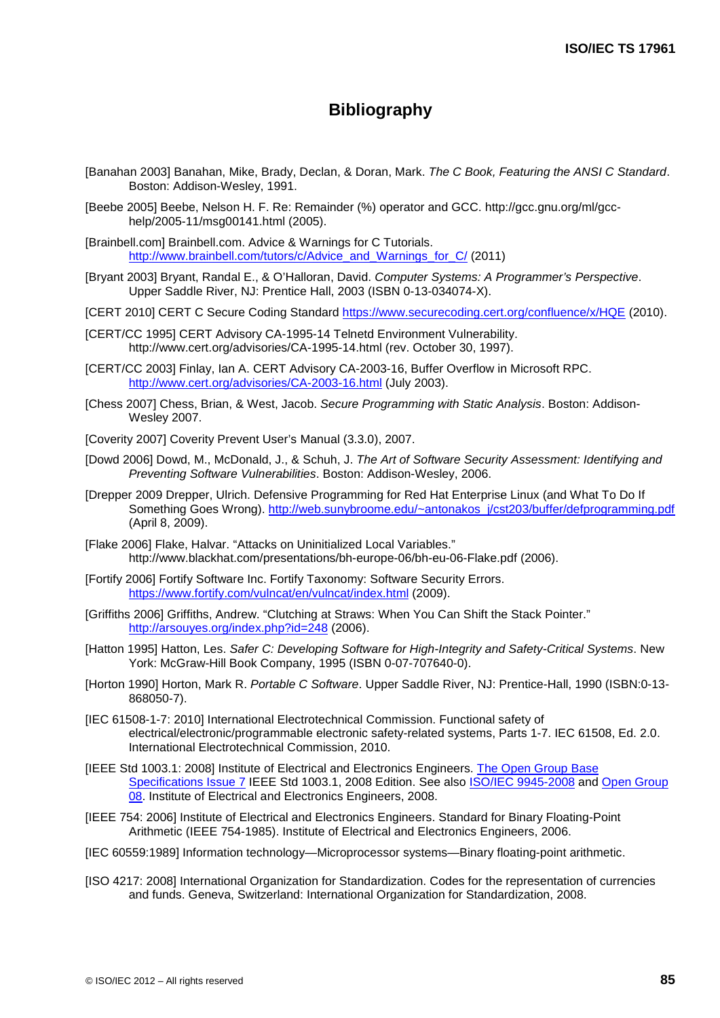# **Bibliography**

- <span id="page-92-10"></span>[Banahan 2003] Banahan, Mike, Brady, Declan, & Doran, Mark. *The C Book, Featuring the ANSI C Standard*. Boston: Addison-Wesley, 1991.
- [Beebe 2005] Beebe, Nelson H. F. Re: Remainder (%) operator and GCC. http://gcc.gnu.org/ml/gcchelp/2005-11/msg00141.html (2005).
- <span id="page-92-7"></span>[Brainbell.com] Brainbell.com. Advice & Warnings for C Tutorials. [http://www.brainbell.com/tutors/c/Advice\\_and\\_Warnings\\_for\\_C/](http://www.brainbell.com/tutors/c/Advice_and_Warnings_for_C/) (2011)
- <span id="page-92-3"></span>[Bryant 2003] Bryant, Randal E., & O'Halloran, David. *Computer Systems: A Programmer's Perspective*. Upper Saddle River, NJ: Prentice Hall, 2003 (ISBN 0-13-034074-X).
- <span id="page-92-0"></span>[CERT 2010] CERT C Secure Coding Standard<https://www.securecoding.cert.org/confluence/x/HQE> (2010).
- [CERT/CC 1995] CERT Advisory CA-1995-14 Telnetd Environment Vulnerability. http://www.cert.org/advisories/CA-1995-14.html (rev. October 30, 1997).
- <span id="page-92-6"></span>[CERT/CC 2003] Finlay, Ian A. CERT Advisory CA-2003-16, Buffer Overflow in Microsoft RPC. <http://www.cert.org/advisories/CA-2003-16.html> (July 2003).
- [Chess 2007] Chess, Brian, & West, Jacob. *Secure Programming with Static Analysis*. Boston: Addison-Wesley 2007.
- <span id="page-92-4"></span>[Coverity 2007] Coverity Prevent User's Manual (3.3.0), 2007.
- <span id="page-92-1"></span>[Dowd 2006] Dowd, M., McDonald, J., & Schuh, J. *The Art of Software Security Assessment: Identifying and Preventing Software Vulnerabilities*. Boston: Addison-Wesley, 2006.
- <span id="page-92-11"></span>[Drepper 2009 Drepper, Ulrich. Defensive Programming for Red Hat Enterprise Linux (and What To Do If Something Goes Wrong). [http://web.sunybroome.edu/~antonakos\\_j/cst203/buffer/defprogramming.pdf](http://web.sunybroome.edu/~antonakos_j/cst203/buffer/defprogramming.pdf) (April 8, 2009).
- <span id="page-92-9"></span>[Flake 2006] Flake, Halvar. "Attacks on Uninitialized Local Variables." http://www.blackhat.com/presentations/bh-europe-06/bh-eu-06-Flake.pdf (2006).
- [Fortify 2006] Fortify Software Inc. Fortify Taxonomy: Software Security Errors. <https://www.fortify.com/vulncat/en/vulncat/index.html> (2009).
- <span id="page-92-12"></span>[Griffiths 2006] Griffiths, Andrew. "Clutching at Straws: When You Can Shift the Stack Pointer." <http://arsouyes.org/index.php?id=248> (2006).
- <span id="page-92-2"></span>[Hatton 1995] Hatton, Les. *Safer C: Developing Software for High-Integrity and Safety-Critical Systems*. New York: McGraw-Hill Book Company, 1995 (ISBN 0-07-707640-0).
- <span id="page-92-8"></span>[Horton 1990] Horton, Mark R. *Portable C Software*. Upper Saddle River, NJ: Prentice-Hall, 1990 (ISBN:0-13- 868050-7).
- [IEC 61508-1-7: 2010] International Electrotechnical Commission. Functional safety of electrical/electronic/programmable electronic safety-related systems, Parts 1-7. IEC 61508, Ed. 2.0. International Electrotechnical Commission, 2010.
- <span id="page-92-5"></span>[IEEE Std 1003.1: 2008] Institute of Electrical and Electronics Engineers. [The Open Group Base](http://www.opengroup.org/onlinepubs/9699919799)  [Specifications Issue 7](http://www.opengroup.org/onlinepubs/9699919799) IEEE Std 1003.1, 2008 Edition. See also ISO/IEC 9945-2008 and Open Group 08. Institute of Electrical and Electronics Engineers, 2008.
- [IEEE 754: 2006] Institute of Electrical and Electronics Engineers. Standard for Binary Floating-Point Arithmetic (IEEE 754-1985). Institute of Electrical and Electronics Engineers, 2006.
- [IEC 60559:1989] Information technology—Microprocessor systems—Binary floating-point arithmetic.
- [ISO 4217: 2008] International Organization for Standardization. Codes for the representation of currencies and funds. Geneva, Switzerland: International Organization for Standardization, 2008.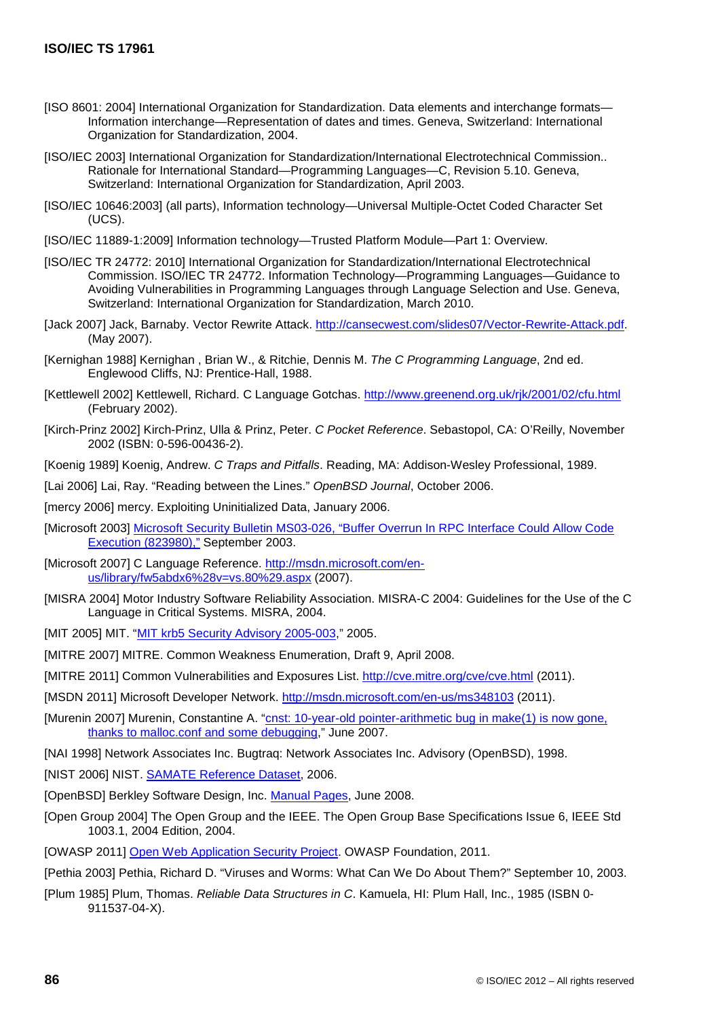- [ISO 8601: 2004] International Organization for Standardization. Data elements and interchange formats-Information interchange—Representation of dates and times. Geneva, Switzerland: International Organization for Standardization, 2004.
- <span id="page-93-4"></span>[ISO/IEC 2003] International Organization for Standardization/International Electrotechnical Commission.. Rationale for International Standard—Programming Languages—C, Revision 5.10. Geneva, Switzerland: International Organization for Standardization, April 2003.
- [ISO/IEC 10646:2003] (all parts), Information technology—Universal Multiple-Octet Coded Character Set (UCS).
- [ISO/IEC 11889-1:2009] Information technology—Trusted Platform Module—Part 1: Overview.
- <span id="page-93-0"></span>[ISO/IEC TR 24772: 2010] International Organization for Standardization/International Electrotechnical Commission. ISO/IEC TR 24772. Information Technology—Programming Languages—Guidance to Avoiding Vulnerabilities in Programming Languages through Language Selection and Use. Geneva, Switzerland: International Organization for Standardization, March 2010.
- <span id="page-93-8"></span>[Jack 2007] Jack, Barnaby. Vector Rewrite Attack. [http://cansecwest.com/slides07/Vector-Rewrite-Attack.pdf.](http://cansecwest.com/slides07/Vector-Rewrite-Attack.pdf) (May 2007).
- <span id="page-93-2"></span>[Kernighan 1988] Kernighan , Brian W., & Ritchie, Dennis M. *The C Programming Language*, 2nd ed. Englewood Cliffs, NJ: Prentice-Hall, 1988.
- <span id="page-93-11"></span>[Kettlewell 2002] Kettlewell, Richard. C Language Gotchas.<http://www.greenend.org.uk/rjk/2001/02/cfu.html> (February 2002).
- [Kirch-Prinz 2002] Kirch-Prinz, Ulla & Prinz, Peter. *C Pocket Reference*. Sebastopol, CA: O'Reilly, November 2002 (ISBN: 0-596-00436-2).
- <span id="page-93-15"></span>[Koenig 1989] Koenig, Andrew. *C Traps and Pitfalls*. Reading, MA: Addison-Wesley Professional, 1989.
- [Lai 2006] Lai, Ray. "Reading between the Lines." *OpenBSD Journal*, October 2006.
- <span id="page-93-16"></span>[mercy 2006] mercy. Exploiting Uninitialized Data, January 2006.
- <span id="page-93-12"></span>[Microsoft 2003] [Microsoft Security Bulletin MS03-026, "Buffer Overrun In RPC Interface Could Allow Code](http://technet.microsoft.com/en-us/security/bulletin/ms03-026)  [Execution \(823980\),"](http://technet.microsoft.com/en-us/security/bulletin/ms03-026) September 2003.
- [Microsoft 2007] C Language Reference. [http://msdn.microsoft.com/en](http://msdn.microsoft.com/en-us/library/fw5abdx6%28v=vs.80%29.aspx)[us/library/fw5abdx6%28v=vs.80%29.aspx](http://msdn.microsoft.com/en-us/library/fw5abdx6%28v=vs.80%29.aspx) (2007).
- [MISRA 2004] Motor Industry Software Reliability Association. MISRA-C 2004: Guidelines for the Use of the C Language in Critical Systems. MISRA, 2004.
- <span id="page-93-14"></span>[MIT 2005] MIT. ["MIT krb5 Security Advisory 2005-003,](http://web.mit.edu/kerberos/advisories/MITKRB5-SA-2005-003-recvauth.txt)" 2005.
- [MITRE 2007] MITRE. Common Weakness Enumeration, Draft 9, April 2008.
- <span id="page-93-7"></span>[MITRE 2011] Common Vulnerabilities and Exposures List.<http://cve.mitre.org/cve/cve.html> (2011).
- <span id="page-93-9"></span>[MSDN 2011] Microsoft Developer Network. <http://msdn.microsoft.com/en-us/ms348103> (2011).
- [Murenin 2007] Murenin, Constantine A. "cnst: 10-year-old pointer-arithmetic bug in make(1) is now gone, [thanks to malloc.conf and some debugging,](http://cnst.livejournal.com/24040.html)" June 2007.
- <span id="page-93-10"></span>[NAI 1998] Network Associates Inc. Bugtraq: Network Associates Inc. Advisory (OpenBSD), 1998.
- <span id="page-93-17"></span>[NIST 2006] NIST. [SAMATE Reference Dataset,](http://samate.nist.gov/SRD/) 2006.
- <span id="page-93-6"></span>[OpenBSD] Berkley Software Design, Inc. [Manual Pages,](http://www.openbsd.org/cgi-bin/man.cgi) June 2008.
- <span id="page-93-5"></span>[Open Group 2004] The Open Group and the IEEE. The Open Group Base Specifications Issue 6, IEEE Std 1003.1, 2004 Edition, 2004.
- <span id="page-93-3"></span>[OWASP 2011] [Open Web Application Security Project.](https://www.owasp.org/index.php/Main_Page) OWASP Foundation, 2011.
- <span id="page-93-13"></span>[Pethia 2003] Pethia, Richard D. "Viruses and Worms: What Can We Do About Them?" September 10, 2003.
- <span id="page-93-1"></span>[Plum 1985] Plum, Thomas. *Reliable Data Structures in C*. Kamuela, HI: Plum Hall, Inc., 1985 (ISBN 0- 911537-04-X).